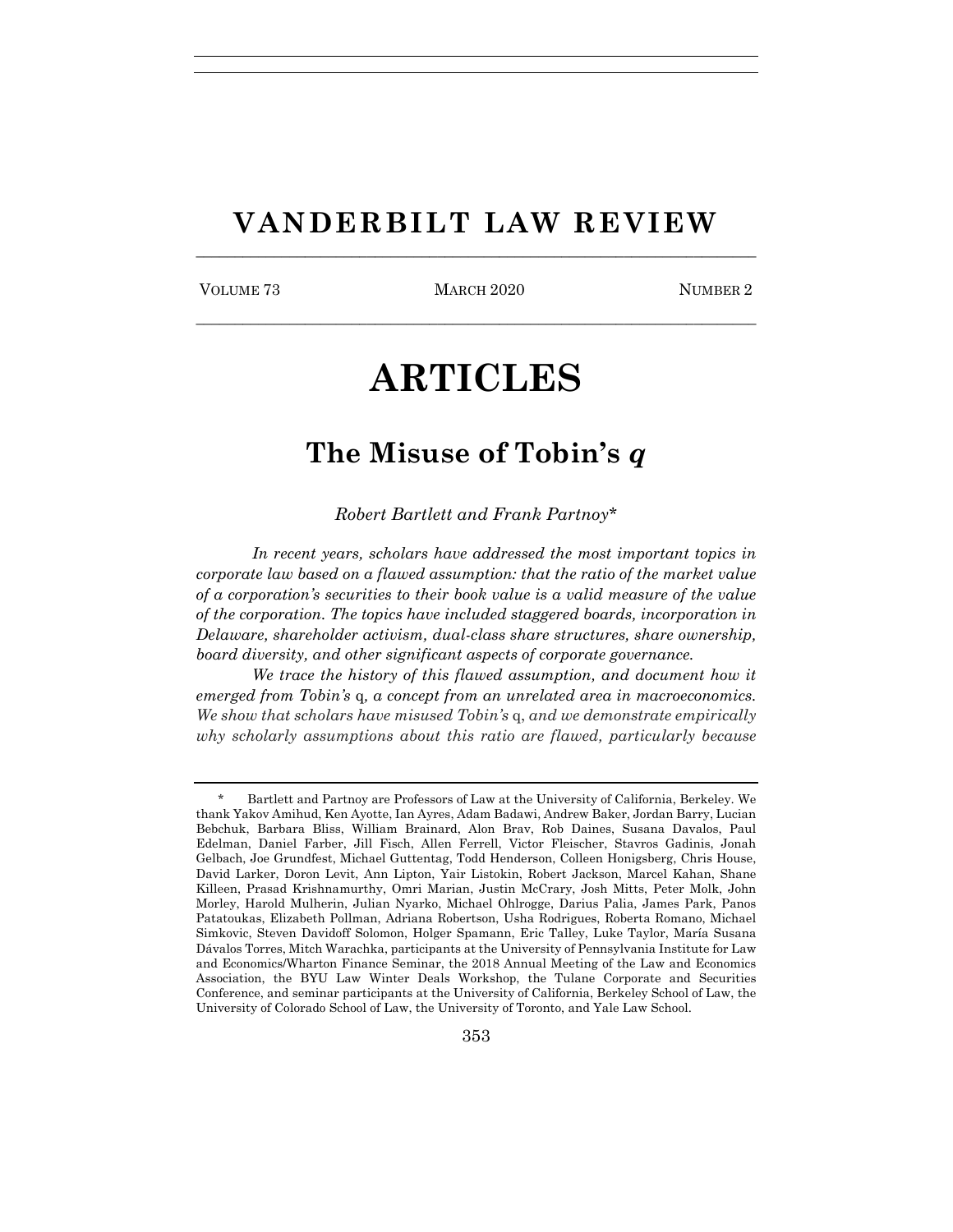# **VANDERBILT LAW REVIEW** \_\_\_\_\_\_\_\_\_\_\_\_\_\_\_\_\_\_\_\_\_\_\_\_\_\_\_\_\_\_\_\_\_\_\_\_\_\_\_\_\_\_\_\_\_\_\_\_\_\_\_\_\_\_\_\_\_\_\_\_\_\_\_\_\_\_\_\_\_\_\_\_

VOLUME 73 MARCH 2020 NUMBER 2 \_\_\_\_\_\_\_\_\_\_\_\_\_\_\_\_\_\_\_\_\_\_\_\_\_\_\_\_\_\_\_\_\_\_\_\_\_\_\_\_\_\_\_\_\_\_\_\_\_\_\_\_\_\_\_\_\_\_\_\_\_\_\_\_\_\_\_\_\_\_\_\_

# **ARTICLES**

# **The Misuse of Tobin's** *q*

*Robert Bartlett and Frank Partnoy*\*

*In recent years, scholars have addressed the most important topics in corporate law based on a flawed assumption: that the ratio of the market value of a corporation's securities to their book value is a valid measure of the value of the corporation. The topics have included staggered boards, incorporation in Delaware, shareholder activism, dual-class share structures, share ownership, board diversity, and other significant aspects of corporate governance.* 

We trace the history of this flawed assumption, and document how it *emerged from Tobin's* q*, a concept from an unrelated area in macroeconomics. We show that scholars have misused Tobin's* q, *and we demonstrate empirically why scholarly assumptions about this ratio are flawed, particularly because* 

 <sup>\*</sup> Bartlett and Partnoy are Professors of Law at the University of California, Berkeley. We thank Yakov Amihud, Ken Ayotte, Ian Ayres, Adam Badawi, Andrew Baker, Jordan Barry, Lucian Bebchuk, Barbara Bliss, William Brainard, Alon Brav, Rob Daines, Susana Davalos, Paul Edelman, Daniel Farber, Jill Fisch, Allen Ferrell, Victor Fleischer, Stavros Gadinis, Jonah Gelbach, Joe Grundfest, Michael Guttentag, Todd Henderson, Colleen Honigsberg, Chris House, David Larker, Doron Levit, Ann Lipton, Yair Listokin, Robert Jackson, Marcel Kahan, Shane Killeen, Prasad Krishnamurthy, Omri Marian, Justin McCrary, Josh Mitts, Peter Molk, John Morley, Harold Mulherin, Julian Nyarko, Michael Ohlrogge, Darius Palia, James Park, Panos Patatoukas, Elizabeth Pollman, Adriana Robertson, Usha Rodrigues, Roberta Romano, Michael Simkovic, Steven Davidoff Solomon, Holger Spamann, Eric Talley, Luke Taylor, María Susana Dávalos Torres, Mitch Warachka, participants at the University of Pennsylvania Institute for Law and Economics/Wharton Finance Seminar, the 2018 Annual Meeting of the Law and Economics Association, the BYU Law Winter Deals Workshop, the Tulane Corporate and Securities Conference, and seminar participants at the University of California, Berkeley School of Law, the University of Colorado School of Law, the University of Toronto, and Yale Law School.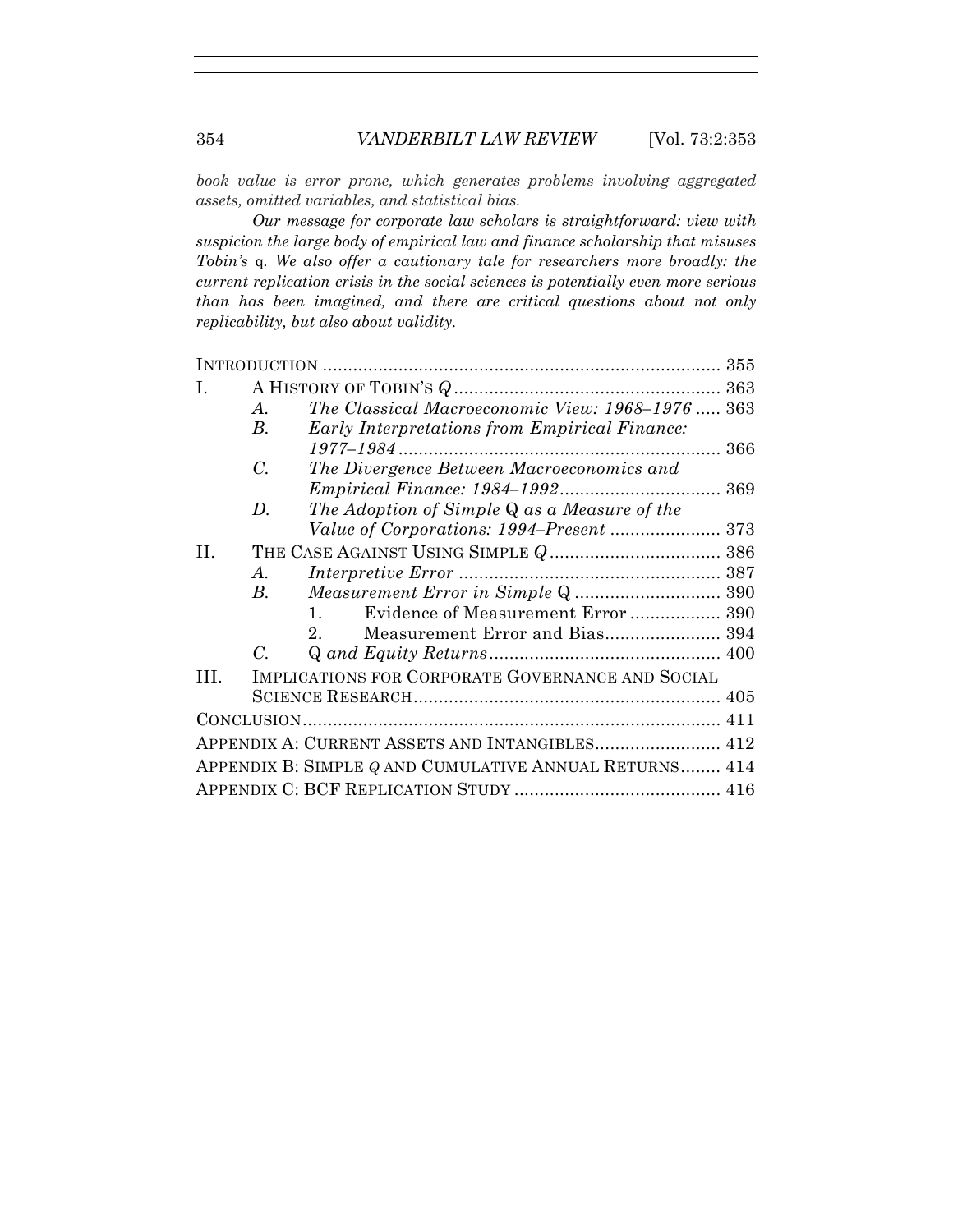*book value is error prone, which generates problems involving aggregated assets, omitted variables, and statistical bias.* 

*Our message for corporate law scholars is straightforward: view with suspicion the large body of empirical law and finance scholarship that misuses Tobin's* q*. We also offer a cautionary tale for researchers more broadly: the current replication crisis in the social sciences is potentially even more serious than has been imagined, and there are critical questions about not only replicability, but also about validity.* 

| Ι.                                             |                                                  |                                                        |  |
|------------------------------------------------|--------------------------------------------------|--------------------------------------------------------|--|
|                                                | $\bm{A}$ .                                       | The Classical Macroeconomic View: 1968-1976  363       |  |
|                                                | В.                                               | Early Interpretations from Empirical Finance:          |  |
|                                                |                                                  | $1977 - 1984$ .                                        |  |
|                                                | $C_{\cdot}$                                      | The Divergence Between Macroeconomics and              |  |
|                                                |                                                  |                                                        |  |
|                                                | D.                                               | The Adoption of Simple Q as a Measure of the           |  |
|                                                |                                                  | Value of Corporations: 1994–Present  373               |  |
| П.                                             |                                                  |                                                        |  |
|                                                | A.                                               |                                                        |  |
|                                                | B.                                               |                                                        |  |
|                                                |                                                  | $1_{-}$                                                |  |
|                                                |                                                  | $2^{\circ}$                                            |  |
|                                                | C.                                               |                                                        |  |
| III.                                           | IMPLICATIONS FOR CORPORATE GOVERNANCE AND SOCIAL |                                                        |  |
|                                                |                                                  |                                                        |  |
|                                                |                                                  |                                                        |  |
| APPENDIX A: CURRENT ASSETS AND INTANGIBLES 412 |                                                  |                                                        |  |
|                                                |                                                  | APPENDIX B: SIMPLE Q AND CUMULATIVE ANNUAL RETURNS 414 |  |
|                                                |                                                  |                                                        |  |
|                                                |                                                  |                                                        |  |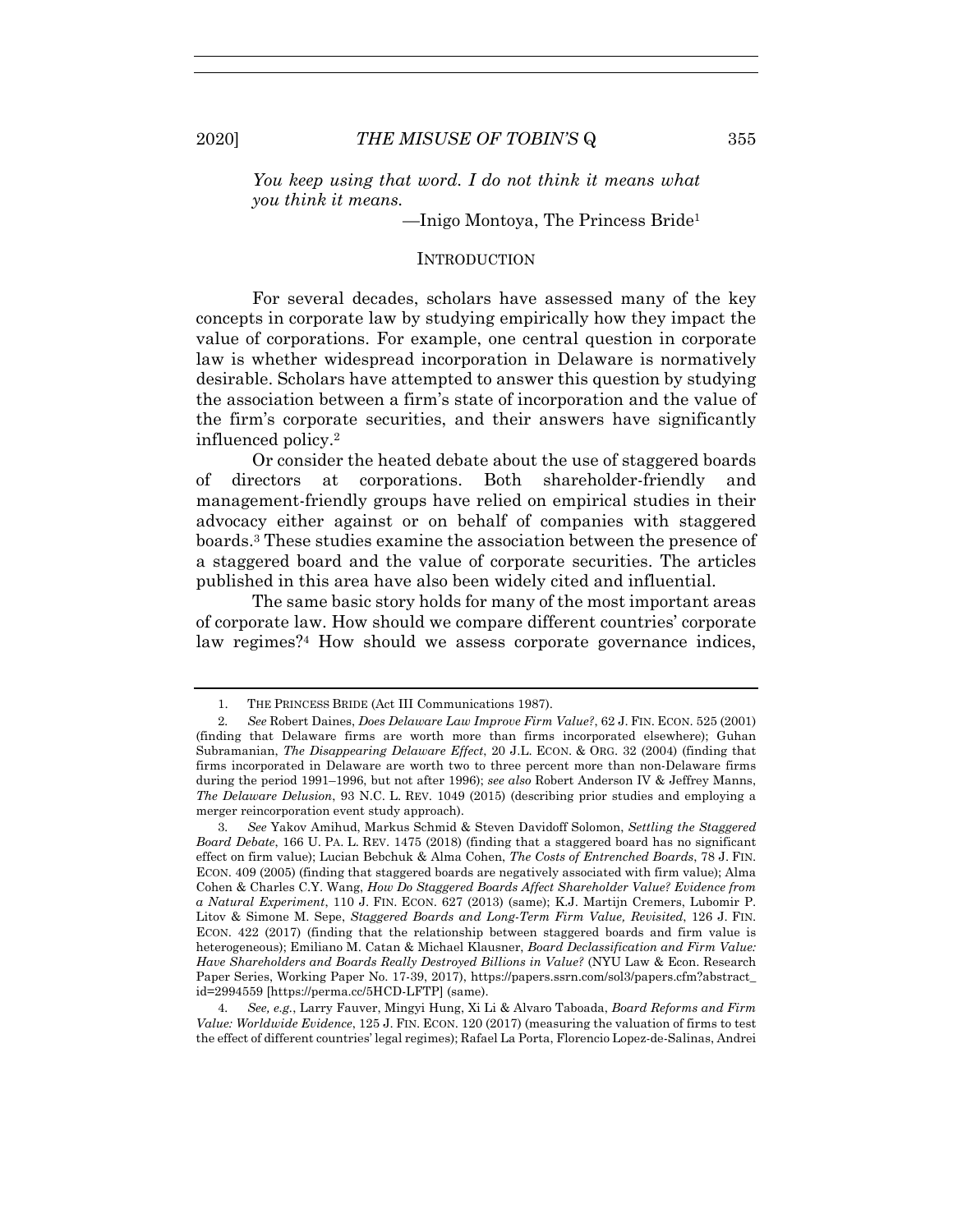*You keep using that word. I do not think it means what you think it means.*

—Inigo Montoya, The Princess Bride1

#### **INTRODUCTION**

For several decades, scholars have assessed many of the key concepts in corporate law by studying empirically how they impact the value of corporations. For example, one central question in corporate law is whether widespread incorporation in Delaware is normatively desirable. Scholars have attempted to answer this question by studying the association between a firm's state of incorporation and the value of the firm's corporate securities, and their answers have significantly influenced policy.2

Or consider the heated debate about the use of staggered boards of directors at corporations. Both shareholder-friendly and management-friendly groups have relied on empirical studies in their advocacy either against or on behalf of companies with staggered boards.3 These studies examine the association between the presence of a staggered board and the value of corporate securities. The articles published in this area have also been widely cited and influential.

The same basic story holds for many of the most important areas of corporate law. How should we compare different countries' corporate law regimes?4 How should we assess corporate governance indices,

<sup>1.</sup> THE PRINCESS BRIDE (Act III Communications 1987).

<sup>2</sup>*. See* Robert Daines, *Does Delaware Law Improve Firm Value?*, 62 J. FIN. ECON. 525 (2001) (finding that Delaware firms are worth more than firms incorporated elsewhere); Guhan Subramanian, *The Disappearing Delaware Effect*, 20 J.L. ECON. & ORG. 32 (2004) (finding that firms incorporated in Delaware are worth two to three percent more than non-Delaware firms during the period 1991–1996, but not after 1996); *see also* Robert Anderson IV & Jeffrey Manns, *The Delaware Delusion*, 93 N.C. L. REV. 1049 (2015) (describing prior studies and employing a merger reincorporation event study approach).

<sup>3</sup>*. See* Yakov Amihud, Markus Schmid & Steven Davidoff Solomon, *Settling the Staggered Board Debate*, 166 U. PA. L. REV. 1475 (2018) (finding that a staggered board has no significant effect on firm value); Lucian Bebchuk & Alma Cohen, *The Costs of Entrenched Boards*, 78 J. FIN. ECON. 409 (2005) (finding that staggered boards are negatively associated with firm value); Alma Cohen & Charles C.Y. Wang, *How Do Staggered Boards Affect Shareholder Value? Evidence from a Natural Experiment*, 110 J. FIN. ECON. 627 (2013) (same); K.J. Martijn Cremers, Lubomir P. Litov & Simone M. Sepe, *Staggered Boards and Long-Term Firm Value, Revisited*, 126 J. FIN. ECON. 422 (2017) (finding that the relationship between staggered boards and firm value is heterogeneous); Emiliano M. Catan & Michael Klausner, *Board Declassification and Firm Value: Have Shareholders and Boards Really Destroyed Billions in Value?* (NYU Law & Econ. Research Paper Series, Working Paper No. 17-39, 2017), https://papers.ssrn.com/sol3/papers.cfm?abstract\_ id=2994559 [https://perma.cc/5HCD-LFTP] (same).

<sup>4</sup>*. See, e.g.*, Larry Fauver, Mingyi Hung, Xi Li & Alvaro Taboada, *Board Reforms and Firm Value: Worldwide Evidence*, 125 J. FIN. ECON. 120 (2017) (measuring the valuation of firms to test the effect of different countries' legal regimes); Rafael La Porta, Florencio Lopez-de-Salinas, Andrei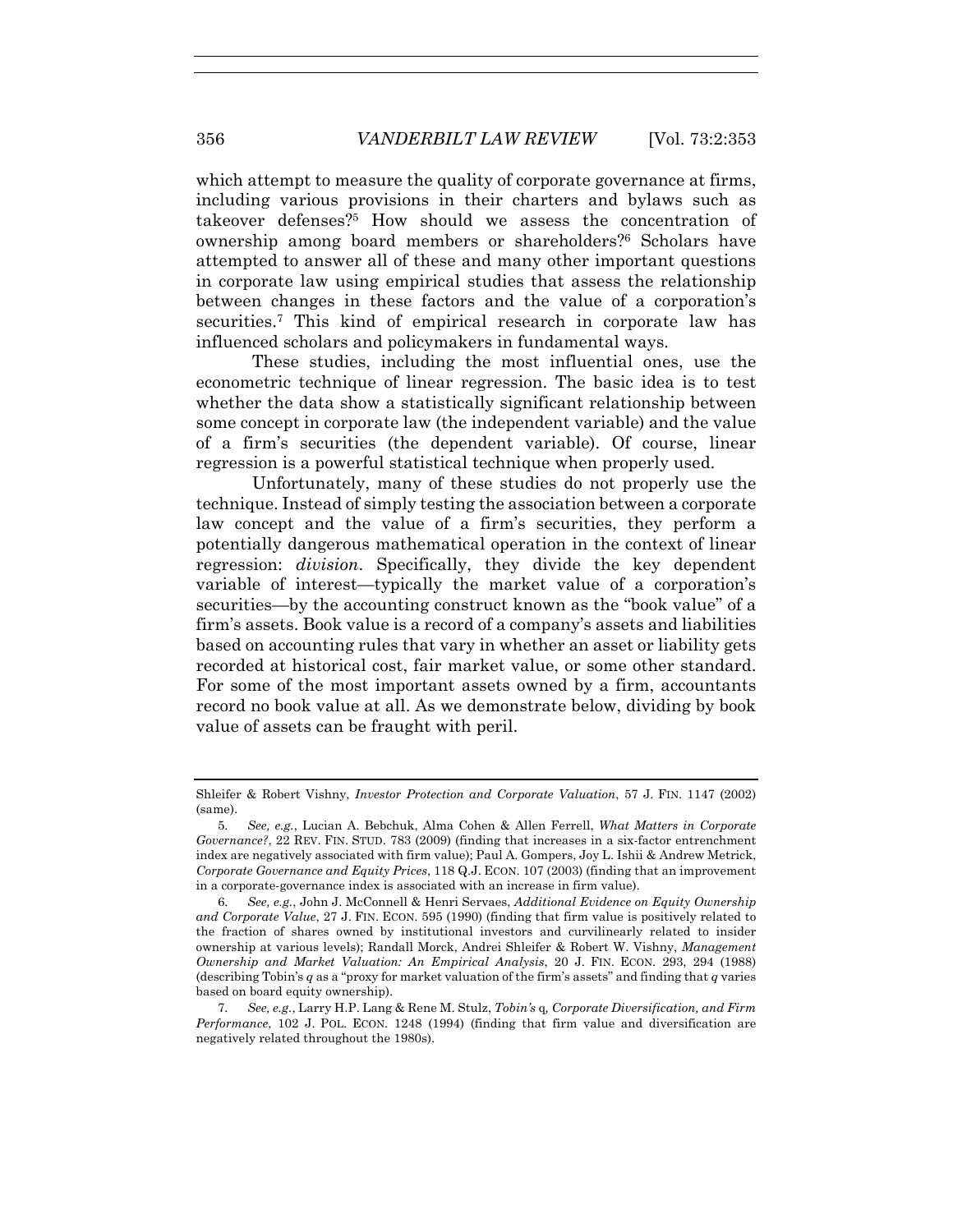which attempt to measure the quality of corporate governance at firms, including various provisions in their charters and bylaws such as takeover defenses?5 How should we assess the concentration of ownership among board members or shareholders?6 Scholars have attempted to answer all of these and many other important questions in corporate law using empirical studies that assess the relationship between changes in these factors and the value of a corporation's securities.7 This kind of empirical research in corporate law has influenced scholars and policymakers in fundamental ways.

These studies, including the most influential ones, use the econometric technique of linear regression. The basic idea is to test whether the data show a statistically significant relationship between some concept in corporate law (the independent variable) and the value of a firm's securities (the dependent variable). Of course, linear regression is a powerful statistical technique when properly used.

Unfortunately, many of these studies do not properly use the technique. Instead of simply testing the association between a corporate law concept and the value of a firm's securities, they perform a potentially dangerous mathematical operation in the context of linear regression: *division*. Specifically, they divide the key dependent variable of interest—typically the market value of a corporation's securities—by the accounting construct known as the "book value" of a firm's assets. Book value is a record of a company's assets and liabilities based on accounting rules that vary in whether an asset or liability gets recorded at historical cost, fair market value, or some other standard. For some of the most important assets owned by a firm, accountants record no book value at all. As we demonstrate below, dividing by book value of assets can be fraught with peril.

Shleifer & Robert Vishny, *Investor Protection and Corporate Valuation*, 57 J. FIN. 1147 (2002) (same).

<sup>5</sup>*. See, e.g.*, Lucian A. Bebchuk, Alma Cohen & Allen Ferrell, *What Matters in Corporate Governance?*, 22 REV. FIN. STUD. 783 (2009) (finding that increases in a six-factor entrenchment index are negatively associated with firm value); Paul A. Gompers, Joy L. Ishii & Andrew Metrick, *Corporate Governance and Equity Prices*, 118 Q.J. ECON. 107 (2003) (finding that an improvement in a corporate-governance index is associated with an increase in firm value).

<sup>6</sup>*. See, e.g.*, John J. McConnell & Henri Servaes, *Additional Evidence on Equity Ownership and Corporate Value*, 27 J. FIN. ECON. 595 (1990) (finding that firm value is positively related to the fraction of shares owned by institutional investors and curvilinearly related to insider ownership at various levels); Randall Morck, Andrei Shleifer & Robert W. Vishny, *Management Ownership and Market Valuation: An Empirical Analysis*, 20 J. FIN. ECON. 293, 294 (1988) (describing Tobin's *q* as a "proxy for market valuation of the firm's assets" and finding that *q* varies based on board equity ownership).

<sup>7</sup>*. See, e.g.*, Larry H.P. Lang & Rene M. Stulz, *Tobin's* q*, Corporate Diversification, and Firm Performance*, 102 J. POL. ECON. 1248 (1994) (finding that firm value and diversification are negatively related throughout the 1980s).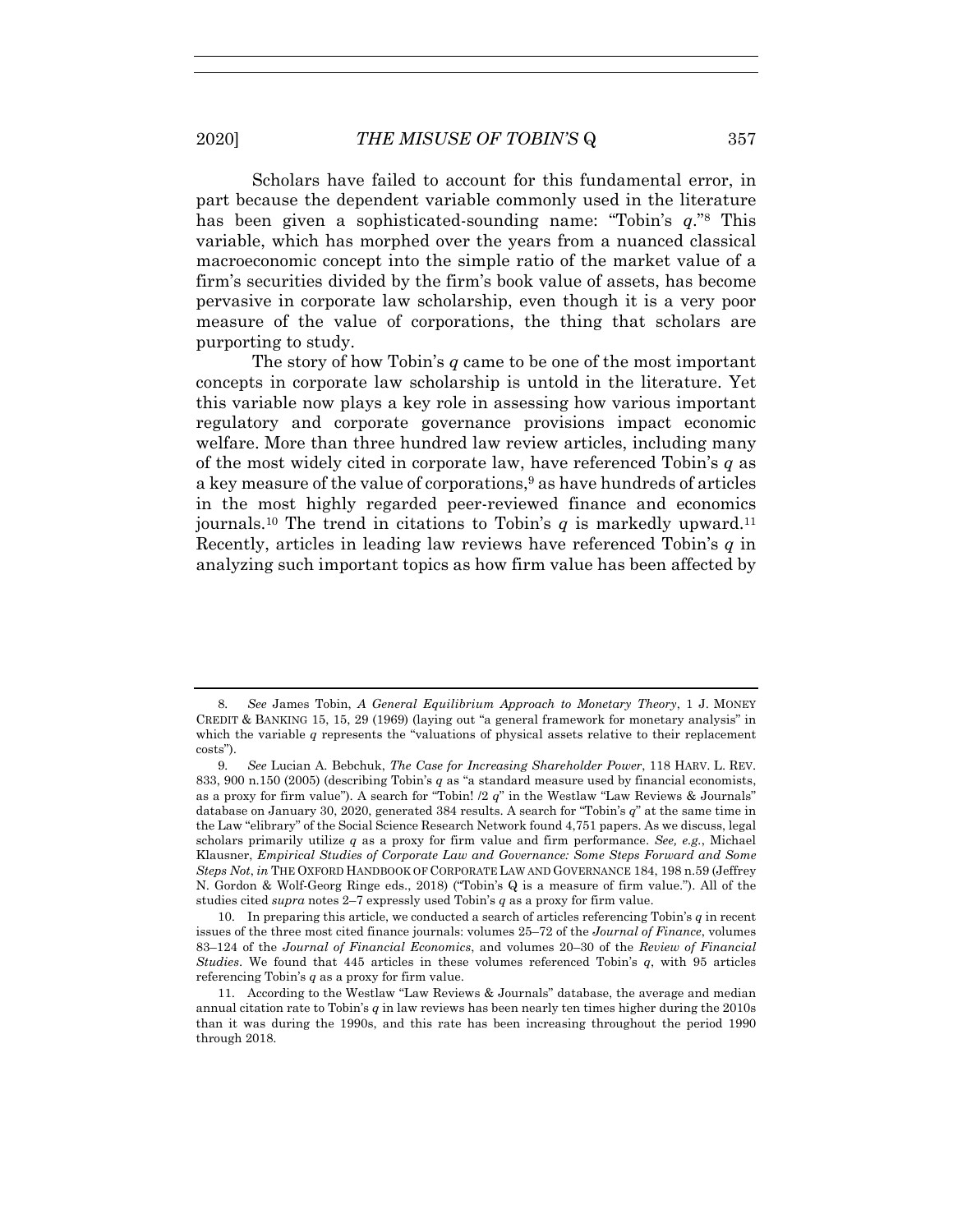Scholars have failed to account for this fundamental error, in part because the dependent variable commonly used in the literature has been given a sophisticated-sounding name: "Tobin's *q*."8 This variable, which has morphed over the years from a nuanced classical macroeconomic concept into the simple ratio of the market value of a firm's securities divided by the firm's book value of assets, has become pervasive in corporate law scholarship, even though it is a very poor measure of the value of corporations, the thing that scholars are purporting to study.

The story of how Tobin's *q* came to be one of the most important concepts in corporate law scholarship is untold in the literature. Yet this variable now plays a key role in assessing how various important regulatory and corporate governance provisions impact economic welfare. More than three hundred law review articles, including many of the most widely cited in corporate law, have referenced Tobin's *q* as a key measure of the value of corporations,<sup>9</sup> as have hundreds of articles in the most highly regarded peer-reviewed finance and economics journals.<sup>10</sup> The trend in citations to Tobin's  $q$  is markedly upward.<sup>11</sup> Recently, articles in leading law reviews have referenced Tobin's *q* in analyzing such important topics as how firm value has been affected by

<sup>8</sup>*. See* James Tobin, *A General Equilibrium Approach to Monetary Theory*, 1 J. MONEY CREDIT & BANKING 15, 15, 29 (1969) (laying out "a general framework for monetary analysis" in which the variable *q* represents the "valuations of physical assets relative to their replacement costs").

<sup>9</sup>*. See* Lucian A. Bebchuk, *The Case for Increasing Shareholder Power*, 118 HARV. L. REV. 833, 900 n.150 (2005) (describing Tobin's *q* as "a standard measure used by financial economists, as a proxy for firm value"). A search for "Tobin! /2 *q*" in the Westlaw "Law Reviews & Journals" database on January 30, 2020, generated 384 results. A search for "Tobin's *q*" at the same time in the Law "elibrary" of the Social Science Research Network found 4,751 papers. As we discuss, legal scholars primarily utilize *q* as a proxy for firm value and firm performance. *See, e.g.*, Michael Klausner, *Empirical Studies of Corporate Law and Governance: Some Steps Forward and Some Steps Not*, *in* THE OXFORD HANDBOOK OF CORPORATE LAW AND GOVERNANCE 184, 198 n.59 (Jeffrey N. Gordon & Wolf-Georg Ringe eds., 2018) ("Tobin's Q is a measure of firm value."). All of the studies cited *supra* notes 2–7 expressly used Tobin's *q* as a proxy for firm value.

 <sup>10.</sup> In preparing this article, we conducted a search of articles referencing Tobin's *q* in recent issues of the three most cited finance journals: volumes 25–72 of the *Journal of Finance*, volumes 83–124 of the *Journal of Financial Economics*, and volumes 20–30 of the *Review of Financial Studies*. We found that 445 articles in these volumes referenced Tobin's *q*, with 95 articles referencing Tobin's *q* as a proxy for firm value.

 <sup>11.</sup> According to the Westlaw "Law Reviews & Journals" database, the average and median annual citation rate to Tobin's *q* in law reviews has been nearly ten times higher during the 2010s than it was during the 1990s, and this rate has been increasing throughout the period 1990 through 2018.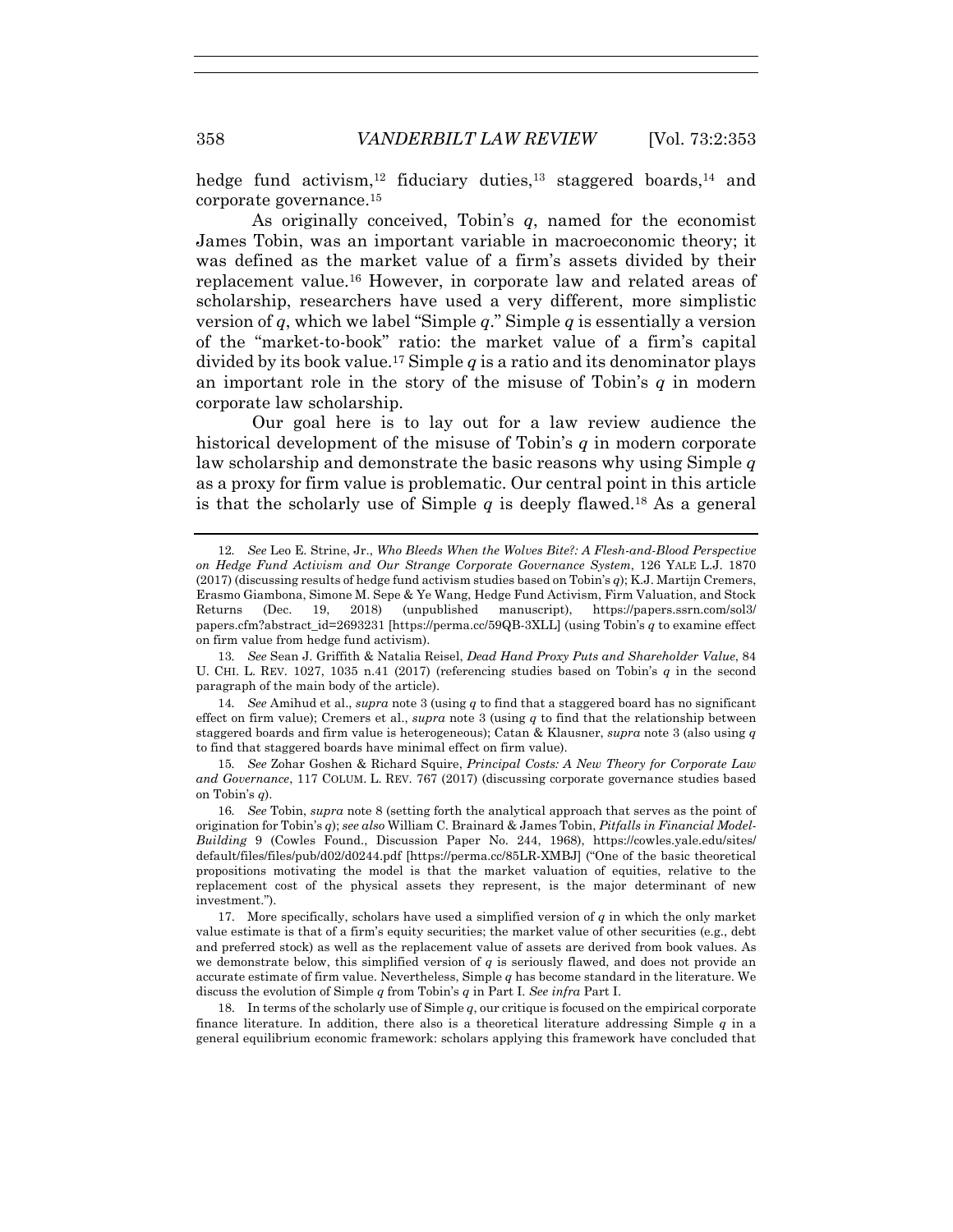hedge fund activism,<sup>12</sup> fiduciary duties,<sup>13</sup> staggered boards,<sup>14</sup> and corporate governance.15

As originally conceived, Tobin's *q*, named for the economist James Tobin, was an important variable in macroeconomic theory; it was defined as the market value of a firm's assets divided by their replacement value.16 However, in corporate law and related areas of scholarship, researchers have used a very different, more simplistic version of *q*, which we label "Simple *q*." Simple *q* is essentially a version of the "market-to-book" ratio: the market value of a firm's capital divided by its book value.<sup>17</sup> Simple *q* is a ratio and its denominator plays an important role in the story of the misuse of Tobin's *q* in modern corporate law scholarship.

Our goal here is to lay out for a law review audience the historical development of the misuse of Tobin's *q* in modern corporate law scholarship and demonstrate the basic reasons why using Simple *q*  as a proxy for firm value is problematic. Our central point in this article is that the scholarly use of Simple *q* is deeply flawed.<sup>18</sup> As a general

<sup>12</sup>*. See* Leo E. Strine, Jr., *Who Bleeds When the Wolves Bite?: A Flesh-and-Blood Perspective on Hedge Fund Activism and Our Strange Corporate Governance System*, 126 YALE L.J. 1870 (2017) (discussing results of hedge fund activism studies based on Tobin's *q*); K.J. Martijn Cremers, Erasmo Giambona, Simone M. Sepe & Ye Wang, Hedge Fund Activism, Firm Valuation, and Stock Returns (Dec. 19, 2018) (unpublished manuscript), https://papers.ssrn.com/sol3/ papers.cfm?abstract\_id=2693231 [https://perma.cc/59QB-3XLL] (using Tobin's *q* to examine effect on firm value from hedge fund activism).

<sup>13</sup>*. See* Sean J. Griffith & Natalia Reisel, *Dead Hand Proxy Puts and Shareholder Value*, 84 U. CHI. L. REV. 1027, 1035 n.41 (2017) (referencing studies based on Tobin's *q* in the second paragraph of the main body of the article).

<sup>14</sup>*. See* Amihud et al., *supra* note 3 (using *q* to find that a staggered board has no significant effect on firm value); Cremers et al., *supra* note 3 (using *q* to find that the relationship between staggered boards and firm value is heterogeneous); Catan & Klausner, *supra* note 3 (also using *q* to find that staggered boards have minimal effect on firm value).

<sup>15</sup>*. See* Zohar Goshen & Richard Squire, *Principal Costs: A New Theory for Corporate Law and Governance*, 117 COLUM. L. REV. 767 (2017) (discussing corporate governance studies based on Tobin's *q*).

<sup>16</sup>*. See* Tobin, *supra* note 8 (setting forth the analytical approach that serves as the point of origination for Tobin's *q*); *see also* William C. Brainard & James Tobin, *Pitfalls in Financial Model-Building* 9 (Cowles Found., Discussion Paper No. 244, 1968), https://cowles.yale.edu/sites/ default/files/files/pub/d02/d0244.pdf [https://perma.cc/85LR-XMBJ] ("One of the basic theoretical propositions motivating the model is that the market valuation of equities, relative to the replacement cost of the physical assets they represent, is the major determinant of new investment.").

 <sup>17.</sup> More specifically, scholars have used a simplified version of *q* in which the only market value estimate is that of a firm's equity securities; the market value of other securities (e.g., debt and preferred stock) as well as the replacement value of assets are derived from book values. As we demonstrate below, this simplified version of *q* is seriously flawed, and does not provide an accurate estimate of firm value. Nevertheless, Simple *q* has become standard in the literature. We discuss the evolution of Simple *q* from Tobin's *q* in Part I. *See infra* Part I.

 <sup>18.</sup> In terms of the scholarly use of Simple *q*, our critique is focused on the empirical corporate finance literature. In addition, there also is a theoretical literature addressing Simple *q* in a general equilibrium economic framework: scholars applying this framework have concluded that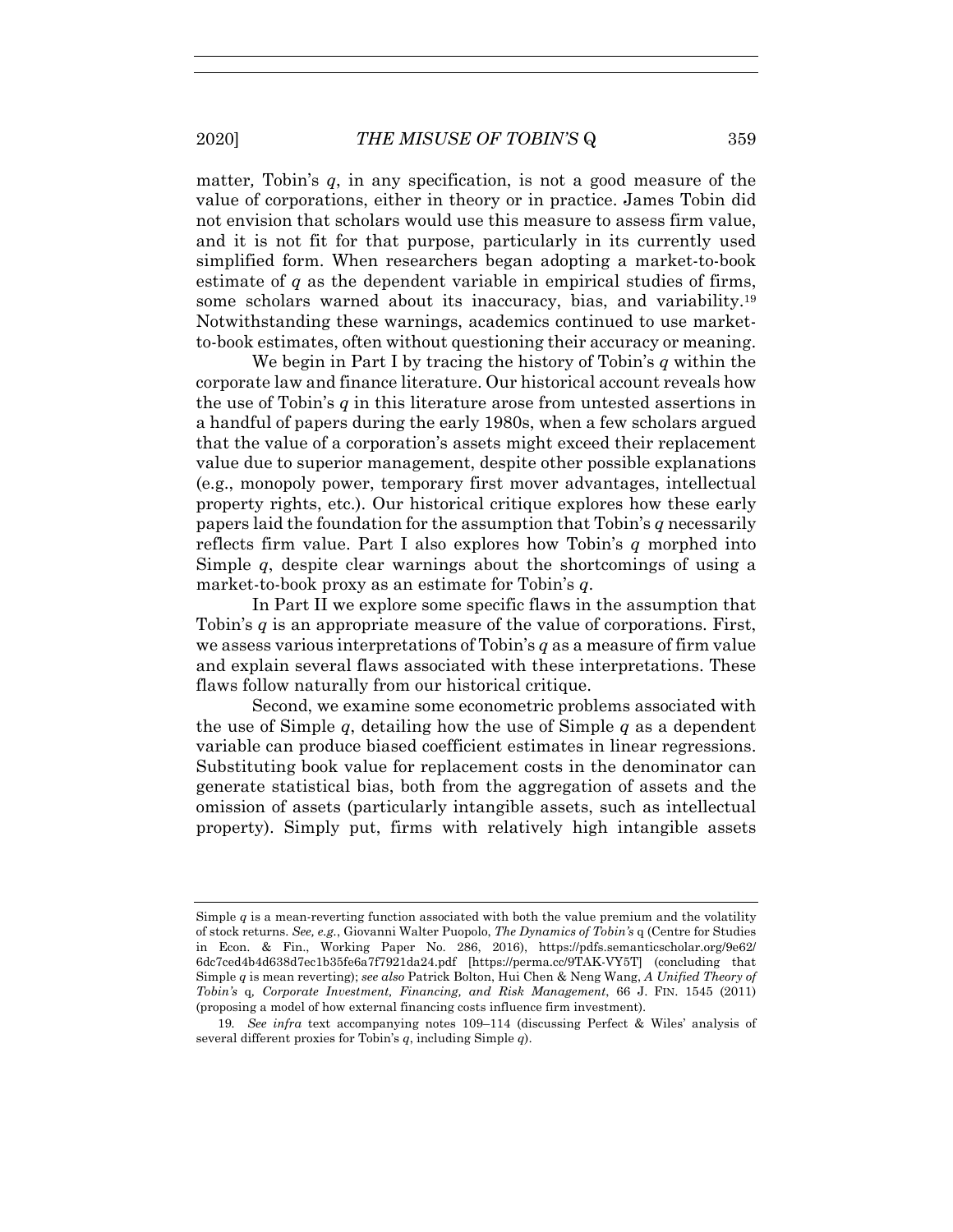matter*,* Tobin's *q*, in any specification, is not a good measure of the value of corporations, either in theory or in practice. James Tobin did not envision that scholars would use this measure to assess firm value, and it is not fit for that purpose, particularly in its currently used simplified form. When researchers began adopting a market-to-book estimate of *q* as the dependent variable in empirical studies of firms, some scholars warned about its inaccuracy, bias, and variability.<sup>19</sup> Notwithstanding these warnings, academics continued to use marketto-book estimates, often without questioning their accuracy or meaning.

We begin in Part I by tracing the history of Tobin's *q* within the corporate law and finance literature. Our historical account reveals how the use of Tobin's *q* in this literature arose from untested assertions in a handful of papers during the early 1980s, when a few scholars argued that the value of a corporation's assets might exceed their replacement value due to superior management, despite other possible explanations (e.g., monopoly power, temporary first mover advantages, intellectual property rights, etc.). Our historical critique explores how these early papers laid the foundation for the assumption that Tobin's *q* necessarily reflects firm value. Part I also explores how Tobin's *q* morphed into Simple *q*, despite clear warnings about the shortcomings of using a market-to-book proxy as an estimate for Tobin's *q*.

In Part II we explore some specific flaws in the assumption that Tobin's *q* is an appropriate measure of the value of corporations. First, we assess various interpretations of Tobin's *q* as a measure of firm value and explain several flaws associated with these interpretations. These flaws follow naturally from our historical critique.

Second, we examine some econometric problems associated with the use of Simple  $q$ , detailing how the use of Simple  $q$  as a dependent variable can produce biased coefficient estimates in linear regressions. Substituting book value for replacement costs in the denominator can generate statistical bias, both from the aggregation of assets and the omission of assets (particularly intangible assets, such as intellectual property). Simply put, firms with relatively high intangible assets

Simple  $q$  is a mean-reverting function associated with both the value premium and the volatility of stock returns. *See, e.g.*, Giovanni Walter Puopolo, *The Dynamics of Tobin's* q (Centre for Studies in Econ. & Fin., Working Paper No. 286, 2016), https://pdfs.semanticscholar.org/9e62/ 6dc7ced4b4d638d7ec1b35fe6a7f7921da24.pdf [https://perma.cc/9TAK-VY5T] (concluding that Simple *q* is mean reverting); *see also* Patrick Bolton, Hui Chen & Neng Wang, *A Unified Theory of Tobin's* q*, Corporate Investment, Financing, and Risk Management*, 66 J. FIN. 1545 (2011) (proposing a model of how external financing costs influence firm investment).

<sup>19</sup>*. See infra* text accompanying notes 109–114 (discussing Perfect & Wiles' analysis of several different proxies for Tobin's *q*, including Simple *q*).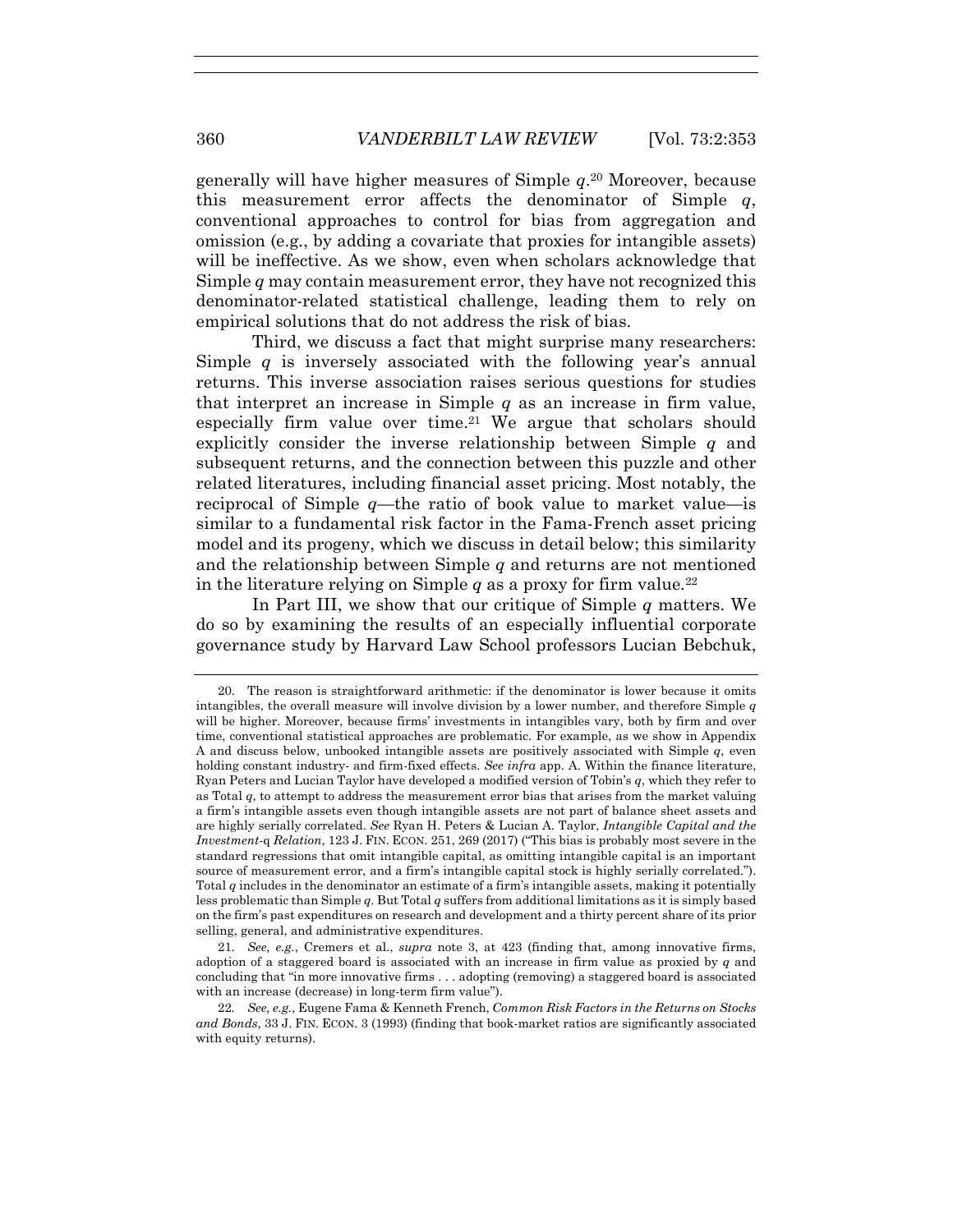generally will have higher measures of Simple *q*. 20 Moreover, because this measurement error affects the denominator of Simple *q*, conventional approaches to control for bias from aggregation and omission (e.g., by adding a covariate that proxies for intangible assets) will be ineffective. As we show, even when scholars acknowledge that Simple *q* may contain measurement error, they have not recognized this denominator-related statistical challenge, leading them to rely on empirical solutions that do not address the risk of bias.

Third, we discuss a fact that might surprise many researchers: Simple *q* is inversely associated with the following year's annual returns. This inverse association raises serious questions for studies that interpret an increase in Simple *q* as an increase in firm value, especially firm value over time.<sup>21</sup> We argue that scholars should explicitly consider the inverse relationship between Simple *q* and subsequent returns, and the connection between this puzzle and other related literatures, including financial asset pricing. Most notably, the reciprocal of Simple *q*—the ratio of book value to market value—is similar to a fundamental risk factor in the Fama-French asset pricing model and its progeny, which we discuss in detail below; this similarity and the relationship between Simple *q* and returns are not mentioned in the literature relying on Simple  $q$  as a proxy for firm value.<sup>22</sup>

In Part III, we show that our critique of Simple *q* matters. We do so by examining the results of an especially influential corporate governance study by Harvard Law School professors Lucian Bebchuk,

 <sup>20.</sup> The reason is straightforward arithmetic: if the denominator is lower because it omits intangibles, the overall measure will involve division by a lower number, and therefore Simple *q*  will be higher. Moreover, because firms' investments in intangibles vary, both by firm and over time, conventional statistical approaches are problematic. For example, as we show in Appendix A and discuss below, unbooked intangible assets are positively associated with Simple  $q$ , even holding constant industry- and firm-fixed effects. *See infra* app. A. Within the finance literature, Ryan Peters and Lucian Taylor have developed a modified version of Tobin's *q*, which they refer to as Total *q*, to attempt to address the measurement error bias that arises from the market valuing a firm's intangible assets even though intangible assets are not part of balance sheet assets and are highly serially correlated. *See* Ryan H. Peters & Lucian A. Taylor, *Intangible Capital and the Investment-*q *Relation*, 123 J. FIN. ECON. 251, 269 (2017) ("This bias is probably most severe in the standard regressions that omit intangible capital, as omitting intangible capital is an important source of measurement error, and a firm's intangible capital stock is highly serially correlated."). Total *q* includes in the denominator an estimate of a firm's intangible assets, making it potentially less problematic than Simple *q*. But Total *q* suffers from additional limitations as it is simply based on the firm's past expenditures on research and development and a thirty percent share of its prior selling, general, and administrative expenditures.

<sup>21</sup>*. See, e.g.*, Cremers et al., *supra* note 3, at 423 (finding that, among innovative firms, adoption of a staggered board is associated with an increase in firm value as proxied by *q* and concluding that "in more innovative firms . . . adopting (removing) a staggered board is associated with an increase (decrease) in long-term firm value").

<sup>22</sup>*. See, e.g.*, Eugene Fama & Kenneth French, *Common Risk Factors in the Returns on Stocks and Bonds*, 33 J. FIN. ECON. 3 (1993) (finding that book-market ratios are significantly associated with equity returns).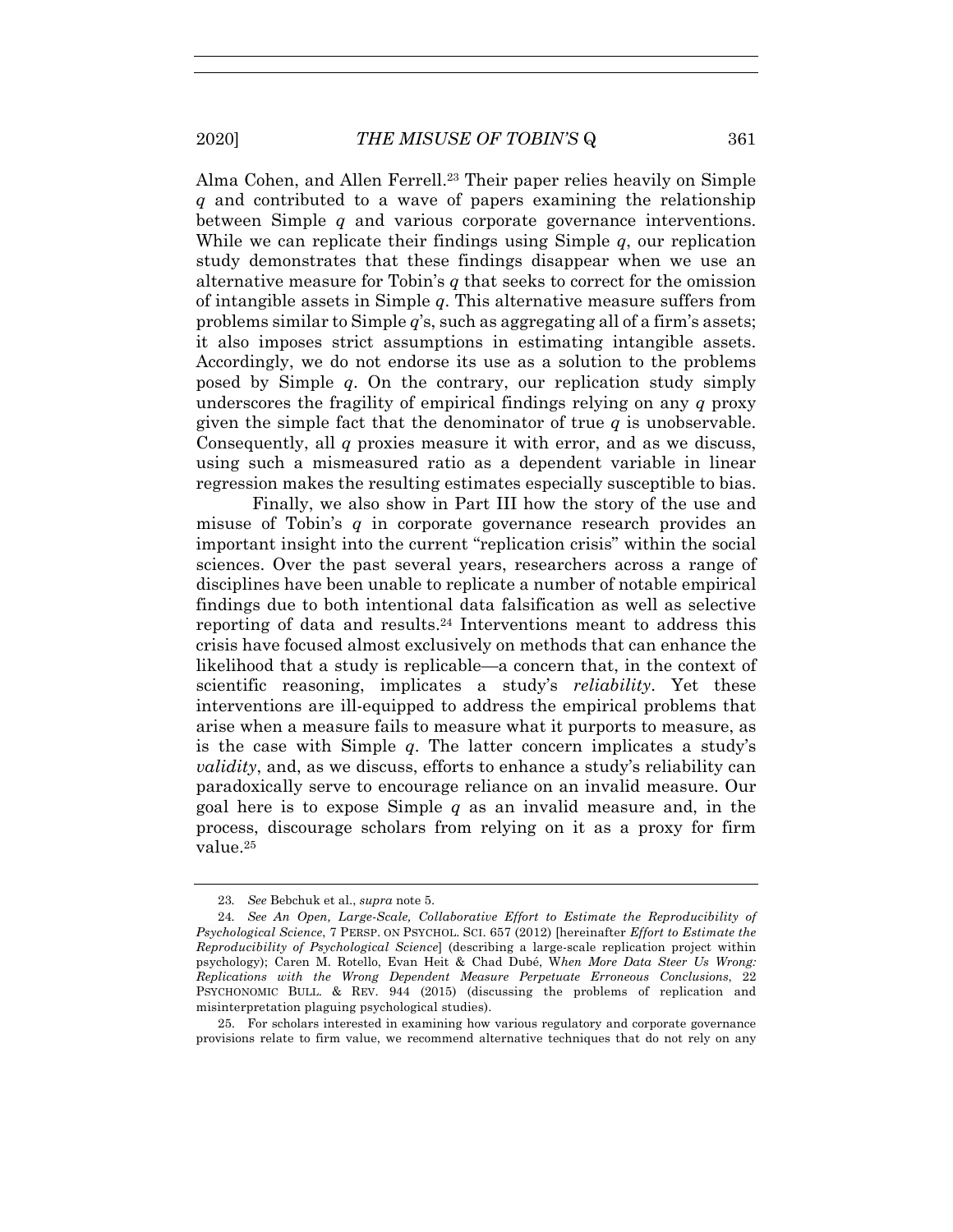Alma Cohen, and Allen Ferrell.<sup>23</sup> Their paper relies heavily on Simple *q* and contributed to a wave of papers examining the relationship between Simple *q* and various corporate governance interventions. While we can replicate their findings using Simple *q*, our replication study demonstrates that these findings disappear when we use an alternative measure for Tobin's *q* that seeks to correct for the omission of intangible assets in Simple *q*. This alternative measure suffers from problems similar to Simple *q*'s, such as aggregating all of a firm's assets; it also imposes strict assumptions in estimating intangible assets. Accordingly, we do not endorse its use as a solution to the problems posed by Simple *q*. On the contrary, our replication study simply underscores the fragility of empirical findings relying on any *q* proxy given the simple fact that the denominator of true *q* is unobservable. Consequently, all *q* proxies measure it with error, and as we discuss, using such a mismeasured ratio as a dependent variable in linear regression makes the resulting estimates especially susceptible to bias.

Finally, we also show in Part III how the story of the use and misuse of Tobin's *q* in corporate governance research provides an important insight into the current "replication crisis" within the social sciences. Over the past several years, researchers across a range of disciplines have been unable to replicate a number of notable empirical findings due to both intentional data falsification as well as selective reporting of data and results.24 Interventions meant to address this crisis have focused almost exclusively on methods that can enhance the likelihood that a study is replicable—a concern that, in the context of scientific reasoning, implicates a study's *reliability*. Yet these interventions are ill-equipped to address the empirical problems that arise when a measure fails to measure what it purports to measure, as is the case with Simple *q*. The latter concern implicates a study's *validity*, and, as we discuss, efforts to enhance a study's reliability can paradoxically serve to encourage reliance on an invalid measure. Our goal here is to expose Simple *q* as an invalid measure and, in the process, discourage scholars from relying on it as a proxy for firm  $v$ alue. $25$ 

<sup>23</sup>*. See* Bebchuk et al., *supra* note 5.

<sup>24</sup>*. See An Open, Large-Scale, Collaborative Effort to Estimate the Reproducibility of Psychological Science*, 7 PERSP. ON PSYCHOL. SCI. 657 (2012) [hereinafter *Effort to Estimate the Reproducibility of Psychological Science*] (describing a large-scale replication project within psychology); Caren M. Rotello, Evan Heit & Chad Dubé, W*hen More Data Steer Us Wrong: Replications with the Wrong Dependent Measure Perpetuate Erroneous Conclusions*, 22 PSYCHONOMIC BULL. & REV. 944 (2015) (discussing the problems of replication and misinterpretation plaguing psychological studies).

 <sup>25.</sup> For scholars interested in examining how various regulatory and corporate governance provisions relate to firm value, we recommend alternative techniques that do not rely on any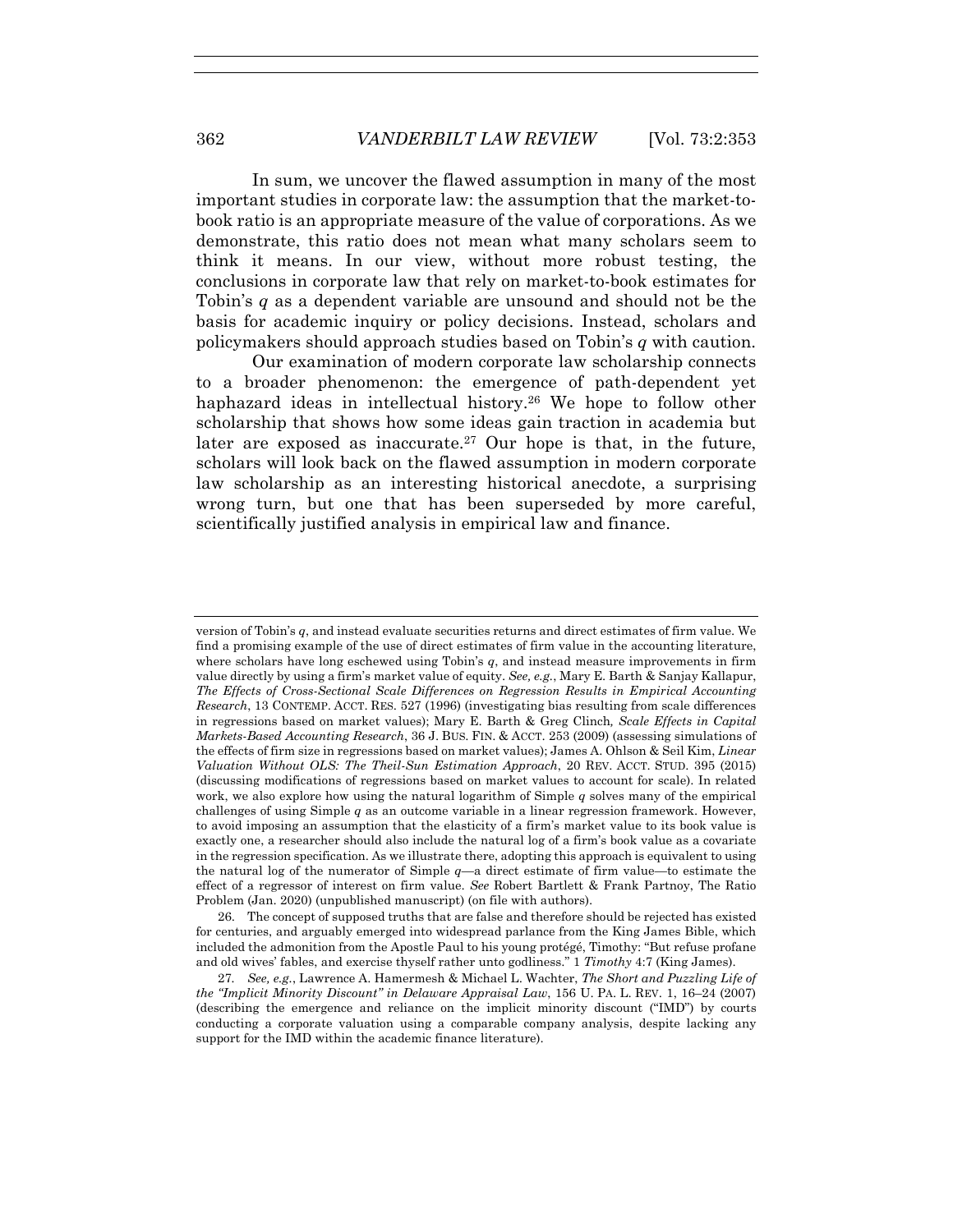In sum, we uncover the flawed assumption in many of the most important studies in corporate law: the assumption that the market-tobook ratio is an appropriate measure of the value of corporations. As we demonstrate, this ratio does not mean what many scholars seem to think it means. In our view, without more robust testing, the conclusions in corporate law that rely on market-to-book estimates for Tobin's *q* as a dependent variable are unsound and should not be the basis for academic inquiry or policy decisions. Instead, scholars and policymakers should approach studies based on Tobin's *q* with caution.

Our examination of modern corporate law scholarship connects to a broader phenomenon: the emergence of path-dependent yet haphazard ideas in intellectual history.<sup>26</sup> We hope to follow other scholarship that shows how some ideas gain traction in academia but later are exposed as inaccurate.<sup>27</sup> Our hope is that, in the future, scholars will look back on the flawed assumption in modern corporate law scholarship as an interesting historical anecdote, a surprising wrong turn, but one that has been superseded by more careful, scientifically justified analysis in empirical law and finance.

version of Tobin's *q*, and instead evaluate securities returns and direct estimates of firm value. We find a promising example of the use of direct estimates of firm value in the accounting literature, where scholars have long eschewed using Tobin's *q*, and instead measure improvements in firm value directly by using a firm's market value of equity. *See, e.g.*, Mary E. Barth & Sanjay Kallapur, *The Effects of Cross-Sectional Scale Differences on Regression Results in Empirical Accounting Research*, 13 CONTEMP. ACCT. RES. 527 (1996) (investigating bias resulting from scale differences in regressions based on market values); Mary E. Barth & Greg Clinch*, Scale Effects in Capital Markets-Based Accounting Research*, 36 J. BUS. FIN. & ACCT. 253 (2009) (assessing simulations of the effects of firm size in regressions based on market values); James A. Ohlson & Seil Kim, *Linear Valuation Without OLS: The Theil-Sun Estimation Approach*, 20 REV. ACCT. STUD. 395 (2015) (discussing modifications of regressions based on market values to account for scale). In related work, we also explore how using the natural logarithm of Simple *q* solves many of the empirical challenges of using Simple *q* as an outcome variable in a linear regression framework. However, to avoid imposing an assumption that the elasticity of a firm's market value to its book value is exactly one, a researcher should also include the natural log of a firm's book value as a covariate in the regression specification. As we illustrate there, adopting this approach is equivalent to using the natural log of the numerator of Simple *q*—a direct estimate of firm value—to estimate the effect of a regressor of interest on firm value. *See* Robert Bartlett & Frank Partnoy, The Ratio Problem (Jan. 2020) (unpublished manuscript) (on file with authors).

 <sup>26.</sup> The concept of supposed truths that are false and therefore should be rejected has existed for centuries, and arguably emerged into widespread parlance from the King James Bible, which included the admonition from the Apostle Paul to his young protégé, Timothy: "But refuse profane and old wives' fables, and exercise thyself rather unto godliness." 1 *Timothy* 4:7 (King James).

<sup>27</sup>*. See, e.g.*, Lawrence A. Hamermesh & Michael L. Wachter, *The Short and Puzzling Life of the "Implicit Minority Discount" in Delaware Appraisal Law*, 156 U. PA. L. REV. 1, 16–24 (2007) (describing the emergence and reliance on the implicit minority discount ("IMD") by courts conducting a corporate valuation using a comparable company analysis, despite lacking any support for the IMD within the academic finance literature).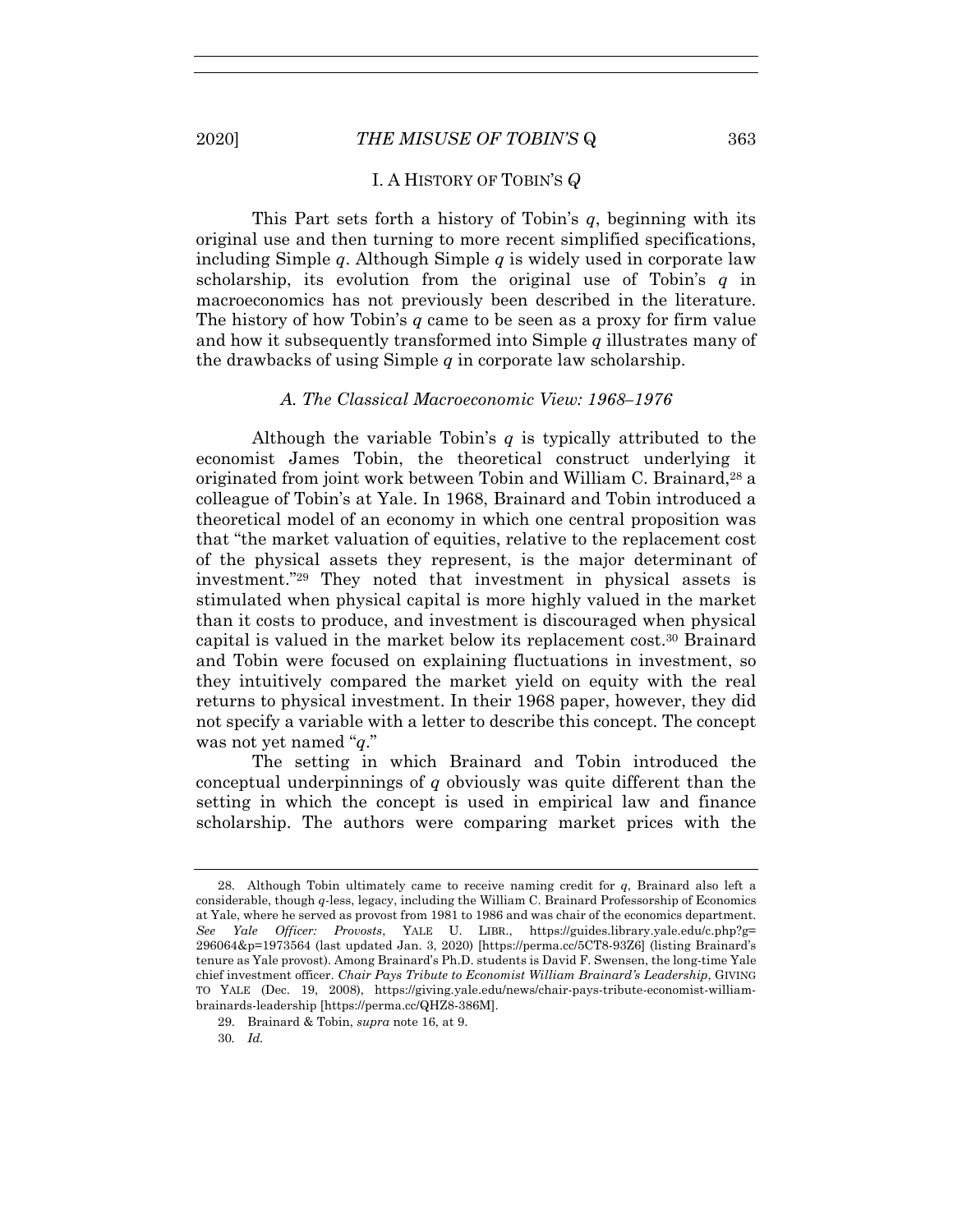# I. A HISTORY OF TOBIN'S *Q*

This Part sets forth a history of Tobin's *q*, beginning with its original use and then turning to more recent simplified specifications, including Simple *q*. Although Simple *q* is widely used in corporate law scholarship, its evolution from the original use of Tobin's *q* in macroeconomics has not previously been described in the literature. The history of how Tobin's *q* came to be seen as a proxy for firm value and how it subsequently transformed into Simple *q* illustrates many of the drawbacks of using Simple  $q$  in corporate law scholarship.

#### *A. The Classical Macroeconomic View: 1968–1976*

Although the variable Tobin's *q* is typically attributed to the economist James Tobin, the theoretical construct underlying it originated from joint work between Tobin and William C. Brainard,28 a colleague of Tobin's at Yale. In 1968, Brainard and Tobin introduced a theoretical model of an economy in which one central proposition was that "the market valuation of equities, relative to the replacement cost of the physical assets they represent, is the major determinant of investment."29 They noted that investment in physical assets is stimulated when physical capital is more highly valued in the market than it costs to produce, and investment is discouraged when physical capital is valued in the market below its replacement cost.30 Brainard and Tobin were focused on explaining fluctuations in investment, so they intuitively compared the market yield on equity with the real returns to physical investment. In their 1968 paper, however, they did not specify a variable with a letter to describe this concept. The concept was not yet named "*q*."

The setting in which Brainard and Tobin introduced the conceptual underpinnings of *q* obviously was quite different than the setting in which the concept is used in empirical law and finance scholarship. The authors were comparing market prices with the

 <sup>28.</sup> Although Tobin ultimately came to receive naming credit for *q*, Brainard also left a considerable, though *q*-less, legacy, including the William C. Brainard Professorship of Economics at Yale, where he served as provost from 1981 to 1986 and was chair of the economics department. *See Yale Officer: Provosts*, YALE U. LIBR., https://guides.library.yale.edu/c.php?g= 296064&p=1973564 (last updated Jan. 3, 2020) [https://perma.cc/5CT8-93Z6] (listing Brainard's tenure as Yale provost). Among Brainard's Ph.D. students is David F. Swensen, the long-time Yale chief investment officer. *Chair Pays Tribute to Economist William Brainard's Leadership*, GIVING TO YALE (Dec. 19, 2008), https://giving.yale.edu/news/chair-pays-tribute-economist-williambrainards-leadership [https://perma.cc/QHZ8-386M].

 <sup>29.</sup> Brainard & Tobin, *supra* note 16, at 9.

<sup>30</sup>*. Id.*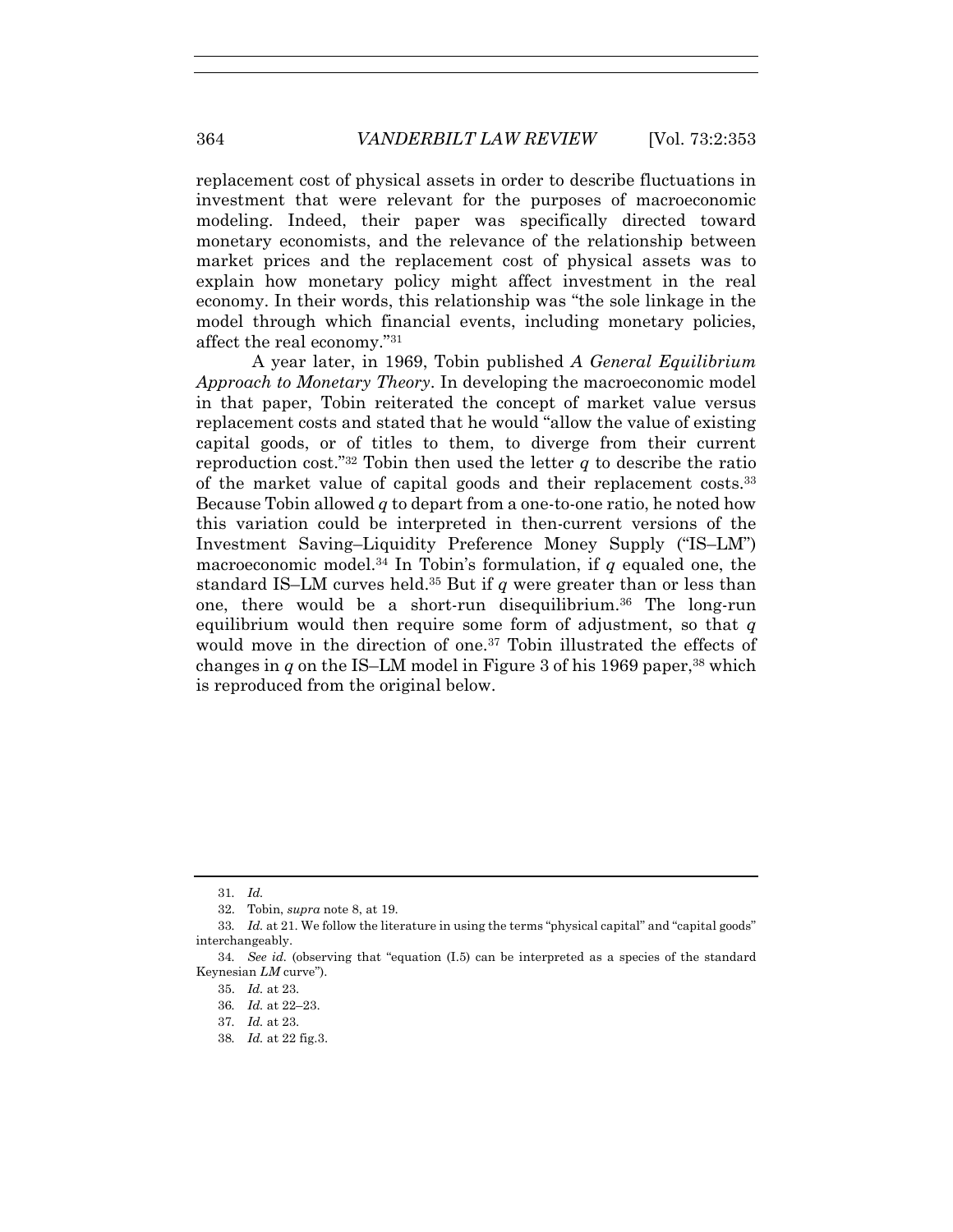replacement cost of physical assets in order to describe fluctuations in investment that were relevant for the purposes of macroeconomic modeling. Indeed, their paper was specifically directed toward monetary economists, and the relevance of the relationship between market prices and the replacement cost of physical assets was to explain how monetary policy might affect investment in the real economy. In their words, this relationship was "the sole linkage in the model through which financial events, including monetary policies, affect the real economy."31

A year later, in 1969, Tobin published *A General Equilibrium Approach to Monetary Theory*. In developing the macroeconomic model in that paper, Tobin reiterated the concept of market value versus replacement costs and stated that he would "allow the value of existing capital goods, or of titles to them, to diverge from their current reproduction cost."<sup>32</sup> Tobin then used the letter  $q$  to describe the ratio of the market value of capital goods and their replacement costs.33 Because Tobin allowed *q* to depart from a one-to-one ratio, he noted how this variation could be interpreted in then-current versions of the Investment Saving–Liquidity Preference Money Supply ("IS–LM") macroeconomic model.<sup>34</sup> In Tobin's formulation, if  $q$  equaled one, the standard IS–LM curves held.35 But if *q* were greater than or less than one, there would be a short-run disequilibrium.36 The long-run equilibrium would then require some form of adjustment, so that *q* would move in the direction of one.<sup>37</sup> Tobin illustrated the effects of changes in *q* on the IS–LM model in Figure 3 of his 1969 paper,<sup>38</sup> which is reproduced from the original below.

38*. Id.* at 22 fig.3.

<sup>31</sup>*. Id.*

 <sup>32.</sup> Tobin, *supra* note 8, at 19.

<sup>33</sup>*. Id.* at 21. We follow the literature in using the terms "physical capital" and "capital goods" interchangeably.

<sup>34</sup>*. See id.* (observing that "equation (I.5) can be interpreted as a species of the standard Keynesian *LM* curve").

 <sup>35.</sup> *Id.* at 23.

<sup>36</sup>*. Id.* at 22–23.

<sup>37</sup>*. Id.* at 23.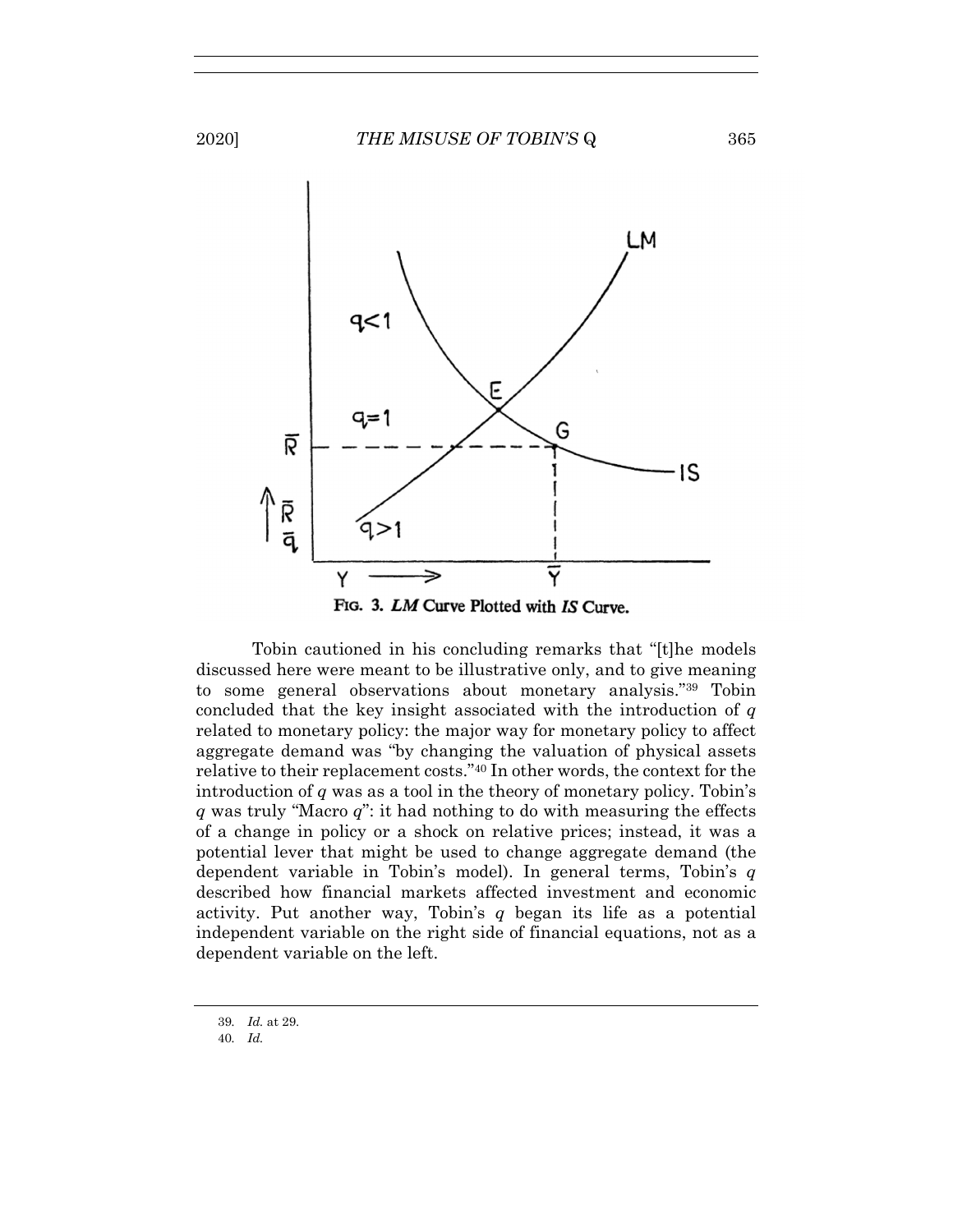

Tobin cautioned in his concluding remarks that "[t]he models discussed here were meant to be illustrative only, and to give meaning to some general observations about monetary analysis."39 Tobin concluded that the key insight associated with the introduction of *q* related to monetary policy: the major way for monetary policy to affect aggregate demand was "by changing the valuation of physical assets relative to their replacement costs."40 In other words, the context for the introduction of *q* was as a tool in the theory of monetary policy. Tobin's *q* was truly "Macro *q*": it had nothing to do with measuring the effects of a change in policy or a shock on relative prices; instead, it was a potential lever that might be used to change aggregate demand (the dependent variable in Tobin's model). In general terms, Tobin's *q* described how financial markets affected investment and economic activity. Put another way, Tobin's *q* began its life as a potential independent variable on the right side of financial equations, not as a dependent variable on the left.

<sup>39</sup>*. Id.* at 29.

<sup>40</sup>*. Id.*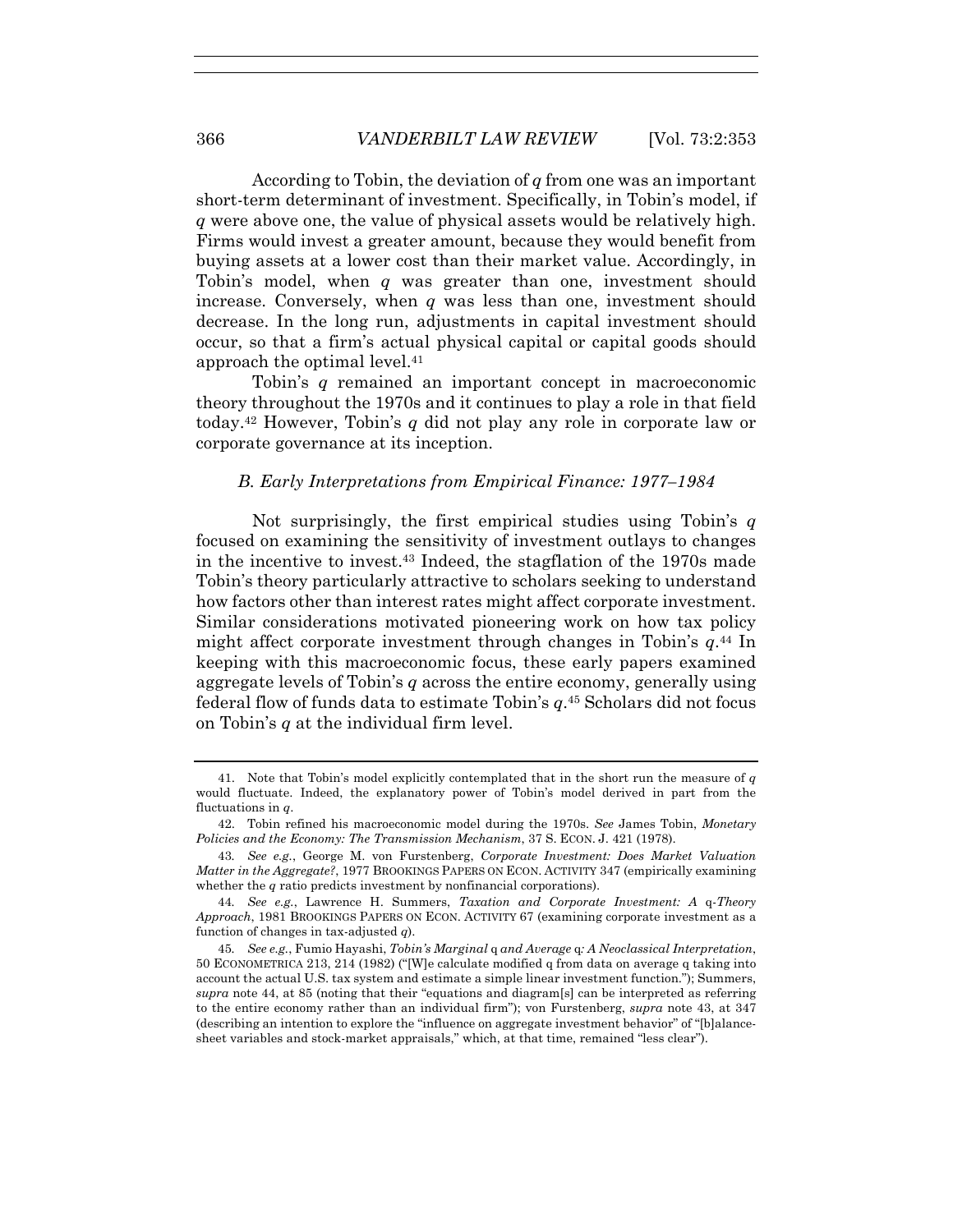According to Tobin, the deviation of *q* from one was an important short-term determinant of investment. Specifically, in Tobin's model, if *q* were above one, the value of physical assets would be relatively high. Firms would invest a greater amount, because they would benefit from buying assets at a lower cost than their market value. Accordingly, in Tobin's model, when *q* was greater than one, investment should increase. Conversely, when *q* was less than one, investment should decrease. In the long run, adjustments in capital investment should occur, so that a firm's actual physical capital or capital goods should approach the optimal level.<sup>41</sup>

Tobin's *q* remained an important concept in macroeconomic theory throughout the 1970s and it continues to play a role in that field today.42 However, Tobin's *q* did not play any role in corporate law or corporate governance at its inception.

#### *B. Early Interpretations from Empirical Finance: 1977–1984*

Not surprisingly, the first empirical studies using Tobin's *q* focused on examining the sensitivity of investment outlays to changes in the incentive to invest.43 Indeed, the stagflation of the 1970s made Tobin's theory particularly attractive to scholars seeking to understand how factors other than interest rates might affect corporate investment. Similar considerations motivated pioneering work on how tax policy might affect corporate investment through changes in Tobin's *q*.44 In keeping with this macroeconomic focus, these early papers examined aggregate levels of Tobin's *q* across the entire economy, generally using federal flow of funds data to estimate Tobin's *q*.45 Scholars did not focus on Tobin's *q* at the individual firm level.

 <sup>41.</sup> Note that Tobin's model explicitly contemplated that in the short run the measure of *q* would fluctuate. Indeed, the explanatory power of Tobin's model derived in part from the fluctuations in *q*.

 <sup>42.</sup> Tobin refined his macroeconomic model during the 1970s. *See* James Tobin, *Monetary Policies and the Economy: The Transmission Mechanism*, 37 S. ECON. J. 421 (1978).

<sup>43</sup>*. See e.g.*, George M. von Furstenberg, *Corporate Investment: Does Market Valuation Matter in the Aggregate?*, 1977 BROOKINGS PAPERS ON ECON. ACTIVITY 347 (empirically examining whether the *q* ratio predicts investment by nonfinancial corporations).

<sup>44</sup>*. See e.g.*, Lawrence H. Summers, *Taxation and Corporate Investment: A* q*-Theory Approach*, 1981 BROOKINGS PAPERS ON ECON. ACTIVITY 67 (examining corporate investment as a function of changes in tax-adjusted *q*).

<sup>45</sup>*. See e.g.*, Fumio Hayashi, *Tobin's Marginal* q *and Average* q*: A Neoclassical Interpretation*, 50 ECONOMETRICA 213, 214 (1982) ("[W]e calculate modified q from data on average q taking into account the actual U.S. tax system and estimate a simple linear investment function."); Summers, *supra* note 44, at 85 (noting that their "equations and diagram[s] can be interpreted as referring to the entire economy rather than an individual firm"); von Furstenberg, *supra* note 43, at 347 (describing an intention to explore the "influence on aggregate investment behavior" of "[b]alancesheet variables and stock-market appraisals," which, at that time, remained "less clear").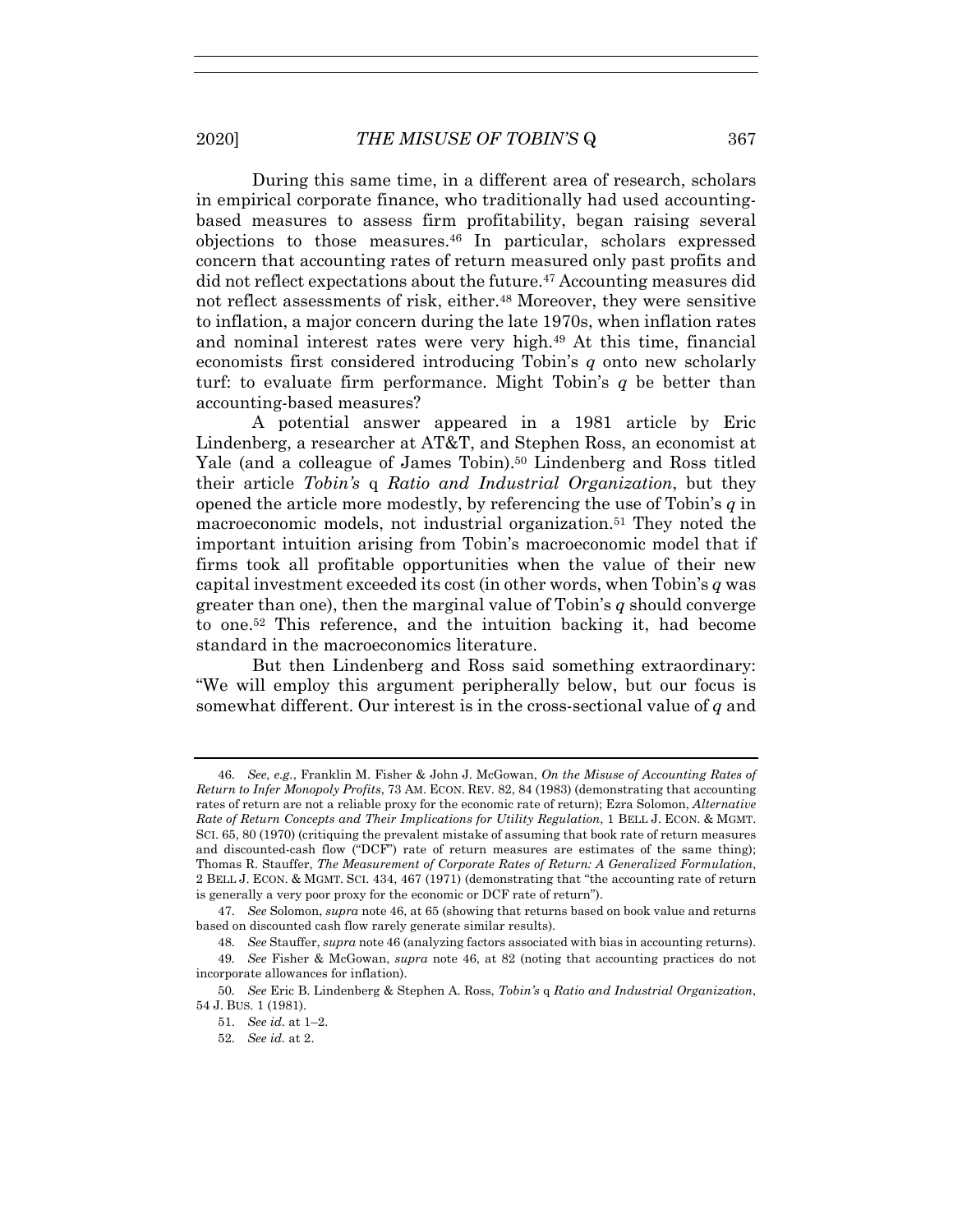During this same time, in a different area of research, scholars in empirical corporate finance, who traditionally had used accountingbased measures to assess firm profitability, began raising several objections to those measures.46 In particular, scholars expressed concern that accounting rates of return measured only past profits and did not reflect expectations about the future.<sup>47</sup> Accounting measures did not reflect assessments of risk, either.<sup>48</sup> Moreover, they were sensitive to inflation, a major concern during the late 1970s, when inflation rates and nominal interest rates were very high.49 At this time, financial economists first considered introducing Tobin's *q* onto new scholarly turf: to evaluate firm performance. Might Tobin's *q* be better than accounting-based measures?

A potential answer appeared in a 1981 article by Eric Lindenberg, a researcher at AT&T, and Stephen Ross, an economist at Yale (and a colleague of James Tobin).<sup>50</sup> Lindenberg and Ross titled their article *Tobin's* q *Ratio and Industrial Organization*, but they opened the article more modestly, by referencing the use of Tobin's *q* in macroeconomic models, not industrial organization.<sup>51</sup> They noted the important intuition arising from Tobin's macroeconomic model that if firms took all profitable opportunities when the value of their new capital investment exceeded its cost (in other words, when Tobin's *q* was greater than one), then the marginal value of Tobin's *q* should converge to one.52 This reference, and the intuition backing it, had become standard in the macroeconomics literature.

But then Lindenberg and Ross said something extraordinary: "We will employ this argument peripherally below, but our focus is somewhat different. Our interest is in the cross-sectional value of *q* and

 <sup>46.</sup> *See, e.g.*, Franklin M. Fisher & John J. McGowan, *On the Misuse of Accounting Rates of Return to Infer Monopoly Profits*, 73 AM. ECON. REV. 82, 84 (1983) (demonstrating that accounting rates of return are not a reliable proxy for the economic rate of return); Ezra Solomon, *Alternative Rate of Return Concepts and Their Implications for Utility Regulation*, 1 BELL J. ECON. & MGMT. SCI. 65, 80 (1970) (critiquing the prevalent mistake of assuming that book rate of return measures and discounted-cash flow ("DCF") rate of return measures are estimates of the same thing); Thomas R. Stauffer, *The Measurement of Corporate Rates of Return: A Generalized Formulation*, 2 BELL J. ECON. & MGMT. SCI. 434, 467 (1971) (demonstrating that "the accounting rate of return is generally a very poor proxy for the economic or DCF rate of return").

 <sup>47.</sup> *See* Solomon, *supra* note 46, at 65 (showing that returns based on book value and returns based on discounted cash flow rarely generate similar results).

 <sup>48.</sup> *See* Stauffer, *supra* note 46 (analyzing factors associated with bias in accounting returns).

<sup>49</sup>*. See* Fisher & McGowan, *supra* note 46, at 82 (noting that accounting practices do not incorporate allowances for inflation).

<sup>50</sup>*. See* Eric B. Lindenberg & Stephen A. Ross, *Tobin's* q *Ratio and Industrial Organization*, 54 J. BUS. 1 (1981).

 <sup>51.</sup> *See id.* at 1–2.

 <sup>52.</sup> *See id.* at 2.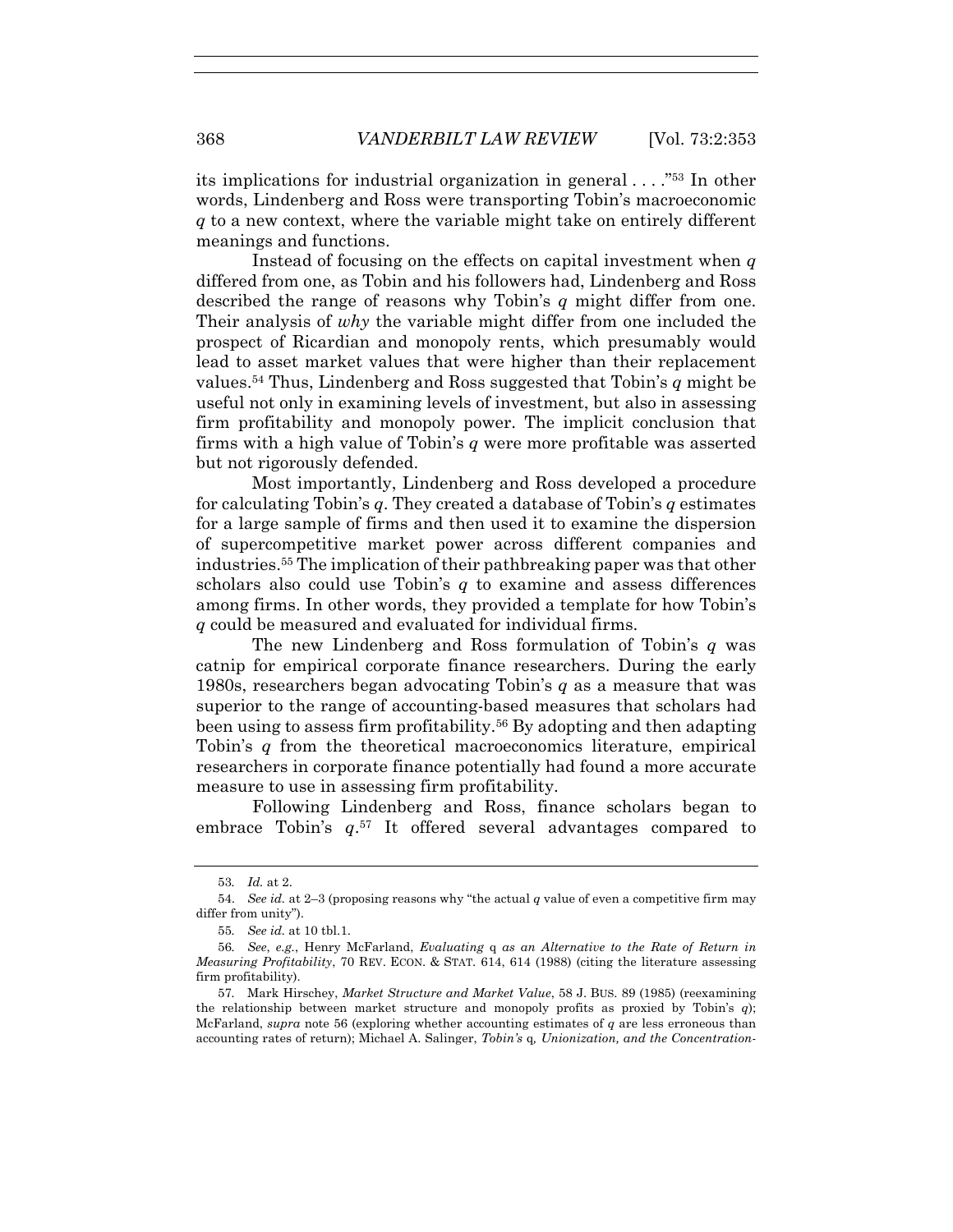its implications for industrial organization in general . . . ."53 In other words, Lindenberg and Ross were transporting Tobin's macroeconomic *q* to a new context, where the variable might take on entirely different meanings and functions.

Instead of focusing on the effects on capital investment when *q*  differed from one, as Tobin and his followers had, Lindenberg and Ross described the range of reasons why Tobin's *q* might differ from one. Their analysis of *why* the variable might differ from one included the prospect of Ricardian and monopoly rents, which presumably would lead to asset market values that were higher than their replacement values.54 Thus, Lindenberg and Ross suggested that Tobin's *q* might be useful not only in examining levels of investment, but also in assessing firm profitability and monopoly power. The implicit conclusion that firms with a high value of Tobin's *q* were more profitable was asserted but not rigorously defended.

Most importantly, Lindenberg and Ross developed a procedure for calculating Tobin's *q*. They created a database of Tobin's *q* estimates for a large sample of firms and then used it to examine the dispersion of supercompetitive market power across different companies and industries.55 The implication of their pathbreaking paper was that other scholars also could use Tobin's *q* to examine and assess differences among firms. In other words, they provided a template for how Tobin's *q* could be measured and evaluated for individual firms.

The new Lindenberg and Ross formulation of Tobin's *q* was catnip for empirical corporate finance researchers. During the early 1980s, researchers began advocating Tobin's *q* as a measure that was superior to the range of accounting-based measures that scholars had been using to assess firm profitability.56 By adopting and then adapting Tobin's *q* from the theoretical macroeconomics literature, empirical researchers in corporate finance potentially had found a more accurate measure to use in assessing firm profitability.

Following Lindenberg and Ross, finance scholars began to embrace Tobin's *q*.57 It offered several advantages compared to

<sup>53</sup>*. Id.* at 2.

 <sup>54.</sup> *See id.* at 2–3 (proposing reasons why "the actual *q* value of even a competitive firm may differ from unity").

<sup>55</sup>*. See id.* at 10 tbl.1.

<sup>56</sup>*. See*, *e.g.*, Henry McFarland, *Evaluating* q *as an Alternative to the Rate of Return in Measuring Profitability*, 70 REV. ECON. & STAT. 614, 614 (1988) (citing the literature assessing firm profitability).

<sup>57</sup>*.* Mark Hirschey, *Market Structure and Market Value*, 58 J. BUS. 89 (1985) (reexamining the relationship between market structure and monopoly profits as proxied by Tobin's *q*); McFarland, *supra* note 56 (exploring whether accounting estimates of *q* are less erroneous than accounting rates of return); Michael A. Salinger, *Tobin's* q*, Unionization, and the Concentration-*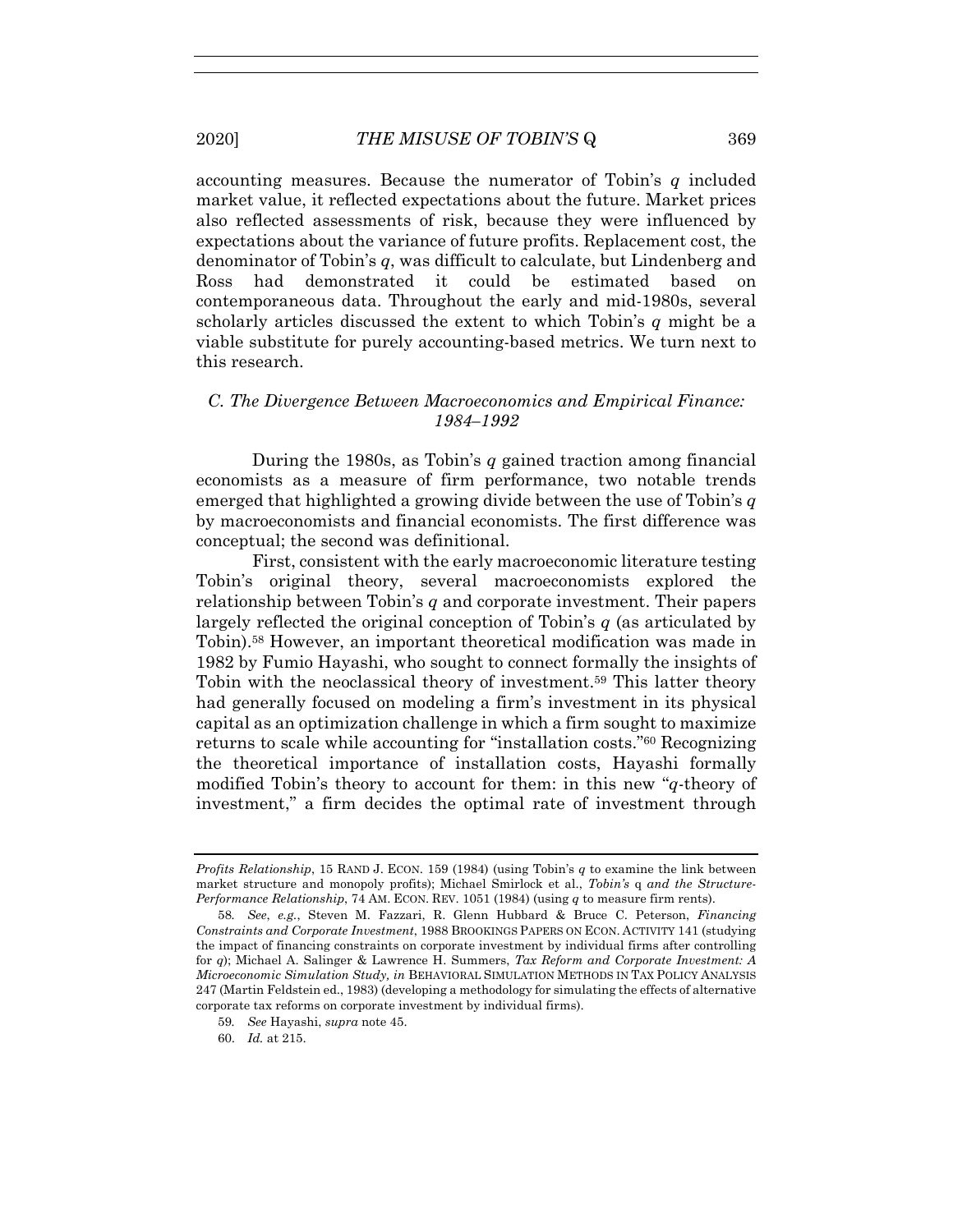accounting measures. Because the numerator of Tobin's *q* included market value, it reflected expectations about the future. Market prices also reflected assessments of risk, because they were influenced by expectations about the variance of future profits. Replacement cost, the denominator of Tobin's *q*, was difficult to calculate, but Lindenberg and Ross had demonstrated it could be estimated based on contemporaneous data. Throughout the early and mid-1980s, several scholarly articles discussed the extent to which Tobin's *q* might be a viable substitute for purely accounting-based metrics. We turn next to this research.

### *C. The Divergence Between Macroeconomics and Empirical Finance: 1984–1992*

During the 1980s, as Tobin's *q* gained traction among financial economists as a measure of firm performance, two notable trends emerged that highlighted a growing divide between the use of Tobin's *q* by macroeconomists and financial economists. The first difference was conceptual; the second was definitional.

First, consistent with the early macroeconomic literature testing Tobin's original theory, several macroeconomists explored the relationship between Tobin's *q* and corporate investment. Their papers largely reflected the original conception of Tobin's *q* (as articulated by Tobin).58 However, an important theoretical modification was made in 1982 by Fumio Hayashi, who sought to connect formally the insights of Tobin with the neoclassical theory of investment.59 This latter theory had generally focused on modeling a firm's investment in its physical capital as an optimization challenge in which a firm sought to maximize returns to scale while accounting for "installation costs."60 Recognizing the theoretical importance of installation costs, Hayashi formally modified Tobin's theory to account for them: in this new "*q*-theory of investment," a firm decides the optimal rate of investment through

*Profits Relationship*, 15 RAND J. ECON. 159 (1984) (using Tobin's *q* to examine the link between market structure and monopoly profits); Michael Smirlock et al., *Tobin's* q *and the Structure-Performance Relationship*, 74 AM. ECON. REV. 1051 (1984) (using *q* to measure firm rents).

<sup>58</sup>*. See*, *e.g.*, Steven M. Fazzari, R. Glenn Hubbard & Bruce C. Peterson, *Financing Constraints and Corporate Investment*, 1988 BROOKINGS PAPERS ON ECON. ACTIVITY 141 (studying the impact of financing constraints on corporate investment by individual firms after controlling for *q*); Michael A. Salinger & Lawrence H. Summers, *Tax Reform and Corporate Investment: A Microeconomic Simulation Study, in* BEHAVIORAL SIMULATION METHODS IN TAX POLICY ANALYSIS 247 (Martin Feldstein ed., 1983) (developing a methodology for simulating the effects of alternative corporate tax reforms on corporate investment by individual firms).

<sup>59</sup>*. See* Hayashi, *supra* note 45.

 <sup>60.</sup> *Id.* at 215.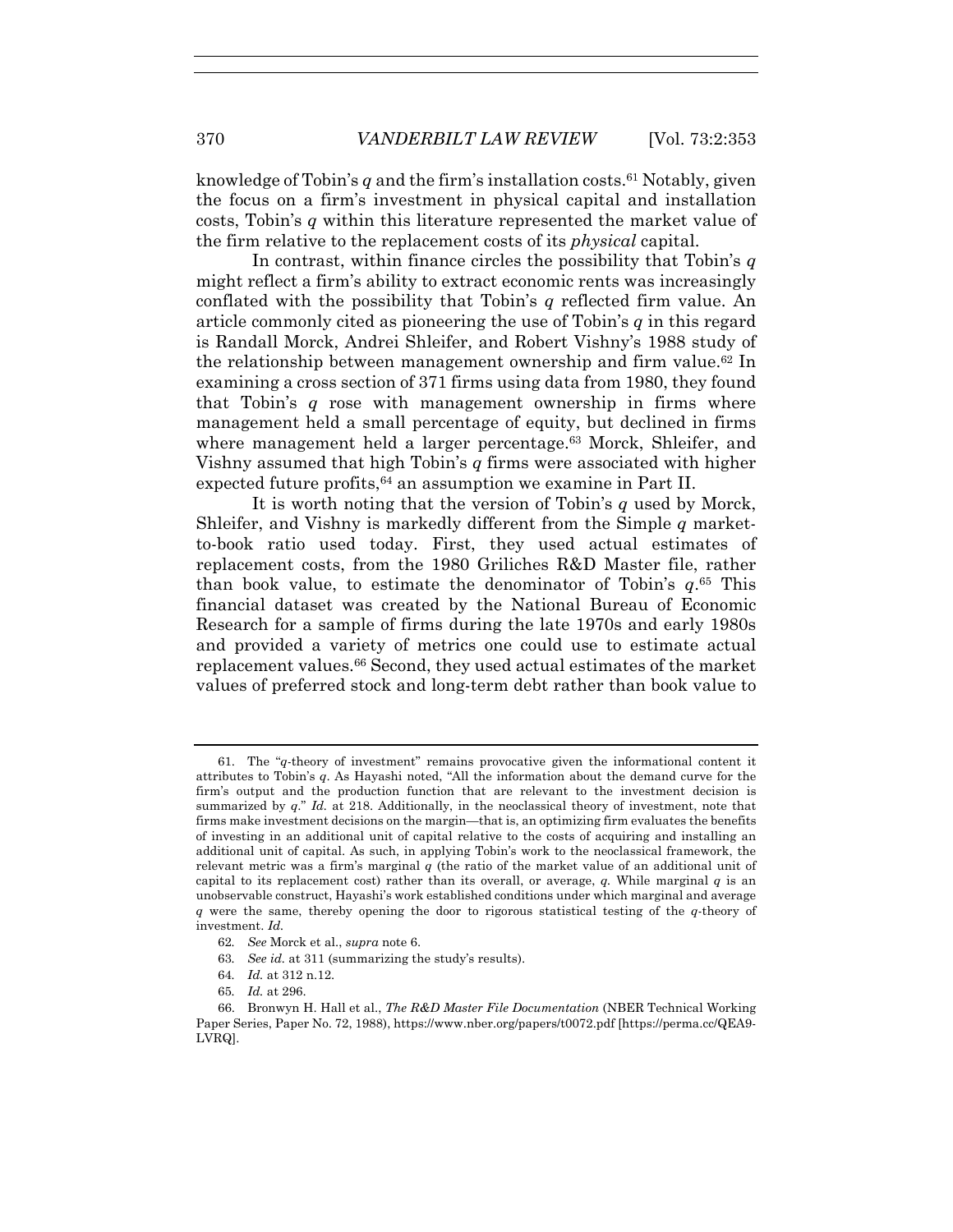knowledge of Tobin's  $q$  and the firm's installation costs.<sup>61</sup> Notably, given the focus on a firm's investment in physical capital and installation costs, Tobin's *q* within this literature represented the market value of the firm relative to the replacement costs of its *physical* capital.

In contrast, within finance circles the possibility that Tobin's *q* might reflect a firm's ability to extract economic rents was increasingly conflated with the possibility that Tobin's *q* reflected firm value. An article commonly cited as pioneering the use of Tobin's *q* in this regard is Randall Morck, Andrei Shleifer, and Robert Vishny's 1988 study of the relationship between management ownership and firm value.<sup>62</sup> In examining a cross section of 371 firms using data from 1980, they found that Tobin's *q* rose with management ownership in firms where management held a small percentage of equity, but declined in firms where management held a larger percentage.<sup>63</sup> Morck, Shleifer, and Vishny assumed that high Tobin's *q* firms were associated with higher expected future profits,<sup>64</sup> an assumption we examine in Part II.

It is worth noting that the version of Tobin's *q* used by Morck, Shleifer, and Vishny is markedly different from the Simple *q* marketto-book ratio used today. First, they used actual estimates of replacement costs, from the 1980 Griliches R&D Master file, rather than book value, to estimate the denominator of Tobin's  $q^{65}$ . This financial dataset was created by the National Bureau of Economic Research for a sample of firms during the late 1970s and early 1980s and provided a variety of metrics one could use to estimate actual replacement values.66 Second, they used actual estimates of the market values of preferred stock and long-term debt rather than book value to

- 62*. See* Morck et al., *supra* note 6.
- 63*. See id.* at 311 (summarizing the study's results).
- 64*. Id.* at 312 n.12.
- 65*. Id.* at 296.

 <sup>61.</sup> The "*q*-theory of investment" remains provocative given the informational content it attributes to Tobin's *q*. As Hayashi noted, "All the information about the demand curve for the firm's output and the production function that are relevant to the investment decision is summarized by *q*." *Id.* at 218. Additionally, in the neoclassical theory of investment, note that firms make investment decisions on the margin—that is, an optimizing firm evaluates the benefits of investing in an additional unit of capital relative to the costs of acquiring and installing an additional unit of capital. As such, in applying Tobin's work to the neoclassical framework, the relevant metric was a firm's marginal *q* (the ratio of the market value of an additional unit of capital to its replacement cost) rather than its overall, or average, *q*. While marginal *q* is an unobservable construct, Hayashi's work established conditions under which marginal and average *q* were the same, thereby opening the door to rigorous statistical testing of the *q*-theory of investment. *Id.*

 <sup>66.</sup> Bronwyn H. Hall et al., *The R&D Master File Documentation* (NBER Technical Working Paper Series, Paper No. 72, 1988), https://www.nber.org/papers/t0072.pdf [https://perma.cc/QEA9- LVRQ].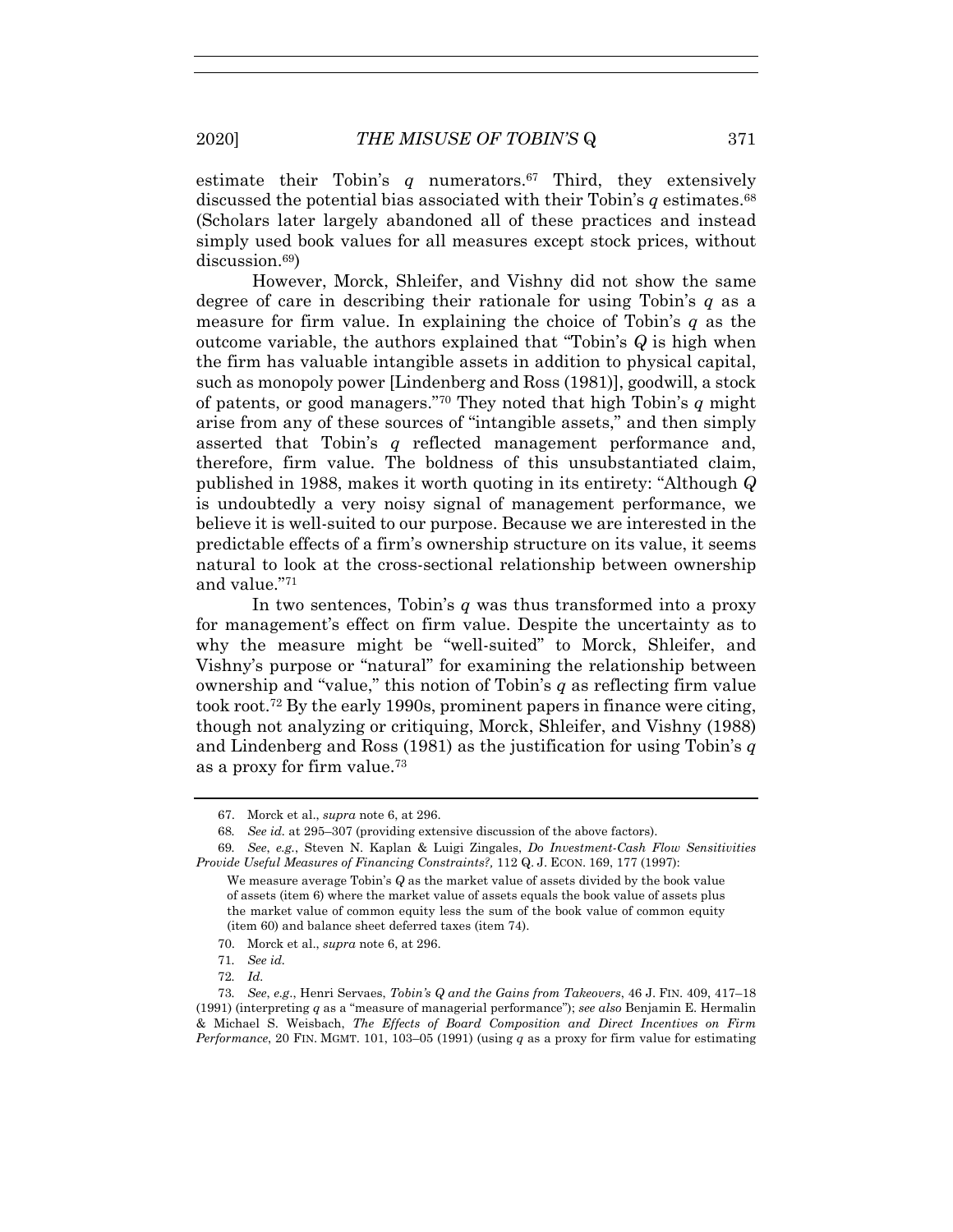estimate their Tobin's  $q$  numerators.<sup>67</sup> Third, they extensively discussed the potential bias associated with their Tobin's *q* estimates.68 (Scholars later largely abandoned all of these practices and instead simply used book values for all measures except stock prices, without discussion.69)

However, Morck, Shleifer, and Vishny did not show the same degree of care in describing their rationale for using Tobin's *q* as a measure for firm value. In explaining the choice of Tobin's *q* as the outcome variable, the authors explained that "Tobin's *Q* is high when the firm has valuable intangible assets in addition to physical capital, such as monopoly power [Lindenberg and Ross (1981)], goodwill, a stock of patents, or good managers."70 They noted that high Tobin's *q* might arise from any of these sources of "intangible assets," and then simply asserted that Tobin's *q* reflected management performance and, therefore, firm value. The boldness of this unsubstantiated claim, published in 1988, makes it worth quoting in its entirety: "Although *Q* is undoubtedly a very noisy signal of management performance, we believe it is well-suited to our purpose. Because we are interested in the predictable effects of a firm's ownership structure on its value, it seems natural to look at the cross-sectional relationship between ownership and value."71

In two sentences, Tobin's *q* was thus transformed into a proxy for management's effect on firm value. Despite the uncertainty as to why the measure might be "well-suited" to Morck, Shleifer, and Vishny's purpose or "natural" for examining the relationship between ownership and "value," this notion of Tobin's *q* as reflecting firm value took root.72 By the early 1990s, prominent papers in finance were citing, though not analyzing or critiquing, Morck, Shleifer, and Vishny (1988) and Lindenberg and Ross (1981) as the justification for using Tobin's *q* as a proxy for firm value.73

 <sup>67.</sup> Morck et al., *supra* note 6, at 296.

<sup>68</sup>*. See id.* at 295–307 (providing extensive discussion of the above factors).

<sup>69</sup>*. See*, *e.g.*, Steven N. Kaplan & Luigi Zingales, *Do Investment-Cash Flow Sensitivities Provide Useful Measures of Financing Constraints?,* 112 Q. J. ECON. 169, 177 (1997):

We measure average Tobin's *Q* as the market value of assets divided by the book value of assets (item 6) where the market value of assets equals the book value of assets plus the market value of common equity less the sum of the book value of common equity (item 60) and balance sheet deferred taxes (item 74).

 <sup>70.</sup> Morck et al., *supra* note 6, at 296.

<sup>71</sup>*. See id.*

<sup>72</sup>*. Id.*

<sup>73</sup>*. See*, *e.g*., Henri Servaes, *Tobin's Q and the Gains from Takeovers*, 46 J. FIN. 409, 417–18 (1991) (interpreting *q* as a "measure of managerial performance"); *see also* Benjamin E. Hermalin & Michael S. Weisbach, *The Effects of Board Composition and Direct Incentives on Firm Performance*, 20 FIN. MGMT. 101, 103–05 (1991) (using *q* as a proxy for firm value for estimating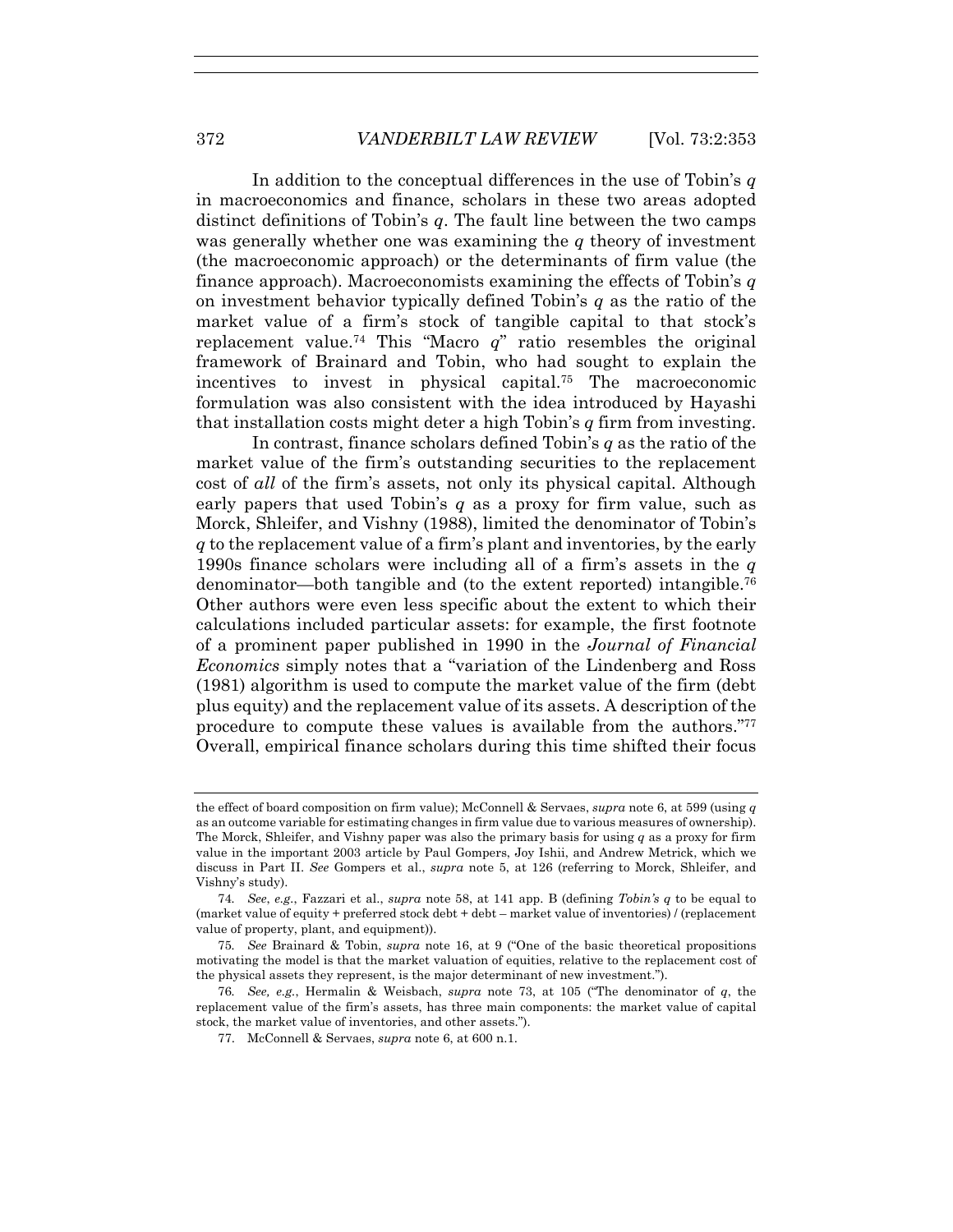In addition to the conceptual differences in the use of Tobin's *q* in macroeconomics and finance, scholars in these two areas adopted distinct definitions of Tobin's *q*. The fault line between the two camps was generally whether one was examining the *q* theory of investment (the macroeconomic approach) or the determinants of firm value (the finance approach). Macroeconomists examining the effects of Tobin's *q* on investment behavior typically defined Tobin's *q* as the ratio of the market value of a firm's stock of tangible capital to that stock's replacement value.74 This "Macro *q*" ratio resembles the original framework of Brainard and Tobin, who had sought to explain the incentives to invest in physical capital.75 The macroeconomic formulation was also consistent with the idea introduced by Hayashi that installation costs might deter a high Tobin's *q* firm from investing.

In contrast, finance scholars defined Tobin's *q* as the ratio of the market value of the firm's outstanding securities to the replacement cost of *all* of the firm's assets, not only its physical capital. Although early papers that used Tobin's *q* as a proxy for firm value, such as Morck, Shleifer, and Vishny (1988), limited the denominator of Tobin's *q* to the replacement value of a firm's plant and inventories, by the early 1990s finance scholars were including all of a firm's assets in the *q*  denominator—both tangible and (to the extent reported) intangible.76 Other authors were even less specific about the extent to which their calculations included particular assets: for example, the first footnote of a prominent paper published in 1990 in the *Journal of Financial Economics* simply notes that a "variation of the Lindenberg and Ross (1981) algorithm is used to compute the market value of the firm (debt plus equity) and the replacement value of its assets. A description of the procedure to compute these values is available from the authors."77 Overall, empirical finance scholars during this time shifted their focus

the effect of board composition on firm value); McConnell & Servaes, *supra* note 6, at 599 (using *q*  as an outcome variable for estimating changes in firm value due to various measures of ownership). The Morck, Shleifer, and Vishny paper was also the primary basis for using *q* as a proxy for firm value in the important 2003 article by Paul Gompers, Joy Ishii, and Andrew Metrick, which we discuss in Part II. *See* Gompers et al., *supra* note 5, at 126 (referring to Morck, Shleifer, and Vishny's study).

<sup>74</sup>*. See*, *e.g.*, Fazzari et al., *supra* note 58, at 141 app. B (defining *Tobin's q* to be equal to (market value of equity + preferred stock debt + debt – market value of inventories) / (replacement value of property, plant, and equipment)).

<sup>75</sup>*. See* Brainard & Tobin, *supra* note 16, at 9 ("One of the basic theoretical propositions motivating the model is that the market valuation of equities, relative to the replacement cost of the physical assets they represent, is the major determinant of new investment.").

<sup>76</sup>*. See, e.g.*, Hermalin & Weisbach, *supra* note 73, at 105 ("The denominator of *q*, the replacement value of the firm's assets, has three main components: the market value of capital stock, the market value of inventories, and other assets.").

 <sup>77.</sup> McConnell & Servaes, *supra* note 6, at 600 n.1.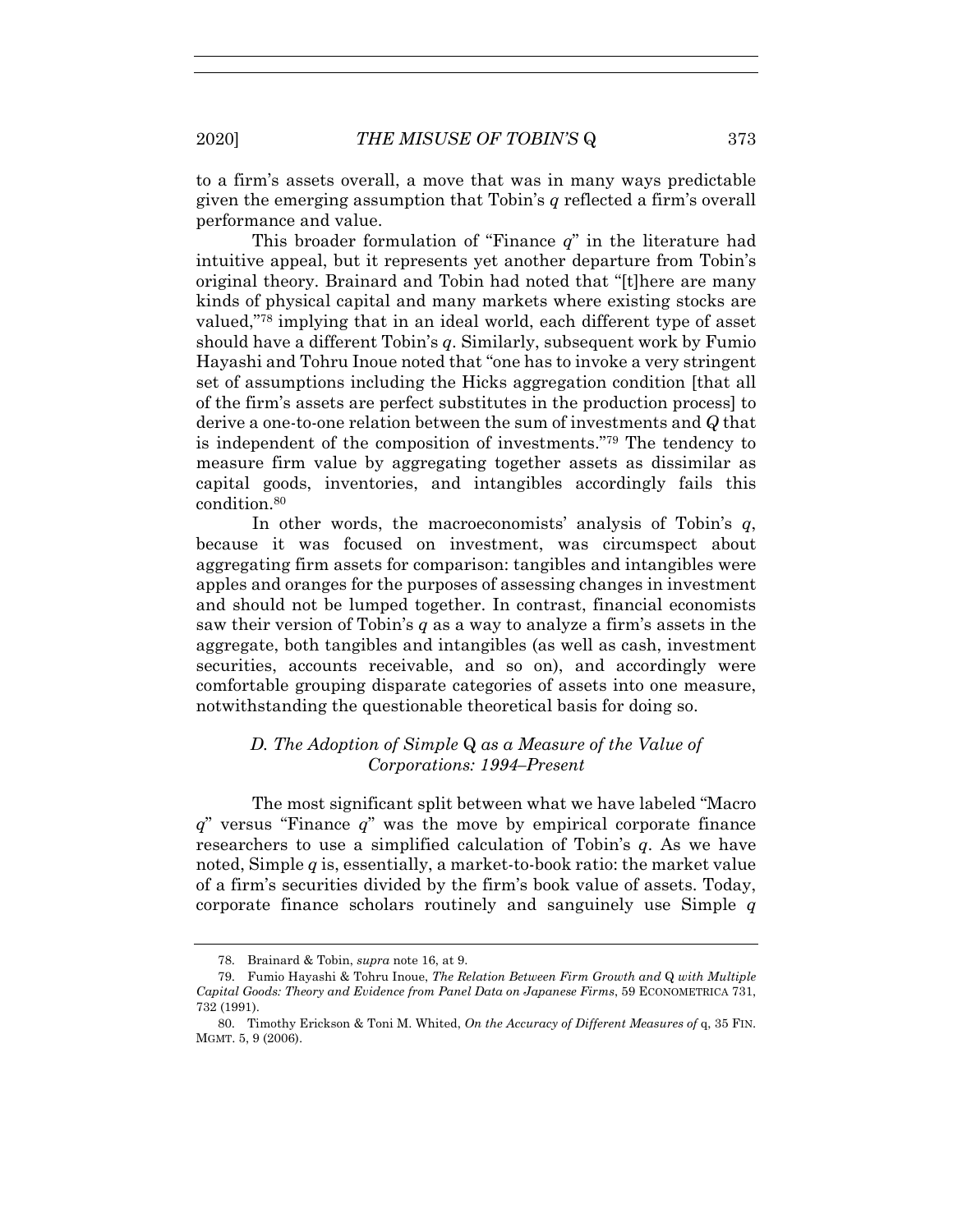to a firm's assets overall, a move that was in many ways predictable given the emerging assumption that Tobin's *q* reflected a firm's overall performance and value.

This broader formulation of "Finance *q*" in the literature had intuitive appeal, but it represents yet another departure from Tobin's original theory. Brainard and Tobin had noted that "[t]here are many kinds of physical capital and many markets where existing stocks are valued,"78 implying that in an ideal world, each different type of asset should have a different Tobin's *q*. Similarly, subsequent work by Fumio Hayashi and Tohru Inoue noted that "one has to invoke a very stringent set of assumptions including the Hicks aggregation condition [that all of the firm's assets are perfect substitutes in the production process] to derive a one-to-one relation between the sum of investments and *Q* that is independent of the composition of investments."79 The tendency to measure firm value by aggregating together assets as dissimilar as capital goods, inventories, and intangibles accordingly fails this condition.80

In other words, the macroeconomists' analysis of Tobin's *q*, because it was focused on investment, was circumspect about aggregating firm assets for comparison: tangibles and intangibles were apples and oranges for the purposes of assessing changes in investment and should not be lumped together. In contrast, financial economists saw their version of Tobin's *q* as a way to analyze a firm's assets in the aggregate, both tangibles and intangibles (as well as cash, investment securities, accounts receivable, and so on), and accordingly were comfortable grouping disparate categories of assets into one measure, notwithstanding the questionable theoretical basis for doing so.

# *D. The Adoption of Simple* Q *as a Measure of the Value of Corporations: 1994–Present*

The most significant split between what we have labeled "Macro *q*" versus "Finance *q*" was the move by empirical corporate finance researchers to use a simplified calculation of Tobin's *q*. As we have noted, Simple *q* is, essentially, a market-to-book ratio: the market value of a firm's securities divided by the firm's book value of assets. Today, corporate finance scholars routinely and sanguinely use Simple *q*

 <sup>78.</sup> Brainard & Tobin, *supra* note 16, at 9.

 <sup>79.</sup> Fumio Hayashi & Tohru Inoue, *The Relation Between Firm Growth and* Q *with Multiple Capital Goods: Theory and Evidence from Panel Data on Japanese Firms*, 59 ECONOMETRICA 731, 732 (1991).

 <sup>80.</sup> Timothy Erickson & Toni M. Whited, *On the Accuracy of Different Measures of* q, 35 FIN. MGMT. 5, 9 (2006).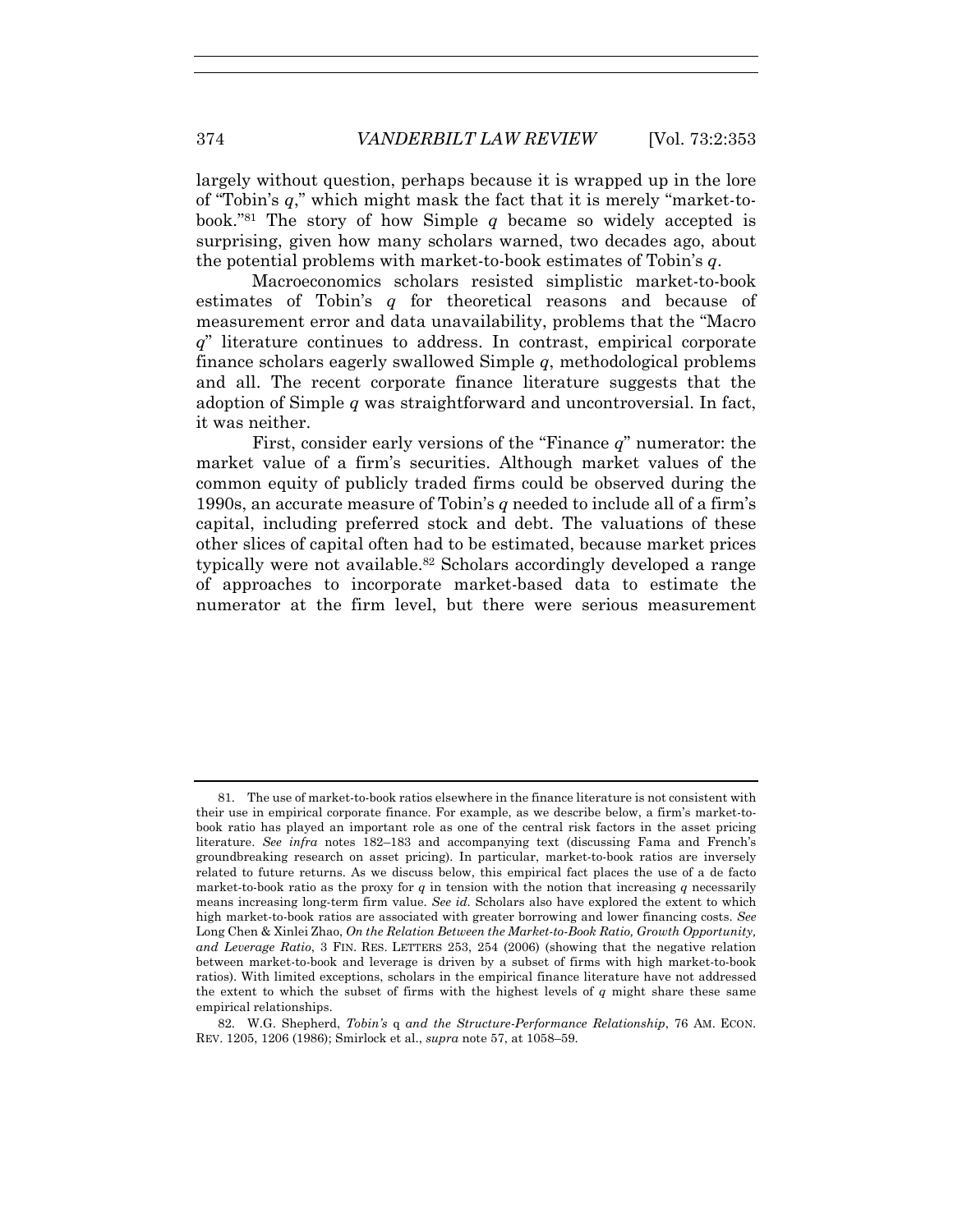largely without question, perhaps because it is wrapped up in the lore of "Tobin's *q*," which might mask the fact that it is merely "market-tobook."81 The story of how Simple *q* became so widely accepted is surprising, given how many scholars warned, two decades ago, about the potential problems with market-to-book estimates of Tobin's *q*.

Macroeconomics scholars resisted simplistic market-to-book estimates of Tobin's *q* for theoretical reasons and because of measurement error and data unavailability, problems that the "Macro *q*" literature continues to address. In contrast, empirical corporate finance scholars eagerly swallowed Simple *q*, methodological problems and all. The recent corporate finance literature suggests that the adoption of Simple *q* was straightforward and uncontroversial. In fact, it was neither.

First, consider early versions of the "Finance *q*" numerator: the market value of a firm's securities. Although market values of the common equity of publicly traded firms could be observed during the 1990s, an accurate measure of Tobin's *q* needed to include all of a firm's capital, including preferred stock and debt. The valuations of these other slices of capital often had to be estimated, because market prices typically were not available.<sup>82</sup> Scholars accordingly developed a range of approaches to incorporate market-based data to estimate the numerator at the firm level, but there were serious measurement

 <sup>81.</sup> The use of market-to-book ratios elsewhere in the finance literature is not consistent with their use in empirical corporate finance. For example, as we describe below, a firm's market-tobook ratio has played an important role as one of the central risk factors in the asset pricing literature. *See infra* notes 182–183 and accompanying text (discussing Fama and French's groundbreaking research on asset pricing). In particular, market-to-book ratios are inversely related to future returns. As we discuss below, this empirical fact places the use of a de facto market-to-book ratio as the proxy for  $q$  in tension with the notion that increasing  $q$  necessarily means increasing long-term firm value. *See id.* Scholars also have explored the extent to which high market-to-book ratios are associated with greater borrowing and lower financing costs. *See* Long Chen & Xinlei Zhao, *On the Relation Between the Market-to-Book Ratio, Growth Opportunity, and Leverage Ratio*, 3 FIN. RES. LETTERS 253, 254 (2006) (showing that the negative relation between market-to-book and leverage is driven by a subset of firms with high market-to-book ratios). With limited exceptions, scholars in the empirical finance literature have not addressed the extent to which the subset of firms with the highest levels of *q* might share these same empirical relationships.

 <sup>82.</sup> W.G. Shepherd, *Tobin's* q *and the Structure-Performance Relationship*, 76 AM. ECON. REV. 1205, 1206 (1986); Smirlock et al., *supra* note 57, at 1058–59.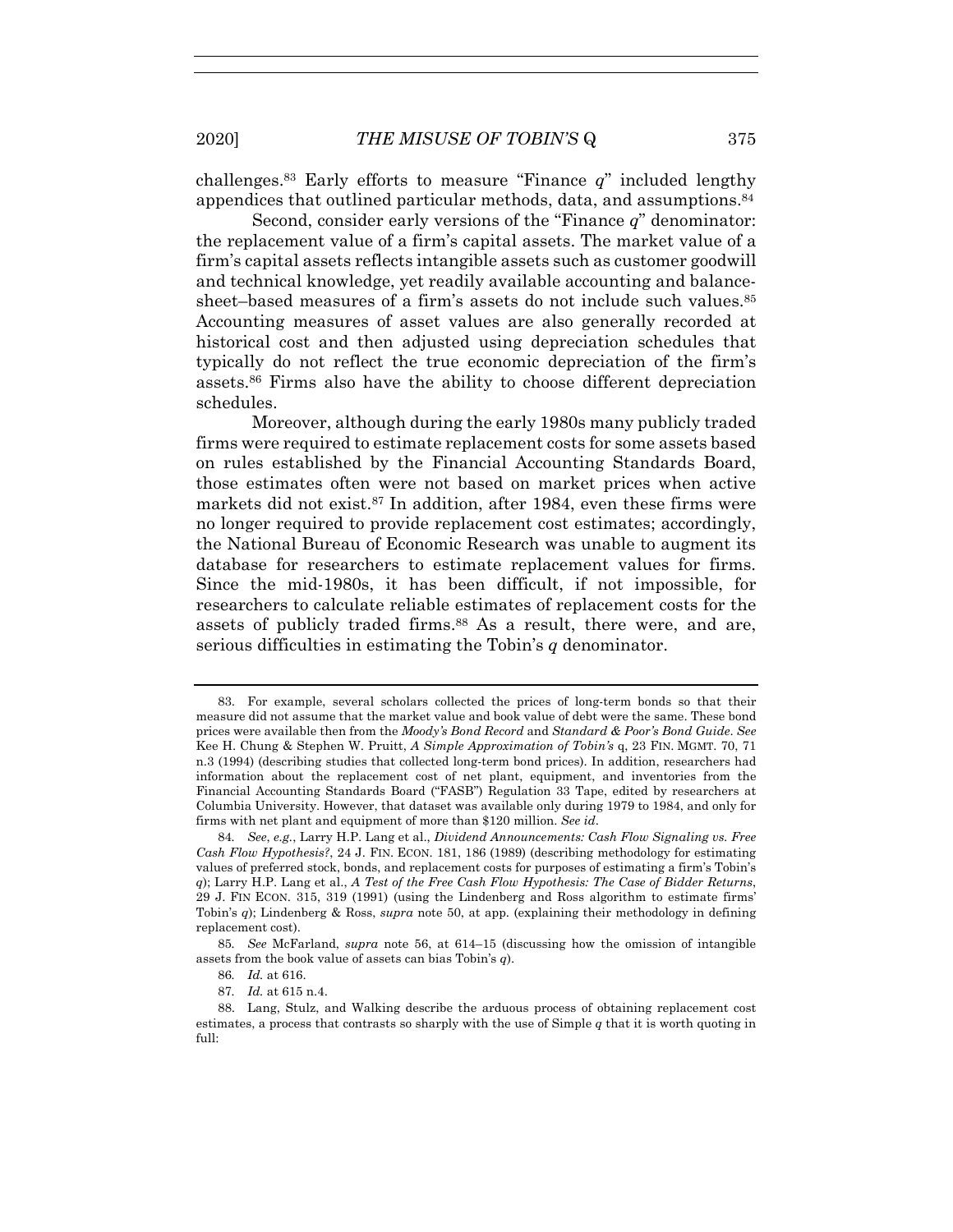challenges.83 Early efforts to measure "Finance *q*" included lengthy appendices that outlined particular methods, data, and assumptions.84

Second, consider early versions of the "Finance *q*" denominator: the replacement value of a firm's capital assets. The market value of a firm's capital assets reflects intangible assets such as customer goodwill and technical knowledge, yet readily available accounting and balancesheet–based measures of a firm's assets do not include such values.<sup>85</sup> Accounting measures of asset values are also generally recorded at historical cost and then adjusted using depreciation schedules that typically do not reflect the true economic depreciation of the firm's assets.86 Firms also have the ability to choose different depreciation schedules.

Moreover, although during the early 1980s many publicly traded firms were required to estimate replacement costs for some assets based on rules established by the Financial Accounting Standards Board, those estimates often were not based on market prices when active markets did not exist.<sup>87</sup> In addition, after 1984, even these firms were no longer required to provide replacement cost estimates; accordingly, the National Bureau of Economic Research was unable to augment its database for researchers to estimate replacement values for firms. Since the mid-1980s, it has been difficult, if not impossible, for researchers to calculate reliable estimates of replacement costs for the assets of publicly traded firms.<sup>88</sup> As a result, there were, and are, serious difficulties in estimating the Tobin's *q* denominator.

85*. See* McFarland, *supra* note 56, at 614–15 (discussing how the omission of intangible assets from the book value of assets can bias Tobin's *q*).

 <sup>83.</sup> For example, several scholars collected the prices of long-term bonds so that their measure did not assume that the market value and book value of debt were the same. These bond prices were available then from the *Moody's Bond Record* and *Standard & Poor's Bond Guide*. *See* Kee H. Chung & Stephen W. Pruitt, *A Simple Approximation of Tobin's* q, 23 FIN. MGMT. 70, 71 n.3 (1994) (describing studies that collected long-term bond prices). In addition, researchers had information about the replacement cost of net plant, equipment, and inventories from the Financial Accounting Standards Board ("FASB") Regulation 33 Tape, edited by researchers at Columbia University. However, that dataset was available only during 1979 to 1984, and only for firms with net plant and equipment of more than \$120 million. *See id*.

<sup>84</sup>*. See*, *e.g.*, Larry H.P. Lang et al., *Dividend Announcements: Cash Flow Signaling vs. Free Cash Flow Hypothesis?*, 24 J. FIN. ECON. 181, 186 (1989) (describing methodology for estimating values of preferred stock, bonds, and replacement costs for purposes of estimating a firm's Tobin's *q*); Larry H.P. Lang et al., *A Test of the Free Cash Flow Hypothesis: The Case of Bidder Returns*, 29 J. FIN ECON. 315, 319 (1991) (using the Lindenberg and Ross algorithm to estimate firms' Tobin's *q*); Lindenberg & Ross, *supra* note 50, at app. (explaining their methodology in defining replacement cost).

<sup>86</sup>*. Id.* at 616.

<sup>87</sup>*. Id.* at 615 n.4.

 <sup>88.</sup> Lang, Stulz, and Walking describe the arduous process of obtaining replacement cost estimates, a process that contrasts so sharply with the use of Simple *q* that it is worth quoting in full: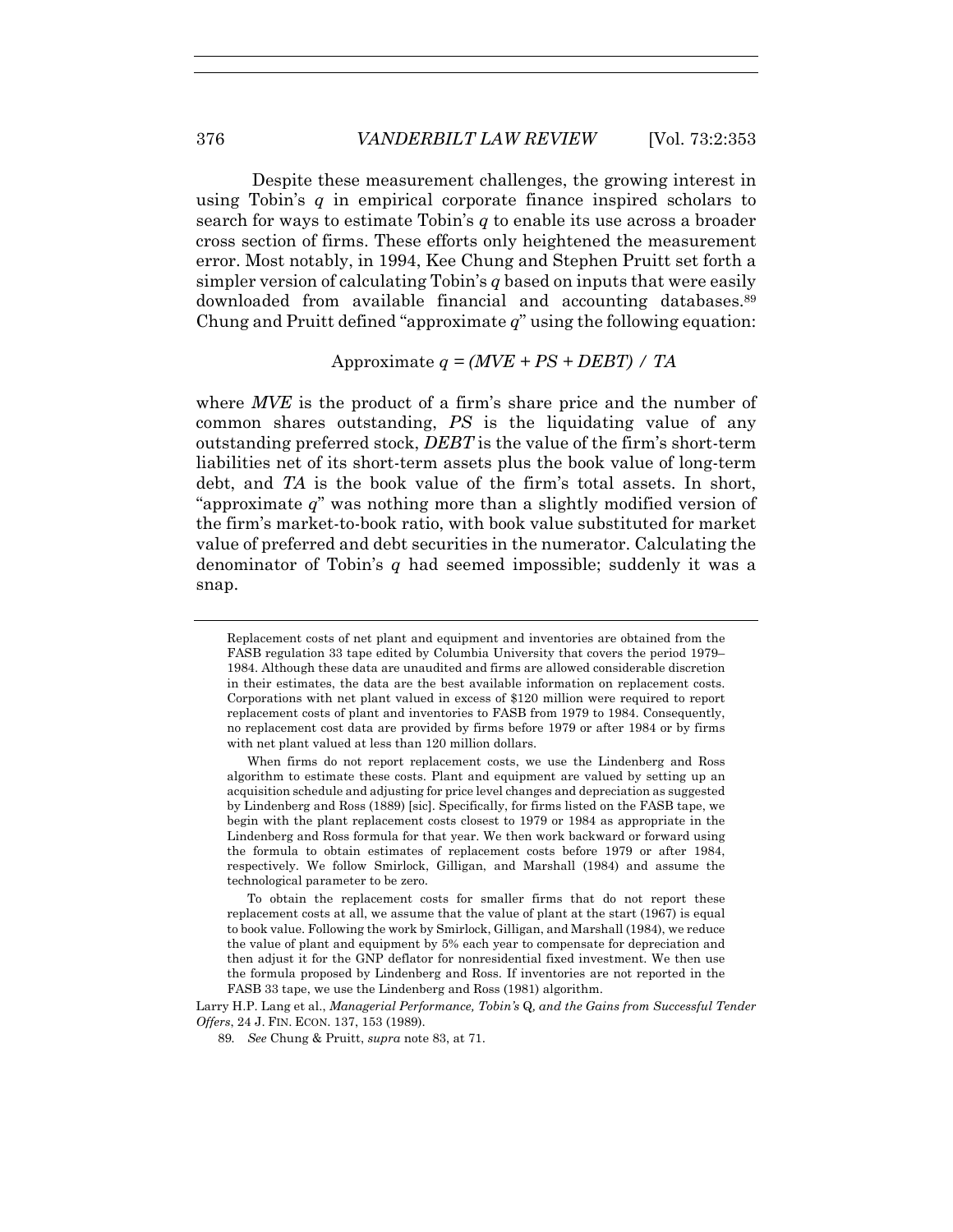Despite these measurement challenges, the growing interest in using Tobin's *q* in empirical corporate finance inspired scholars to search for ways to estimate Tobin's *q* to enable its use across a broader cross section of firms. These efforts only heightened the measurement error. Most notably, in 1994, Kee Chung and Stephen Pruitt set forth a simpler version of calculating Tobin's *q* based on inputs that were easily downloaded from available financial and accounting databases.<sup>89</sup> Chung and Pruitt defined "approximate *q*" using the following equation:

#### Approximate  $q = (MVE + PS + DEBT) / TA$

where *MVE* is the product of a firm's share price and the number of common shares outstanding, *PS* is the liquidating value of any outstanding preferred stock, *DEBT* is the value of the firm's short-term liabilities net of its short-term assets plus the book value of long-term debt, and *TA* is the book value of the firm's total assets. In short, "approximate *q*" was nothing more than a slightly modified version of the firm's market-to-book ratio, with book value substituted for market value of preferred and debt securities in the numerator. Calculating the denominator of Tobin's *q* had seemed impossible; suddenly it was a snap.

 To obtain the replacement costs for smaller firms that do not report these replacement costs at all, we assume that the value of plant at the start (1967) is equal to book value. Following the work by Smirlock, Gilligan, and Marshall (1984), we reduce the value of plant and equipment by 5% each year to compensate for depreciation and then adjust it for the GNP deflator for nonresidential fixed investment. We then use the formula proposed by Lindenberg and Ross. If inventories are not reported in the FASB 33 tape, we use the Lindenberg and Ross (1981) algorithm.

Larry H.P. Lang et al., *Managerial Performance, Tobin's* Q*, and the Gains from Successful Tender Offers*, 24 J. FIN. ECON. 137, 153 (1989).

89*. See* Chung & Pruitt, *supra* note 83, at 71.

Replacement costs of net plant and equipment and inventories are obtained from the FASB regulation 33 tape edited by Columbia University that covers the period 1979– 1984. Although these data are unaudited and firms are allowed considerable discretion in their estimates, the data are the best available information on replacement costs. Corporations with net plant valued in excess of \$120 million were required to report replacement costs of plant and inventories to FASB from 1979 to 1984. Consequently, no replacement cost data are provided by firms before 1979 or after 1984 or by firms with net plant valued at less than 120 million dollars.

When firms do not report replacement costs, we use the Lindenberg and Ross algorithm to estimate these costs. Plant and equipment are valued by setting up an acquisition schedule and adjusting for price level changes and depreciation as suggested by Lindenberg and Ross (1889) [sic]. Specifically, for firms listed on the FASB tape, we begin with the plant replacement costs closest to 1979 or 1984 as appropriate in the Lindenberg and Ross formula for that year. We then work backward or forward using the formula to obtain estimates of replacement costs before 1979 or after 1984, respectively. We follow Smirlock, Gilligan, and Marshall (1984) and assume the technological parameter to be zero.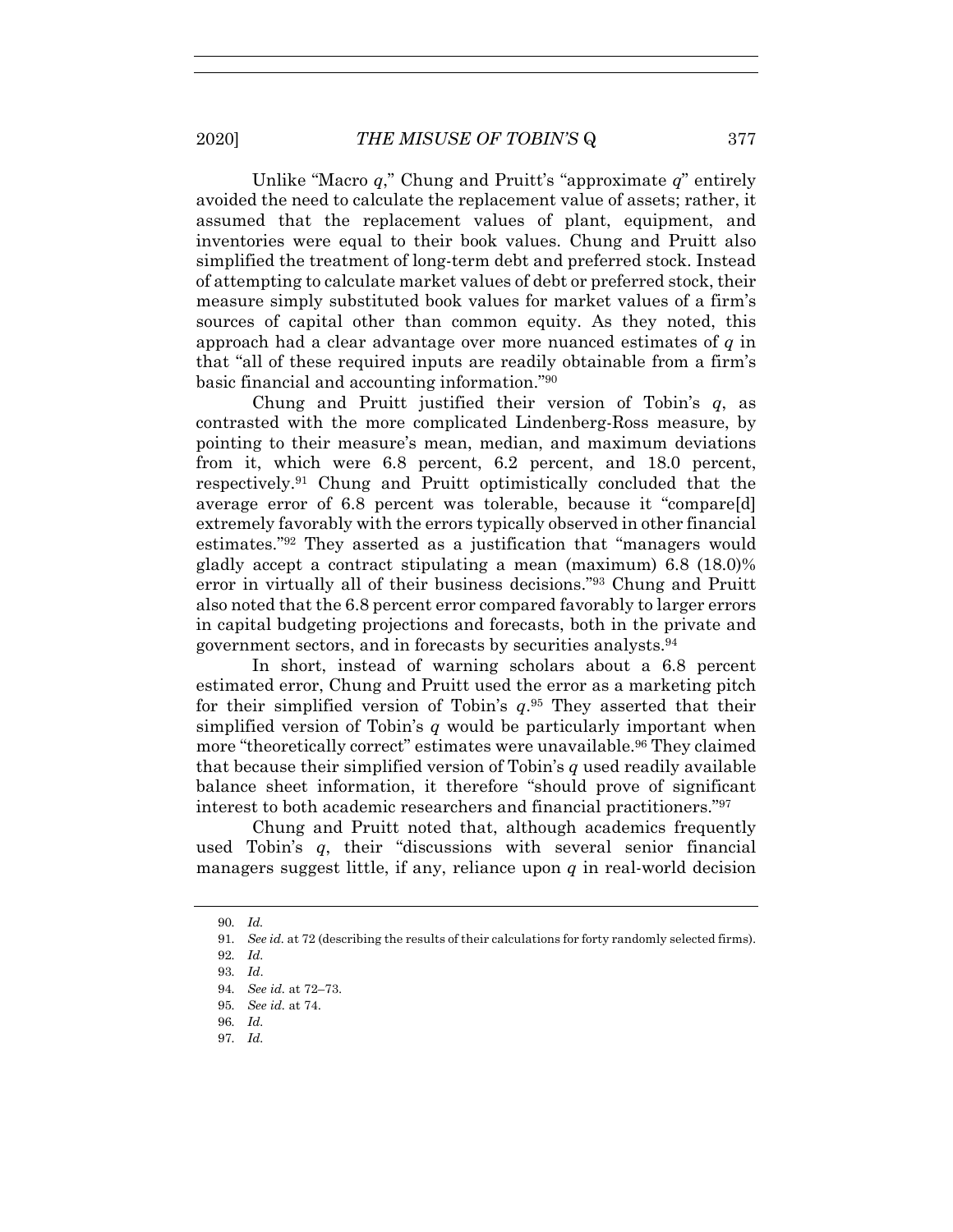Unlike "Macro *q*," Chung and Pruitt's "approximate *q*" entirely avoided the need to calculate the replacement value of assets; rather, it assumed that the replacement values of plant, equipment, and inventories were equal to their book values. Chung and Pruitt also simplified the treatment of long-term debt and preferred stock. Instead of attempting to calculate market values of debt or preferred stock, their measure simply substituted book values for market values of a firm's sources of capital other than common equity. As they noted, this approach had a clear advantage over more nuanced estimates of *q* in that "all of these required inputs are readily obtainable from a firm's basic financial and accounting information."90

Chung and Pruitt justified their version of Tobin's *q*, as contrasted with the more complicated Lindenberg-Ross measure, by pointing to their measure's mean, median, and maximum deviations from it, which were 6.8 percent, 6.2 percent, and 18.0 percent, respectively.91 Chung and Pruitt optimistically concluded that the average error of 6.8 percent was tolerable, because it "compare[d] extremely favorably with the errors typically observed in other financial estimates."92 They asserted as a justification that "managers would gladly accept a contract stipulating a mean (maximum) 6.8 (18.0)% error in virtually all of their business decisions."93 Chung and Pruitt also noted that the 6.8 percent error compared favorably to larger errors in capital budgeting projections and forecasts, both in the private and government sectors, and in forecasts by securities analysts.94

In short, instead of warning scholars about a 6.8 percent estimated error, Chung and Pruitt used the error as a marketing pitch for their simplified version of Tobin's *q*.95 They asserted that their simplified version of Tobin's *q* would be particularly important when more "theoretically correct" estimates were unavailable.<sup>96</sup> They claimed that because their simplified version of Tobin's *q* used readily available balance sheet information, it therefore "should prove of significant interest to both academic researchers and financial practitioners."97

Chung and Pruitt noted that, although academics frequently used Tobin's *q*, their "discussions with several senior financial managers suggest little, if any, reliance upon *q* in real-world decision

- 96*. Id.*
- 97*. Id.*

<sup>90</sup>*. Id.*

<sup>91</sup>*. See id.* at 72 (describing the results of their calculations for forty randomly selected firms).

<sup>92</sup>*. Id.*

<sup>93</sup>*. Id*.

<sup>94</sup>*. See id.* at 72–73.

<sup>95</sup>*. See id.* at 74.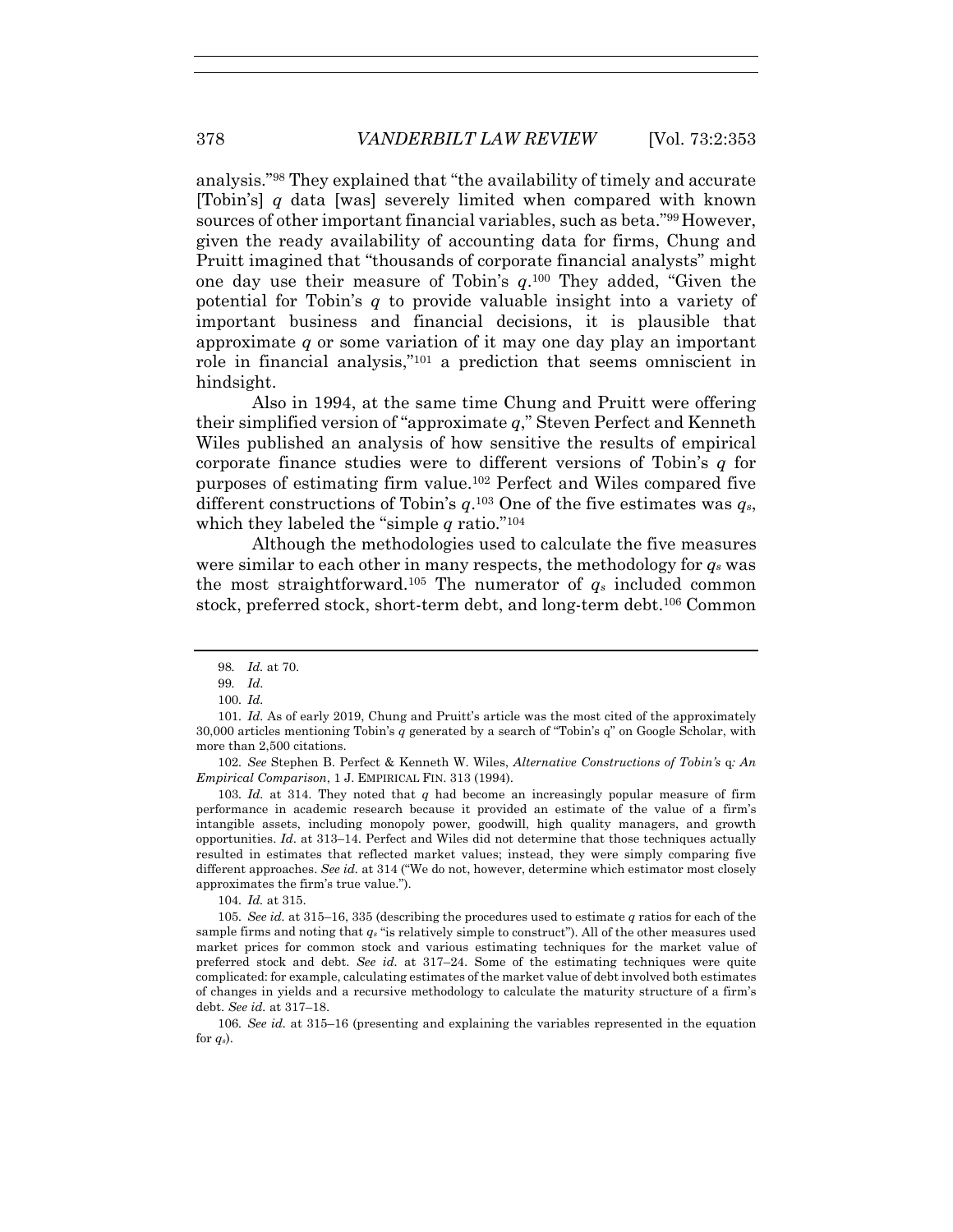analysis."98 They explained that "the availability of timely and accurate [Tobin's] *q* data [was] severely limited when compared with known sources of other important financial variables, such as beta."99 However, given the ready availability of accounting data for firms, Chung and Pruitt imagined that "thousands of corporate financial analysts" might one day use their measure of Tobin's *q*.100 They added, "Given the potential for Tobin's *q* to provide valuable insight into a variety of important business and financial decisions, it is plausible that approximate *q* or some variation of it may one day play an important role in financial analysis,"101 a prediction that seems omniscient in hindsight.

Also in 1994, at the same time Chung and Pruitt were offering their simplified version of "approximate *q*," Steven Perfect and Kenneth Wiles published an analysis of how sensitive the results of empirical corporate finance studies were to different versions of Tobin's *q* for purposes of estimating firm value.102 Perfect and Wiles compared five different constructions of Tobin's *q*.103 One of the five estimates was *qs*, which they labeled the "simple *q* ratio."104

Although the methodologies used to calculate the five measures were similar to each other in many respects, the methodology for  $q_s$  was the most straightforward.105 The numerator of *qs* included common stock, preferred stock, short-term debt, and long-term debt.106 Common

102*. See* Stephen B. Perfect & Kenneth W. Wiles, *Alternative Constructions of Tobin's* q*: An Empirical Comparison*, 1 J. EMPIRICAL FIN. 313 (1994).

103*. Id.* at 314. They noted that *q* had become an increasingly popular measure of firm performance in academic research because it provided an estimate of the value of a firm's intangible assets, including monopoly power, goodwill, high quality managers, and growth opportunities. *Id*. at 313–14. Perfect and Wiles did not determine that those techniques actually resulted in estimates that reflected market values; instead, they were simply comparing five different approaches. *See id.* at 314 ("We do not, however, determine which estimator most closely approximates the firm's true value.").

104*. Id.* at 315.

105*. See id.* at 315–16, 335 (describing the procedures used to estimate *q* ratios for each of the sample firms and noting that *qs* "is relatively simple to construct"). All of the other measures used market prices for common stock and various estimating techniques for the market value of preferred stock and debt. *See id.* at 317–24. Some of the estimating techniques were quite complicated: for example, calculating estimates of the market value of debt involved both estimates of changes in yields and a recursive methodology to calculate the maturity structure of a firm's debt. *See id.* at 317–18.

106*. See id.* at 315–16 (presenting and explaining the variables represented in the equation for  $q_s$ ).

<sup>98</sup>*. Id.* at 70.

<sup>99</sup>*. Id*.

<sup>100</sup>*. Id.*

<sup>101</sup>*. Id.* As of early 2019, Chung and Pruitt's article was the most cited of the approximately 30,000 articles mentioning Tobin's *q* generated by a search of "Tobin's q" on Google Scholar, with more than 2,500 citations.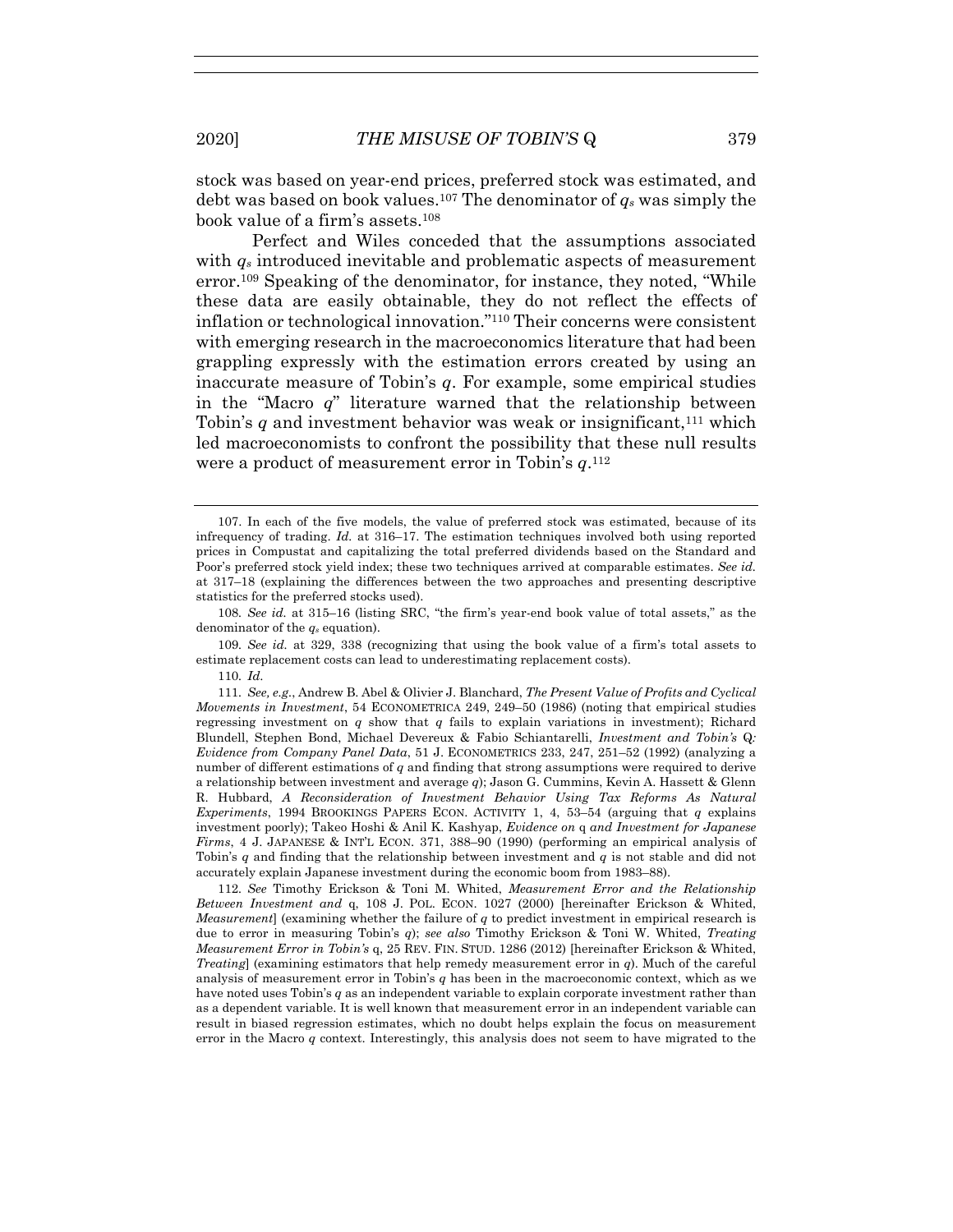stock was based on year-end prices, preferred stock was estimated, and debt was based on book values.107 The denominator of *qs* was simply the book value of a firm's assets.108

Perfect and Wiles conceded that the assumptions associated with *qs* introduced inevitable and problematic aspects of measurement error.109 Speaking of the denominator, for instance, they noted, "While these data are easily obtainable, they do not reflect the effects of inflation or technological innovation."110 Their concerns were consistent with emerging research in the macroeconomics literature that had been grappling expressly with the estimation errors created by using an inaccurate measure of Tobin's *q*. For example, some empirical studies in the "Macro *q*" literature warned that the relationship between Tobin's  $q$  and investment behavior was weak or insignificant,  $111$  which led macroeconomists to confront the possibility that these null results were a product of measurement error in Tobin's *q*.112

109*. See id.* at 329, 338 (recognizing that using the book value of a firm's total assets to estimate replacement costs can lead to underestimating replacement costs).

110*. Id*.

112*. See* Timothy Erickson & Toni M. Whited, *Measurement Error and the Relationship Between Investment and* q, 108 J. POL. ECON. 1027 (2000) [hereinafter Erickson & Whited, *Measurement*] (examining whether the failure of *q* to predict investment in empirical research is due to error in measuring Tobin's *q*); *see also* Timothy Erickson & Toni W. Whited, *Treating Measurement Error in Tobin's* q, 25 REV. FIN. STUD. 1286 (2012) [hereinafter Erickson & Whited, *Treating*] (examining estimators that help remedy measurement error in *q*). Much of the careful analysis of measurement error in Tobin's *q* has been in the macroeconomic context, which as we have noted uses Tobin's *q* as an independent variable to explain corporate investment rather than as a dependent variable. It is well known that measurement error in an independent variable can result in biased regression estimates, which no doubt helps explain the focus on measurement error in the Macro *q* context. Interestingly, this analysis does not seem to have migrated to the

 <sup>107.</sup> In each of the five models, the value of preferred stock was estimated, because of its infrequency of trading. *Id.* at 316–17. The estimation techniques involved both using reported prices in Compustat and capitalizing the total preferred dividends based on the Standard and Poor's preferred stock yield index; these two techniques arrived at comparable estimates. *See id.* at 317–18 (explaining the differences between the two approaches and presenting descriptive statistics for the preferred stocks used).

<sup>108</sup>*. See id.* at 315–16 (listing SRC, "the firm's year-end book value of total assets," as the denominator of the *qs* equation).

<sup>111</sup>*. See, e.g.*, Andrew B. Abel & Olivier J. Blanchard, *The Present Value of Profits and Cyclical Movements in Investment*, 54 ECONOMETRICA 249, 249–50 (1986) (noting that empirical studies regressing investment on  $q$  show that  $q$  fails to explain variations in investment); Richard Blundell, Stephen Bond, Michael Devereux & Fabio Schiantarelli, *Investment and Tobin's* Q*: Evidence from Company Panel Data*, 51 J. ECONOMETRICS 233, 247, 251–52 (1992) (analyzing a number of different estimations of *q* and finding that strong assumptions were required to derive a relationship between investment and average *q*); Jason G. Cummins, Kevin A. Hassett & Glenn R. Hubbard, *A Reconsideration of Investment Behavior Using Tax Reforms As Natural Experiments*, 1994 BROOKINGS PAPERS ECON. ACTIVITY 1, 4, 53–54 (arguing that *q* explains investment poorly); Takeo Hoshi & Anil K. Kashyap, *Evidence on* q *and Investment for Japanese Firms*, 4 J. JAPANESE & INT'L ECON. 371, 388–90 (1990) (performing an empirical analysis of Tobin's *q* and finding that the relationship between investment and *q* is not stable and did not accurately explain Japanese investment during the economic boom from 1983–88).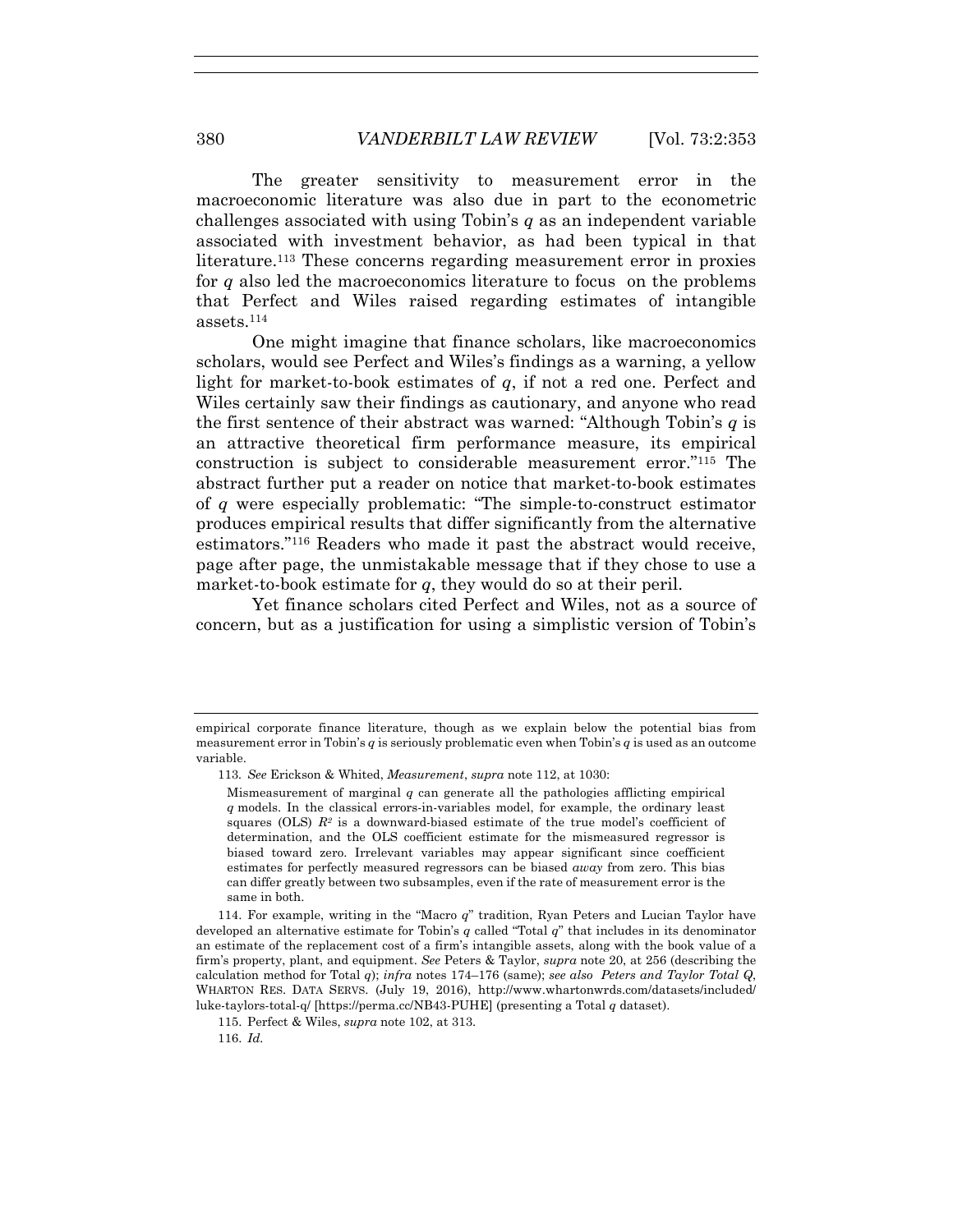The greater sensitivity to measurement error in the macroeconomic literature was also due in part to the econometric challenges associated with using Tobin's *q* as an independent variable associated with investment behavior, as had been typical in that literature.<sup>113</sup> These concerns regarding measurement error in proxies for *q* also led the macroeconomics literature to focus on the problems that Perfect and Wiles raised regarding estimates of intangible assets.114

One might imagine that finance scholars, like macroeconomics scholars, would see Perfect and Wiles's findings as a warning, a yellow light for market-to-book estimates of *q*, if not a red one. Perfect and Wiles certainly saw their findings as cautionary, and anyone who read the first sentence of their abstract was warned: "Although Tobin's *q* is an attractive theoretical firm performance measure, its empirical construction is subject to considerable measurement error."115 The abstract further put a reader on notice that market-to-book estimates of *q* were especially problematic: "The simple-to-construct estimator produces empirical results that differ significantly from the alternative estimators."116 Readers who made it past the abstract would receive, page after page, the unmistakable message that if they chose to use a market-to-book estimate for *q*, they would do so at their peril.

Yet finance scholars cited Perfect and Wiles, not as a source of concern, but as a justification for using a simplistic version of Tobin's

empirical corporate finance literature, though as we explain below the potential bias from measurement error in Tobin's *q* is seriously problematic even when Tobin's *q* is used as an outcome variable.

<sup>113</sup>*. See* Erickson & Whited, *Measurement*, *supra* note 112, at 1030:

Mismeasurement of marginal *q* can generate all the pathologies afflicting empirical *q* models. In the classical errors-in-variables model, for example, the ordinary least squares (OLS)  $R^2$  is a downward-biased estimate of the true model's coefficient of determination, and the OLS coefficient estimate for the mismeasured regressor is biased toward zero. Irrelevant variables may appear significant since coefficient estimates for perfectly measured regressors can be biased *away* from zero. This bias can differ greatly between two subsamples, even if the rate of measurement error is the same in both.

 <sup>114.</sup> For example, writing in the "Macro *q*" tradition, Ryan Peters and Lucian Taylor have developed an alternative estimate for Tobin's *q* called "Total *q*" that includes in its denominator an estimate of the replacement cost of a firm's intangible assets, along with the book value of a firm's property, plant, and equipment. *See* Peters & Taylor, *supra* note 20, at 256 (describing the calculation method for Total *q*); *infra* notes 174–176 (same); *see also Peters and Taylor Total Q*, WHARTON RES. DATA SERVS. (July 19, 2016), http://www.whartonwrds.com/datasets/included/ luke-taylors-total-q/ [https://perma.cc/NB43-PUHE] (presenting a Total *q* dataset).

 <sup>115.</sup> Perfect & Wiles, *supra* note 102, at 313.

 <sup>116.</sup> *Id.*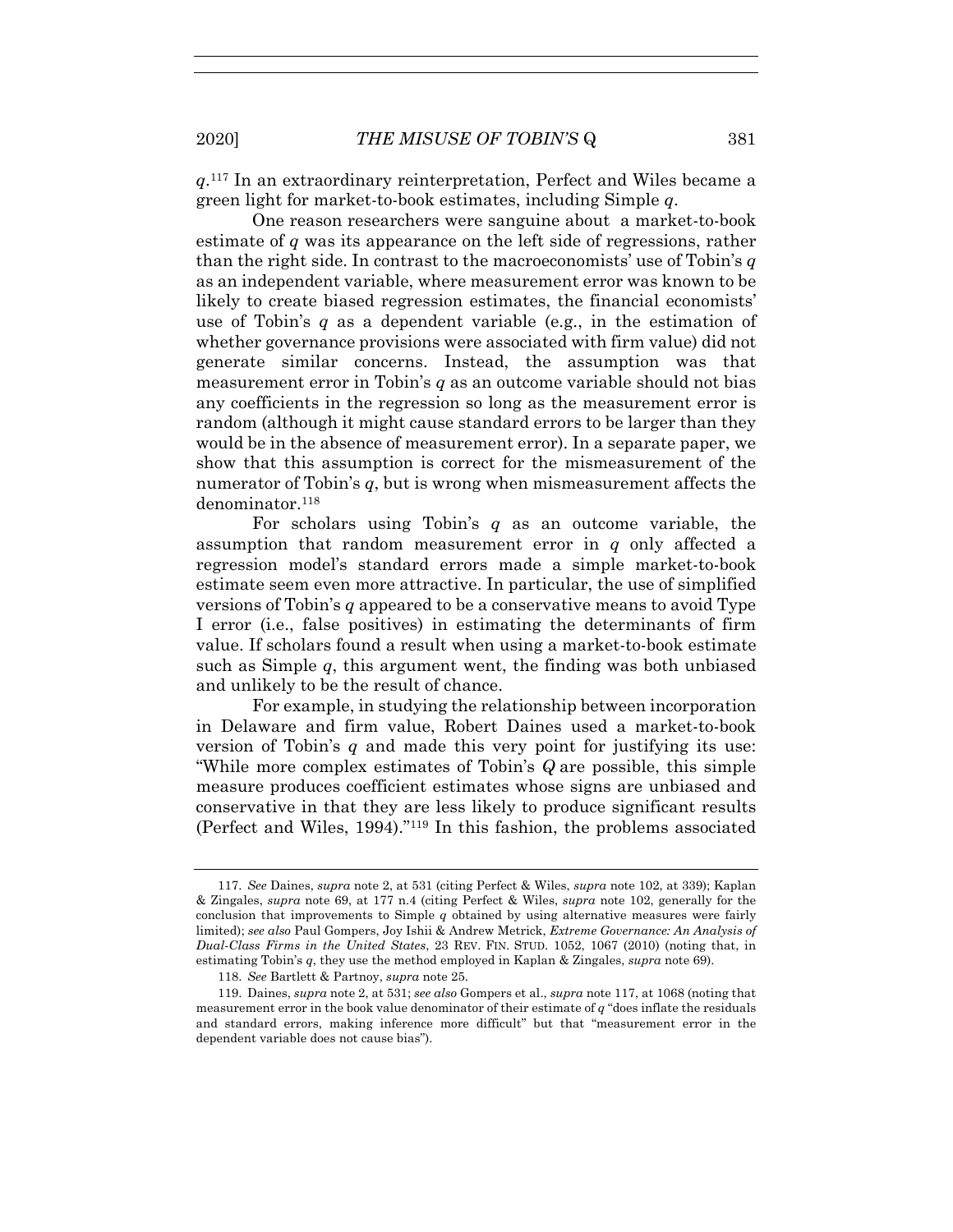*q*.117 In an extraordinary reinterpretation, Perfect and Wiles became a green light for market-to-book estimates, including Simple *q*.

One reason researchers were sanguine about a market-to-book estimate of *q* was its appearance on the left side of regressions, rather than the right side. In contrast to the macroeconomists' use of Tobin's *q*  as an independent variable, where measurement error was known to be likely to create biased regression estimates, the financial economists' use of Tobin's *q* as a dependent variable (e.g., in the estimation of whether governance provisions were associated with firm value) did not generate similar concerns. Instead, the assumption was that measurement error in Tobin's *q* as an outcome variable should not bias any coefficients in the regression so long as the measurement error is random (although it might cause standard errors to be larger than they would be in the absence of measurement error). In a separate paper, we show that this assumption is correct for the mismeasurement of the numerator of Tobin's *q*, but is wrong when mismeasurement affects the denominator.118

For scholars using Tobin's *q* as an outcome variable, the assumption that random measurement error in *q* only affected a regression model's standard errors made a simple market-to-book estimate seem even more attractive. In particular, the use of simplified versions of Tobin's *q* appeared to be a conservative means to avoid Type I error (i.e., false positives) in estimating the determinants of firm value. If scholars found a result when using a market-to-book estimate such as Simple *q*, this argument went, the finding was both unbiased and unlikely to be the result of chance.

For example, in studying the relationship between incorporation in Delaware and firm value, Robert Daines used a market-to-book version of Tobin's *q* and made this very point for justifying its use: "While more complex estimates of Tobin's *Q* are possible, this simple measure produces coefficient estimates whose signs are unbiased and conservative in that they are less likely to produce significant results (Perfect and Wiles, 1994)."119 In this fashion, the problems associated

 <sup>117.</sup> *See* Daines, *supra* note 2, at 531 (citing Perfect & Wiles, *supra* note 102, at 339); Kaplan & Zingales, *supra* note 69, at 177 n.4 (citing Perfect & Wiles, *supra* note 102, generally for the conclusion that improvements to Simple *q* obtained by using alternative measures were fairly limited); *see also* Paul Gompers, Joy Ishii & Andrew Metrick, *Extreme Governance: An Analysis of Dual-Class Firms in the United States*, 23 REV. FIN. STUD. 1052, 1067 (2010) (noting that, in estimating Tobin's *q*, they use the method employed in Kaplan & Zingales, *supra* note 69).

 <sup>118.</sup> *See* Bartlett & Partnoy, *supra* note 25.

 <sup>119.</sup> Daines, *supra* note 2, at 531; *see also* Gompers et al., *supra* note 117, at 1068 (noting that measurement error in the book value denominator of their estimate of *q* "does inflate the residuals and standard errors, making inference more difficult" but that "measurement error in the dependent variable does not cause bias").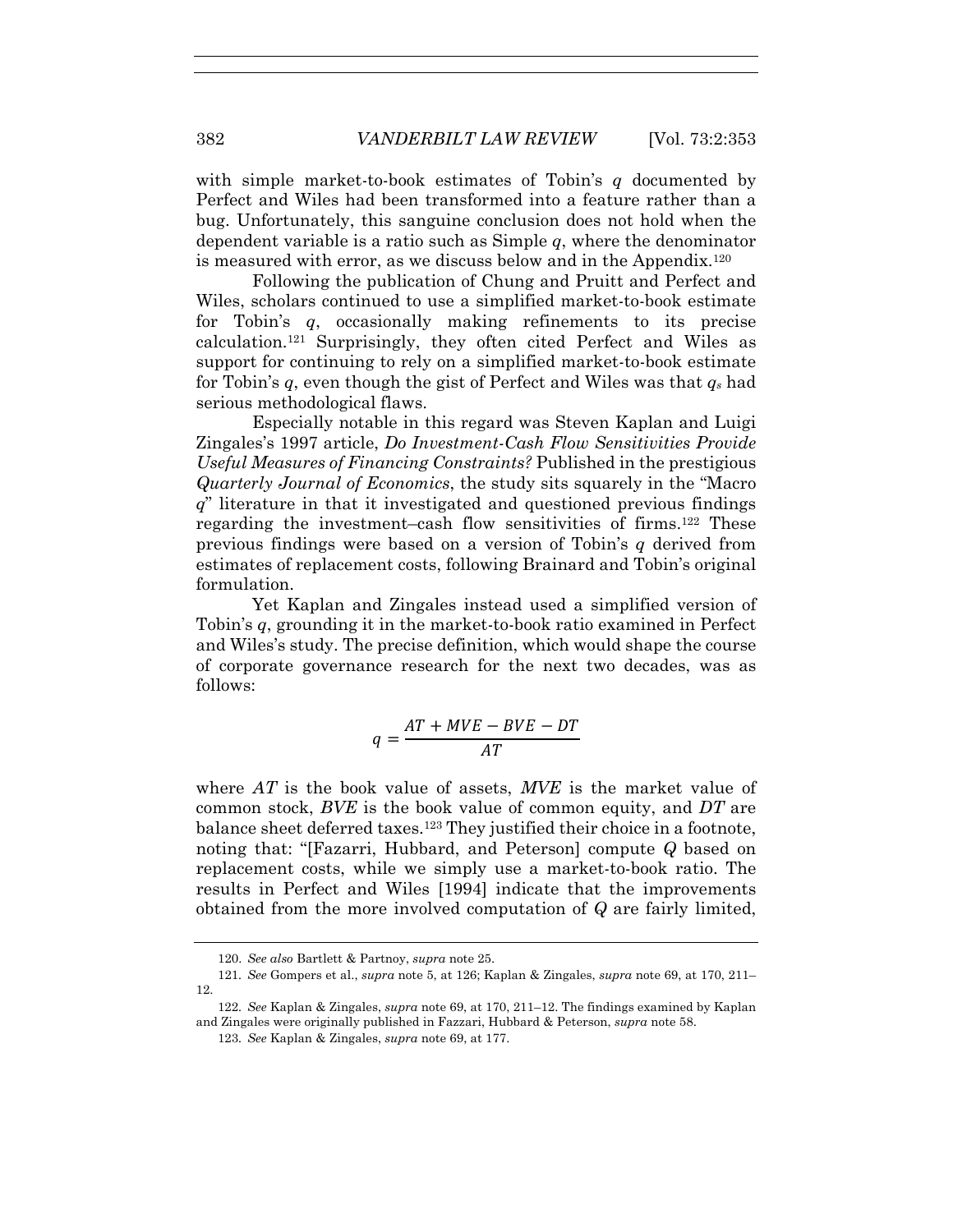with simple market-to-book estimates of Tobin's *q* documented by Perfect and Wiles had been transformed into a feature rather than a bug. Unfortunately, this sanguine conclusion does not hold when the dependent variable is a ratio such as Simple *q*, where the denominator is measured with error, as we discuss below and in the Appendix.<sup>120</sup>

Following the publication of Chung and Pruitt and Perfect and Wiles, scholars continued to use a simplified market-to-book estimate for Tobin's *q*, occasionally making refinements to its precise calculation.121 Surprisingly, they often cited Perfect and Wiles as support for continuing to rely on a simplified market-to-book estimate for Tobin's *q*, even though the gist of Perfect and Wiles was that *qs* had serious methodological flaws.

Especially notable in this regard was Steven Kaplan and Luigi Zingales's 1997 article, *Do Investment-Cash Flow Sensitivities Provide Useful Measures of Financing Constraints?* Published in the prestigious *Quarterly Journal of Economics*, the study sits squarely in the "Macro *q*" literature in that it investigated and questioned previous findings regarding the investment–cash flow sensitivities of firms.122 These previous findings were based on a version of Tobin's *q* derived from estimates of replacement costs, following Brainard and Tobin's original formulation.

Yet Kaplan and Zingales instead used a simplified version of Tobin's *q*, grounding it in the market-to-book ratio examined in Perfect and Wiles's study. The precise definition, which would shape the course of corporate governance research for the next two decades, was as follows:

$$
q = \frac{AT + MVE - BVE - DT}{AT}
$$

where *AT* is the book value of assets, *MVE* is the market value of common stock, *BVE* is the book value of common equity, and *DT* are balance sheet deferred taxes.123 They justified their choice in a footnote, noting that: "[Fazarri, Hubbard, and Peterson] compute *Q* based on replacement costs, while we simply use a market-to-book ratio. The results in Perfect and Wiles [1994] indicate that the improvements obtained from the more involved computation of *Q* are fairly limited,

 <sup>120.</sup> *See also* Bartlett & Partnoy, *supra* note 25.

<sup>121</sup>*. See* Gompers et al., *supra* note 5, at 126; Kaplan & Zingales, *supra* note 69, at 170, 211– 12.

<sup>122</sup>*. See* Kaplan & Zingales, *supra* note 69, at 170, 211–12. The findings examined by Kaplan and Zingales were originally published in Fazzari, Hubbard & Peterson, *supra* note 58.

<sup>123</sup>*. See* Kaplan & Zingales, *supra* note 69, at 177.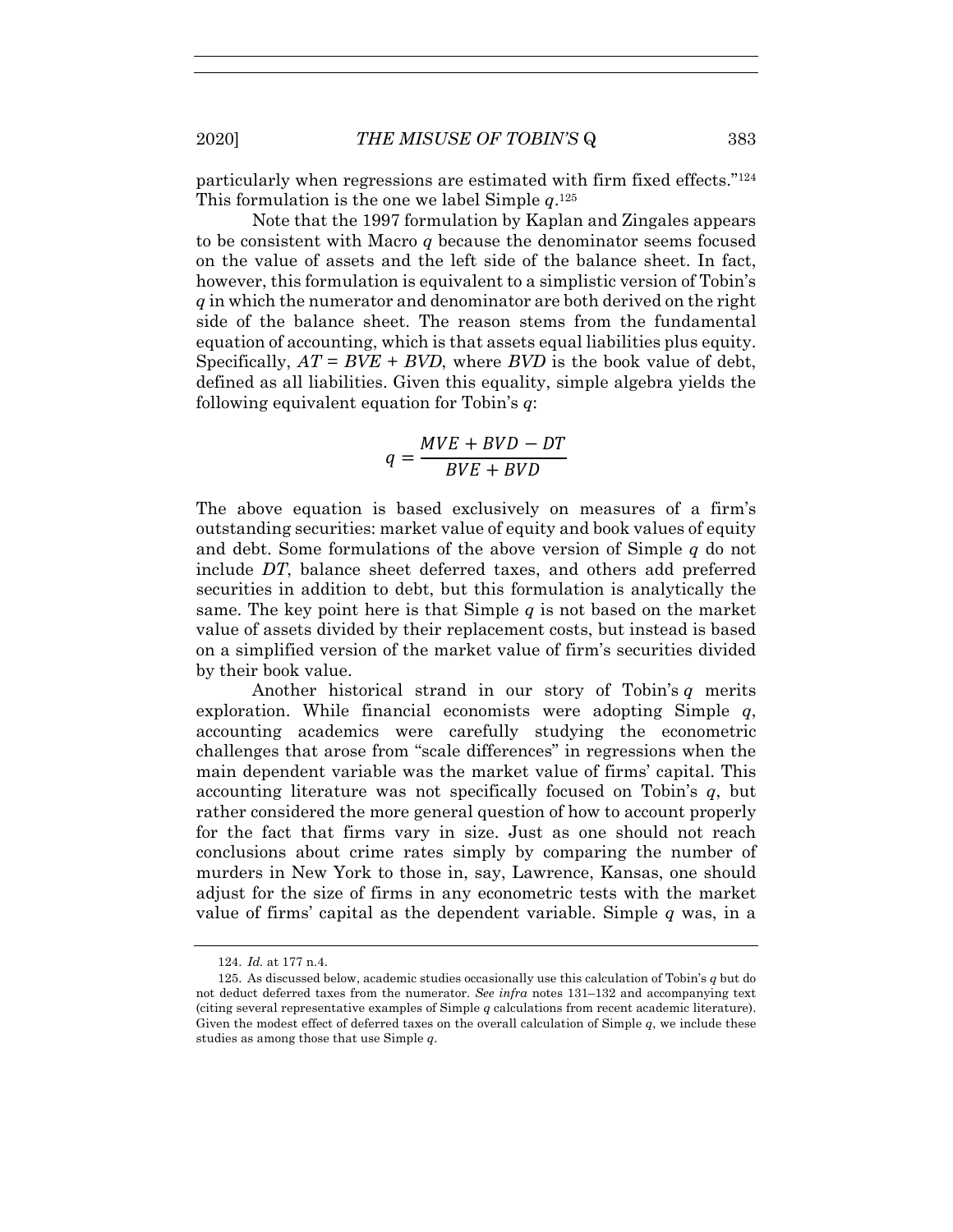particularly when regressions are estimated with firm fixed effects."124 This formulation is the one we label Simple *q*.125

Note that the 1997 formulation by Kaplan and Zingales appears to be consistent with Macro *q* because the denominator seems focused on the value of assets and the left side of the balance sheet. In fact, however, this formulation is equivalent to a simplistic version of Tobin's *q* in which the numerator and denominator are both derived on the right side of the balance sheet. The reason stems from the fundamental equation of accounting, which is that assets equal liabilities plus equity. Specifically,  $AT = BVE + BVD$ , where  $BVD$  is the book value of debt, defined as all liabilities. Given this equality, simple algebra yields the following equivalent equation for Tobin's *q*:

$$
q = \frac{MVE + BVD - DT}{BVE + BVD}
$$

The above equation is based exclusively on measures of a firm's outstanding securities: market value of equity and book values of equity and debt. Some formulations of the above version of Simple *q* do not include *DT*, balance sheet deferred taxes, and others add preferred securities in addition to debt, but this formulation is analytically the same. The key point here is that Simple  $q$  is not based on the market value of assets divided by their replacement costs, but instead is based on a simplified version of the market value of firm's securities divided by their book value.

Another historical strand in our story of Tobin's *q* merits exploration. While financial economists were adopting Simple *q*, accounting academics were carefully studying the econometric challenges that arose from "scale differences" in regressions when the main dependent variable was the market value of firms' capital. This accounting literature was not specifically focused on Tobin's *q*, but rather considered the more general question of how to account properly for the fact that firms vary in size. Just as one should not reach conclusions about crime rates simply by comparing the number of murders in New York to those in, say, Lawrence, Kansas, one should adjust for the size of firms in any econometric tests with the market value of firms' capital as the dependent variable. Simple *q* was, in a

 <sup>124.</sup> *Id.* at 177 n.4.

 <sup>125.</sup> As discussed below, academic studies occasionally use this calculation of Tobin's *q* but do not deduct deferred taxes from the numerator. *See infra* notes 131–132 and accompanying text (citing several representative examples of Simple *q* calculations from recent academic literature). Given the modest effect of deferred taxes on the overall calculation of Simple  $q$ , we include these studies as among those that use Simple *q*.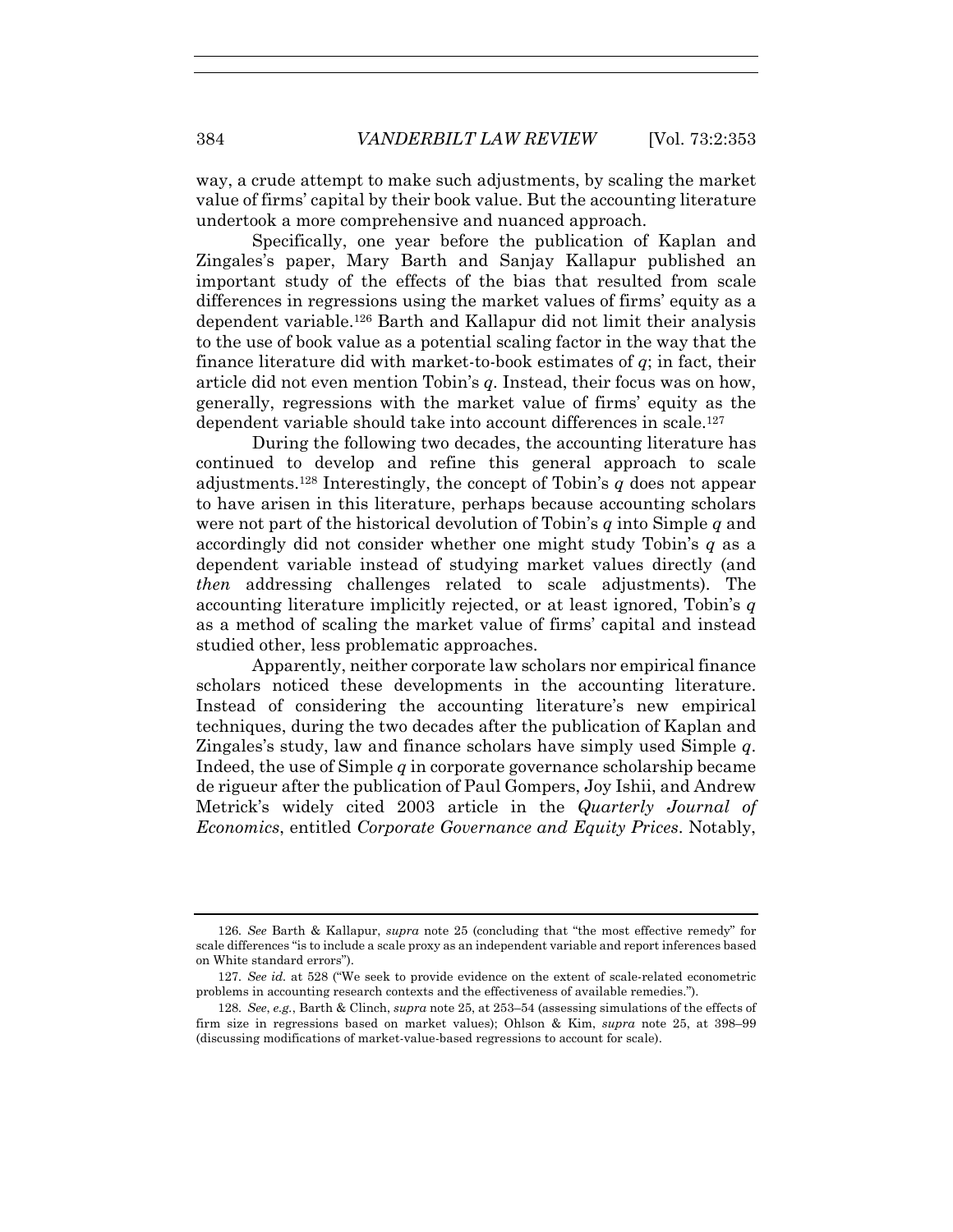way, a crude attempt to make such adjustments, by scaling the market value of firms' capital by their book value. But the accounting literature undertook a more comprehensive and nuanced approach.

Specifically, one year before the publication of Kaplan and Zingales's paper, Mary Barth and Sanjay Kallapur published an important study of the effects of the bias that resulted from scale differences in regressions using the market values of firms' equity as a dependent variable.126 Barth and Kallapur did not limit their analysis to the use of book value as a potential scaling factor in the way that the finance literature did with market-to-book estimates of *q*; in fact, their article did not even mention Tobin's *q.* Instead, their focus was on how, generally, regressions with the market value of firms' equity as the dependent variable should take into account differences in scale.<sup>127</sup>

During the following two decades, the accounting literature has continued to develop and refine this general approach to scale adjustments.128 Interestingly, the concept of Tobin's *q* does not appear to have arisen in this literature, perhaps because accounting scholars were not part of the historical devolution of Tobin's *q* into Simple *q* and accordingly did not consider whether one might study Tobin's *q* as a dependent variable instead of studying market values directly (and *then* addressing challenges related to scale adjustments). The accounting literature implicitly rejected, or at least ignored, Tobin's *q* as a method of scaling the market value of firms' capital and instead studied other, less problematic approaches.

Apparently, neither corporate law scholars nor empirical finance scholars noticed these developments in the accounting literature. Instead of considering the accounting literature's new empirical techniques, during the two decades after the publication of Kaplan and Zingales's study, law and finance scholars have simply used Simple *q*. Indeed, the use of Simple *q* in corporate governance scholarship became de rigueur after the publication of Paul Gompers, Joy Ishii, and Andrew Metrick's widely cited 2003 article in the *Quarterly Journal of Economics*, entitled *Corporate Governance and Equity Prices*. Notably,

<sup>126</sup>*. See* Barth & Kallapur, *supra* note 25 (concluding that "the most effective remedy" for scale differences "is to include a scale proxy as an independent variable and report inferences based on White standard errors").

<sup>127</sup>*. See id.* at 528 ("We seek to provide evidence on the extent of scale-related econometric problems in accounting research contexts and the effectiveness of available remedies.").

<sup>128</sup>*. See*, *e.g.*, Barth & Clinch, *supra* note 25, at 253–54 (assessing simulations of the effects of firm size in regressions based on market values); Ohlson & Kim, *supra* note 25, at 398–99 (discussing modifications of market-value-based regressions to account for scale).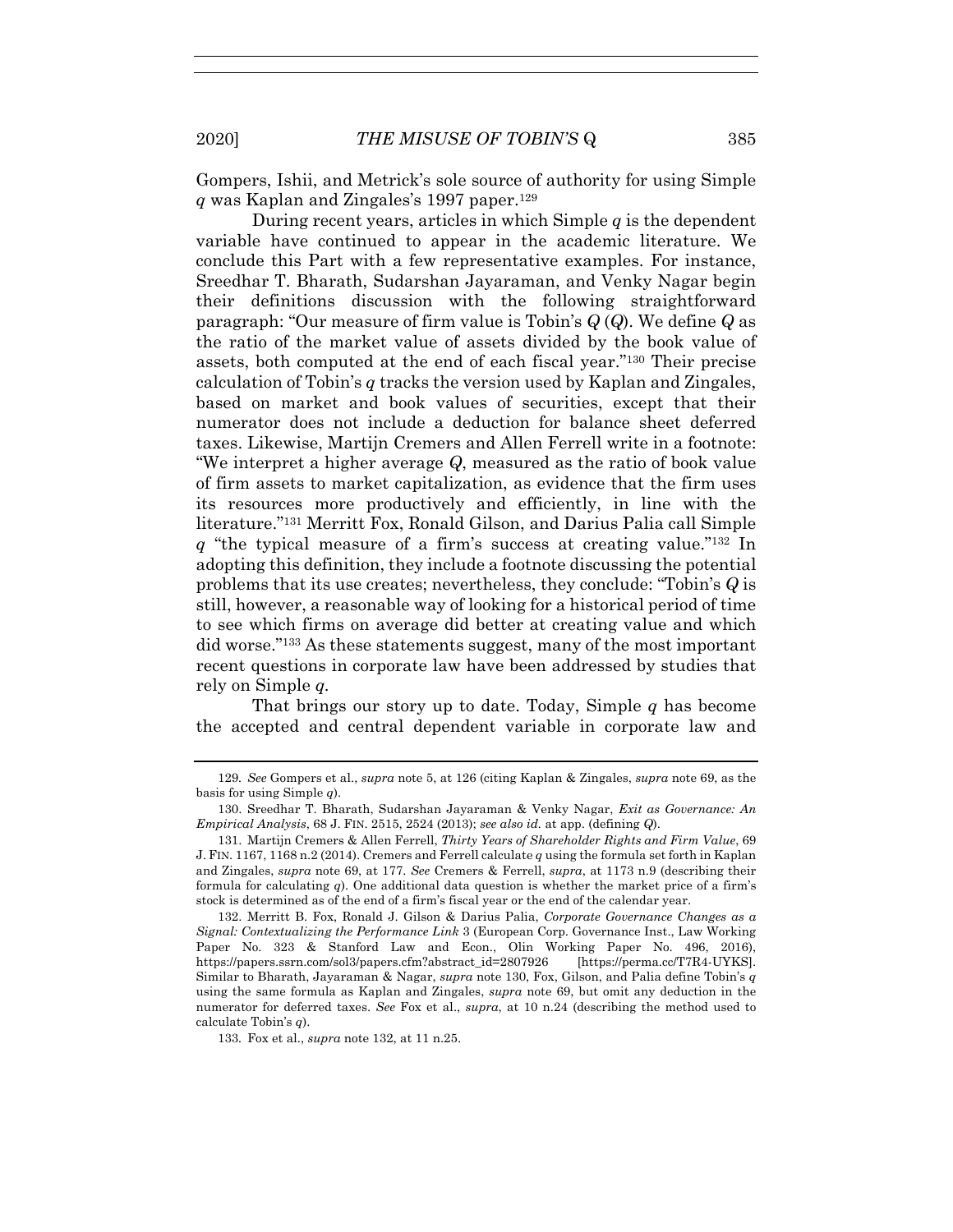Gompers, Ishii, and Metrick's sole source of authority for using Simple *q* was Kaplan and Zingales's 1997 paper.129

During recent years, articles in which Simple *q* is the dependent variable have continued to appear in the academic literature. We conclude this Part with a few representative examples. For instance, Sreedhar T. Bharath, Sudarshan Jayaraman, and Venky Nagar begin their definitions discussion with the following straightforward paragraph: "Our measure of firm value is Tobin's *Q* (*Q*). We define *Q* as the ratio of the market value of assets divided by the book value of assets, both computed at the end of each fiscal year."130 Their precise calculation of Tobin's *q* tracks the version used by Kaplan and Zingales, based on market and book values of securities, except that their numerator does not include a deduction for balance sheet deferred taxes. Likewise, Martijn Cremers and Allen Ferrell write in a footnote: "We interpret a higher average *Q*, measured as the ratio of book value of firm assets to market capitalization, as evidence that the firm uses its resources more productively and efficiently, in line with the literature."131 Merritt Fox, Ronald Gilson, and Darius Palia call Simple *q* "the typical measure of a firm's success at creating value."132 In adopting this definition, they include a footnote discussing the potential problems that its use creates; nevertheless, they conclude: "Tobin's *Q* is still, however, a reasonable way of looking for a historical period of time to see which firms on average did better at creating value and which did worse."133 As these statements suggest, many of the most important recent questions in corporate law have been addressed by studies that rely on Simple *q.* 

That brings our story up to date. Today, Simple *q* has become the accepted and central dependent variable in corporate law and

<sup>129</sup>*. See* Gompers et al., *supra* note 5, at 126 (citing Kaplan & Zingales, *supra* note 69, as the basis for using Simple *q*).

 <sup>130.</sup> Sreedhar T. Bharath, Sudarshan Jayaraman & Venky Nagar, *Exit as Governance: An Empirical Analysis*, 68 J. FIN. 2515, 2524 (2013); *see also id.* at app. (defining *Q*).

 <sup>131.</sup> Martijn Cremers & Allen Ferrell, *Thirty Years of Shareholder Rights and Firm Value*, 69 J. FIN. 1167, 1168 n.2 (2014). Cremers and Ferrell calculate *q* using the formula set forth in Kaplan and Zingales, *supra* note 69, at 177. *See* Cremers & Ferrell, *supra*, at 1173 n.9 (describing their formula for calculating *q*). One additional data question is whether the market price of a firm's stock is determined as of the end of a firm's fiscal year or the end of the calendar year.

 <sup>132.</sup> Merritt B. Fox, Ronald J. Gilson & Darius Palia, *Corporate Governance Changes as a Signal: Contextualizing the Performance Link* 3 (European Corp. Governance Inst., Law Working Paper No. 323 & Stanford Law and Econ., Olin Working Paper No. 496, 2016), https://papers.ssrn.com/sol3/papers.cfm?abstract\_id=2807926 [https://perma.cc/T7R4-UYKS]. Similar to Bharath, Jayaraman & Nagar, *supra* note 130, Fox, Gilson, and Palia define Tobin's *q* using the same formula as Kaplan and Zingales, *supra* note 69, but omit any deduction in the numerator for deferred taxes. *See* Fox et al., *supra*, at 10 n.24 (describing the method used to calculate Tobin's *q*).

<sup>133</sup>*.* Fox et al., *supra* note 132, at 11 n.25.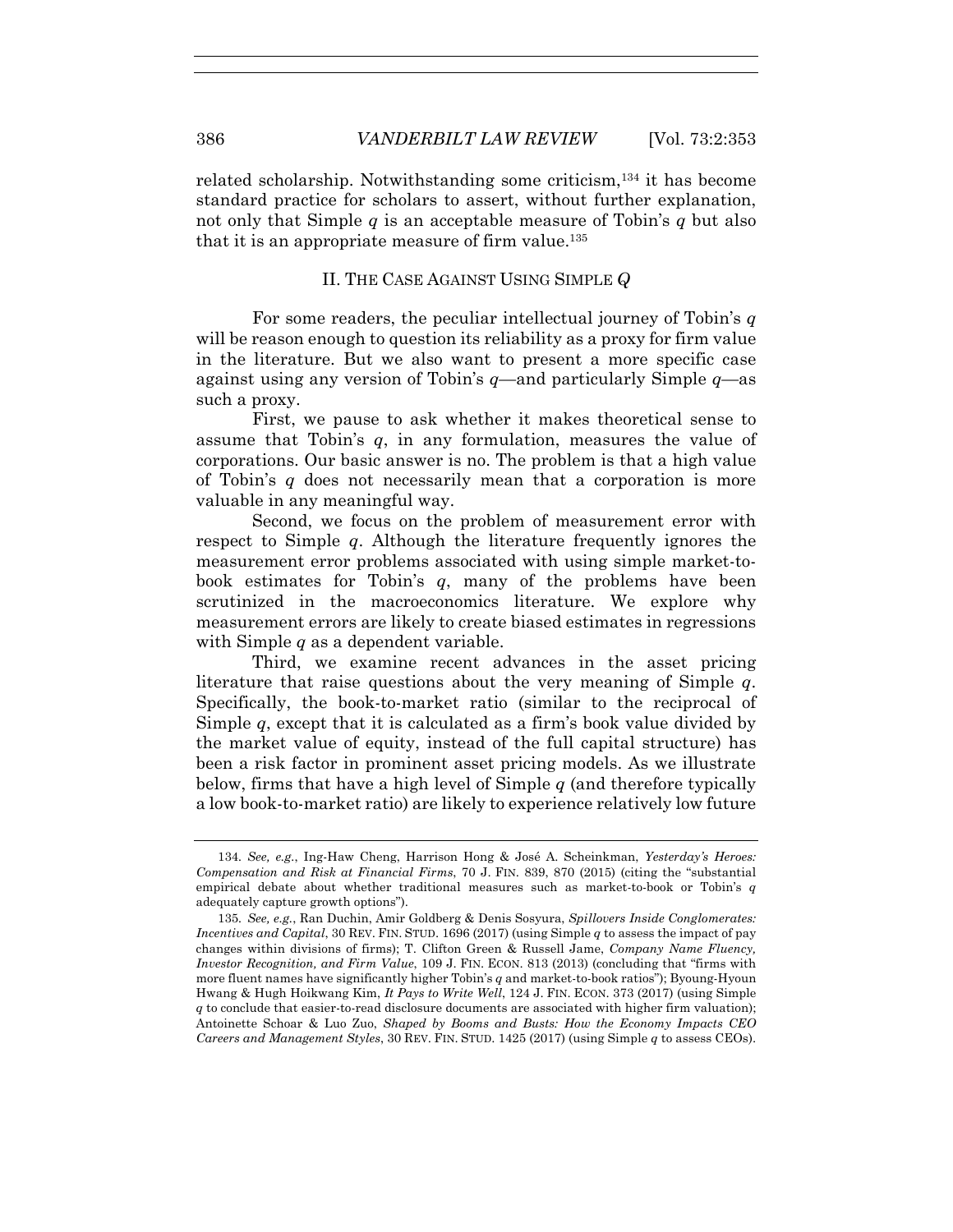related scholarship. Notwithstanding some criticism,134 it has become standard practice for scholars to assert, without further explanation, not only that Simple *q* is an acceptable measure of Tobin's *q* but also that it is an appropriate measure of firm value.135

#### II. THE CASE AGAINST USING SIMPLE *Q*

For some readers, the peculiar intellectual journey of Tobin's *q* will be reason enough to question its reliability as a proxy for firm value in the literature. But we also want to present a more specific case against using any version of Tobin's *q*—and particularly Simple *q*—as such a proxy.

First, we pause to ask whether it makes theoretical sense to assume that Tobin's *q*, in any formulation, measures the value of corporations. Our basic answer is no. The problem is that a high value of Tobin's *q* does not necessarily mean that a corporation is more valuable in any meaningful way.

Second, we focus on the problem of measurement error with respect to Simple *q*. Although the literature frequently ignores the measurement error problems associated with using simple market-tobook estimates for Tobin's *q*, many of the problems have been scrutinized in the macroeconomics literature. We explore why measurement errors are likely to create biased estimates in regressions with Simple *q* as a dependent variable.

Third, we examine recent advances in the asset pricing literature that raise questions about the very meaning of Simple *q*. Specifically, the book-to-market ratio (similar to the reciprocal of Simple *q*, except that it is calculated as a firm's book value divided by the market value of equity, instead of the full capital structure) has been a risk factor in prominent asset pricing models. As we illustrate below, firms that have a high level of Simple *q* (and therefore typically a low book-to-market ratio) are likely to experience relatively low future

<sup>134</sup>*. See, e.g.*, Ing-Haw Cheng, Harrison Hong & José A. Scheinkman, *Yesterday's Heroes: Compensation and Risk at Financial Firms*, 70 J. FIN. 839, 870 (2015) (citing the "substantial empirical debate about whether traditional measures such as market-to-book or Tobin's *q* adequately capture growth options").

<sup>135</sup>*. See, e.g.*, Ran Duchin, Amir Goldberg & Denis Sosyura, *Spillovers Inside Conglomerates: Incentives and Capital*, 30 REV. FIN. STUD. 1696 (2017) (using Simple *q* to assess the impact of pay changes within divisions of firms); T. Clifton Green & Russell Jame, *Company Name Fluency, Investor Recognition, and Firm Value*, 109 J. FIN. ECON. 813 (2013) (concluding that "firms with more fluent names have significantly higher Tobin's *q* and market-to-book ratios"); Byoung-Hyoun Hwang & Hugh Hoikwang Kim, *It Pays to Write Well*, 124 J. FIN. ECON. 373 (2017) (using Simple *q* to conclude that easier-to-read disclosure documents are associated with higher firm valuation); Antoinette Schoar & Luo Zuo, *Shaped by Booms and Busts: How the Economy Impacts CEO Careers and Management Styles*, 30 REV. FIN. STUD. 1425 (2017) (using Simple *q* to assess CEOs).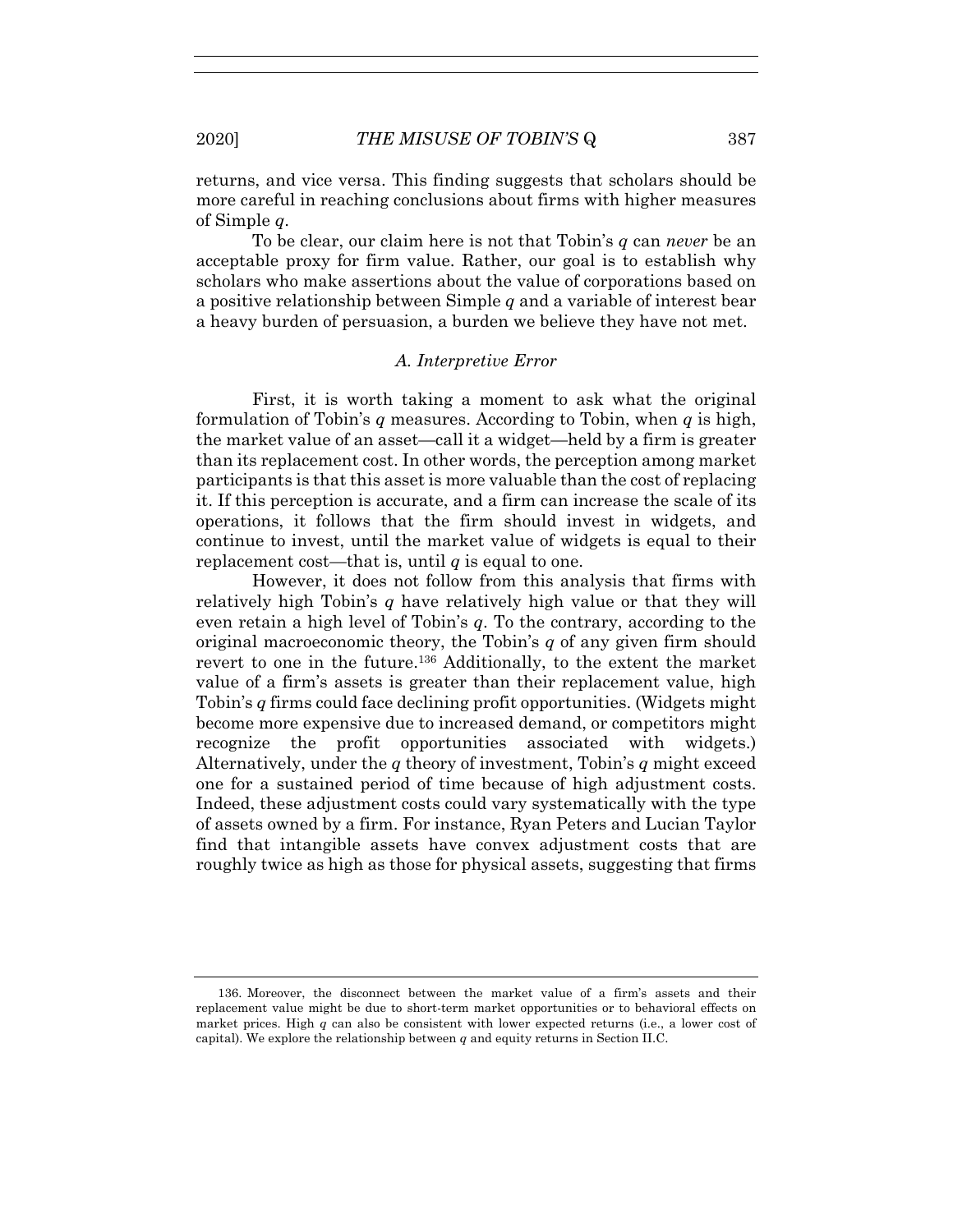returns, and vice versa. This finding suggests that scholars should be more careful in reaching conclusions about firms with higher measures of Simple *q*.

To be clear, our claim here is not that Tobin's *q* can *never* be an acceptable proxy for firm value. Rather, our goal is to establish why scholars who make assertions about the value of corporations based on a positive relationship between Simple *q* and a variable of interest bear a heavy burden of persuasion, a burden we believe they have not met.

# *A. Interpretive Error*

First, it is worth taking a moment to ask what the original formulation of Tobin's *q* measures. According to Tobin, when *q* is high, the market value of an asset—call it a widget—held by a firm is greater than its replacement cost. In other words, the perception among market participants is that this asset is more valuable than the cost of replacing it. If this perception is accurate, and a firm can increase the scale of its operations, it follows that the firm should invest in widgets, and continue to invest, until the market value of widgets is equal to their replacement cost—that is, until *q* is equal to one.

However, it does not follow from this analysis that firms with relatively high Tobin's *q* have relatively high value or that they will even retain a high level of Tobin's *q*. To the contrary, according to the original macroeconomic theory, the Tobin's *q* of any given firm should revert to one in the future.136 Additionally, to the extent the market value of a firm's assets is greater than their replacement value, high Tobin's *q* firms could face declining profit opportunities. (Widgets might become more expensive due to increased demand, or competitors might recognize the profit opportunities associated with widgets.) Alternatively, under the *q* theory of investment, Tobin's *q* might exceed one for a sustained period of time because of high adjustment costs. Indeed, these adjustment costs could vary systematically with the type of assets owned by a firm. For instance, Ryan Peters and Lucian Taylor find that intangible assets have convex adjustment costs that are roughly twice as high as those for physical assets, suggesting that firms

 <sup>136.</sup> Moreover, the disconnect between the market value of a firm's assets and their replacement value might be due to short-term market opportunities or to behavioral effects on market prices. High *q* can also be consistent with lower expected returns (i.e., a lower cost of capital). We explore the relationship between *q* and equity returns in Section II.C.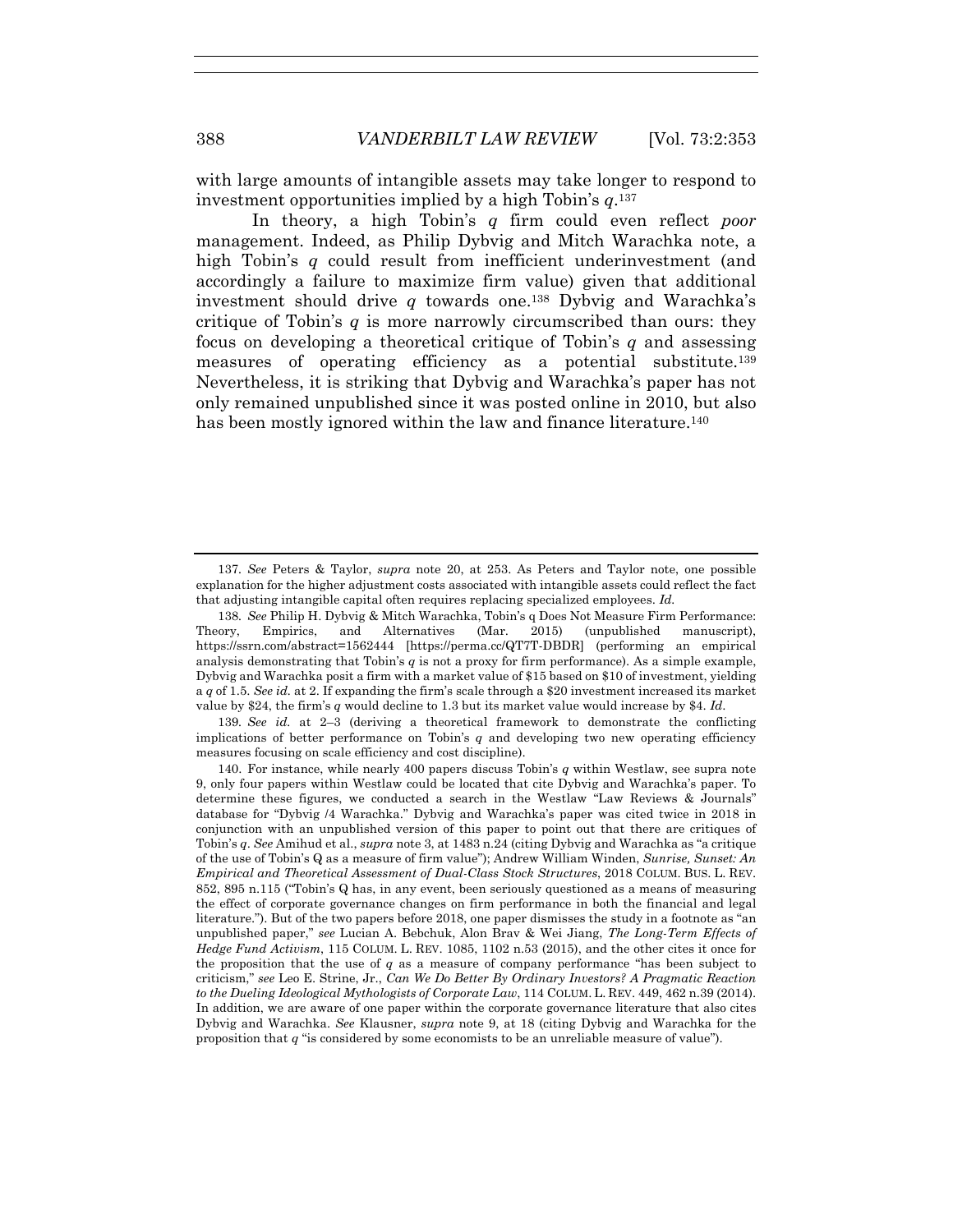with large amounts of intangible assets may take longer to respond to investment opportunities implied by a high Tobin's *q*.137

In theory, a high Tobin's *q* firm could even reflect *poor* management. Indeed, as Philip Dybvig and Mitch Warachka note, a high Tobin's *q* could result from inefficient underinvestment (and accordingly a failure to maximize firm value) given that additional investment should drive *q* towards one.138 Dybvig and Warachka's critique of Tobin's *q* is more narrowly circumscribed than ours: they focus on developing a theoretical critique of Tobin's *q* and assessing measures of operating efficiency as a potential substitute.139 Nevertheless, it is striking that Dybvig and Warachka's paper has not only remained unpublished since it was posted online in 2010, but also has been mostly ignored within the law and finance literature.<sup>140</sup>

139*. See id.* at 2–3 (deriving a theoretical framework to demonstrate the conflicting implications of better performance on Tobin's  $q$  and developing two new operating efficiency measures focusing on scale efficiency and cost discipline).

 140. For instance, while nearly 400 papers discuss Tobin's *q* within Westlaw, see supra note 9, only four papers within Westlaw could be located that cite Dybvig and Warachka's paper. To determine these figures, we conducted a search in the Westlaw "Law Reviews & Journals" database for "Dybvig /4 Warachka." Dybvig and Warachka's paper was cited twice in 2018 in conjunction with an unpublished version of this paper to point out that there are critiques of Tobin's *q*. *See* Amihud et al., *supra* note 3, at 1483 n.24 (citing Dybvig and Warachka as "a critique of the use of Tobin's Q as a measure of firm value"); Andrew William Winden, *Sunrise, Sunset: An Empirical and Theoretical Assessment of Dual-Class Stock Structures*, 2018 COLUM. BUS. L. REV. 852, 895 n.115 ("Tobin's Q has, in any event, been seriously questioned as a means of measuring the effect of corporate governance changes on firm performance in both the financial and legal literature."). But of the two papers before 2018, one paper dismisses the study in a footnote as "an unpublished paper," *see* Lucian A. Bebchuk, Alon Brav & Wei Jiang, *The Long-Term Effects of Hedge Fund Activism*, 115 COLUM. L. REV. 1085, 1102 n.53 (2015), and the other cites it once for the proposition that the use of *q* as a measure of company performance "has been subject to criticism," *see* Leo E. Strine, Jr., *Can We Do Better By Ordinary Investors? A Pragmatic Reaction to the Dueling Ideological Mythologists of Corporate Law*, 114 COLUM. L. REV. 449, 462 n.39 (2014). In addition, we are aware of one paper within the corporate governance literature that also cites Dybvig and Warachka. *See* Klausner, *supra* note 9, at 18 (citing Dybvig and Warachka for the proposition that *q* "is considered by some economists to be an unreliable measure of value").

<sup>137</sup>*. See* Peters & Taylor, *supra* note 20, at 253. As Peters and Taylor note, one possible explanation for the higher adjustment costs associated with intangible assets could reflect the fact that adjusting intangible capital often requires replacing specialized employees. *Id.*

<sup>138</sup>*. See* Philip H. Dybvig & Mitch Warachka, Tobin's q Does Not Measure Firm Performance: Theory, Empirics, and Alternatives (Mar. 2015) (unpublished manuscript), https://ssrn.com/abstract=1562444 [https://perma.cc/QT7T-DBDR] (performing an empirical analysis demonstrating that Tobin's  $q$  is not a proxy for firm performance). As a simple example, Dybvig and Warachka posit a firm with a market value of \$15 based on \$10 of investment, yielding a *q* of 1.5. *See id.* at 2. If expanding the firm's scale through a \$20 investment increased its market value by \$24, the firm's *q* would decline to 1.3 but its market value would increase by \$4. *Id*.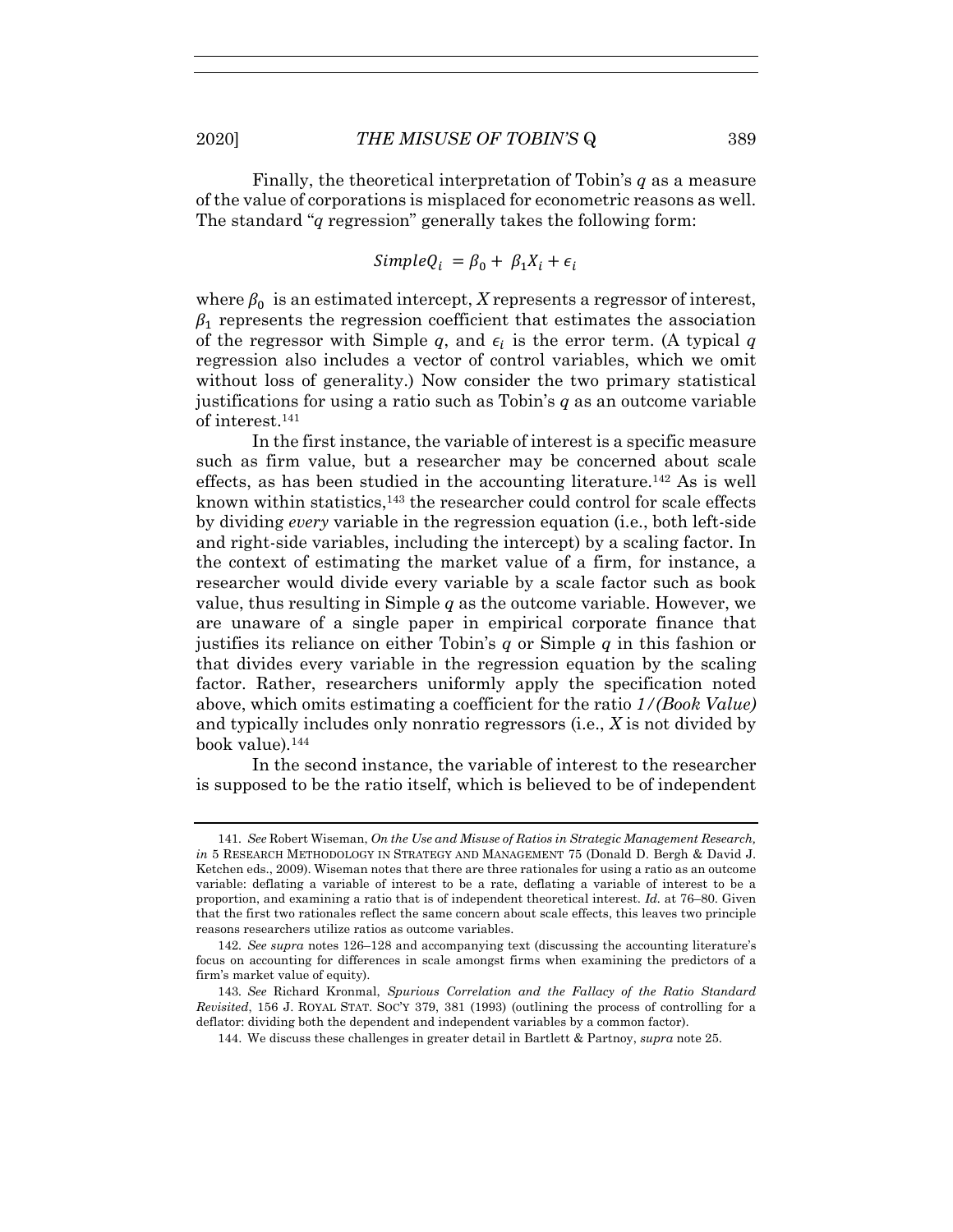Finally, the theoretical interpretation of Tobin's *q* as a measure of the value of corporations is misplaced for econometric reasons as well. The standard "*q* regression" generally takes the following form:

$$
SimpleQ_i = \beta_0 + \beta_1 X_i + \epsilon_i
$$

where  $\beta_0$  is an estimated intercept, *X* represents a regressor of interest,  $\beta_1$  represents the regression coefficient that estimates the association of the regressor with Simple *q*, and  $\epsilon_i$  is the error term. (A typical *q* regression also includes a vector of control variables, which we omit without loss of generality.) Now consider the two primary statistical justifications for using a ratio such as Tobin's *q* as an outcome variable of interest.141

In the first instance, the variable of interest is a specific measure such as firm value, but a researcher may be concerned about scale effects, as has been studied in the accounting literature.142 As is well known within statistics,<sup>143</sup> the researcher could control for scale effects by dividing *every* variable in the regression equation (i.e., both left-side and right-side variables, including the intercept) by a scaling factor. In the context of estimating the market value of a firm, for instance, a researcher would divide every variable by a scale factor such as book value, thus resulting in Simple *q* as the outcome variable. However, we are unaware of a single paper in empirical corporate finance that justifies its reliance on either Tobin's *q* or Simple *q* in this fashion or that divides every variable in the regression equation by the scaling factor. Rather, researchers uniformly apply the specification noted above, which omits estimating a coefficient for the ratio *1/(Book Value)* and typically includes only nonratio regressors (i.e., *X* is not divided by book value)*.*<sup>144</sup>

In the second instance, the variable of interest to the researcher is supposed to be the ratio itself, which is believed to be of independent

<sup>141</sup>*. See* Robert Wiseman, *On the Use and Misuse of Ratios in Strategic Management Research, in* 5 RESEARCH METHODOLOGY IN STRATEGY AND MANAGEMENT 75 (Donald D. Bergh & David J. Ketchen eds., 2009). Wiseman notes that there are three rationales for using a ratio as an outcome variable: deflating a variable of interest to be a rate, deflating a variable of interest to be a proportion, and examining a ratio that is of independent theoretical interest. *Id.* at 76–80. Given that the first two rationales reflect the same concern about scale effects, this leaves two principle reasons researchers utilize ratios as outcome variables.

<sup>142</sup>*. See supra* notes 126–128 and accompanying text (discussing the accounting literature's focus on accounting for differences in scale amongst firms when examining the predictors of a firm's market value of equity).

<sup>143</sup>*. See* Richard Kronmal, *Spurious Correlation and the Fallacy of the Ratio Standard Revisited*, 156 J. ROYAL STAT. SOC'Y 379, 381 (1993) (outlining the process of controlling for a deflator: dividing both the dependent and independent variables by a common factor).

 <sup>144.</sup> We discuss these challenges in greater detail in Bartlett & Partnoy, *supra* note 25.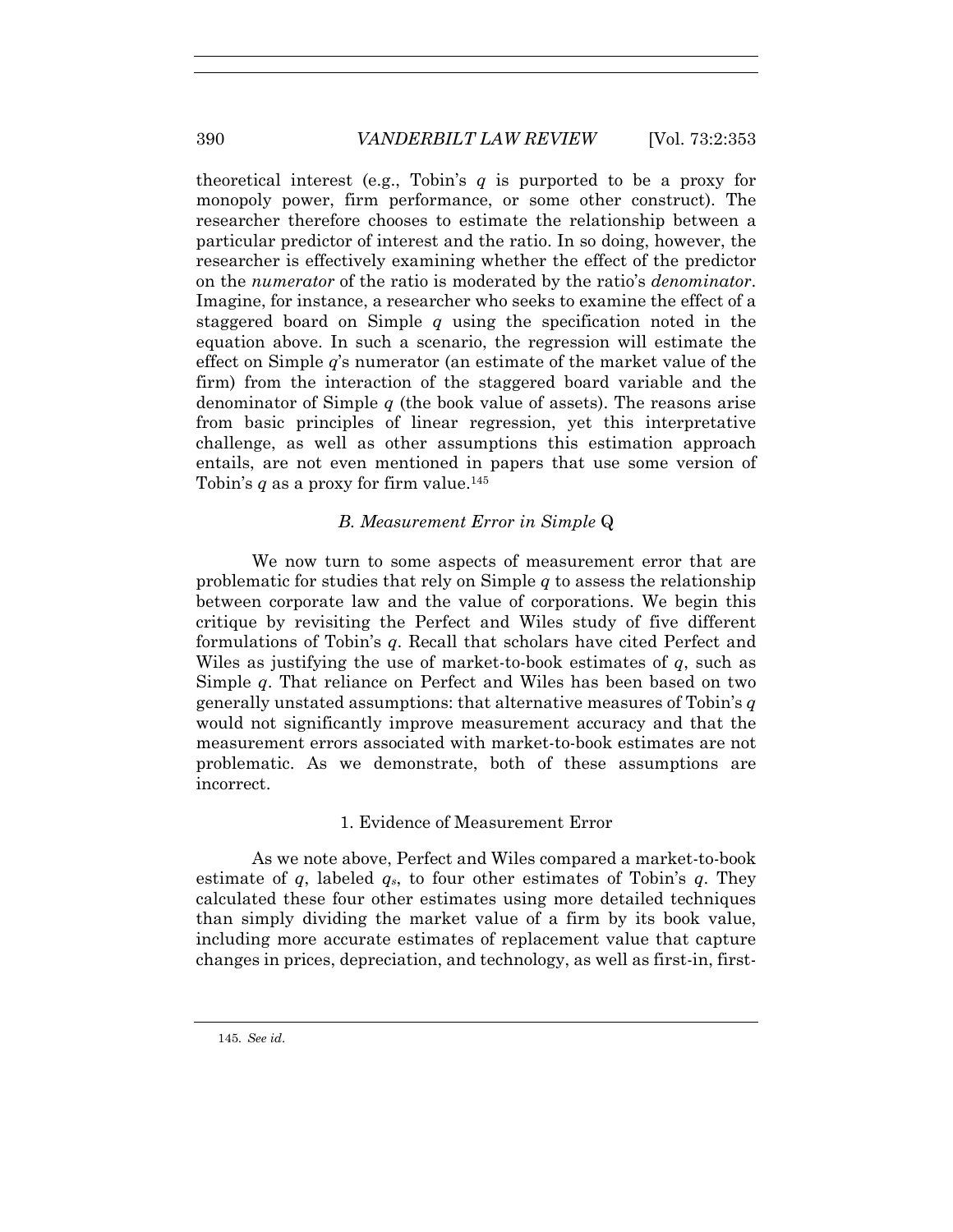theoretical interest (e.g., Tobin's *q* is purported to be a proxy for monopoly power, firm performance, or some other construct). The researcher therefore chooses to estimate the relationship between a particular predictor of interest and the ratio. In so doing, however, the researcher is effectively examining whether the effect of the predictor on the *numerator* of the ratio is moderated by the ratio's *denominator*. Imagine, for instance, a researcher who seeks to examine the effect of a staggered board on Simple *q* using the specification noted in the equation above. In such a scenario, the regression will estimate the effect on Simple *q*'s numerator (an estimate of the market value of the firm) from the interaction of the staggered board variable and the denominator of Simple *q* (the book value of assets). The reasons arise from basic principles of linear regression, yet this interpretative challenge, as well as other assumptions this estimation approach entails, are not even mentioned in papers that use some version of Tobin's  $q$  as a proxy for firm value.<sup>145</sup>

## *B. Measurement Error in Simple* Q

We now turn to some aspects of measurement error that are problematic for studies that rely on Simple *q* to assess the relationship between corporate law and the value of corporations. We begin this critique by revisiting the Perfect and Wiles study of five different formulations of Tobin's *q*. Recall that scholars have cited Perfect and Wiles as justifying the use of market-to-book estimates of *q*, such as Simple *q*. That reliance on Perfect and Wiles has been based on two generally unstated assumptions: that alternative measures of Tobin's *q* would not significantly improve measurement accuracy and that the measurement errors associated with market-to-book estimates are not problematic. As we demonstrate, both of these assumptions are incorrect.

## 1. Evidence of Measurement Error

As we note above, Perfect and Wiles compared a market-to-book estimate of *q*, labeled *qs*, to four other estimates of Tobin's *q*. They calculated these four other estimates using more detailed techniques than simply dividing the market value of a firm by its book value, including more accurate estimates of replacement value that capture changes in prices, depreciation, and technology, as well as first-in, first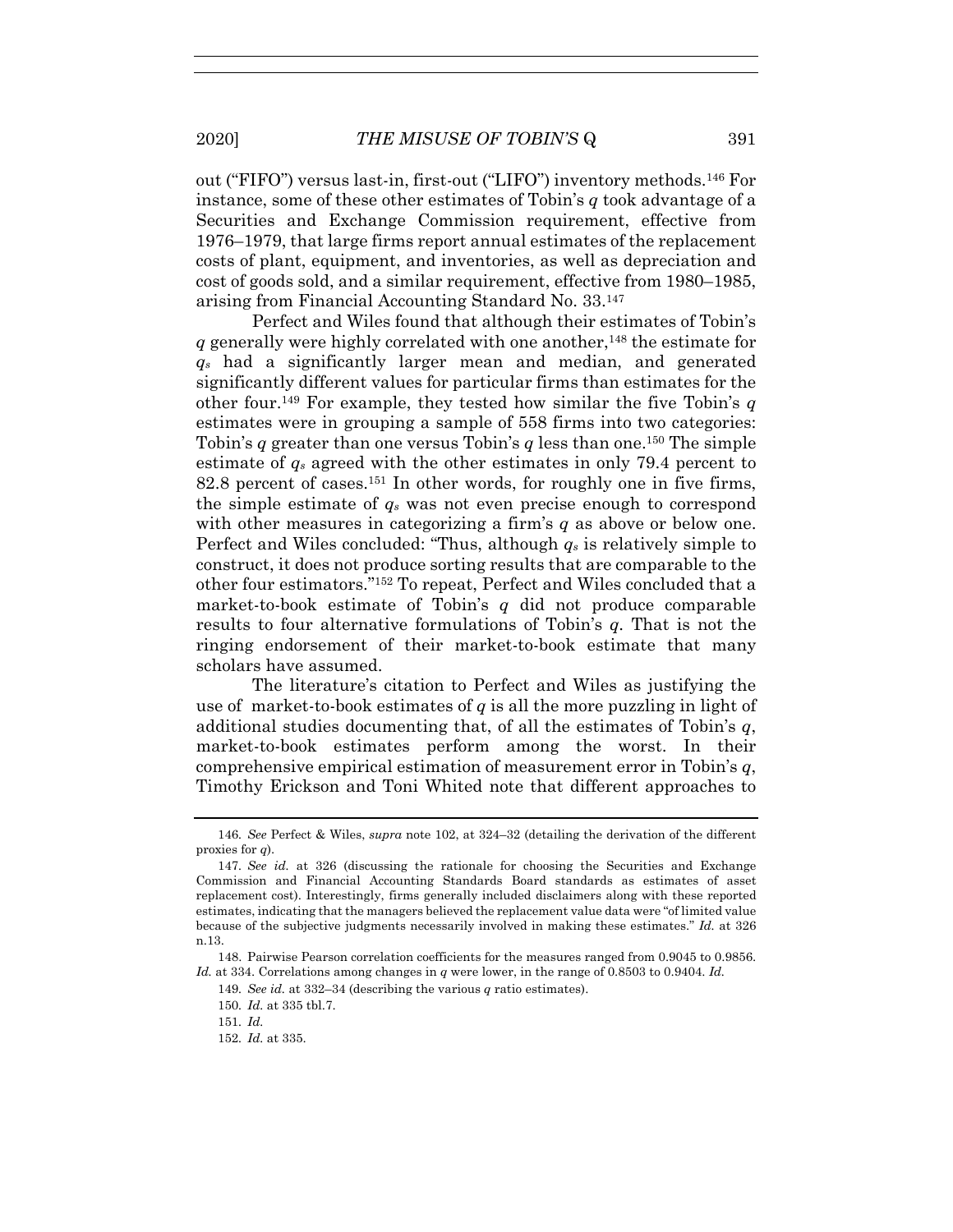out ("FIFO") versus last-in, first-out ("LIFO") inventory methods.146 For instance, some of these other estimates of Tobin's *q* took advantage of a Securities and Exchange Commission requirement, effective from 1976–1979, that large firms report annual estimates of the replacement costs of plant, equipment, and inventories, as well as depreciation and cost of goods sold, and a similar requirement, effective from 1980–1985, arising from Financial Accounting Standard No. 33.147

Perfect and Wiles found that although their estimates of Tobin's *q* generally were highly correlated with one another,148 the estimate for *qs* had a significantly larger mean and median, and generated significantly different values for particular firms than estimates for the other four.149 For example, they tested how similar the five Tobin's *q* estimates were in grouping a sample of 558 firms into two categories: Tobin's *q* greater than one versus Tobin's *q* less than one.150 The simple estimate of *qs* agreed with the other estimates in only 79.4 percent to 82.8 percent of cases.151 In other words, for roughly one in five firms, the simple estimate of *qs* was not even precise enough to correspond with other measures in categorizing a firm's *q* as above or below one. Perfect and Wiles concluded: "Thus, although *qs* is relatively simple to construct, it does not produce sorting results that are comparable to the other four estimators."152 To repeat, Perfect and Wiles concluded that a market-to-book estimate of Tobin's *q* did not produce comparable results to four alternative formulations of Tobin's *q.* That is not the ringing endorsement of their market-to-book estimate that many scholars have assumed.

The literature's citation to Perfect and Wiles as justifying the use of market-to-book estimates of *q* is all the more puzzling in light of additional studies documenting that, of all the estimates of Tobin's *q*, market-to-book estimates perform among the worst. In their comprehensive empirical estimation of measurement error in Tobin's *q*, Timothy Erickson and Toni Whited note that different approaches to

<sup>146</sup>*. See* Perfect & Wiles, *supra* note 102, at 324–32 (detailing the derivation of the different proxies for *q*).

<sup>147</sup>*. See id.* at 326 (discussing the rationale for choosing the Securities and Exchange Commission and Financial Accounting Standards Board standards as estimates of asset replacement cost). Interestingly, firms generally included disclaimers along with these reported estimates, indicating that the managers believed the replacement value data were "of limited value because of the subjective judgments necessarily involved in making these estimates." *Id.* at 326 n.13.

 <sup>148.</sup> Pairwise Pearson correlation coefficients for the measures ranged from 0.9045 to 0.9856. *Id.* at 334. Correlations among changes in *q* were lower, in the range of 0.8503 to 0.9404. *Id.*

<sup>149</sup>*. See id.* at 332–34 (describing the various *q* ratio estimates).

<sup>150</sup>*. Id.* at 335 tbl.7.

<sup>151</sup>*. Id.*

<sup>152</sup>*. Id.* at 335.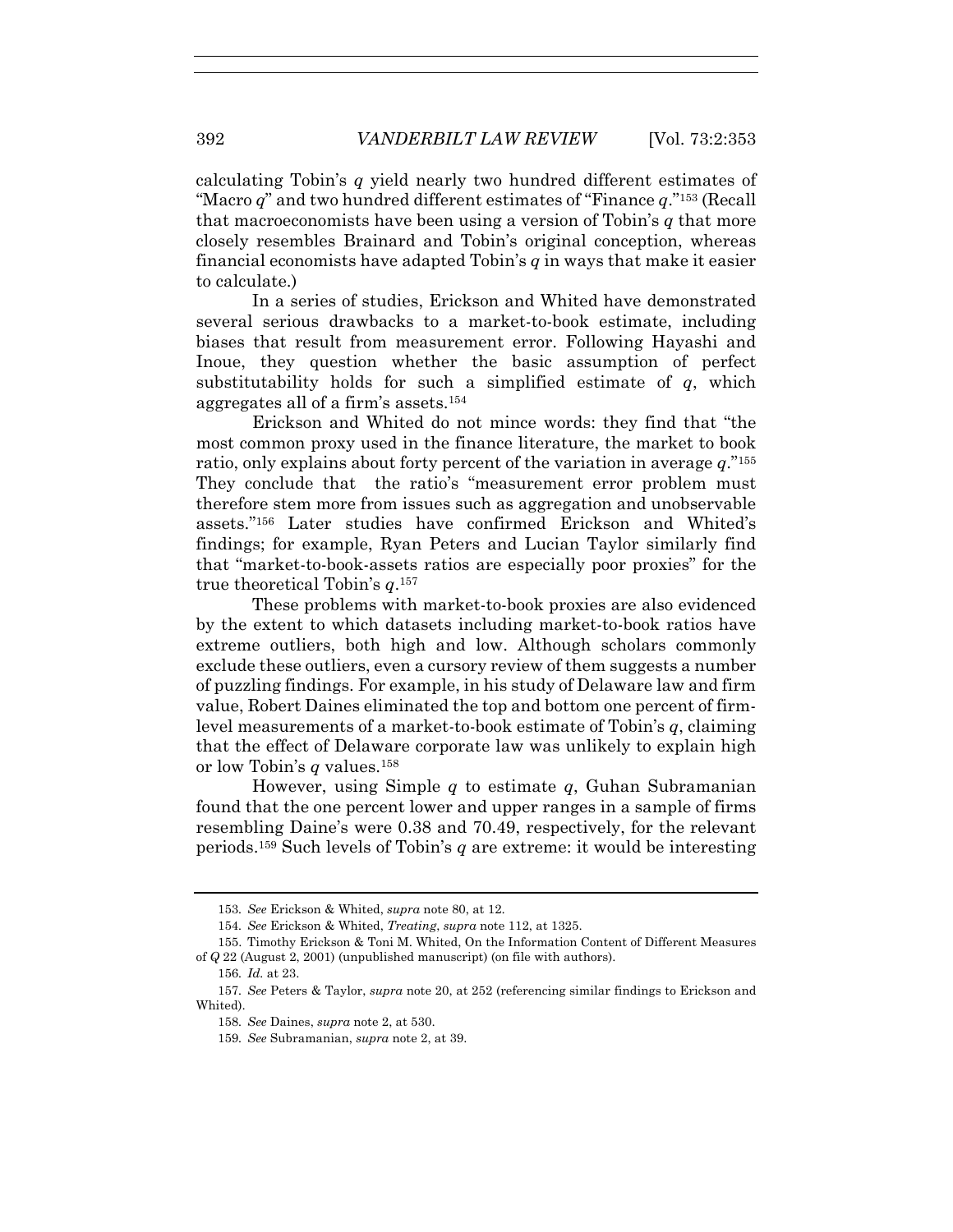calculating Tobin's *q* yield nearly two hundred different estimates of "Macro *q*" and two hundred different estimates of "Finance *q*."153 (Recall that macroeconomists have been using a version of Tobin's *q* that more closely resembles Brainard and Tobin's original conception, whereas financial economists have adapted Tobin's *q* in ways that make it easier to calculate.)

In a series of studies, Erickson and Whited have demonstrated several serious drawbacks to a market-to-book estimate, including biases that result from measurement error. Following Hayashi and Inoue, they question whether the basic assumption of perfect substitutability holds for such a simplified estimate of *q*, which aggregates all of a firm's assets.154

Erickson and Whited do not mince words: they find that "the most common proxy used in the finance literature, the market to book ratio, only explains about forty percent of the variation in average *q*."155 They conclude that the ratio's "measurement error problem must therefore stem more from issues such as aggregation and unobservable assets."156 Later studies have confirmed Erickson and Whited's findings; for example, Ryan Peters and Lucian Taylor similarly find that "market-to-book-assets ratios are especially poor proxies" for the true theoretical Tobin's *q*.157

These problems with market-to-book proxies are also evidenced by the extent to which datasets including market-to-book ratios have extreme outliers, both high and low. Although scholars commonly exclude these outliers, even a cursory review of them suggests a number of puzzling findings. For example, in his study of Delaware law and firm value, Robert Daines eliminated the top and bottom one percent of firmlevel measurements of a market-to-book estimate of Tobin's *q*, claiming that the effect of Delaware corporate law was unlikely to explain high or low Tobin's *q* values.158

However, using Simple *q* to estimate *q*, Guhan Subramanian found that the one percent lower and upper ranges in a sample of firms resembling Daine's were 0.38 and 70.49, respectively, for the relevant periods.159 Such levels of Tobin's *q* are extreme: it would be interesting

<sup>153</sup>*. See* Erickson & Whited, *supra* note 80, at 12.

<sup>154</sup>*. See* Erickson & Whited, *Treating*, *supra* note 112, at 1325.

 <sup>155.</sup> Timothy Erickson & Toni M. Whited, On the Information Content of Different Measures of *Q* 22 (August 2, 2001) (unpublished manuscript) (on file with authors).

<sup>156</sup>*. Id.* at 23.

<sup>157</sup>*. See* Peters & Taylor, *supra* note 20, at 252 (referencing similar findings to Erickson and Whited).

<sup>158</sup>*. See* Daines, *supra* note 2, at 530.

<sup>159</sup>*. See* Subramanian, *supra* note 2, at 39.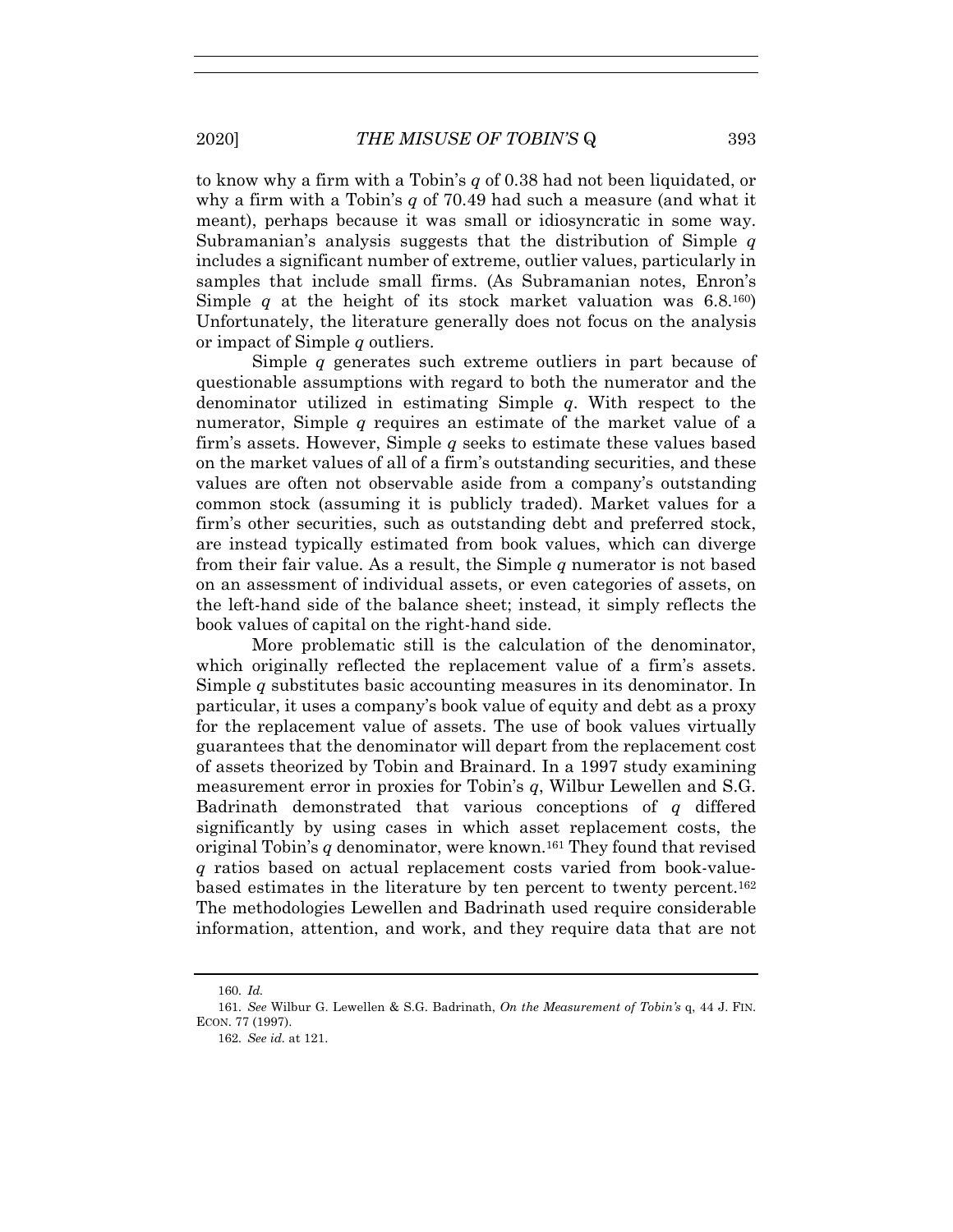to know why a firm with a Tobin's *q* of 0.38 had not been liquidated, or why a firm with a Tobin's *q* of 70.49 had such a measure (and what it meant), perhaps because it was small or idiosyncratic in some way. Subramanian's analysis suggests that the distribution of Simple *q*  includes a significant number of extreme, outlier values, particularly in samples that include small firms. (As Subramanian notes, Enron's Simple *q* at the height of its stock market valuation was  $6.8^{160}$ Unfortunately, the literature generally does not focus on the analysis or impact of Simple *q* outliers.

Simple *q* generates such extreme outliers in part because of questionable assumptions with regard to both the numerator and the denominator utilized in estimating Simple *q*. With respect to the numerator, Simple *q* requires an estimate of the market value of a firm's assets. However, Simple *q* seeks to estimate these values based on the market values of all of a firm's outstanding securities, and these values are often not observable aside from a company's outstanding common stock (assuming it is publicly traded). Market values for a firm's other securities, such as outstanding debt and preferred stock, are instead typically estimated from book values, which can diverge from their fair value. As a result, the Simple *q* numerator is not based on an assessment of individual assets, or even categories of assets, on the left-hand side of the balance sheet; instead, it simply reflects the book values of capital on the right-hand side.

More problematic still is the calculation of the denominator, which originally reflected the replacement value of a firm's assets. Simple *q* substitutes basic accounting measures in its denominator. In particular, it uses a company's book value of equity and debt as a proxy for the replacement value of assets. The use of book values virtually guarantees that the denominator will depart from the replacement cost of assets theorized by Tobin and Brainard. In a 1997 study examining measurement error in proxies for Tobin's *q*, Wilbur Lewellen and S.G. Badrinath demonstrated that various conceptions of *q* differed significantly by using cases in which asset replacement costs, the original Tobin's *q* denominator, were known.161 They found that revised *q* ratios based on actual replacement costs varied from book-valuebased estimates in the literature by ten percent to twenty percent.162 The methodologies Lewellen and Badrinath used require considerable information, attention, and work, and they require data that are not

<sup>160</sup>*. Id.*

<sup>161</sup>*. See* Wilbur G. Lewellen & S.G. Badrinath, *On the Measurement of Tobin's* q, 44 J. FIN. ECON. 77 (1997).

<sup>162</sup>*. See id.* at 121.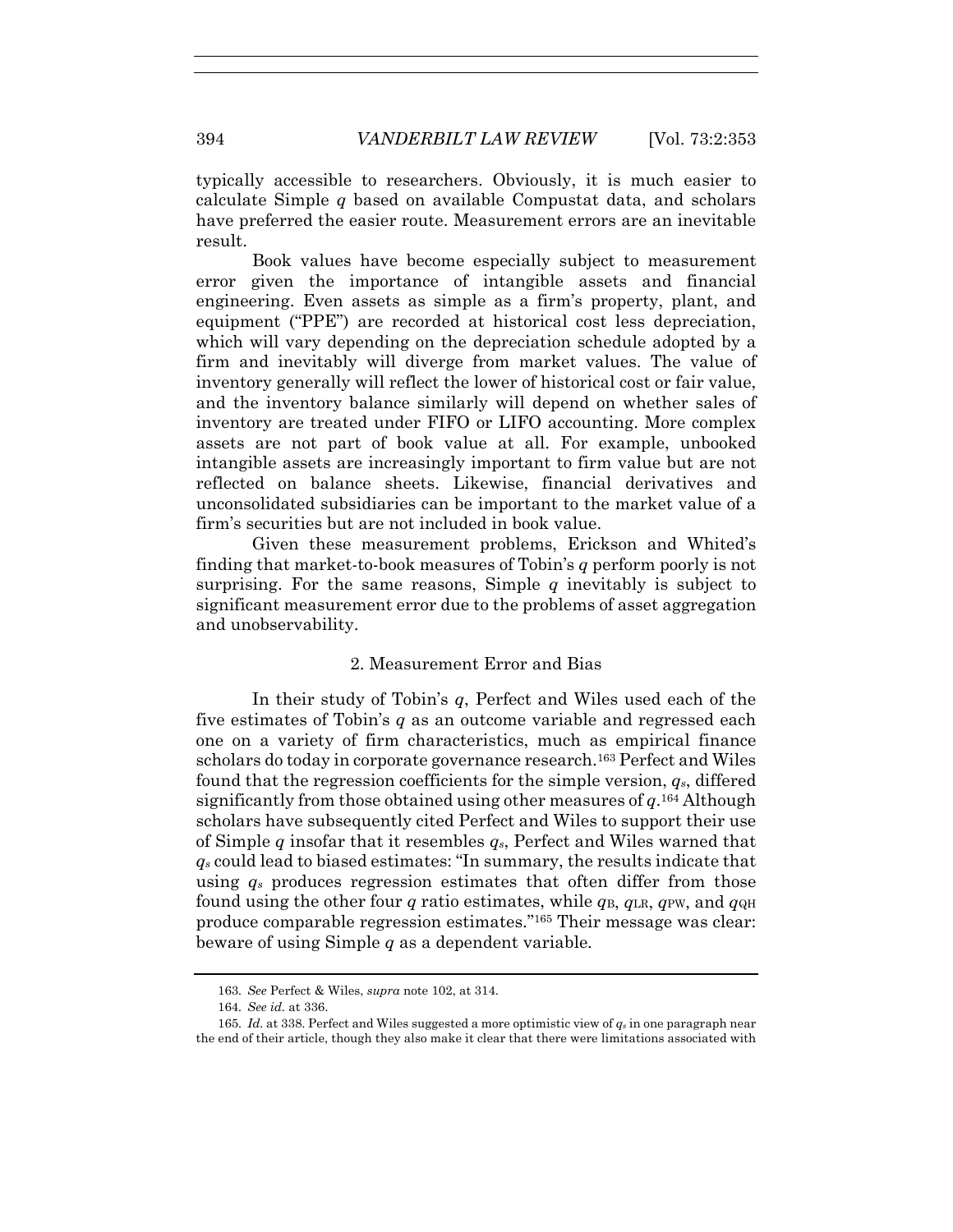typically accessible to researchers. Obviously, it is much easier to calculate Simple *q* based on available Compustat data, and scholars have preferred the easier route. Measurement errors are an inevitable result.

Book values have become especially subject to measurement error given the importance of intangible assets and financial engineering. Even assets as simple as a firm's property, plant, and equipment ("PPE") are recorded at historical cost less depreciation, which will vary depending on the depreciation schedule adopted by a firm and inevitably will diverge from market values. The value of inventory generally will reflect the lower of historical cost or fair value, and the inventory balance similarly will depend on whether sales of inventory are treated under FIFO or LIFO accounting. More complex assets are not part of book value at all. For example, unbooked intangible assets are increasingly important to firm value but are not reflected on balance sheets. Likewise, financial derivatives and unconsolidated subsidiaries can be important to the market value of a firm's securities but are not included in book value.

Given these measurement problems, Erickson and Whited's finding that market-to-book measures of Tobin's *q* perform poorly is not surprising. For the same reasons, Simple *q* inevitably is subject to significant measurement error due to the problems of asset aggregation and unobservability.

### 2. Measurement Error and Bias

In their study of Tobin's *q*, Perfect and Wiles used each of the five estimates of Tobin's *q* as an outcome variable and regressed each one on a variety of firm characteristics, much as empirical finance scholars do today in corporate governance research.163 Perfect and Wiles found that the regression coefficients for the simple version, *qs*, differed significantly from those obtained using other measures of *q*.164 Although scholars have subsequently cited Perfect and Wiles to support their use of Simple *q* insofar that it resembles *qs*, Perfect and Wiles warned that *qs* could lead to biased estimates: "In summary, the results indicate that using *qs* produces regression estimates that often differ from those found using the other four *q* ratio estimates, while  $q_B$ ,  $q_{LR}$ ,  $q_{PW}$ , and  $q_{QH}$ produce comparable regression estimates."165 Their message was clear: beware of using Simple *q* as a dependent variable*.* 

<sup>163</sup>*. See* Perfect & Wiles, *supra* note 102, at 314.

<sup>164</sup>*. See id.* at 336.

<sup>165</sup>*. Id.* at 338. Perfect and Wiles suggested a more optimistic view of *qs* in one paragraph near the end of their article, though they also make it clear that there were limitations associated with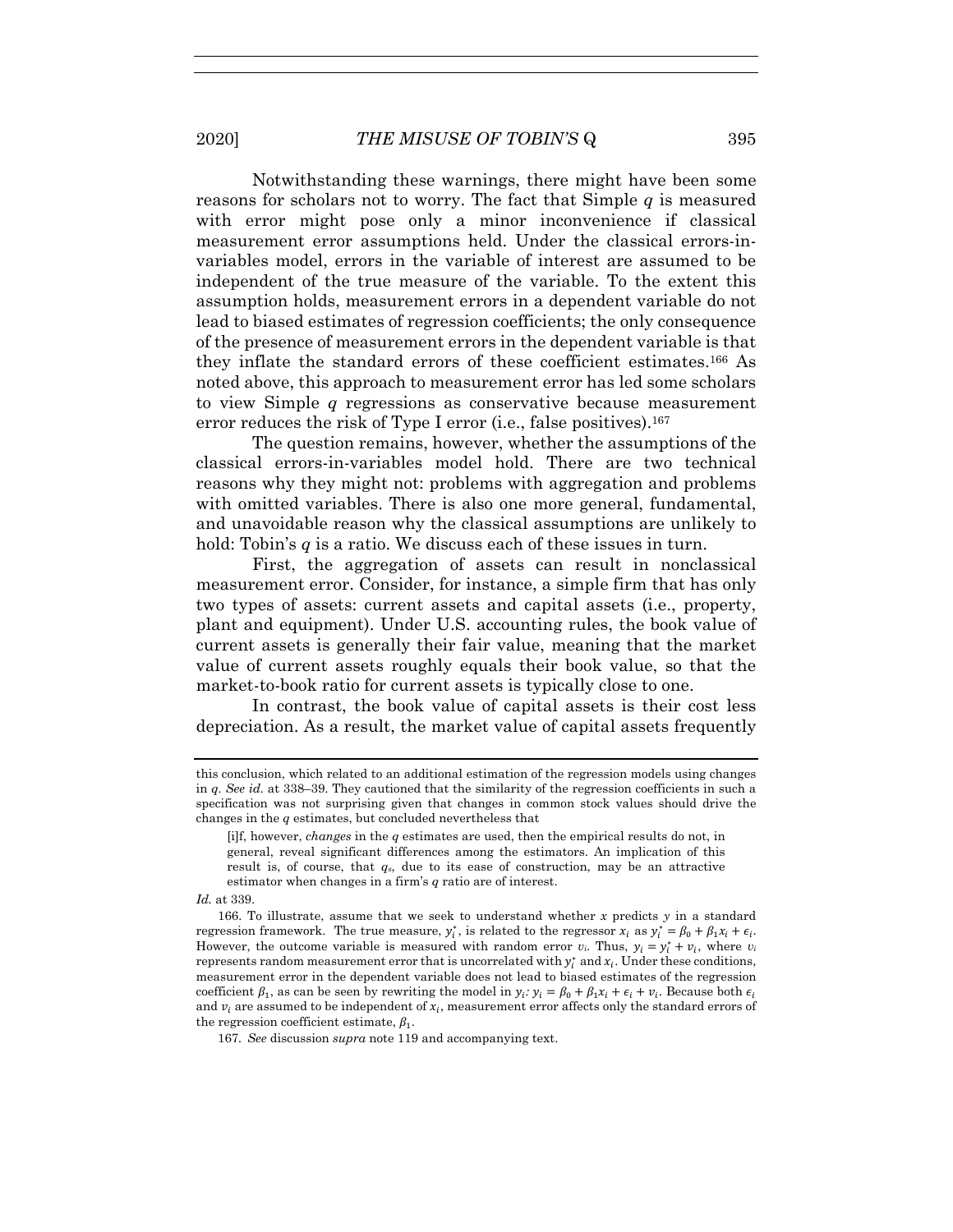Notwithstanding these warnings, there might have been some reasons for scholars not to worry. The fact that Simple *q* is measured with error might pose only a minor inconvenience if classical measurement error assumptions held. Under the classical errors-invariables model, errors in the variable of interest are assumed to be independent of the true measure of the variable. To the extent this assumption holds, measurement errors in a dependent variable do not lead to biased estimates of regression coefficients; the only consequence of the presence of measurement errors in the dependent variable is that they inflate the standard errors of these coefficient estimates.166 As noted above, this approach to measurement error has led some scholars to view Simple *q* regressions as conservative because measurement error reduces the risk of Type I error (i.e., false positives).<sup>167</sup>

The question remains, however, whether the assumptions of the classical errors-in-variables model hold. There are two technical reasons why they might not: problems with aggregation and problems with omitted variables. There is also one more general, fundamental, and unavoidable reason why the classical assumptions are unlikely to hold: Tobin's *q* is a ratio. We discuss each of these issues in turn.

First, the aggregation of assets can result in nonclassical measurement error. Consider, for instance, a simple firm that has only two types of assets: current assets and capital assets (i.e., property, plant and equipment). Under U.S. accounting rules, the book value of current assets is generally their fair value, meaning that the market value of current assets roughly equals their book value, so that the market-to-book ratio for current assets is typically close to one.

In contrast, the book value of capital assets is their cost less depreciation. As a result, the market value of capital assets frequently

*Id.* at 339.

this conclusion, which related to an additional estimation of the regression models using changes in *q*. *See id.* at 338–39. They cautioned that the similarity of the regression coefficients in such a specification was not surprising given that changes in common stock values should drive the changes in the *q* estimates, but concluded nevertheless that

<sup>[</sup>i]f, however, *changes* in the *q* estimates are used, then the empirical results do not, in general, reveal significant differences among the estimators. An implication of this result is, of course, that *qs*, due to its ease of construction, may be an attractive estimator when changes in a firm's *q* ratio are of interest.

 <sup>166.</sup> To illustrate, assume that we seek to understand whether *x* predicts *y* in a standard regression framework. The true measure,  $y_i^*$ , is related to the regressor  $x_i$  as  $y_i^* = \beta_0 + \beta_1 x_i + \epsilon_i$ . However, the outcome variable is measured with random error  $v_i$ . Thus,  $y_i = y_i^* + v_i$ , where  $v_i$ represents random measurement error that is uncorrelated with  $y_i^*$  and  $x_i$ . Under these conditions, measurement error in the dependent variable does not lead to biased estimates of the regression coefficient  $\beta_1$ , as can be seen by rewriting the model in  $y_i$ :  $y_i = \beta_0 + \beta_1 x_i + \epsilon_i + v_i$ . Because both  $\epsilon_i$ and  $v_i$  are assumed to be independent of  $x_i$ , measurement error affects only the standard errors of the regression coefficient estimate,  $\beta_1$ .

<sup>167</sup>*. See* discussion *supra* note 119 and accompanying text.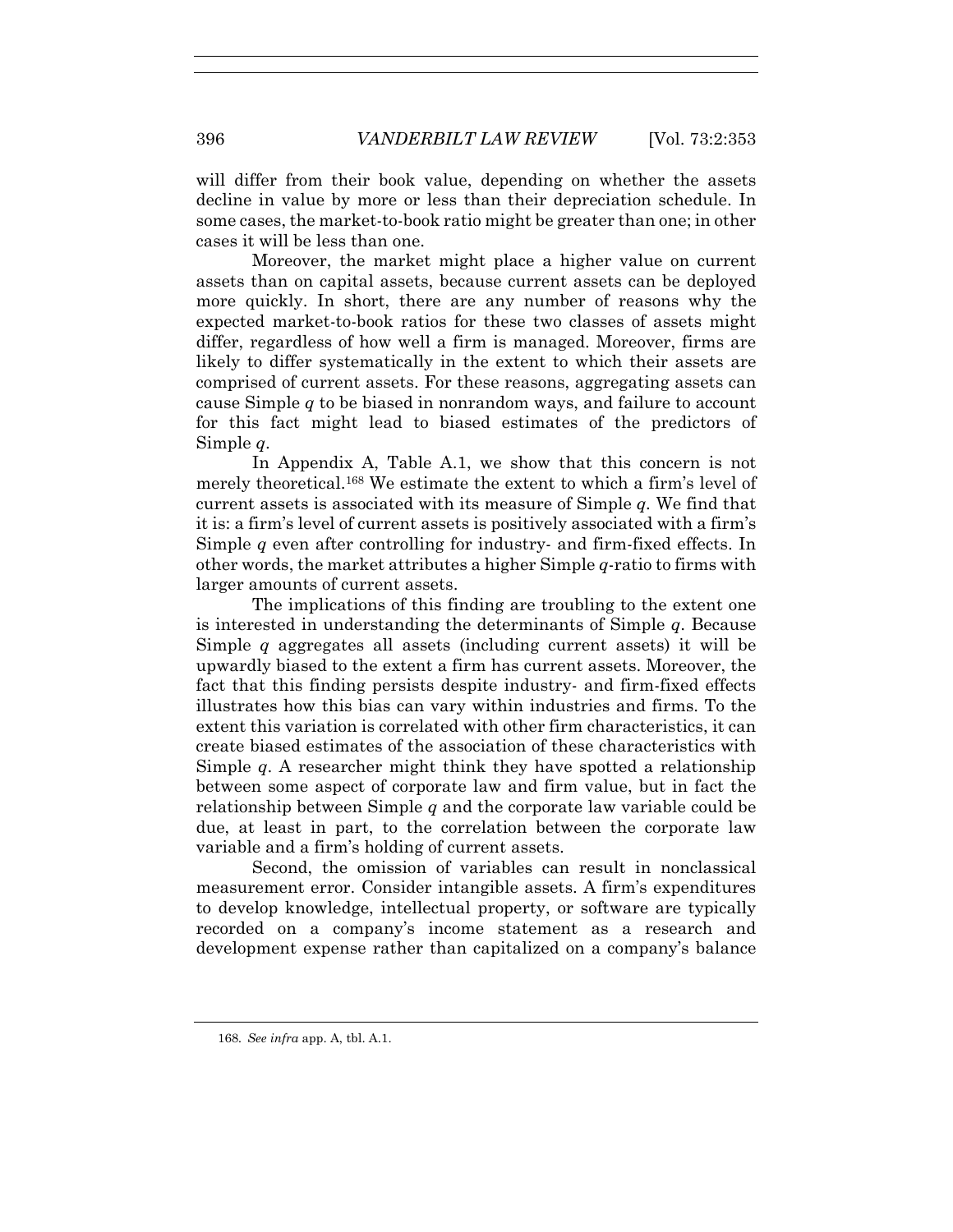will differ from their book value, depending on whether the assets decline in value by more or less than their depreciation schedule. In some cases, the market-to-book ratio might be greater than one; in other cases it will be less than one.

Moreover, the market might place a higher value on current assets than on capital assets, because current assets can be deployed more quickly. In short, there are any number of reasons why the expected market-to-book ratios for these two classes of assets might differ, regardless of how well a firm is managed. Moreover, firms are likely to differ systematically in the extent to which their assets are comprised of current assets. For these reasons, aggregating assets can cause Simple *q* to be biased in nonrandom ways, and failure to account for this fact might lead to biased estimates of the predictors of Simple *q*.

In Appendix A, Table A.1, we show that this concern is not merely theoretical.168 We estimate the extent to which a firm's level of current assets is associated with its measure of Simple *q.* We find that it is: a firm's level of current assets is positively associated with a firm's Simple *q* even after controlling for industry- and firm-fixed effects. In other words, the market attributes a higher Simple *q*-ratio to firms with larger amounts of current assets.

The implications of this finding are troubling to the extent one is interested in understanding the determinants of Simple *q*. Because Simple *q* aggregates all assets (including current assets) it will be upwardly biased to the extent a firm has current assets. Moreover, the fact that this finding persists despite industry- and firm-fixed effects illustrates how this bias can vary within industries and firms. To the extent this variation is correlated with other firm characteristics, it can create biased estimates of the association of these characteristics with Simple *q*. A researcher might think they have spotted a relationship between some aspect of corporate law and firm value, but in fact the relationship between Simple *q* and the corporate law variable could be due, at least in part, to the correlation between the corporate law variable and a firm's holding of current assets.

Second, the omission of variables can result in nonclassical measurement error. Consider intangible assets. A firm's expenditures to develop knowledge, intellectual property, or software are typically recorded on a company's income statement as a research and development expense rather than capitalized on a company's balance

<sup>168</sup>*. See infra* app. A, tbl. A.1.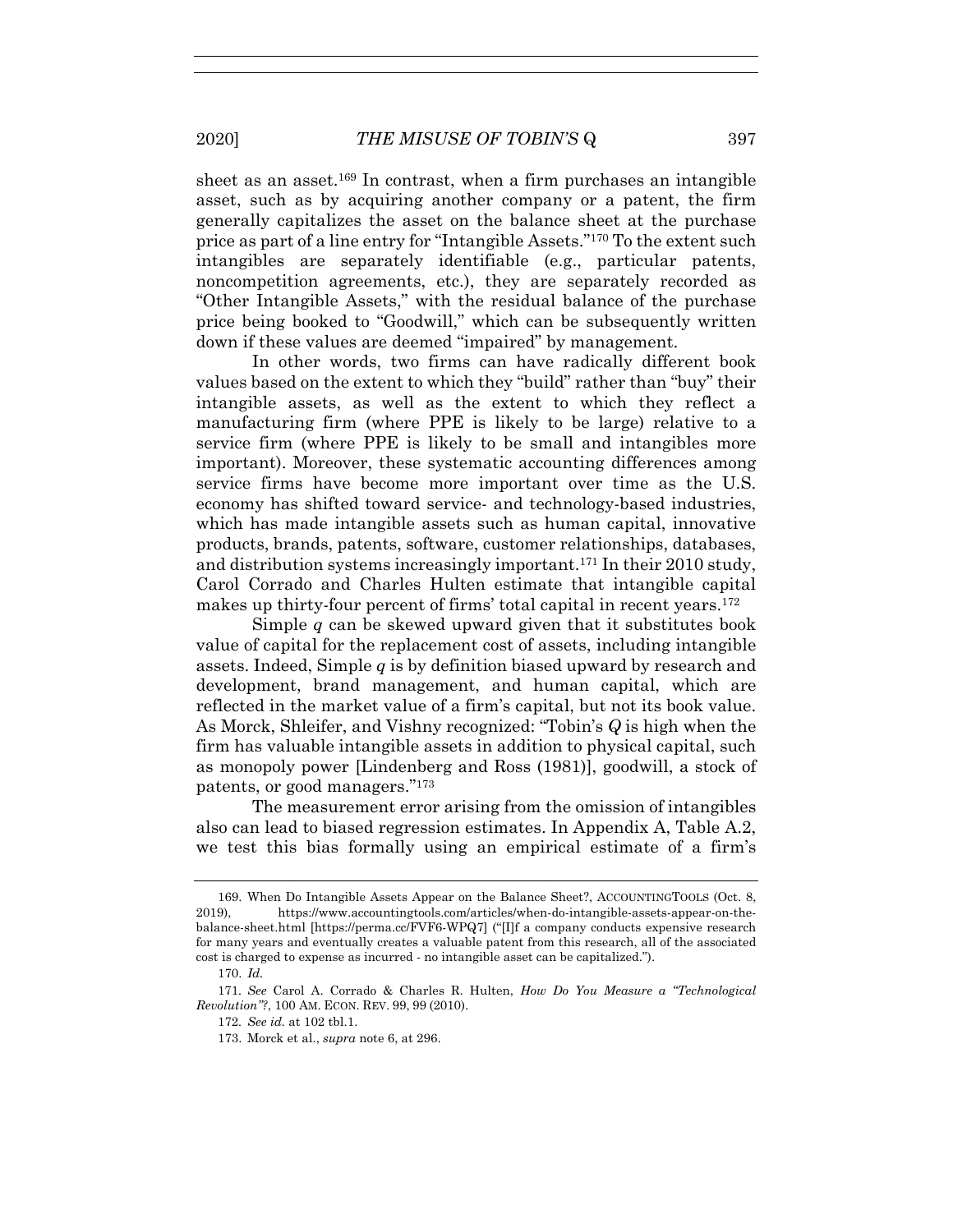sheet as an asset.<sup>169</sup> In contrast, when a firm purchases an intangible asset, such as by acquiring another company or a patent, the firm generally capitalizes the asset on the balance sheet at the purchase price as part of a line entry for "Intangible Assets."170 To the extent such intangibles are separately identifiable (e.g., particular patents, noncompetition agreements, etc.), they are separately recorded as "Other Intangible Assets," with the residual balance of the purchase price being booked to "Goodwill," which can be subsequently written down if these values are deemed "impaired" by management.

In other words, two firms can have radically different book values based on the extent to which they "build" rather than "buy" their intangible assets, as well as the extent to which they reflect a manufacturing firm (where PPE is likely to be large) relative to a service firm (where PPE is likely to be small and intangibles more important). Moreover, these systematic accounting differences among service firms have become more important over time as the U.S. economy has shifted toward service- and technology-based industries, which has made intangible assets such as human capital, innovative products, brands, patents, software, customer relationships, databases, and distribution systems increasingly important.171 In their 2010 study, Carol Corrado and Charles Hulten estimate that intangible capital makes up thirty-four percent of firms' total capital in recent years.172

Simple *q* can be skewed upward given that it substitutes book value of capital for the replacement cost of assets, including intangible assets. Indeed, Simple *q* is by definition biased upward by research and development, brand management, and human capital, which are reflected in the market value of a firm's capital, but not its book value. As Morck, Shleifer, and Vishny recognized: "Tobin's *Q* is high when the firm has valuable intangible assets in addition to physical capital, such as monopoly power [Lindenberg and Ross (1981)], goodwill, a stock of patents, or good managers."173

The measurement error arising from the omission of intangibles also can lead to biased regression estimates. In Appendix A, Table A.2, we test this bias formally using an empirical estimate of a firm's

 <sup>169.</sup> When Do Intangible Assets Appear on the Balance Sheet?, ACCOUNTINGTOOLS (Oct. 8, 2019), https://www.accountingtools.com/articles/when-do-intangible-assets-appear-on-thebalance-sheet.html [https://perma.cc/FVF6-WPQ7] ("[I]f a company conducts expensive research for many years and eventually creates a valuable patent from this research, all of the associated cost is charged to expense as incurred - no intangible asset can be capitalized.").

 <sup>170.</sup> *Id.*

<sup>171</sup>*. See* Carol A. Corrado & Charles R. Hulten, *How Do You Measure a "Technological Revolution"?*, 100 AM. ECON. REV. 99, 99 (2010).

<sup>172</sup>*. See id.* at 102 tbl.1.

 <sup>173.</sup> Morck et al., *supra* note 6, at 296.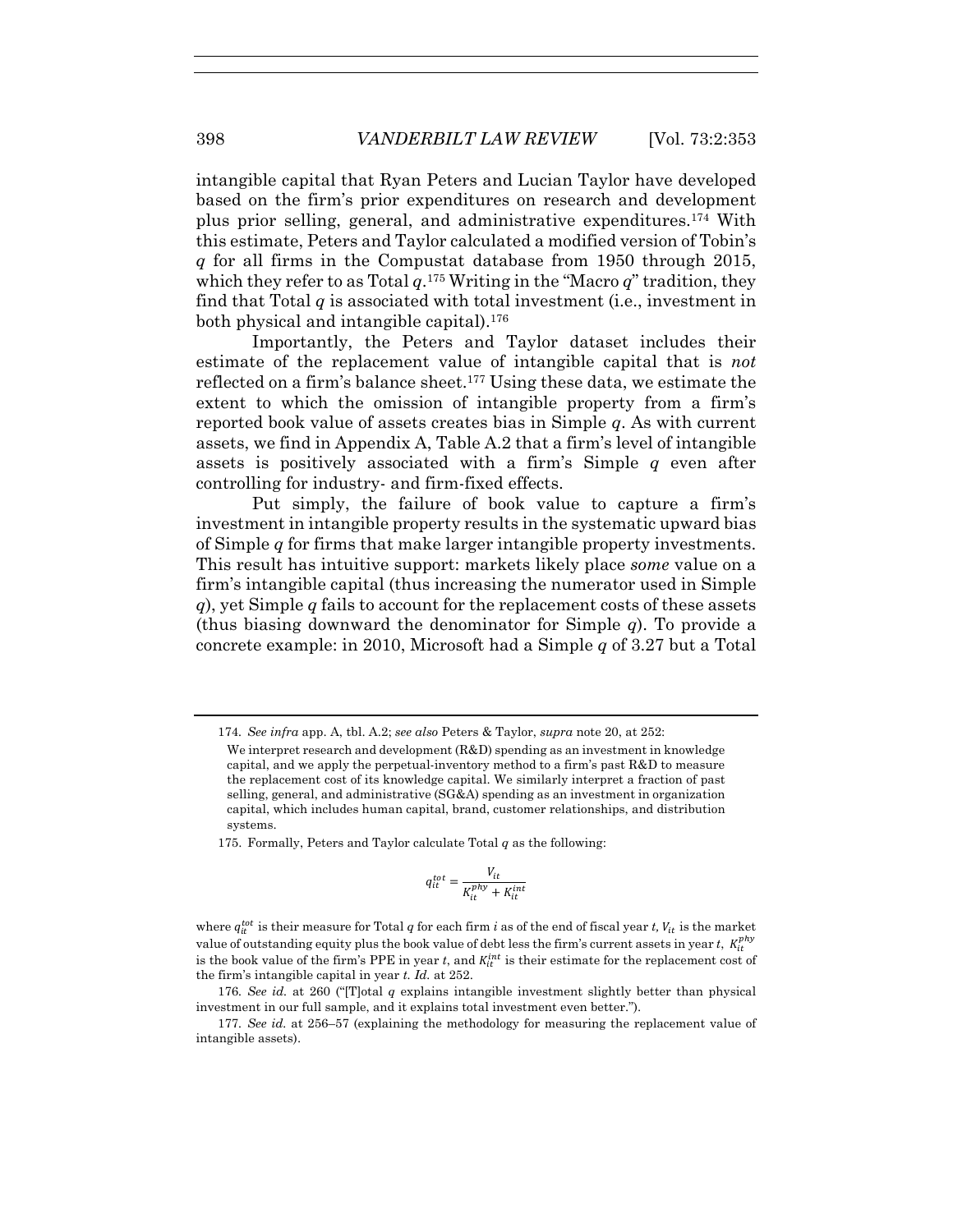intangible capital that Ryan Peters and Lucian Taylor have developed based on the firm's prior expenditures on research and development plus prior selling, general, and administrative expenditures.174 With this estimate, Peters and Taylor calculated a modified version of Tobin's *q* for all firms in the Compustat database from 1950 through 2015, which they refer to as Total  $q^{175}$  Writing in the "Macro  $q$ " tradition, they find that Total *q* is associated with total investment (i.e., investment in both physical and intangible capital).176

Importantly, the Peters and Taylor dataset includes their estimate of the replacement value of intangible capital that is *not*  reflected on a firm's balance sheet.177 Using these data, we estimate the extent to which the omission of intangible property from a firm's reported book value of assets creates bias in Simple *q*. As with current assets, we find in Appendix A, Table A.2 that a firm's level of intangible assets is positively associated with a firm's Simple *q* even after controlling for industry- and firm-fixed effects.

Put simply, the failure of book value to capture a firm's investment in intangible property results in the systematic upward bias of Simple *q* for firms that make larger intangible property investments. This result has intuitive support: markets likely place *some* value on a firm's intangible capital (thus increasing the numerator used in Simple *q*), yet Simple *q* fails to account for the replacement costs of these assets (thus biasing downward the denominator for Simple *q*). To provide a concrete example: in 2010, Microsoft had a Simple *q* of 3.27 but a Total

175. Formally, Peters and Taylor calculate Total *q* as the following:

$$
q_{it}^{tot} = \frac{V_{it}}{K_{it}^{phy} + K_{it}^{int}}
$$

where  $q_{it}^{tot}$  is their measure for Total  $q$  for each firm  $i$  as of the end of fiscal year  $t$ ,  $V_{it}$  is the market value of outstanding equity plus the book value of debt less the firm's current assets in year  $t,~K^{phy}_{tt}$ is the book value of the firm's PPE in year  $t$ , and  $K_{it}^{int}$  is their estimate for the replacement cost of the firm's intangible capital in year *t. Id.* at 252.

176*. See id.* at 260 ("[T]otal *q* explains intangible investment slightly better than physical investment in our full sample, and it explains total investment even better.").

177*. See id.* at 256–57 (explaining the methodology for measuring the replacement value of intangible assets).

<sup>174</sup>*. See infra* app. A, tbl. A.2; *see also* Peters & Taylor, *supra* note 20, at 252:

We interpret research and development  $(R&D)$  spending as an investment in knowledge capital, and we apply the perpetual-inventory method to a firm's past R&D to measure the replacement cost of its knowledge capital. We similarly interpret a fraction of past selling, general, and administrative (SG&A) spending as an investment in organization capital, which includes human capital, brand, customer relationships, and distribution systems.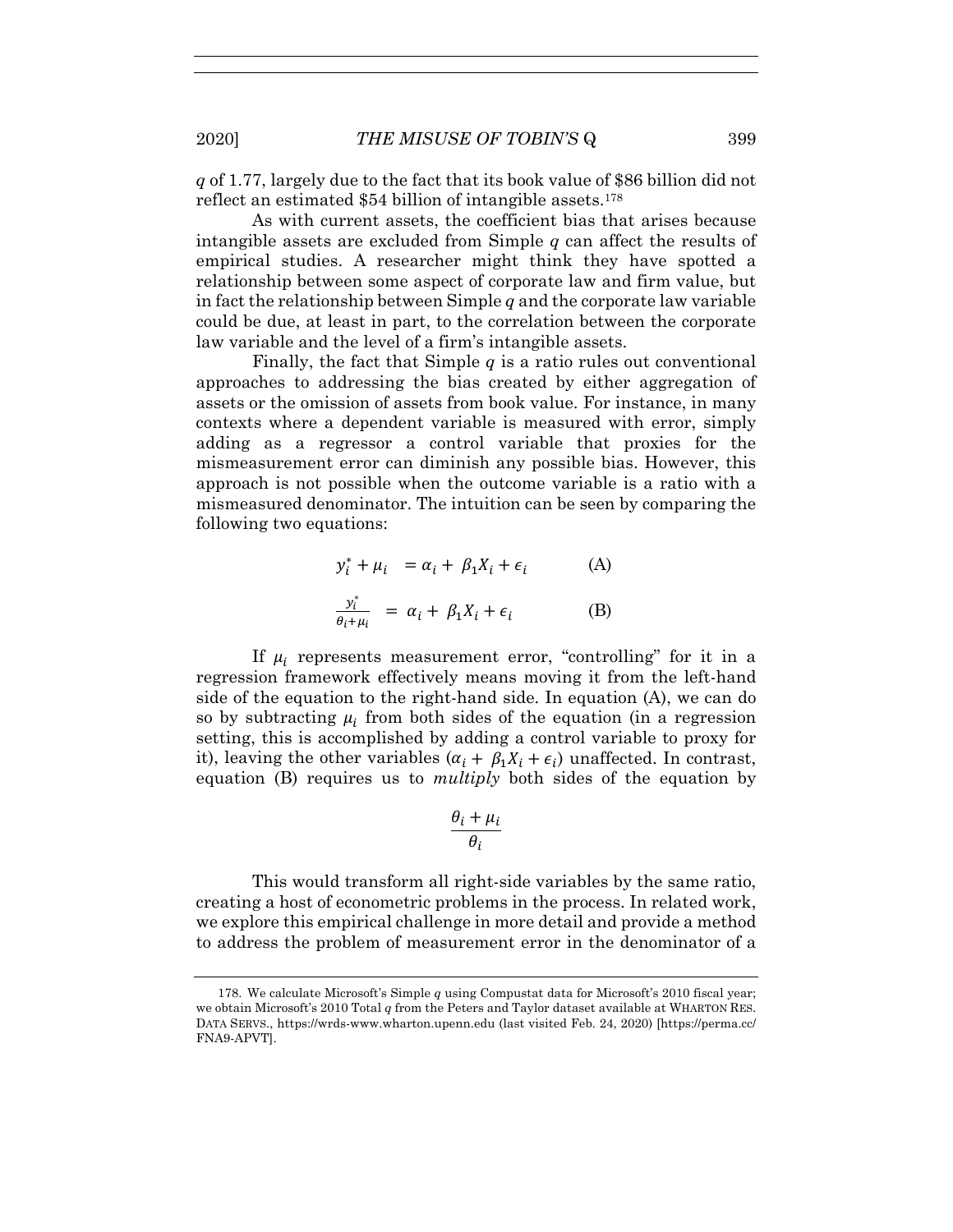*q* of 1.77, largely due to the fact that its book value of \$86 billion did not reflect an estimated \$54 billion of intangible assets.178

As with current assets, the coefficient bias that arises because intangible assets are excluded from Simple *q* can affect the results of empirical studies. A researcher might think they have spotted a relationship between some aspect of corporate law and firm value, but in fact the relationship between Simple *q* and the corporate law variable could be due, at least in part, to the correlation between the corporate law variable and the level of a firm's intangible assets.

Finally, the fact that Simple *q* is a ratio rules out conventional approaches to addressing the bias created by either aggregation of assets or the omission of assets from book value. For instance, in many contexts where a dependent variable is measured with error, simply adding as a regressor a control variable that proxies for the mismeasurement error can diminish any possible bias. However, this approach is not possible when the outcome variable is a ratio with a mismeasured denominator. The intuition can be seen by comparing the following two equations:

$$
y_i^* + \mu_i = \alpha_i + \beta_1 X_i + \epsilon_i \tag{A}
$$

$$
\frac{y_i^*}{\theta_i + \mu_i} = \alpha_i + \beta_1 X_i + \epsilon_i
$$
 (B)

If  $\mu_i$  represents measurement error, "controlling" for it in a regression framework effectively means moving it from the left-hand side of the equation to the right-hand side. In equation (A), we can do so by subtracting  $\mu_i$  from both sides of the equation (in a regression setting, this is accomplished by adding a control variable to proxy for it), leaving the other variables  $(\alpha_i + \beta_1 X_i + \epsilon_i)$  unaffected. In contrast, equation (B) requires us to *multiply* both sides of the equation by

$$
\frac{\theta_i + \mu_i}{\theta_i}
$$

This would transform all right-side variables by the same ratio, creating a host of econometric problems in the process. In related work, we explore this empirical challenge in more detail and provide a method to address the problem of measurement error in the denominator of a

 <sup>178.</sup> We calculate Microsoft's Simple *q* using Compustat data for Microsoft's 2010 fiscal year; we obtain Microsoft's 2010 Total *q* from the Peters and Taylor dataset available at WHARTON RES. DATA SERVS., https://wrds-www.wharton.upenn.edu (last visited Feb. 24, 2020) [https://perma.cc/ FNA9-APVT].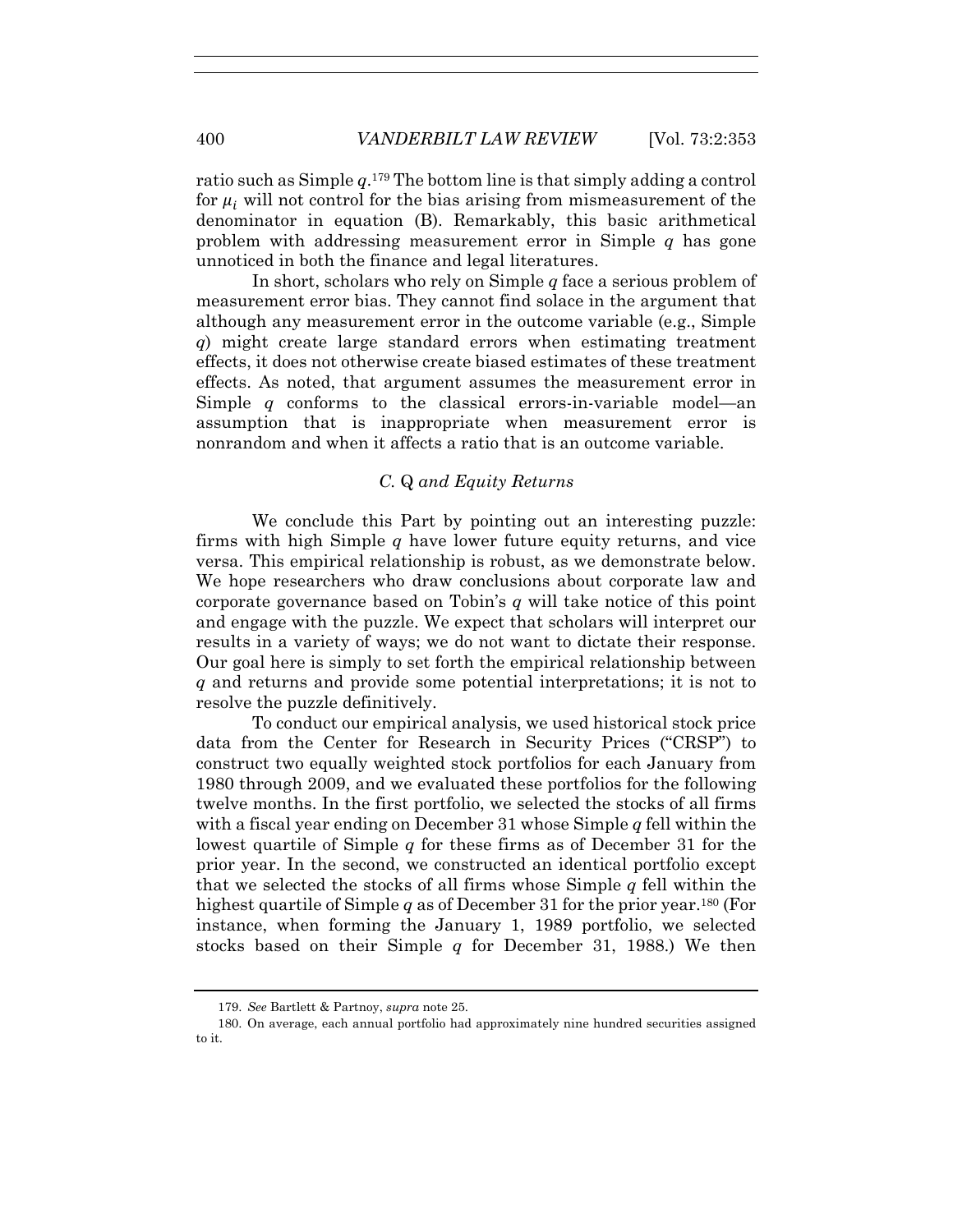ratio such as Simple *q*.179 The bottom line is that simply adding a control for  $\mu_i$  will not control for the bias arising from mismeasurement of the denominator in equation (B). Remarkably, this basic arithmetical problem with addressing measurement error in Simple *q* has gone unnoticed in both the finance and legal literatures.

In short, scholars who rely on Simple *q* face a serious problem of measurement error bias. They cannot find solace in the argument that although any measurement error in the outcome variable (e.g., Simple *q*) might create large standard errors when estimating treatment effects, it does not otherwise create biased estimates of these treatment effects. As noted, that argument assumes the measurement error in Simple *q* conforms to the classical errors-in-variable model—an assumption that is inappropriate when measurement error is nonrandom and when it affects a ratio that is an outcome variable.

#### *C.* Q *and Equity Returns*

We conclude this Part by pointing out an interesting puzzle: firms with high Simple *q* have lower future equity returns, and vice versa. This empirical relationship is robust, as we demonstrate below. We hope researchers who draw conclusions about corporate law and corporate governance based on Tobin's *q* will take notice of this point and engage with the puzzle. We expect that scholars will interpret our results in a variety of ways; we do not want to dictate their response. Our goal here is simply to set forth the empirical relationship between *q* and returns and provide some potential interpretations; it is not to resolve the puzzle definitively.

To conduct our empirical analysis, we used historical stock price data from the Center for Research in Security Prices ("CRSP") to construct two equally weighted stock portfolios for each January from 1980 through 2009, and we evaluated these portfolios for the following twelve months. In the first portfolio, we selected the stocks of all firms with a fiscal year ending on December 31 whose Simple *q* fell within the lowest quartile of Simple *q* for these firms as of December 31 for the prior year. In the second, we constructed an identical portfolio except that we selected the stocks of all firms whose Simple *q* fell within the highest quartile of Simple *q* as of December 31 for the prior year.<sup>180</sup> (For instance, when forming the January 1, 1989 portfolio, we selected stocks based on their Simple *q* for December 31, 1988.) We then

 <sup>179.</sup> *See* Bartlett & Partnoy, *supra* note 25.

 <sup>180.</sup> On average, each annual portfolio had approximately nine hundred securities assigned to it.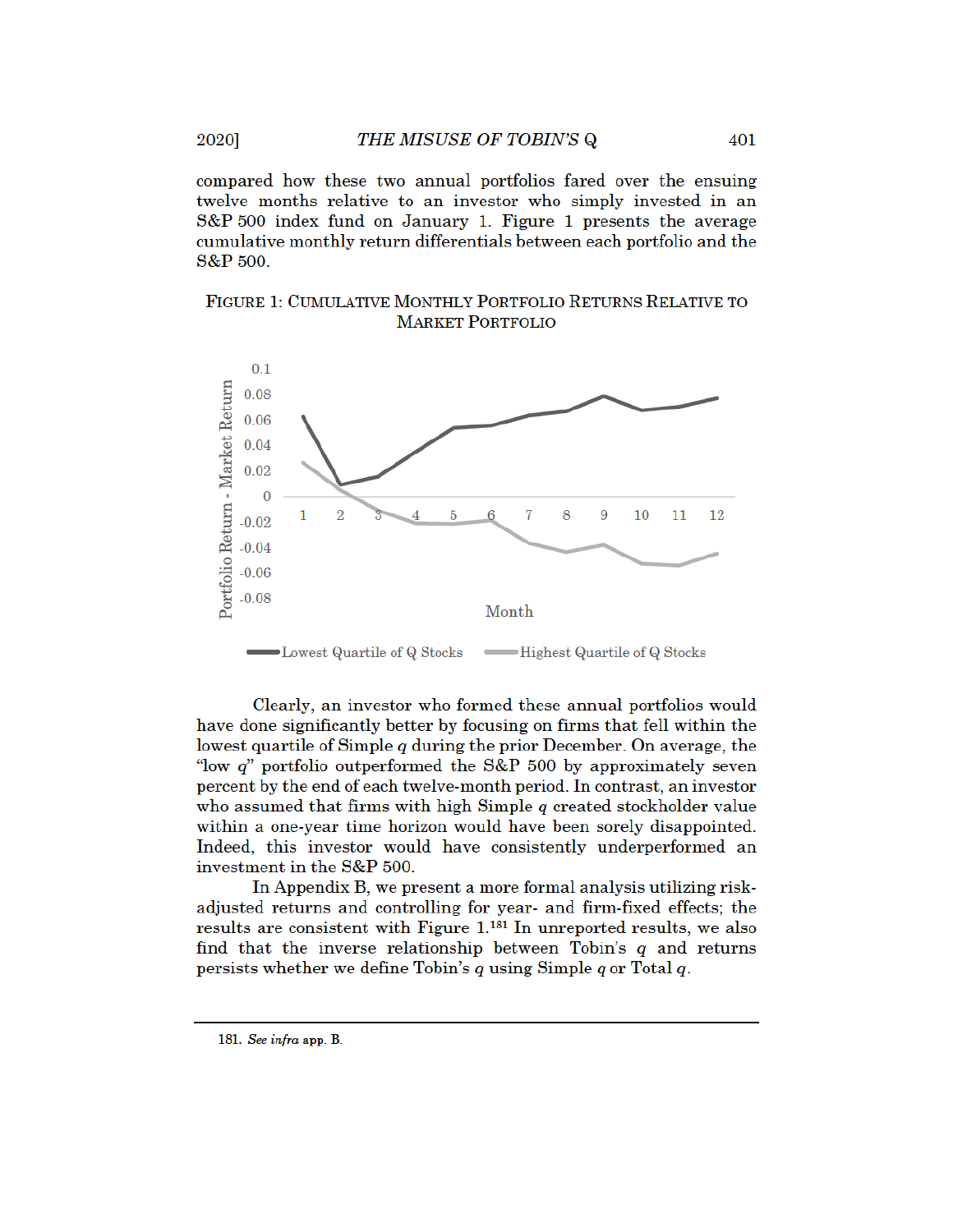2020]

compared how these two annual portfolios fared over the ensuing twelve months relative to an investor who simply invested in an S&P 500 index fund on January 1. Figure 1 presents the average cumulative monthly return differentials between each portfolio and the S&P 500.

## FIGURE 1: CUMULATIVE MONTHLY PORTFOLIO RETURNS RELATIVE TO **MARKET PORTFOLIO**



Clearly, an investor who formed these annual portfolios would have done significantly better by focusing on firms that fell within the lowest quartile of Simple  $q$  during the prior December. On average, the "low  $q$ " portfolio outperformed the S&P 500 by approximately seven percent by the end of each twelve-month period. In contrast, an investor who assumed that firms with high Simple  $q$  created stockholder value within a one-vear time horizon would have been sorely disappointed. Indeed, this investor would have consistently underperformed an investment in the S&P 500.

In Appendix B, we present a more formal analysis utilizing riskadjusted returns and controlling for year- and firm-fixed effects; the results are consistent with Figure 1.<sup>181</sup> In unreported results, we also find that the inverse relationship between Tobin's  $q$  and returns persists whether we define Tobin's q using Simple q or Total q.

181. See infra app. B.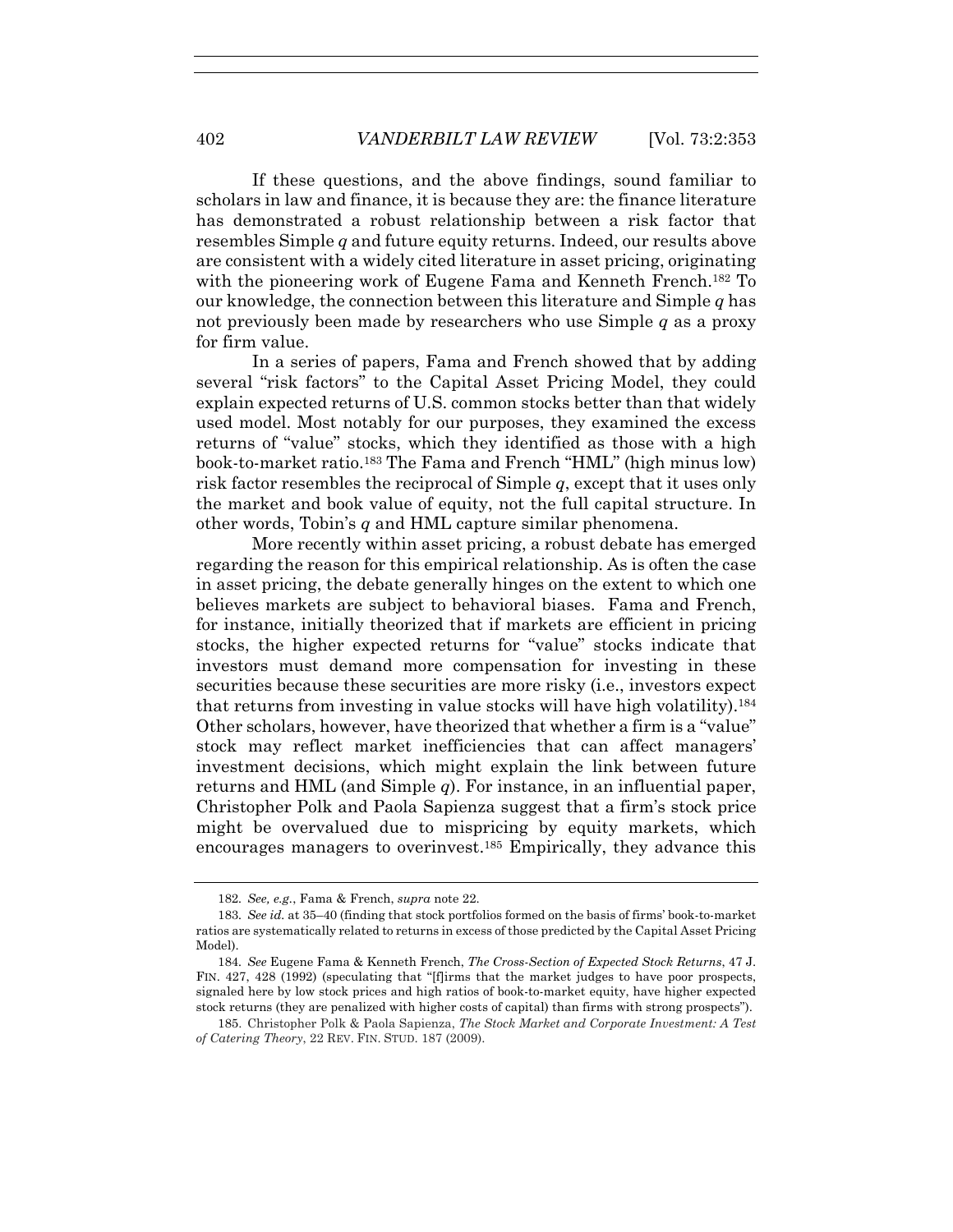If these questions, and the above findings, sound familiar to scholars in law and finance, it is because they are: the finance literature has demonstrated a robust relationship between a risk factor that resembles Simple *q* and future equity returns. Indeed, our results above are consistent with a widely cited literature in asset pricing, originating with the pioneering work of Eugene Fama and Kenneth French.<sup>182</sup> To our knowledge, the connection between this literature and Simple *q* has not previously been made by researchers who use Simple *q* as a proxy for firm value.

In a series of papers, Fama and French showed that by adding several "risk factors" to the Capital Asset Pricing Model, they could explain expected returns of U.S. common stocks better than that widely used model. Most notably for our purposes, they examined the excess returns of "value" stocks, which they identified as those with a high book-to-market ratio.183 The Fama and French "HML" (high minus low) risk factor resembles the reciprocal of Simple *q*, except that it uses only the market and book value of equity, not the full capital structure. In other words, Tobin's *q* and HML capture similar phenomena.

More recently within asset pricing, a robust debate has emerged regarding the reason for this empirical relationship. As is often the case in asset pricing, the debate generally hinges on the extent to which one believes markets are subject to behavioral biases. Fama and French, for instance, initially theorized that if markets are efficient in pricing stocks, the higher expected returns for "value" stocks indicate that investors must demand more compensation for investing in these securities because these securities are more risky (i.e., investors expect that returns from investing in value stocks will have high volatility).184 Other scholars, however, have theorized that whether a firm is a "value" stock may reflect market inefficiencies that can affect managers' investment decisions, which might explain the link between future returns and HML (and Simple *q*). For instance, in an influential paper, Christopher Polk and Paola Sapienza suggest that a firm's stock price might be overvalued due to mispricing by equity markets, which encourages managers to overinvest.<sup>185</sup> Empirically, they advance this

<sup>182</sup>*. See, e.g.*, Fama & French, *supra* note 22.

<sup>183</sup>*. See id.* at 35–40 (finding that stock portfolios formed on the basis of firms' book-to-market ratios are systematically related to returns in excess of those predicted by the Capital Asset Pricing Model).

<sup>184</sup>*. See* Eugene Fama & Kenneth French, *The Cross-Section of Expected Stock Returns*, 47 J. FIN. 427, 428 (1992) (speculating that "[f]irms that the market judges to have poor prospects, signaled here by low stock prices and high ratios of book-to-market equity, have higher expected stock returns (they are penalized with higher costs of capital) than firms with strong prospects").

<sup>185.</sup> Christopher Polk & Paola Sapienza, *The Stock Market and Corporate Investment: A Test of Catering Theory*, 22 REV. FIN. STUD. 187 (2009).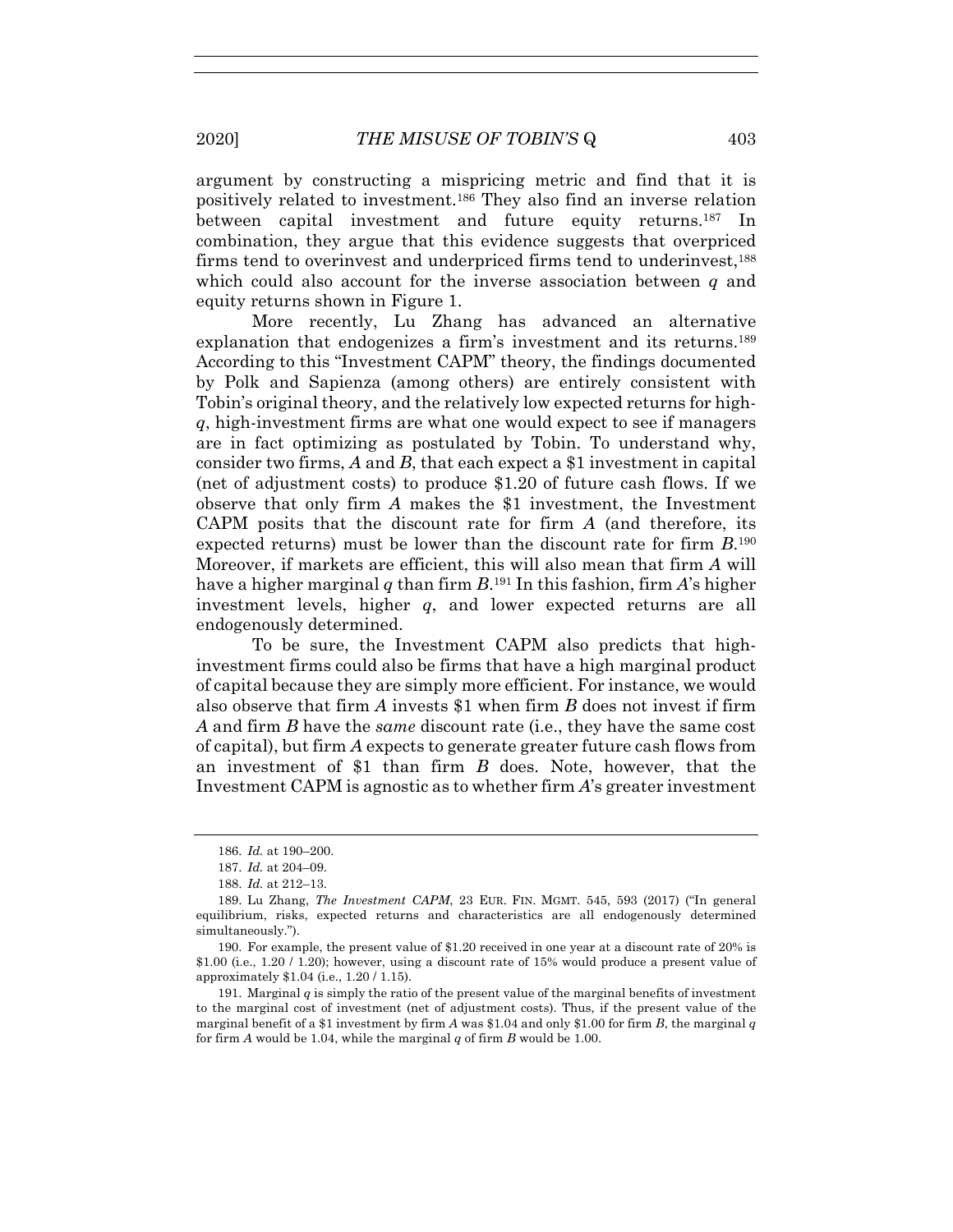argument by constructing a mispricing metric and find that it is positively related to investment.186 They also find an inverse relation between capital investment and future equity returns.187 In combination, they argue that this evidence suggests that overpriced firms tend to overinvest and underpriced firms tend to underinvest,<sup>188</sup> which could also account for the inverse association between *q* and equity returns shown in Figure 1.

More recently, Lu Zhang has advanced an alternative explanation that endogenizes a firm's investment and its returns.189 According to this "Investment CAPM" theory, the findings documented by Polk and Sapienza (among others) are entirely consistent with Tobin's original theory, and the relatively low expected returns for high*q*, high-investment firms are what one would expect to see if managers are in fact optimizing as postulated by Tobin. To understand why, consider two firms, *A* and *B*, that each expect a \$1 investment in capital (net of adjustment costs) to produce \$1.20 of future cash flows. If we observe that only firm *A* makes the \$1 investment, the Investment CAPM posits that the discount rate for firm *A* (and therefore, its expected returns) must be lower than the discount rate for firm *B*.190 Moreover, if markets are efficient, this will also mean that firm *A* will have a higher marginal *q* than firm *B*.191 In this fashion, firm *A*'s higher investment levels, higher *q*, and lower expected returns are all endogenously determined.

To be sure, the Investment CAPM also predicts that highinvestment firms could also be firms that have a high marginal product of capital because they are simply more efficient. For instance, we would also observe that firm *A* invests \$1 when firm *B* does not invest if firm *A* and firm *B* have the *same* discount rate (i.e., they have the same cost of capital), but firm *A* expects to generate greater future cash flows from an investment of \$1 than firm *B* does. Note, however, that the Investment CAPM is agnostic as to whether firm *A*'s greater investment

 <sup>186.</sup> *Id.* at 190–200.

 <sup>187.</sup> *Id.* at 204–09.

 <sup>188.</sup> *Id.* at 212–13.

 <sup>189.</sup> Lu Zhang, *The Investment CAPM*, 23 EUR. FIN. MGMT. 545, 593 (2017) ("In general equilibrium, risks, expected returns and characteristics are all endogenously determined simultaneously.").

 <sup>190.</sup> For example, the present value of \$1.20 received in one year at a discount rate of 20% is \$1.00 (i.e., 1.20 / 1.20); however, using a discount rate of 15% would produce a present value of approximately \$1.04 (i.e., 1.20 / 1.15).

<sup>191.</sup> Marginal  $q$  is simply the ratio of the present value of the marginal benefits of investment to the marginal cost of investment (net of adjustment costs). Thus, if the present value of the marginal benefit of a \$1 investment by firm *A* was \$1.04 and only \$1.00 for firm *B*, the marginal *q*  for firm *A* would be 1.04, while the marginal *q* of firm *B* would be 1.00.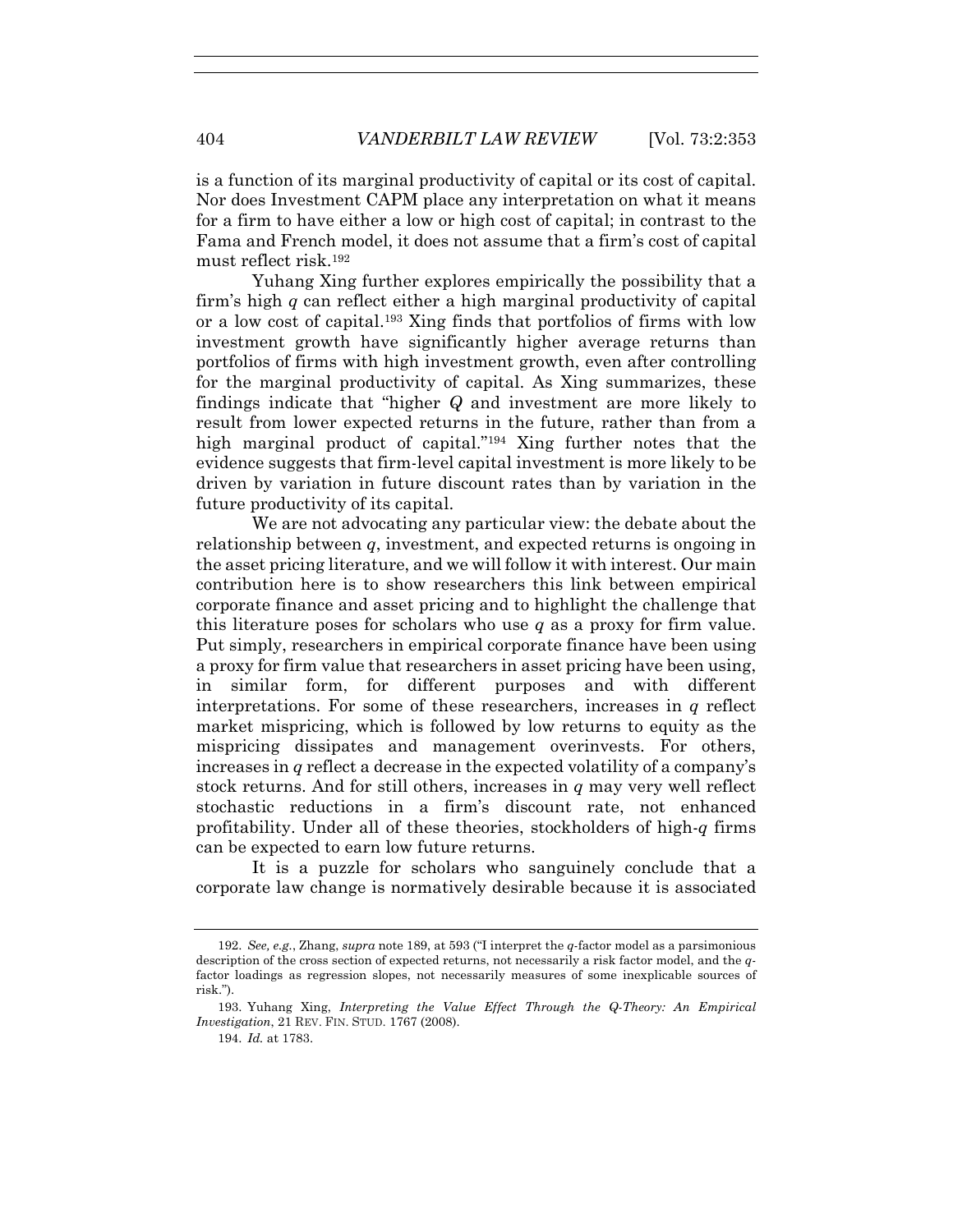is a function of its marginal productivity of capital or its cost of capital. Nor does Investment CAPM place any interpretation on what it means for a firm to have either a low or high cost of capital; in contrast to the Fama and French model, it does not assume that a firm's cost of capital must reflect risk.192

Yuhang Xing further explores empirically the possibility that a firm's high *q* can reflect either a high marginal productivity of capital or a low cost of capital.193 Xing finds that portfolios of firms with low investment growth have significantly higher average returns than portfolios of firms with high investment growth, even after controlling for the marginal productivity of capital. As Xing summarizes, these findings indicate that "higher *Q* and investment are more likely to result from lower expected returns in the future, rather than from a high marginal product of capital."194 Xing further notes that the evidence suggests that firm-level capital investment is more likely to be driven by variation in future discount rates than by variation in the future productivity of its capital.

We are not advocating any particular view: the debate about the relationship between *q*, investment, and expected returns is ongoing in the asset pricing literature, and we will follow it with interest. Our main contribution here is to show researchers this link between empirical corporate finance and asset pricing and to highlight the challenge that this literature poses for scholars who use *q* as a proxy for firm value. Put simply, researchers in empirical corporate finance have been using a proxy for firm value that researchers in asset pricing have been using, in similar form, for different purposes and with different interpretations. For some of these researchers, increases in *q* reflect market mispricing, which is followed by low returns to equity as the mispricing dissipates and management overinvests. For others, increases in *q* reflect a decrease in the expected volatility of a company's stock returns. And for still others, increases in *q* may very well reflect stochastic reductions in a firm's discount rate, not enhanced profitability. Under all of these theories, stockholders of high-*q* firms can be expected to earn low future returns.

It is a puzzle for scholars who sanguinely conclude that a corporate law change is normatively desirable because it is associated

 <sup>192.</sup> *See, e.g.*, Zhang, *supra* note 189, at 593 ("I interpret the *q*-factor model as a parsimonious description of the cross section of expected returns, not necessarily a risk factor model, and the *q*factor loadings as regression slopes, not necessarily measures of some inexplicable sources of risk.").

 <sup>193.</sup> Yuhang Xing, *Interpreting the Value Effect Through the Q-Theory: An Empirical Investigation*, 21 REV. FIN. STUD. 1767 (2008).

 <sup>194.</sup> *Id.* at 1783.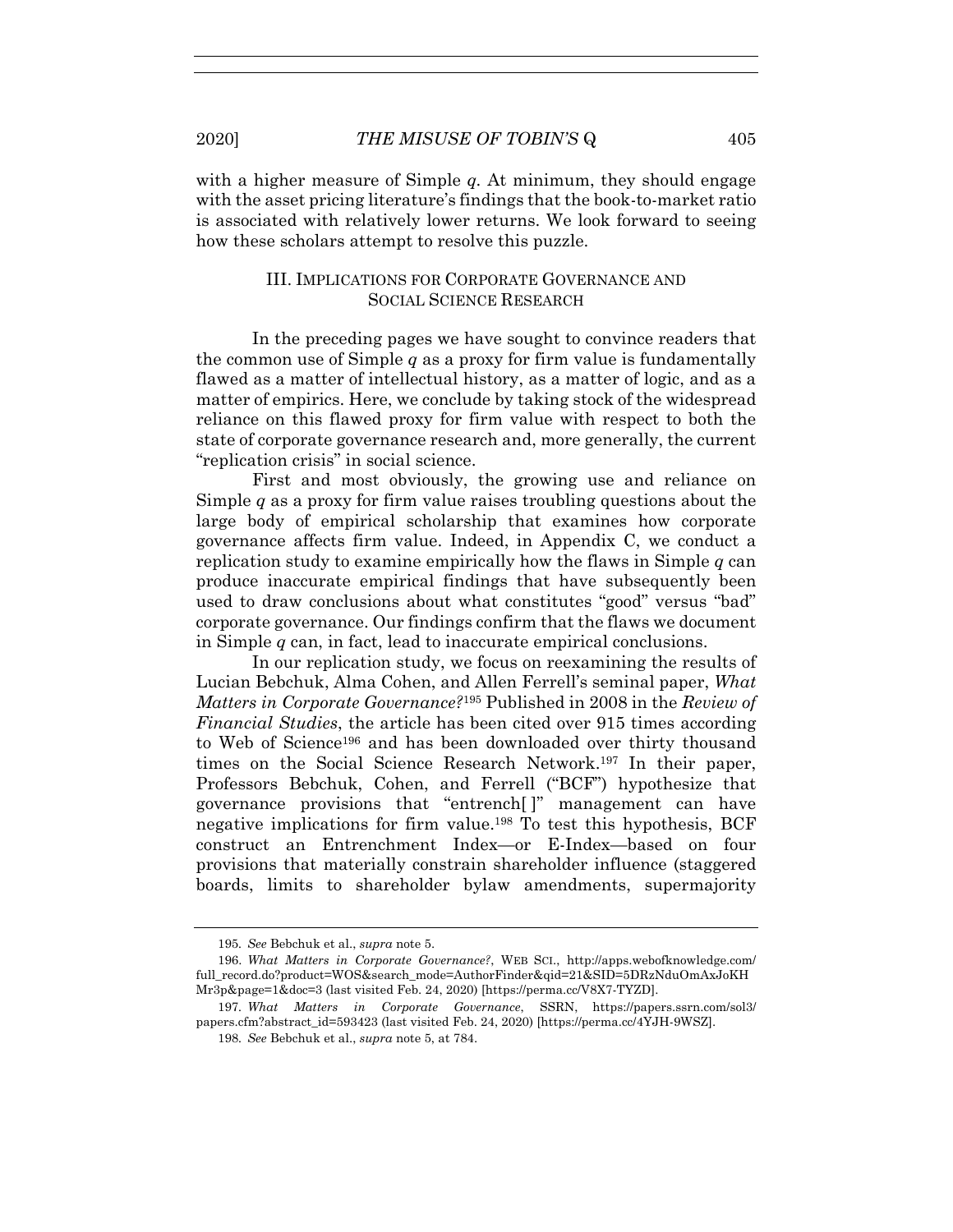with a higher measure of Simple *q.* At minimum, they should engage with the asset pricing literature's findings that the book-to-market ratio is associated with relatively lower returns. We look forward to seeing how these scholars attempt to resolve this puzzle.

### III. IMPLICATIONS FOR CORPORATE GOVERNANCE AND SOCIAL SCIENCE RESEARCH

In the preceding pages we have sought to convince readers that the common use of Simple  $q$  as a proxy for firm value is fundamentally flawed as a matter of intellectual history, as a matter of logic, and as a matter of empirics. Here, we conclude by taking stock of the widespread reliance on this flawed proxy for firm value with respect to both the state of corporate governance research and, more generally, the current "replication crisis" in social science.

First and most obviously, the growing use and reliance on Simple *q* as a proxy for firm value raises troubling questions about the large body of empirical scholarship that examines how corporate governance affects firm value. Indeed, in Appendix C, we conduct a replication study to examine empirically how the flaws in Simple *q* can produce inaccurate empirical findings that have subsequently been used to draw conclusions about what constitutes "good" versus "bad" corporate governance. Our findings confirm that the flaws we document in Simple *q* can, in fact, lead to inaccurate empirical conclusions.

In our replication study, we focus on reexamining the results of Lucian Bebchuk, Alma Cohen, and Allen Ferrell's seminal paper, *What Matters in Corporate Governance?*195 Published in 2008 in the *Review of Financial Studies*, the article has been cited over 915 times according to Web of Science196 and has been downloaded over thirty thousand times on the Social Science Research Network.197 In their paper, Professors Bebchuk, Cohen, and Ferrell ("BCF") hypothesize that governance provisions that "entrench[ ]" management can have negative implications for firm value.198 To test this hypothesis, BCF construct an Entrenchment Index—or E-Index—based on four provisions that materially constrain shareholder influence (staggered boards, limits to shareholder bylaw amendments, supermajority

<sup>195</sup>*. See* Bebchuk et al., *supra* note 5.

 <sup>196.</sup> *What Matters in Corporate Governance?*, WEB SCI., http://apps.webofknowledge.com/ full\_record.do?product=WOS&search\_mode=AuthorFinder&qid=21&SID=5DRzNduOmAxJoKH Mr3p&page=1&doc=3 (last visited Feb. 24, 2020) [https://perma.cc/V8X7-TYZD].

<sup>197</sup>*. What Matters in Corporate Governance*, SSRN, https://papers.ssrn.com/sol3/ papers.cfm?abstract\_id=593423 (last visited Feb. 24, 2020) [https://perma.cc/4YJH-9WSZ].

<sup>198</sup>*. See* Bebchuk et al., *supra* note 5, at 784.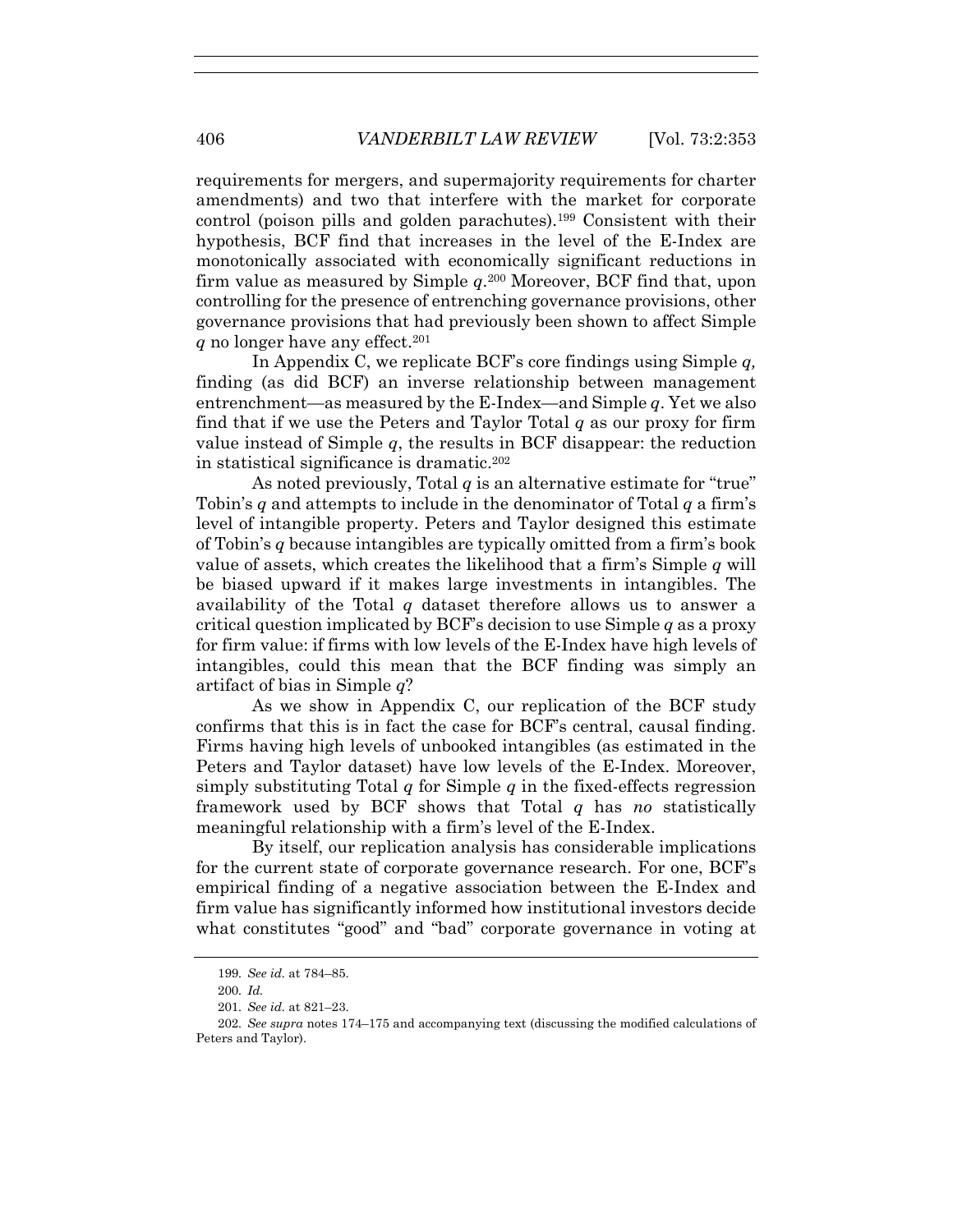requirements for mergers, and supermajority requirements for charter amendments) and two that interfere with the market for corporate control (poison pills and golden parachutes).199 Consistent with their hypothesis, BCF find that increases in the level of the E-Index are monotonically associated with economically significant reductions in firm value as measured by Simple *q*.200 Moreover, BCF find that, upon controlling for the presence of entrenching governance provisions, other governance provisions that had previously been shown to affect Simple *q* no longer have any effect.201

In Appendix C, we replicate BCF's core findings using Simple *q,*  finding (as did BCF) an inverse relationship between management entrenchment—as measured by the E-Index—and Simple *q*. Yet we also find that if we use the Peters and Taylor Total *q* as our proxy for firm value instead of Simple *q*, the results in BCF disappear: the reduction in statistical significance is dramatic.202

As noted previously, Total  $q$  is an alternative estimate for "true" Tobin's *q* and attempts to include in the denominator of Total *q* a firm's level of intangible property. Peters and Taylor designed this estimate of Tobin's *q* because intangibles are typically omitted from a firm's book value of assets, which creates the likelihood that a firm's Simple *q* will be biased upward if it makes large investments in intangibles. The availability of the Total *q* dataset therefore allows us to answer a critical question implicated by BCF's decision to use Simple *q* as a proxy for firm value: if firms with low levels of the E-Index have high levels of intangibles, could this mean that the BCF finding was simply an artifact of bias in Simple *q*?

As we show in Appendix C, our replication of the BCF study confirms that this is in fact the case for BCF's central, causal finding. Firms having high levels of unbooked intangibles (as estimated in the Peters and Taylor dataset) have low levels of the E-Index. Moreover, simply substituting Total *q* for Simple *q* in the fixed-effects regression framework used by BCF shows that Total *q* has *no* statistically meaningful relationship with a firm's level of the E-Index.

By itself, our replication analysis has considerable implications for the current state of corporate governance research. For one, BCF's empirical finding of a negative association between the E-Index and firm value has significantly informed how institutional investors decide what constitutes "good" and "bad" corporate governance in voting at

<sup>199</sup>*. See id.* at 784–85.

<sup>200</sup>*. Id.* 

<sup>201</sup>*. See id.* at 821–23.

<sup>202</sup>*. See supra* notes 174–175 and accompanying text (discussing the modified calculations of Peters and Taylor).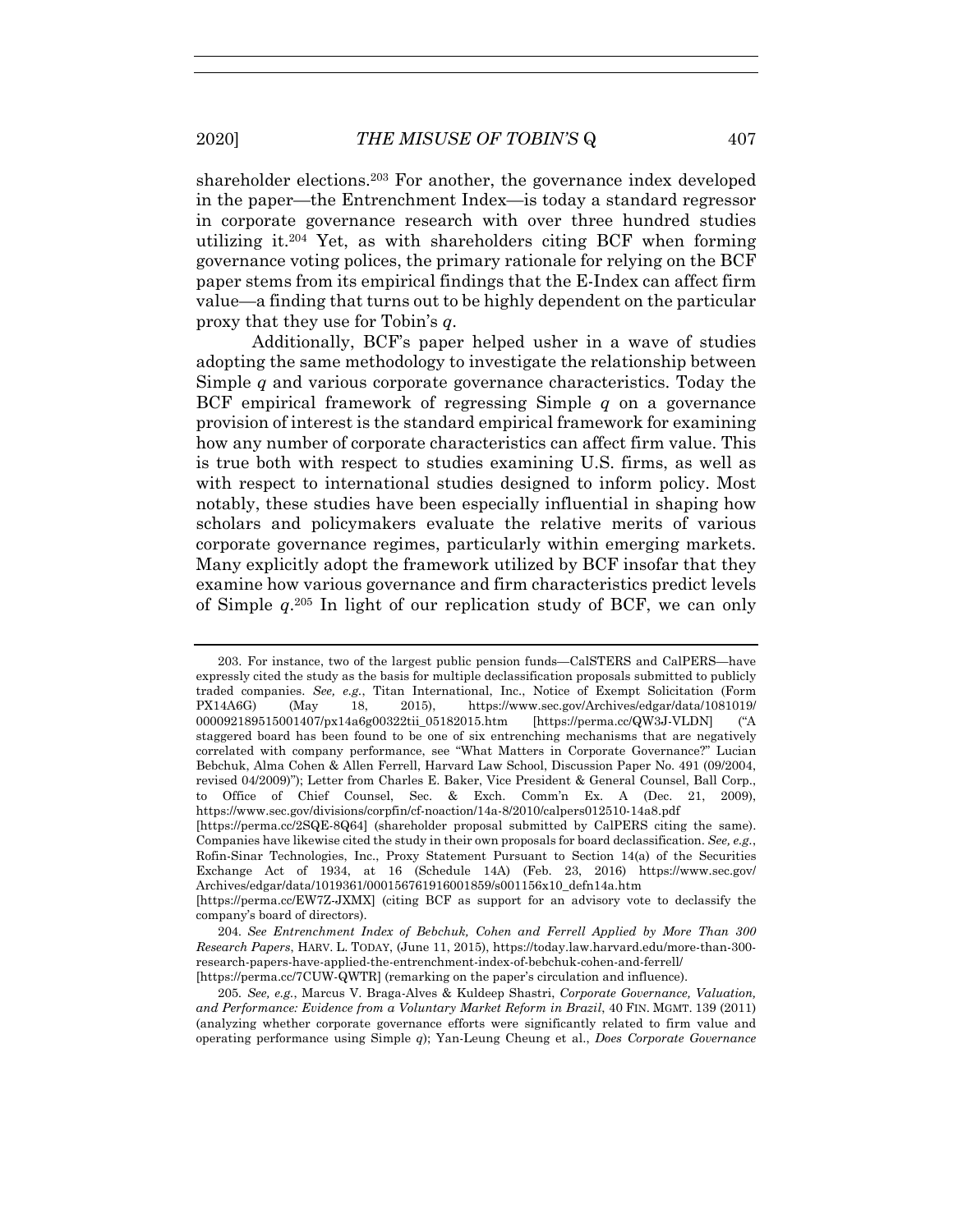shareholder elections.203 For another, the governance index developed in the paper—the Entrenchment Index—is today a standard regressor in corporate governance research with over three hundred studies utilizing it.<sup>204</sup> Yet, as with shareholders citing BCF when forming governance voting polices, the primary rationale for relying on the BCF paper stems from its empirical findings that the E-Index can affect firm value—a finding that turns out to be highly dependent on the particular proxy that they use for Tobin's *q*.

Additionally, BCF's paper helped usher in a wave of studies adopting the same methodology to investigate the relationship between Simple *q* and various corporate governance characteristics. Today the BCF empirical framework of regressing Simple *q* on a governance provision of interest is the standard empirical framework for examining how any number of corporate characteristics can affect firm value. This is true both with respect to studies examining U.S. firms, as well as with respect to international studies designed to inform policy. Most notably, these studies have been especially influential in shaping how scholars and policymakers evaluate the relative merits of various corporate governance regimes, particularly within emerging markets. Many explicitly adopt the framework utilized by BCF insofar that they examine how various governance and firm characteristics predict levels of Simple *q*.205 In light of our replication study of BCF, we can only

 <sup>203.</sup> For instance, two of the largest public pension funds—CalSTERS and CalPERS—have expressly cited the study as the basis for multiple declassification proposals submitted to publicly traded companies. *See, e.g.*, Titan International, Inc., Notice of Exempt Solicitation (Form PX14A6G) (May 18, 2015), https://www.sec.gov/Archives/edgar/data/1081019/ 000092189515001407/px14a6g00322tii\_05182015.htm [https://perma.cc/QW3J-VLDN] ("A staggered board has been found to be one of six entrenching mechanisms that are negatively correlated with company performance, see "What Matters in Corporate Governance?" Lucian Bebchuk, Alma Cohen & Allen Ferrell, Harvard Law School, Discussion Paper No. 491 (09/2004, revised 04/2009)"); Letter from Charles E. Baker, Vice President & General Counsel, Ball Corp., to Office of Chief Counsel, Sec. & Exch. Comm'n Ex. A (Dec. 21, 2009), https://www.sec.gov/divisions/corpfin/cf-noaction/14a-8/2010/calpers012510-14a8.pdf [https://perma.cc/2SQE-8Q64] (shareholder proposal submitted by CalPERS citing the same). Companies have likewise cited the study in their own proposals for board declassification. *See, e.g.*, Rofin-Sinar Technologies, Inc., Proxy Statement Pursuant to Section 14(a) of the Securities Exchange Act of 1934, at 16 (Schedule 14A) (Feb. 23, 2016) https://www.sec.gov/ Archives/edgar/data/1019361/000156761916001859/s001156x10\_defn14a.htm [https://perma.cc/EW7Z-JXMX] (citing BCF as support for an advisory vote to declassify the company's board of directors).

<sup>204</sup>*. See Entrenchment Index of Bebchuk, Cohen and Ferrell Applied by More Than 300 Research Papers*, HARV. L. TODAY, (June 11, 2015), https://today.law.harvard.edu/more-than-300 research-papers-have-applied-the-entrenchment-index-of-bebchuk-cohen-and-ferrell/ [https://perma.cc/7CUW-QWTR] (remarking on the paper's circulation and influence).

<sup>205</sup>*. See, e.g.*, Marcus V. Braga-Alves & Kuldeep Shastri, *Corporate Governance, Valuation, and Performance: Evidence from a Voluntary Market Reform in Brazil*, 40 FIN. MGMT. 139 (2011) (analyzing whether corporate governance efforts were significantly related to firm value and operating performance using Simple *q*); Yan-Leung Cheung et al., *Does Corporate Governance*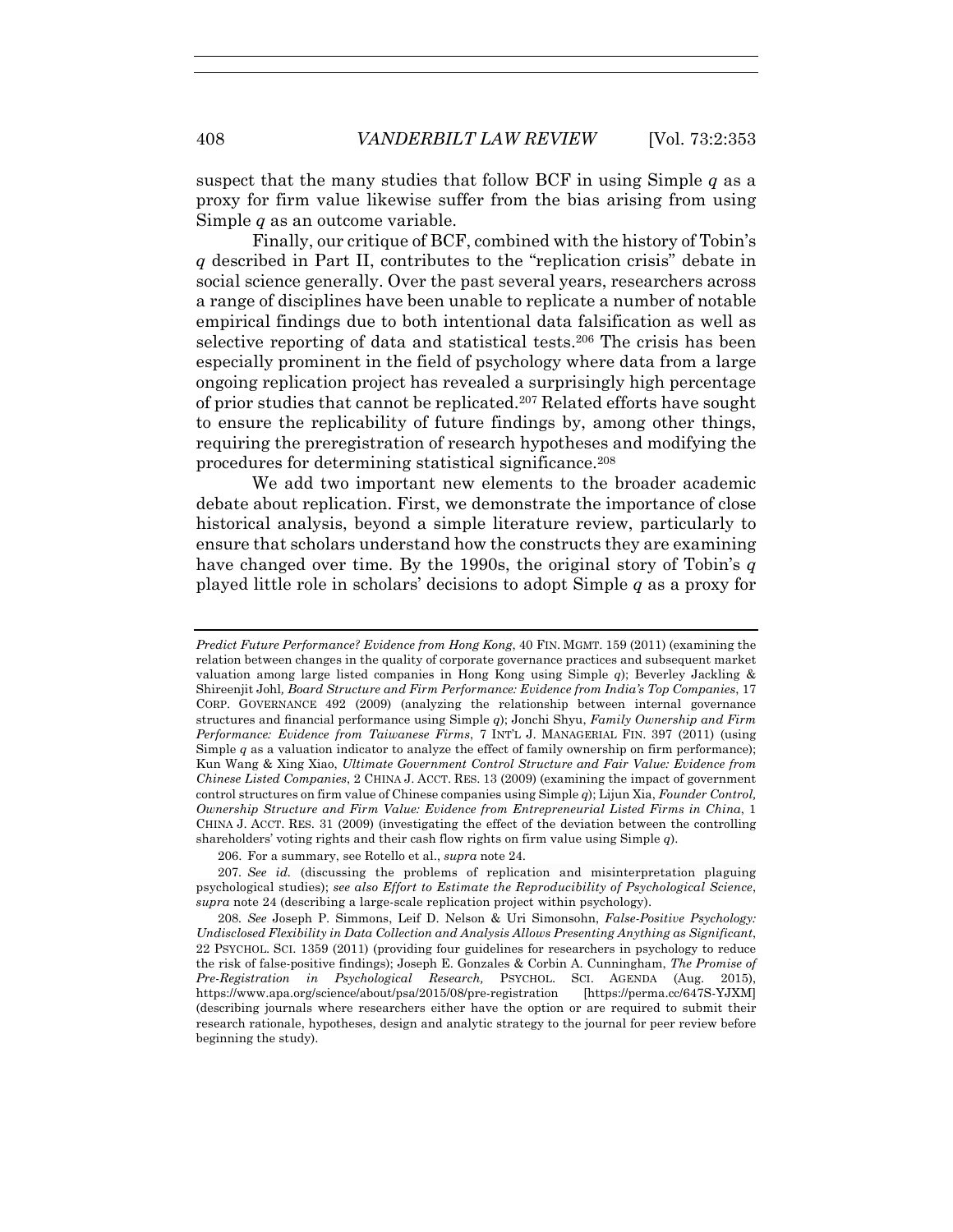suspect that the many studies that follow BCF in using Simple  $q$  as a proxy for firm value likewise suffer from the bias arising from using Simple *q* as an outcome variable.

Finally, our critique of BCF, combined with the history of Tobin's *q* described in Part II, contributes to the "replication crisis" debate in social science generally. Over the past several years, researchers across a range of disciplines have been unable to replicate a number of notable empirical findings due to both intentional data falsification as well as selective reporting of data and statistical tests.206 The crisis has been especially prominent in the field of psychology where data from a large ongoing replication project has revealed a surprisingly high percentage of prior studies that cannot be replicated.207 Related efforts have sought to ensure the replicability of future findings by, among other things, requiring the preregistration of research hypotheses and modifying the procedures for determining statistical significance.208

We add two important new elements to the broader academic debate about replication. First, we demonstrate the importance of close historical analysis, beyond a simple literature review, particularly to ensure that scholars understand how the constructs they are examining have changed over time. By the 1990s, the original story of Tobin's *q*  played little role in scholars' decisions to adopt Simple *q* as a proxy for

206. For a summary, see Rotello et al., *supra* note 24.

207*. See id.* (discussing the problems of replication and misinterpretation plaguing psychological studies); *see also Effort to Estimate the Reproducibility of Psychological Science*, *supra* note 24 (describing a large-scale replication project within psychology).

*Predict Future Performance? Evidence from Hong Kong*, 40 FIN. MGMT. 159 (2011) (examining the relation between changes in the quality of corporate governance practices and subsequent market valuation among large listed companies in Hong Kong using Simple *q*); Beverley Jackling & Shireenjit Johl*, Board Structure and Firm Performance: Evidence from India's Top Companies*, 17 CORP. GOVERNANCE 492 (2009) (analyzing the relationship between internal governance structures and financial performance using Simple *q*); Jonchi Shyu, *Family Ownership and Firm Performance: Evidence from Taiwanese Firms*, 7 INT'L J. MANAGERIAL FIN. 397 (2011) (using Simple *q* as a valuation indicator to analyze the effect of family ownership on firm performance); Kun Wang & Xing Xiao, *Ultimate Government Control Structure and Fair Value: Evidence from Chinese Listed Companies*, 2 CHINA J. ACCT. RES. 13 (2009) (examining the impact of government control structures on firm value of Chinese companies using Simple *q*); Lijun Xia, *Founder Control, Ownership Structure and Firm Value: Evidence from Entrepreneurial Listed Firms in China*, 1 CHINA J. ACCT. RES. 31 (2009) (investigating the effect of the deviation between the controlling shareholders' voting rights and their cash flow rights on firm value using Simple *q*).

<sup>208</sup>*. See* Joseph P. Simmons, Leif D. Nelson & Uri Simonsohn, *False-Positive Psychology: Undisclosed Flexibility in Data Collection and Analysis Allows Presenting Anything as Significant*, 22 PSYCHOL. SCI. 1359 (2011) (providing four guidelines for researchers in psychology to reduce the risk of false-positive findings); Joseph E. Gonzales & Corbin A. Cunningham, *The Promise of Pre-Registration in Psychological Research,* PSYCHOL. SCI. AGENDA (Aug. 2015), https://www.apa.org/science/about/psa/2015/08/pre-registration [https://perma.cc/647S-YJXM] (describing journals where researchers either have the option or are required to submit their research rationale, hypotheses, design and analytic strategy to the journal for peer review before beginning the study).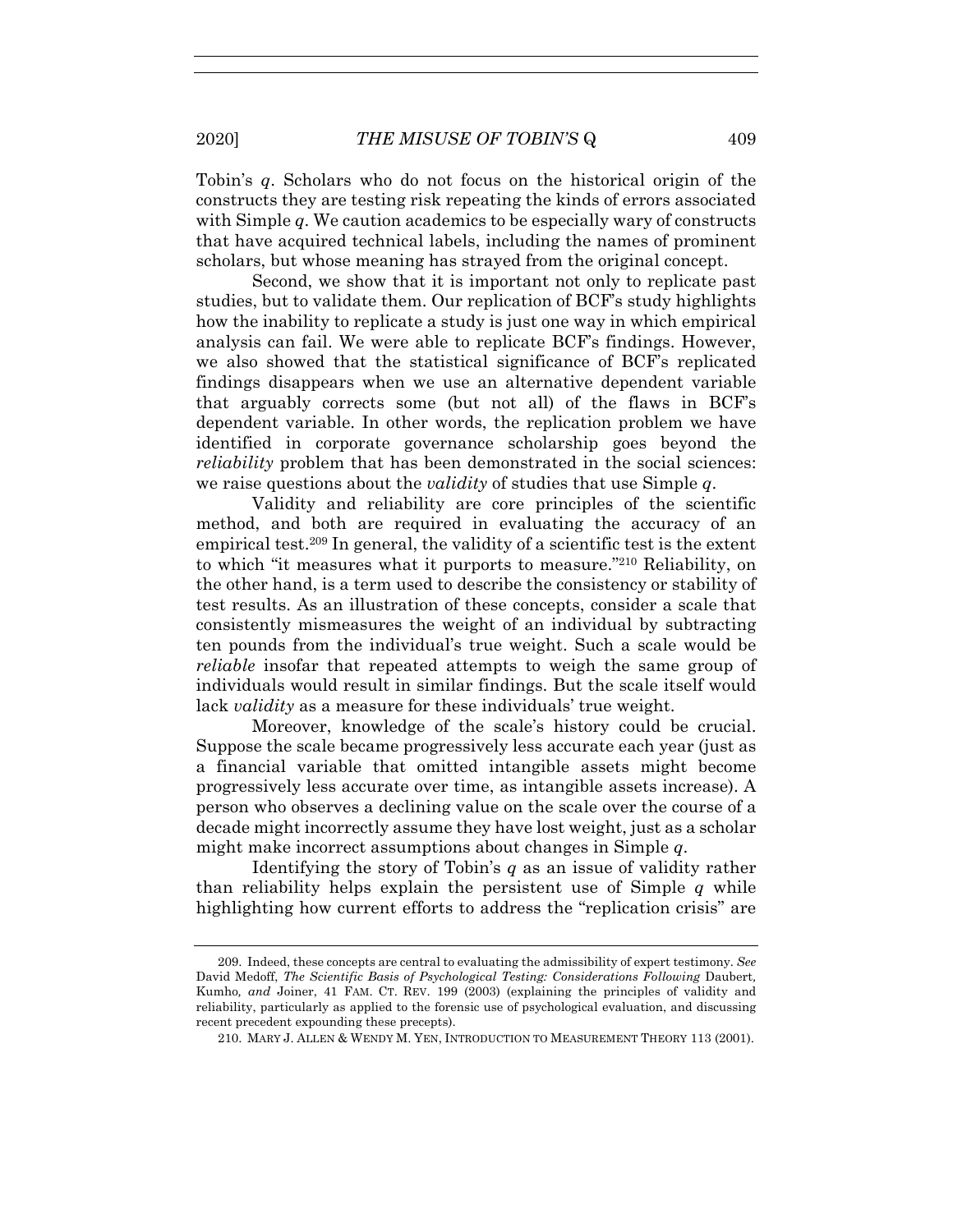Tobin's *q*. Scholars who do not focus on the historical origin of the constructs they are testing risk repeating the kinds of errors associated with Simple *q*. We caution academics to be especially wary of constructs that have acquired technical labels, including the names of prominent scholars, but whose meaning has strayed from the original concept.

Second, we show that it is important not only to replicate past studies, but to validate them. Our replication of BCF's study highlights how the inability to replicate a study is just one way in which empirical analysis can fail. We were able to replicate BCF's findings. However, we also showed that the statistical significance of BCF's replicated findings disappears when we use an alternative dependent variable that arguably corrects some (but not all) of the flaws in BCF's dependent variable. In other words, the replication problem we have identified in corporate governance scholarship goes beyond the *reliability* problem that has been demonstrated in the social sciences: we raise questions about the *validity* of studies that use Simple *q*.

Validity and reliability are core principles of the scientific method, and both are required in evaluating the accuracy of an empirical test.209 In general, the validity of a scientific test is the extent to which "it measures what it purports to measure."210 Reliability, on the other hand, is a term used to describe the consistency or stability of test results. As an illustration of these concepts, consider a scale that consistently mismeasures the weight of an individual by subtracting ten pounds from the individual's true weight. Such a scale would be *reliable* insofar that repeated attempts to weigh the same group of individuals would result in similar findings. But the scale itself would lack *validity* as a measure for these individuals' true weight.

Moreover, knowledge of the scale's history could be crucial. Suppose the scale became progressively less accurate each year (just as a financial variable that omitted intangible assets might become progressively less accurate over time, as intangible assets increase). A person who observes a declining value on the scale over the course of a decade might incorrectly assume they have lost weight, just as a scholar might make incorrect assumptions about changes in Simple *q*.

Identifying the story of Tobin's *q* as an issue of validity rather than reliability helps explain the persistent use of Simple *q* while highlighting how current efforts to address the "replication crisis" are

 <sup>209.</sup> Indeed, these concepts are central to evaluating the admissibility of expert testimony. *See* David Medoff, *The Scientific Basis of Psychological Testing: Considerations Following Daubert,* Kumho*, and* Joiner, 41 FAM. CT. REV. 199 (2003) (explaining the principles of validity and reliability, particularly as applied to the forensic use of psychological evaluation, and discussing recent precedent expounding these precepts).

 <sup>210.</sup> MARY J. ALLEN & WENDY M. YEN, INTRODUCTION TO MEASUREMENT THEORY 113 (2001).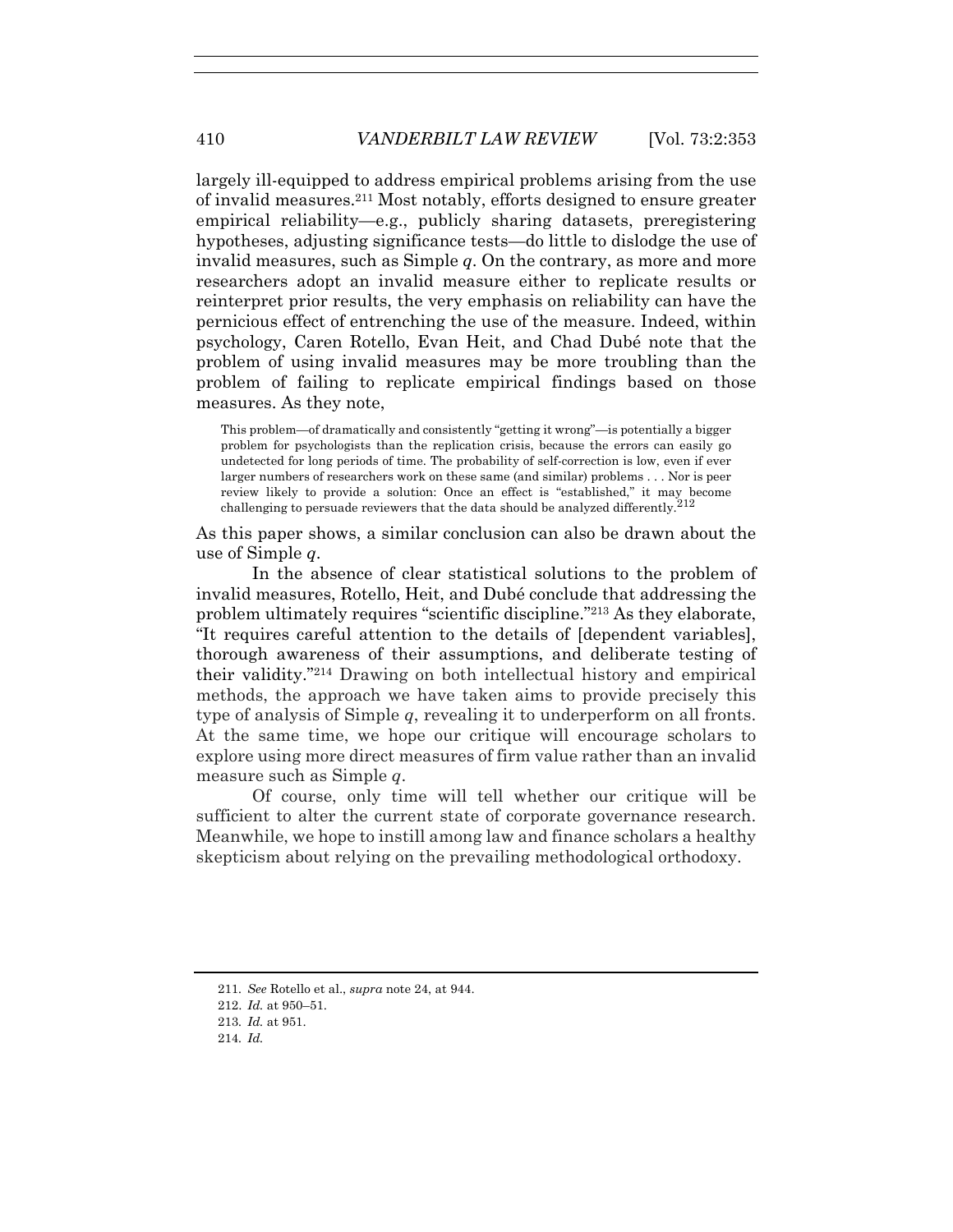largely ill-equipped to address empirical problems arising from the use of invalid measures.211 Most notably, efforts designed to ensure greater empirical reliability—e.g., publicly sharing datasets, preregistering hypotheses, adjusting significance tests—do little to dislodge the use of invalid measures, such as Simple *q*. On the contrary, as more and more researchers adopt an invalid measure either to replicate results or reinterpret prior results, the very emphasis on reliability can have the pernicious effect of entrenching the use of the measure. Indeed, within psychology, Caren Rotello, Evan Heit, and Chad Dubé note that the problem of using invalid measures may be more troubling than the problem of failing to replicate empirical findings based on those measures. As they note,

This problem—of dramatically and consistently "getting it wrong"—is potentially a bigger problem for psychologists than the replication crisis, because the errors can easily go undetected for long periods of time. The probability of self-correction is low, even if ever larger numbers of researchers work on these same (and similar) problems . . . Nor is peer review likely to provide a solution: Once an effect is "established," it may become challenging to persuade reviewers that the data should be analyzed differently.<sup>212</sup>

As this paper shows, a similar conclusion can also be drawn about the use of Simple *q*.

In the absence of clear statistical solutions to the problem of invalid measures, Rotello, Heit, and Dubé conclude that addressing the problem ultimately requires "scientific discipline."213 As they elaborate, "It requires careful attention to the details of [dependent variables], thorough awareness of their assumptions, and deliberate testing of their validity."214 Drawing on both intellectual history and empirical methods, the approach we have taken aims to provide precisely this type of analysis of Simple *q*, revealing it to underperform on all fronts. At the same time, we hope our critique will encourage scholars to explore using more direct measures of firm value rather than an invalid measure such as Simple *q*.

Of course, only time will tell whether our critique will be sufficient to alter the current state of corporate governance research. Meanwhile, we hope to instill among law and finance scholars a healthy skepticism about relying on the prevailing methodological orthodoxy.

<sup>211</sup>*. See* Rotello et al., *supra* note 24, at 944.

 <sup>212.</sup> *Id.* at 950–51.

<sup>213</sup>*. Id.* at 951.

<sup>214</sup>*. Id.*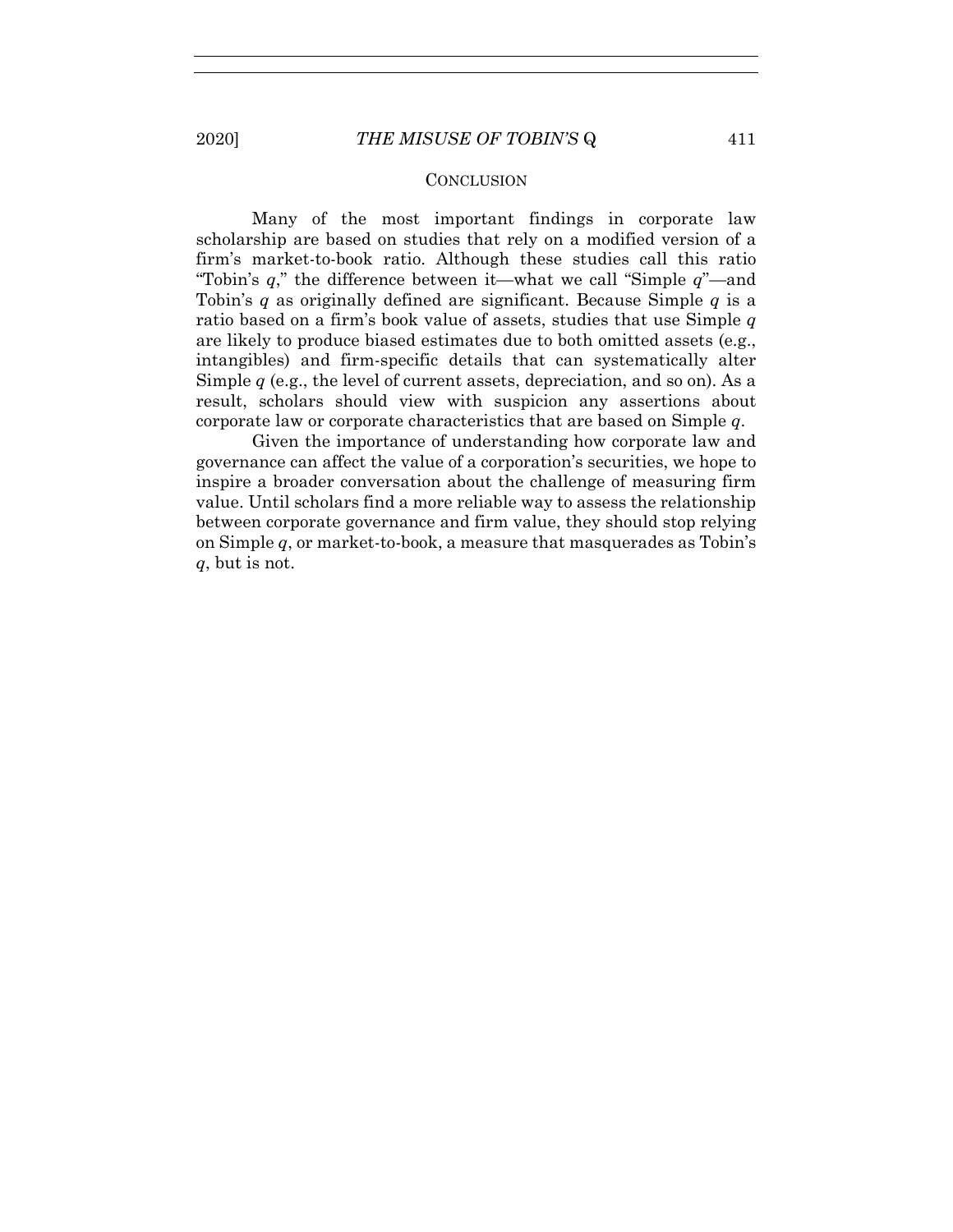#### **CONCLUSION**

Many of the most important findings in corporate law scholarship are based on studies that rely on a modified version of a firm's market-to-book ratio. Although these studies call this ratio "Tobin's *q*," the difference between it—what we call "Simple *q*"—and Tobin's *q* as originally defined are significant. Because Simple *q* is a ratio based on a firm's book value of assets, studies that use Simple *q* are likely to produce biased estimates due to both omitted assets (e.g., intangibles) and firm-specific details that can systematically alter Simple *q* (e.g., the level of current assets, depreciation, and so on). As a result, scholars should view with suspicion any assertions about corporate law or corporate characteristics that are based on Simple *q*.

Given the importance of understanding how corporate law and governance can affect the value of a corporation's securities, we hope to inspire a broader conversation about the challenge of measuring firm value. Until scholars find a more reliable way to assess the relationship between corporate governance and firm value, they should stop relying on Simple *q*, or market-to-book, a measure that masquerades as Tobin's *q*, but is not.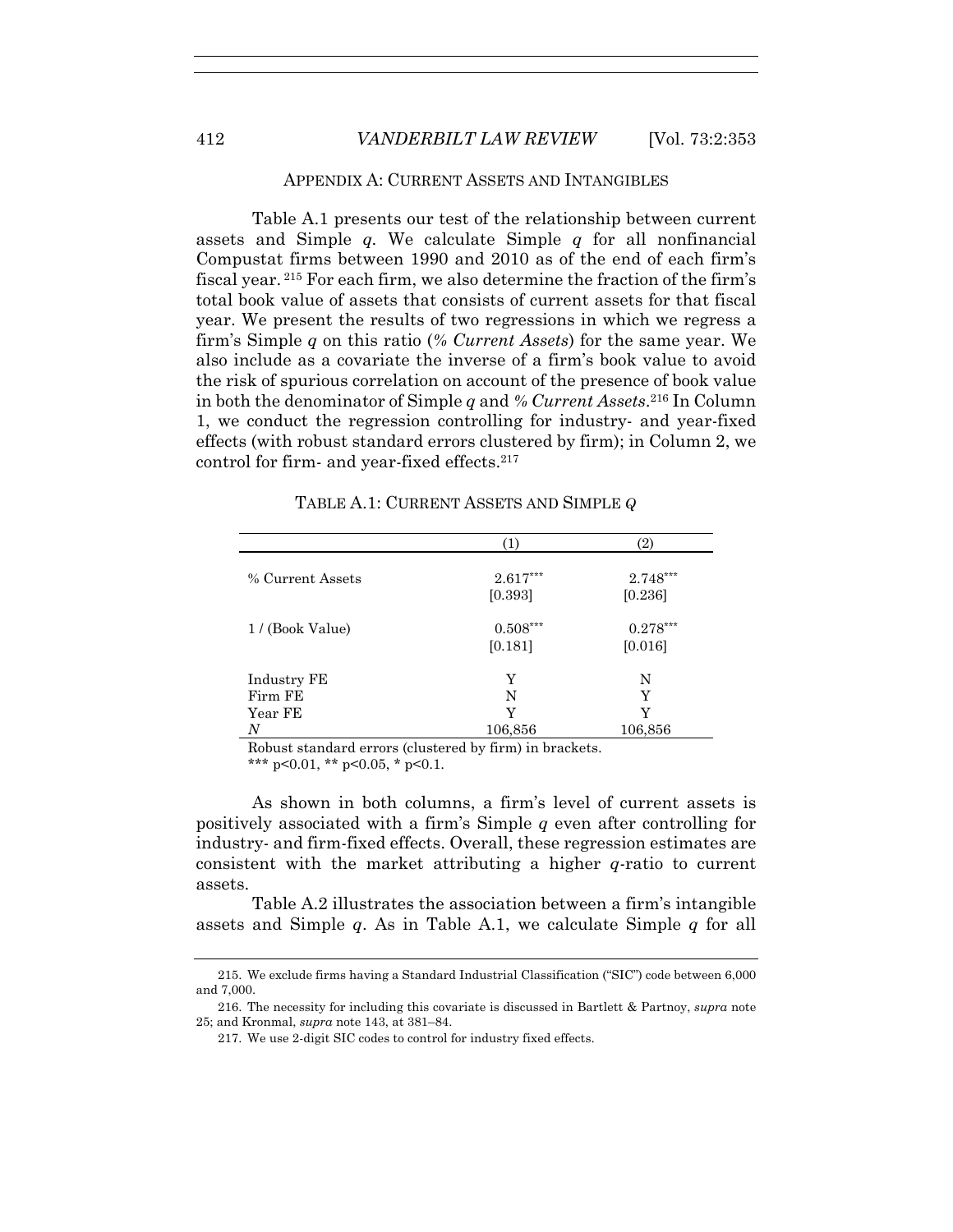### APPENDIX A: CURRENT ASSETS AND INTANGIBLES

Table A.1 presents our test of the relationship between current assets and Simple *q.* We calculate Simple *q* for all nonfinancial Compustat firms between 1990 and 2010 as of the end of each firm's fiscal year. 215 For each firm, we also determine the fraction of the firm's total book value of assets that consists of current assets for that fiscal year. We present the results of two regressions in which we regress a firm's Simple *q* on this ratio (*% Current Assets*) for the same year. We also include as a covariate the inverse of a firm's book value to avoid the risk of spurious correlation on account of the presence of book value in both the denominator of Simple *q* and *% Current Assets*.216 In Column 1, we conduct the regression controlling for industry- and year-fixed effects (with robust standard errors clustered by firm); in Column 2, we control for firm- and year-fixed effects.217

|                  | (1)                   | (2)                   |
|------------------|-----------------------|-----------------------|
| % Current Assets | $2.617***$<br>[0.393] | $2.748***$<br>[0.236] |
| 1/(Book Value)   | $0.508***$<br>[0.181] | $0.278***$<br>[0.016] |
| Industry FE      | Y                     | N                     |
| Firm FE          | N                     | Y                     |
| Year FE          | Y                     | Y                     |
| Ν                | 106,856               | 106,856               |

TABLE A.1: CURRENT ASSETS AND SIMPLE *Q*

Robust standard errors (clustered by firm) in brackets. \*\*\* p<0.01, \*\* p<0.05, \* p<0.1.

As shown in both columns, a firm's level of current assets is positively associated with a firm's Simple *q* even after controlling for industry- and firm-fixed effects. Overall, these regression estimates are consistent with the market attributing a higher *q*-ratio to current assets.

Table A.2 illustrates the association between a firm's intangible assets and Simple *q*. As in Table A.1, we calculate Simple *q* for all

 <sup>215.</sup> We exclude firms having a Standard Industrial Classification ("SIC") code between 6,000 and 7,000.

 <sup>216.</sup> The necessity for including this covariate is discussed in Bartlett & Partnoy, *supra* note 25; and Kronmal, *supra* note 143, at 381–84.

 <sup>217.</sup> We use 2-digit SIC codes to control for industry fixed effects.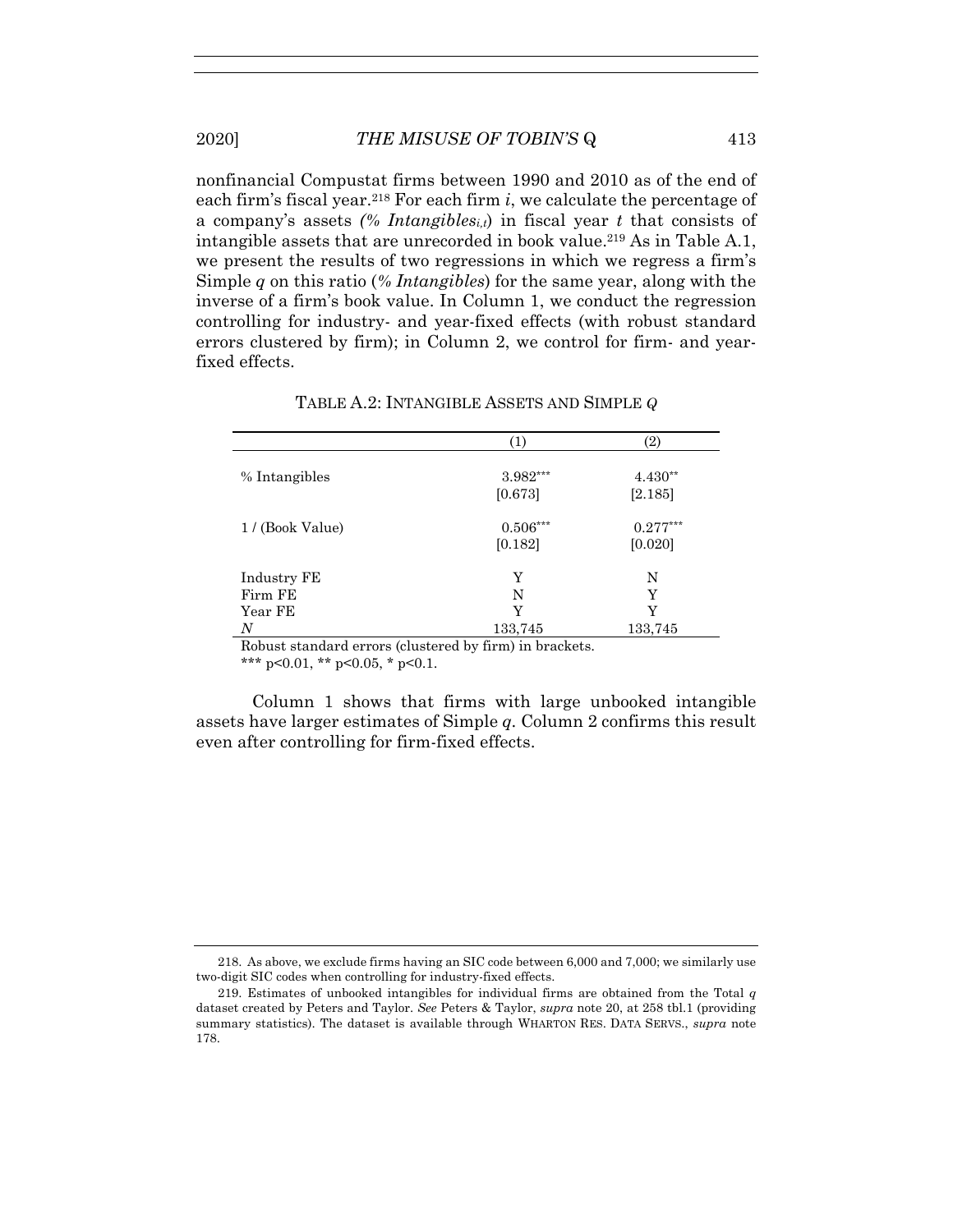nonfinancial Compustat firms between 1990 and 2010 as of the end of each firm's fiscal year.<sup>218</sup> For each firm  $i$ , we calculate the percentage of a company's assets *(% Intangiblesi,t*) in fiscal year *t* that consists of intangible assets that are unrecorded in book value.<sup>219</sup> As in Table A.1, we present the results of two regressions in which we regress a firm's Simple *q* on this ratio (*% Intangibles*) for the same year, along with the inverse of a firm's book value. In Column 1, we conduct the regression controlling for industry- and year-fixed effects (with robust standard errors clustered by firm); in Column 2, we control for firm- and yearfixed effects.

|                  | (1)        | (2)        |
|------------------|------------|------------|
| % Intangibles    | $3.982***$ | $4.430**$  |
|                  | [0.673]    | [2.185]    |
| 1 / (Book Value) | $0.506***$ | $0.277***$ |
|                  | [0.182]    | [0.020]    |
| Industry FE      | Y          | N          |
| Firm FE          | N          | Y          |
| Year FE          | Y          | Y          |
| N                | 133,745    | 133,745    |

TABLE A.2: INTANGIBLE ASSETS AND SIMPLE *Q*

Robust standard errors (clustered by firm) in brackets. \*\*\* p<0.01, \*\* p<0.05, \* p<0.1.

Column 1 shows that firms with large unbooked intangible assets have larger estimates of Simple *q.* Column 2 confirms this result even after controlling for firm-fixed effects.

 <sup>218.</sup> As above, we exclude firms having an SIC code between 6,000 and 7,000; we similarly use two-digit SIC codes when controlling for industry-fixed effects.

 <sup>219.</sup> Estimates of unbooked intangibles for individual firms are obtained from the Total *q* dataset created by Peters and Taylor. *See* Peters & Taylor, *supra* note 20, at 258 tbl.1 (providing summary statistics). The dataset is available through WHARTON RES. DATA SERVS., *supra* note 178.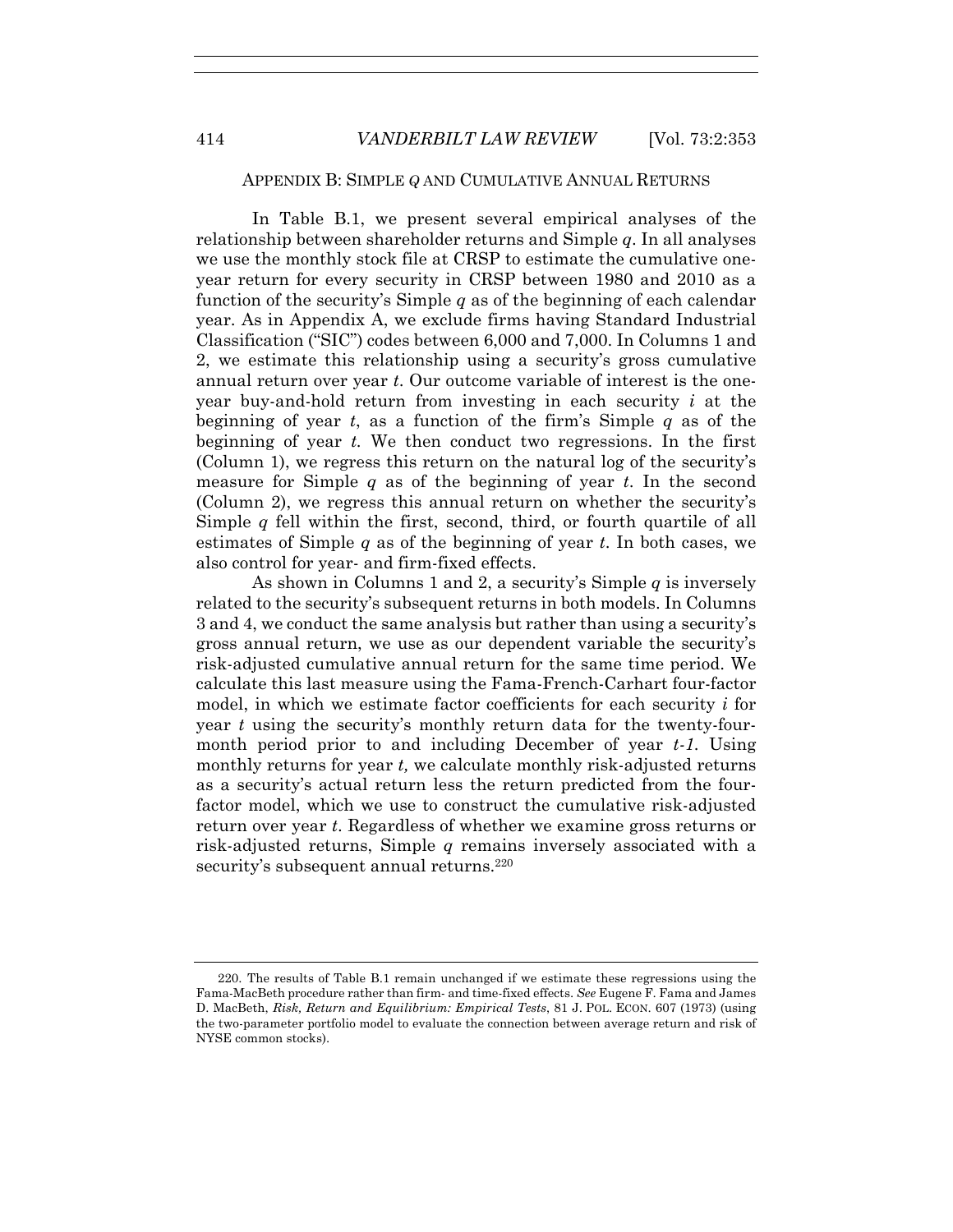#### APPENDIX B: SIMPLE *Q* AND CUMULATIVE ANNUAL RETURNS

In Table B.1, we present several empirical analyses of the relationship between shareholder returns and Simple *q*. In all analyses we use the monthly stock file at CRSP to estimate the cumulative oneyear return for every security in CRSP between 1980 and 2010 as a function of the security's Simple *q* as of the beginning of each calendar year. As in Appendix A, we exclude firms having Standard Industrial Classification ("SIC") codes between 6,000 and 7,000. In Columns 1 and 2, we estimate this relationship using a security's gross cumulative annual return over year *t*. Our outcome variable of interest is the oneyear buy-and-hold return from investing in each security *i* at the beginning of year *t*, as a function of the firm's Simple *q* as of the beginning of year *t.* We then conduct two regressions. In the first (Column 1), we regress this return on the natural log of the security's measure for Simple *q* as of the beginning of year *t*. In the second (Column 2), we regress this annual return on whether the security's Simple *q* fell within the first, second, third, or fourth quartile of all estimates of Simple *q* as of the beginning of year *t*. In both cases, we also control for year- and firm-fixed effects.

As shown in Columns 1 and 2, a security's Simple *q* is inversely related to the security's subsequent returns in both models. In Columns 3 and 4, we conduct the same analysis but rather than using a security's gross annual return, we use as our dependent variable the security's risk-adjusted cumulative annual return for the same time period. We calculate this last measure using the Fama-French-Carhart four-factor model, in which we estimate factor coefficients for each security *i* for year *t* using the security's monthly return data for the twenty-fourmonth period prior to and including December of year *t-1.* Using monthly returns for year *t*, we calculate monthly risk-adjusted returns as a security's actual return less the return predicted from the fourfactor model, which we use to construct the cumulative risk-adjusted return over year *t*. Regardless of whether we examine gross returns or risk-adjusted returns, Simple *q* remains inversely associated with a security's subsequent annual returns.<sup>220</sup>

 <sup>220.</sup> The results of Table B.1 remain unchanged if we estimate these regressions using the Fama-MacBeth procedure rather than firm- and time-fixed effects. *See* Eugene F. Fama and James D. MacBeth, *Risk, Return and Equilibrium: Empirical Tests*, 81 J. POL. ECON. 607 (1973) (using the two-parameter portfolio model to evaluate the connection between average return and risk of NYSE common stocks).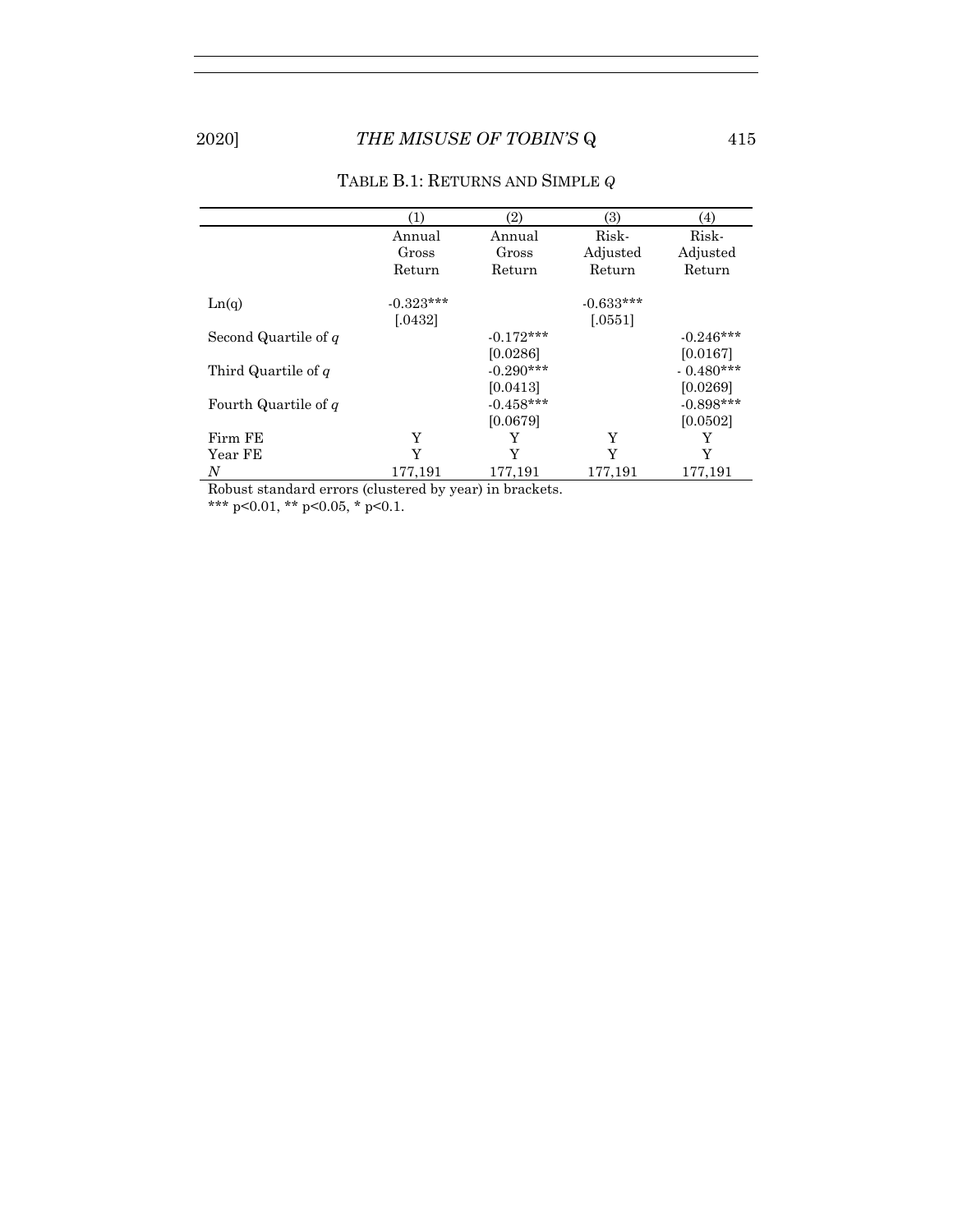|                      | (1)         | (2)         | (3)         | (4)         |
|----------------------|-------------|-------------|-------------|-------------|
|                      | Annual      | Annual      | Risk-       | Risk-       |
|                      | Gross       | Gross       | Adjusted    | Adjusted    |
|                      | Return      | Return      | Return      | Return      |
| Ln(q)                | $-0.323***$ |             | $-0.633***$ |             |
|                      | [.0432]     |             | [.0551]     |             |
| Second Quartile of q |             | $-0.172***$ |             | $-0.246***$ |
|                      |             | [0.0286]    |             | [0.0167]    |
| Third Quartile of q  |             | $-0.290***$ |             | $-0.480***$ |
|                      |             | [0.0413]    |             | [0.0269]    |
| Fourth Quartile of q |             | $-0.458***$ |             | $-0.898***$ |
|                      |             | [0.0679]    |             | [0.0502]    |
| Firm FE              | Y           | Y           | Y           | Y           |
| Year FE              | Y           | Y           | Y           | Y           |
| N                    | 177,191     | 177,191     | 177,191     | 177,191     |

# TABLE B.1: RETURNS AND SIMPLE *Q*

Robust standard errors (clustered by year) in brackets.

\*\*\* p<0.01, \*\* p<0.05, \* p<0.1.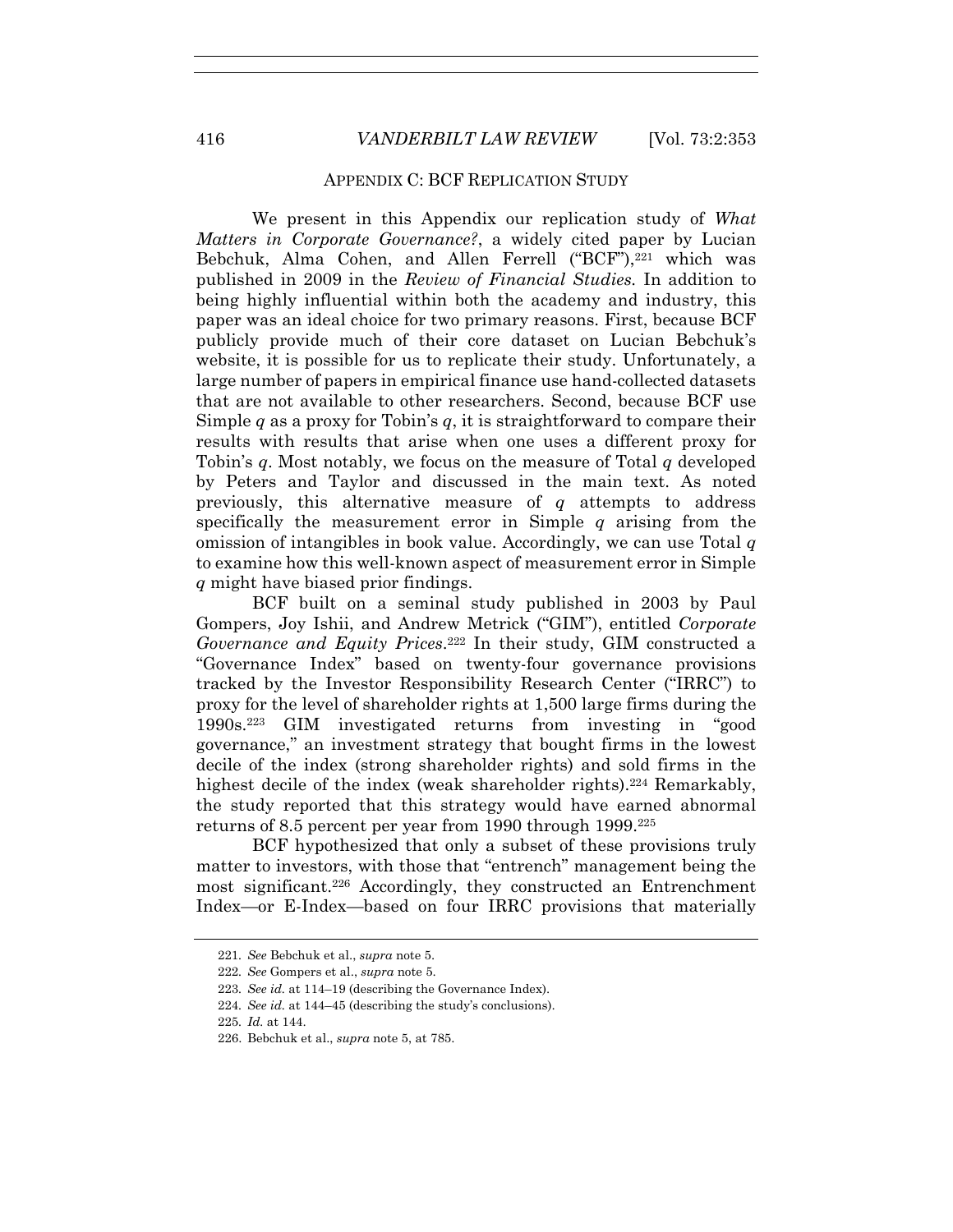#### APPENDIX C: BCF REPLICATION STUDY

We present in this Appendix our replication study of *What Matters in Corporate Governance?*, a widely cited paper by Lucian Bebchuk, Alma Cohen, and Allen Ferrell ("BCF"),<sup>221</sup> which was published in 2009 in the *Review of Financial Studies.* In addition to being highly influential within both the academy and industry, this paper was an ideal choice for two primary reasons. First, because BCF publicly provide much of their core dataset on Lucian Bebchuk's website, it is possible for us to replicate their study. Unfortunately, a large number of papers in empirical finance use hand-collected datasets that are not available to other researchers. Second, because BCF use Simple *q* as a proxy for Tobin's *q*, it is straightforward to compare their results with results that arise when one uses a different proxy for Tobin's *q*. Most notably, we focus on the measure of Total *q* developed by Peters and Taylor and discussed in the main text. As noted previously, this alternative measure of *q* attempts to address specifically the measurement error in Simple *q* arising from the omission of intangibles in book value. Accordingly, we can use Total *q*  to examine how this well-known aspect of measurement error in Simple *q* might have biased prior findings.

BCF built on a seminal study published in 2003 by Paul Gompers, Joy Ishii, and Andrew Metrick ("GIM"), entitled *Corporate Governance and Equity Prices*.222 In their study, GIM constructed a "Governance Index" based on twenty-four governance provisions tracked by the Investor Responsibility Research Center ("IRRC") to proxy for the level of shareholder rights at 1,500 large firms during the 1990s.223 GIM investigated returns from investing in "good governance," an investment strategy that bought firms in the lowest decile of the index (strong shareholder rights) and sold firms in the highest decile of the index (weak shareholder rights).<sup>224</sup> Remarkably, the study reported that this strategy would have earned abnormal returns of 8.5 percent per year from 1990 through 1999.225

BCF hypothesized that only a subset of these provisions truly matter to investors, with those that "entrench" management being the most significant.226 Accordingly, they constructed an Entrenchment Index—or E-Index—based on four IRRC provisions that materially

<sup>221</sup>*. See* Bebchuk et al., *supra* note 5.

<sup>222</sup>*. See* Gompers et al., *supra* note 5.

<sup>223</sup>*. See id.* at 114–19 (describing the Governance Index).

<sup>224</sup>*. See id.* at 144–45 (describing the study's conclusions).

<sup>225</sup>*. Id.* at 144.

 <sup>226.</sup> Bebchuk et al., *supra* note 5, at 785.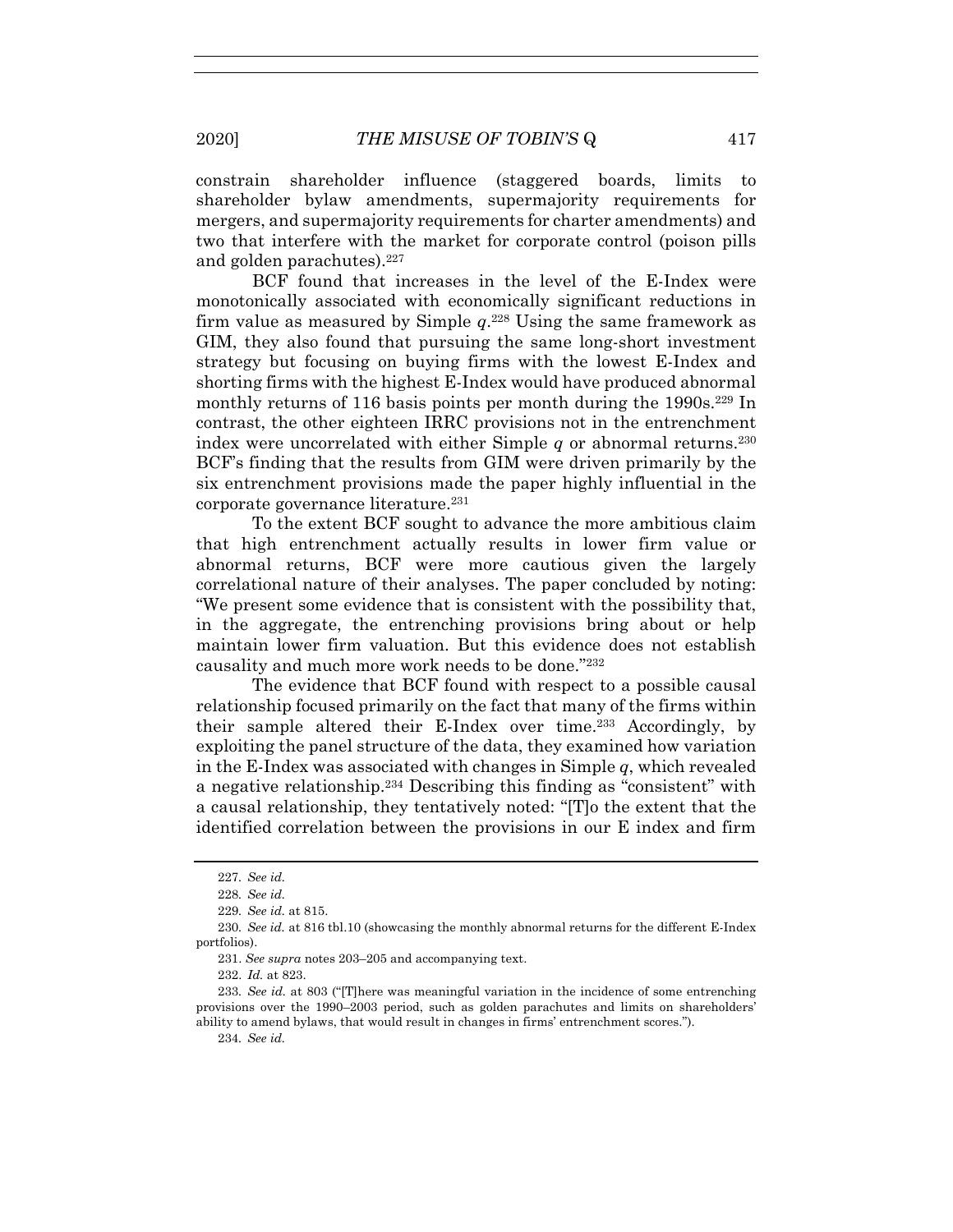constrain shareholder influence (staggered boards, limits to shareholder bylaw amendments, supermajority requirements for mergers, and supermajority requirements for charter amendments) and two that interfere with the market for corporate control (poison pills and golden parachutes).227

BCF found that increases in the level of the E-Index were monotonically associated with economically significant reductions in firm value as measured by Simple  $q^{228}$  Using the same framework as GIM, they also found that pursuing the same long-short investment strategy but focusing on buying firms with the lowest E-Index and shorting firms with the highest E-Index would have produced abnormal monthly returns of 116 basis points per month during the 1990s.<sup>229</sup> In contrast, the other eighteen IRRC provisions not in the entrenchment index were uncorrelated with either Simple *q* or abnormal returns.230 BCF's finding that the results from GIM were driven primarily by the six entrenchment provisions made the paper highly influential in the corporate governance literature.231

To the extent BCF sought to advance the more ambitious claim that high entrenchment actually results in lower firm value or abnormal returns, BCF were more cautious given the largely correlational nature of their analyses. The paper concluded by noting: "We present some evidence that is consistent with the possibility that, in the aggregate, the entrenching provisions bring about or help maintain lower firm valuation. But this evidence does not establish causality and much more work needs to be done."232

The evidence that BCF found with respect to a possible causal relationship focused primarily on the fact that many of the firms within their sample altered their E-Index over time.233 Accordingly, by exploiting the panel structure of the data, they examined how variation in the E-Index was associated with changes in Simple *q*, which revealed a negative relationship.234 Describing this finding as "consistent" with a causal relationship, they tentatively noted: "[T]o the extent that the identified correlation between the provisions in our E index and firm

<sup>227</sup>*. See id.*

<sup>228</sup>*. See id.*

<sup>229</sup>*. See id.* at 815.

<sup>230</sup>*. See id.* at 816 tbl.10 (showcasing the monthly abnormal returns for the different E-Index portfolios).

 <sup>231.</sup> *See supra* notes 203–205 and accompanying text.

 <sup>232.</sup> *Id.* at 823.

<sup>233</sup>*. See id.* at 803 ("[T]here was meaningful variation in the incidence of some entrenching provisions over the 1990–2003 period, such as golden parachutes and limits on shareholders' ability to amend bylaws, that would result in changes in firms' entrenchment scores.").

<sup>234</sup>*. See id.*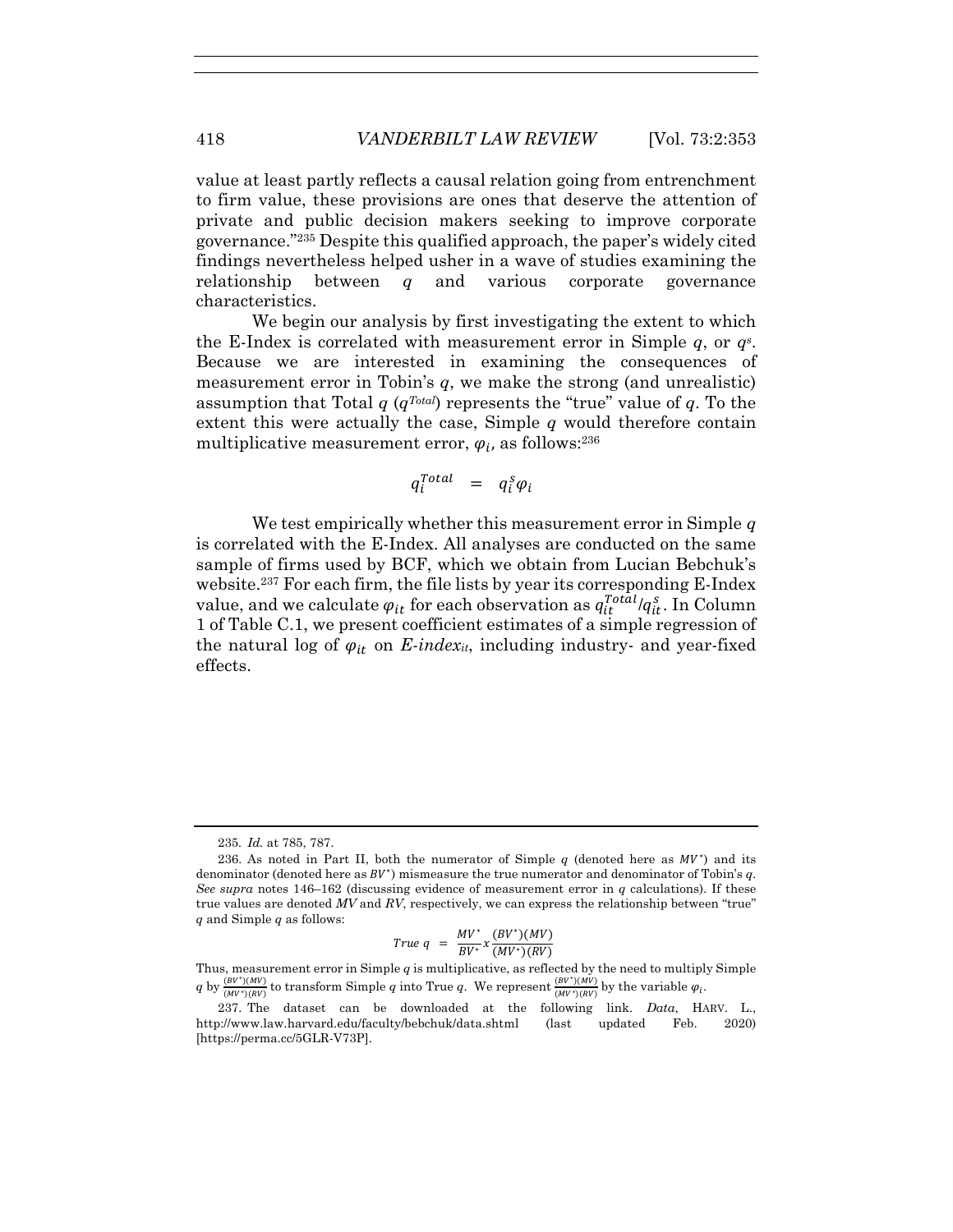value at least partly reflects a causal relation going from entrenchment to firm value, these provisions are ones that deserve the attention of private and public decision makers seeking to improve corporate governance."235 Despite this qualified approach, the paper's widely cited findings nevertheless helped usher in a wave of studies examining the relationship between *q* and various corporate governance characteristics.

We begin our analysis by first investigating the extent to which the E-Index is correlated with measurement error in Simple *q*, or *qs*. Because we are interested in examining the consequences of measurement error in Tobin's *q*, we make the strong (and unrealistic) assumption that Total *q* (*qTotal*) represents the "true" value of *q*. To the extent this were actually the case, Simple *q* would therefore contain multiplicative measurement error,  $\varphi_i$ , as follows:<sup>236</sup>

$$
q_i^{Total} = q_i^s \varphi_i
$$

We test empirically whether this measurement error in Simple *q* is correlated with the E-Index. All analyses are conducted on the same sample of firms used by BCF, which we obtain from Lucian Bebchuk's website.237 For each firm, the file lists by year its corresponding E-Index value, and we calculate  $\varphi_{it}$  for each observation as  $q_{it}^{Total}/q_{it}^{s}.$  In Column 1 of Table C.1, we present coefficient estimates of a simple regression of the natural log of  $\varphi_{it}$  on *E-index<sub>it*</sub>, including industry- and year-fixed effects.

$$
True \, q = \frac{MV^*}{BV^*} \times \frac{(BV^*)(MV)}{(MV^*)(RV)}
$$

<sup>235</sup>*. Id.* at 785, 787.

<sup>236.</sup> As noted in Part II, both the numerator of Simple *q* (denoted here as  $MV^*$ ) and its denominator (denoted here as  $BV^*$ ) mismeasure the true numerator and denominator of Tobin's q. *See supra* notes 146–162 (discussing evidence of measurement error in *q* calculations). If these true values are denoted *MV* and *RV*, respectively, we can express the relationship between "true" *q* and Simple *q* as follows:

Thus, measurement error in Simple *q* is multiplicative, as reflected by the need to multiply Simple *q* by  $\frac{(BV^*)(MV)}{(MV^*)(RV)}$  to transform Simple *q* into True *q*. We represent  $\frac{(BV^*)(MV)}{(MV^*)(RV)}$  by the variable  $\varphi_i$ .

 <sup>237.</sup> The dataset can be downloaded at the following link. *Data*, HARV. L., http://www.law.harvard.edu/faculty/bebchuk/data.shtml (last updated Feb. 2020) [https://perma.cc/5GLR-V73P].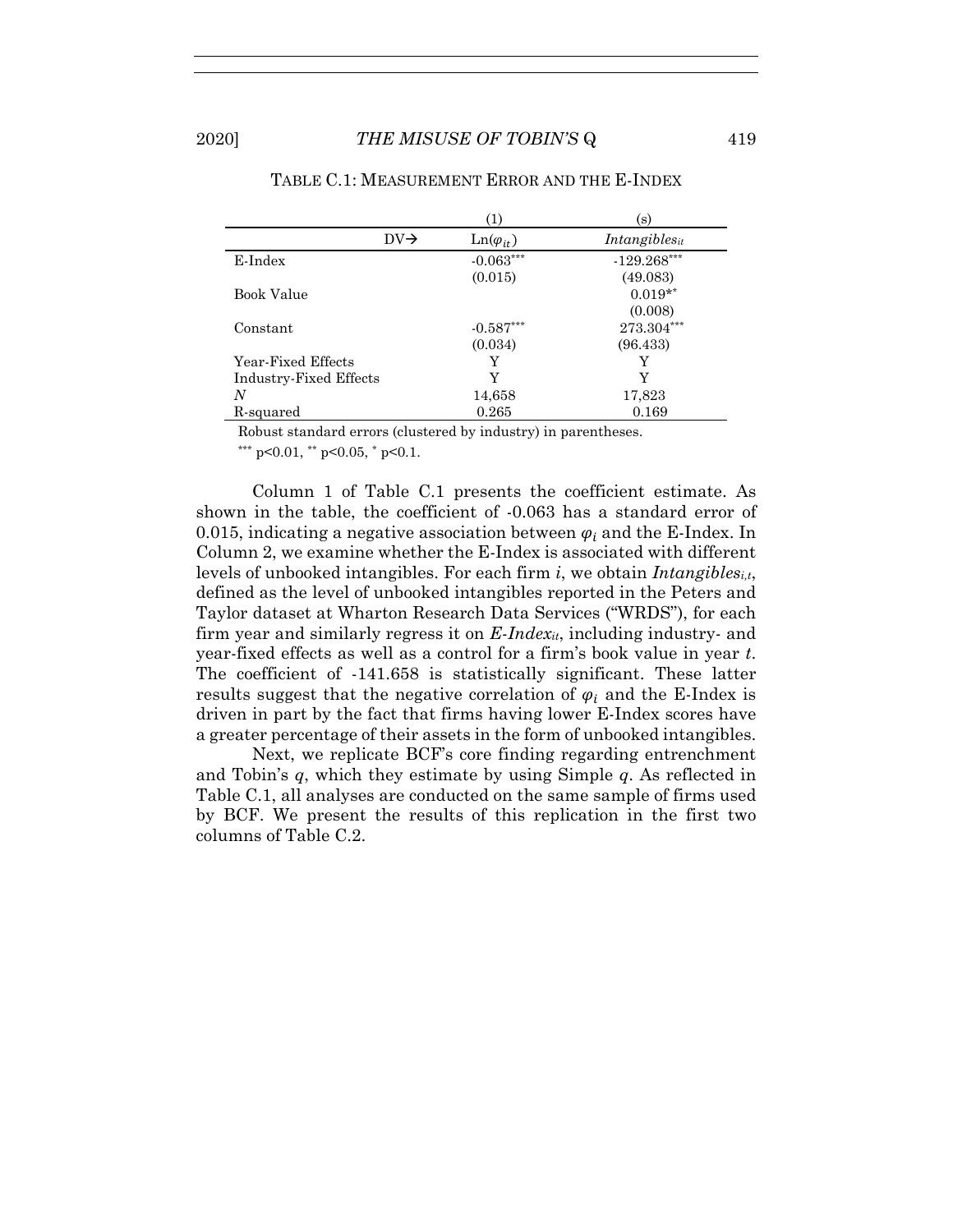|                        | $\left(1\right)$          | (s)                |
|------------------------|---------------------------|--------------------|
| $DV \rightarrow$       | $\text{Ln}(\varphi_{it})$ | $Intangibles_{it}$ |
| E-Index                | $-0.063***$               | $-129.268***$      |
|                        | (0.015)                   | (49.083)           |
| Book Value             |                           | $0.019**$          |
|                        |                           | (0.008)            |
| Constant               | $-0.587***$               | 273.304***         |
|                        | (0.034)                   | (96.433)           |
| Year-Fixed Effects     | Y                         | Y                  |
| Industry-Fixed Effects | Y                         | Y                  |
| N                      | 14,658                    | 17,823             |
| R-squared              | 0.265                     | 0.169              |

Robust standard errors (clustered by industry) in parentheses.

\*\*\* p<0.01, \*\* p<0.05, \* p<0.1.

Column 1 of Table C.1 presents the coefficient estimate. As shown in the table, the coefficient of -0.063 has a standard error of 0.015, indicating a negative association between  $\varphi_i$  and the E-Index. In Column 2, we examine whether the E-Index is associated with different levels of unbooked intangibles. For each firm *i*, we obtain *Intangiblesi,t*, defined as the level of unbooked intangibles reported in the Peters and Taylor dataset at Wharton Research Data Services ("WRDS"), for each firm year and similarly regress it on *E-Indexit*, including industry- and year-fixed effects as well as a control for a firm's book value in year *t*. The coefficient of -141.658 is statistically significant. These latter results suggest that the negative correlation of  $\varphi_i$  and the E-Index is driven in part by the fact that firms having lower E-Index scores have a greater percentage of their assets in the form of unbooked intangibles.

Next, we replicate BCF's core finding regarding entrenchment and Tobin's *q*, which they estimate by using Simple *q*. As reflected in Table C.1, all analyses are conducted on the same sample of firms used by BCF. We present the results of this replication in the first two columns of Table C.2.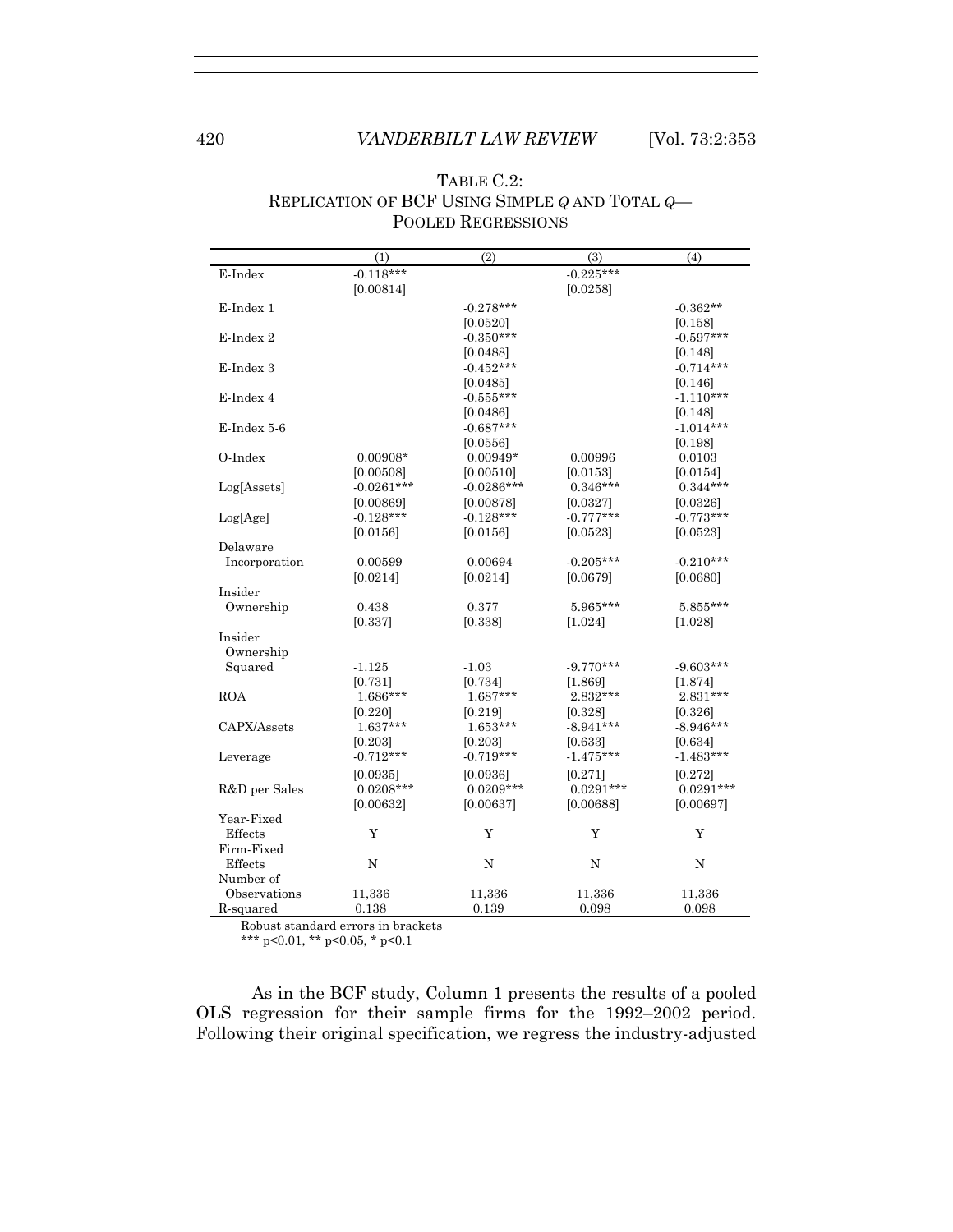|               | (1)          | (2)          | (3)         | (4)         |
|---------------|--------------|--------------|-------------|-------------|
| E-Index       | $-0.118***$  |              | $-0.225***$ |             |
|               | [0.00814]    |              | [0.0258]    |             |
| E-Index 1     |              | $-0.278***$  |             | $-0.362**$  |
|               |              | [0.0520]     |             | [0.158]     |
| E-Index 2     |              | $-0.350***$  |             | $-0.597***$ |
|               |              | [0.0488]     |             | [0.148]     |
| E-Index 3     |              | $-0.452***$  |             | $-0.714***$ |
|               |              | [0.0485]     |             | [0.146]     |
| E-Index 4     |              | $-0.555***$  |             | $-1.110***$ |
|               |              | [0.0486]     |             | [0.148]     |
| E-Index 5-6   |              | $-0.687***$  |             | $-1.014***$ |
|               |              | [0.0556]     |             | [0.198]     |
| O-Index       | $0.00908*$   | $0.00949*$   | 0.00996     | 0.0103      |
|               | [0.00508]    | [0.00510]    | [0.0153]    | [0.0154]    |
| Log[Assets]   | $-0.0261***$ | $-0.0286***$ | $0.346***$  | $0.344***$  |
|               | [0.00869]    | [0.00878]    | [0.0327]    | [0.0326]    |
| Log[Age]      | $-0.128***$  | $-0.128***$  | $-0.777***$ | $-0.773***$ |
|               | [0.0156]     | [0.0156]     | [0.0523]    | [0.0523]    |
| Delaware      |              |              |             |             |
| Incorporation | 0.00599      | 0.00694      | $-0.205***$ | $-0.210***$ |
|               | [0.0214]     | [0.0214]     | [0.0679]    | [0.0680]    |
| Insider       |              |              |             |             |
| Ownership     | 0.438        | 0.377        | 5.965***    | 5.855***    |
|               | [0.337]      | [0.338]      | [1.024]     | [1.028]     |
| Insider       |              |              |             |             |
| Ownership     |              |              |             |             |
| Squared       | $-1.125$     | $-1.03$      | $-9.770***$ | $-9.603***$ |
|               | [0.731]      | [0.734]      | [1.869]     | [1.874]     |
| ROA           | $1.686***$   | $1.687***$   | $2.832***$  | $2.831***$  |
|               | [0.220]      | [0.219]      | [0.328]     | [0.326]     |
| CAPX/Assets   | 1.637***     | $1.653***$   | $-8.941***$ | $-8.946***$ |
|               | [0.203]      | [0.203]      | [0.633]     | [0.634]     |
| Leverage      | $-0.712***$  | $-0.719***$  | $-1.475***$ | $-1.483***$ |
|               | [0.0935]     | [0.0936]     | [0.271]     | [0.272]     |
| R&D per Sales | $0.0208***$  | $0.0209***$  | $0.0291***$ | $0.0291***$ |
|               | [0.00632]    | [0.00637]    | [0.00688]   | [0.00697]   |
| Year-Fixed    |              |              |             |             |
| Effects       | Y            | Y            | Y           | Y           |
| Firm-Fixed    |              |              |             |             |
| Effects       | N            | N            | $\mathbf N$ | $\mathbf N$ |
| Number of     |              |              |             |             |
| Observations  | 11,336       | 11,336       | 11,336      | 11,336      |
| R-squared     | 0.138        | 0.139        | 0.098       | 0.098       |

# TABLE C.2: REPLICATION OF BCF USING SIMPLE *Q* AND TOTAL *Q*— POOLED REGRESSIONS

Robust standard errors in brackets

\*\*\* p<0.01, \*\* p<0.05, \* p<0.1

As in the BCF study, Column 1 presents the results of a pooled OLS regression for their sample firms for the 1992–2002 period. Following their original specification, we regress the industry-adjusted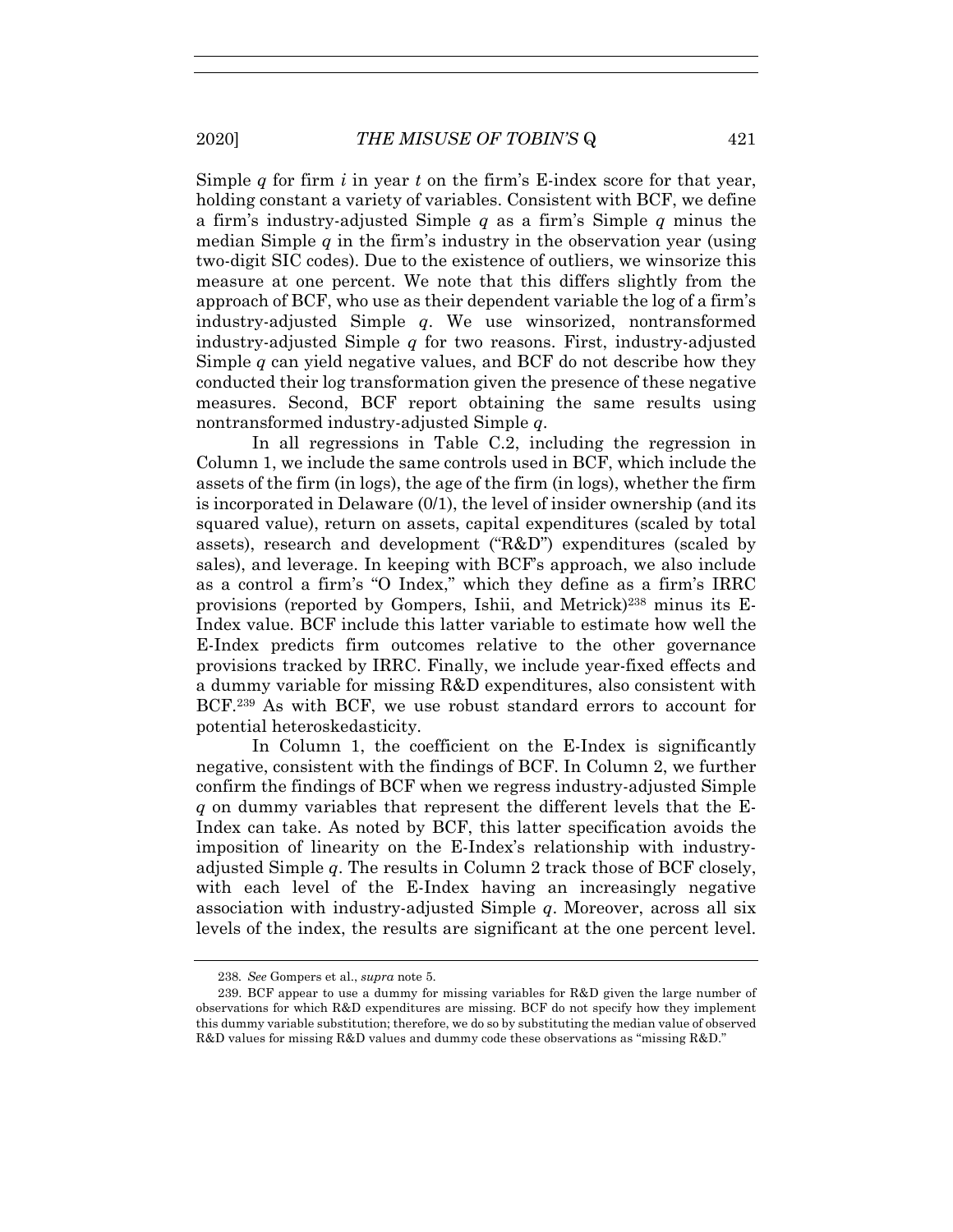Simple  $q$  for firm  $i$  in year  $t$  on the firm's E-index score for that year, holding constant a variety of variables. Consistent with BCF, we define a firm's industry-adjusted Simple *q* as a firm's Simple *q* minus the median Simple *q* in the firm's industry in the observation year (using two-digit SIC codes). Due to the existence of outliers, we winsorize this measure at one percent. We note that this differs slightly from the approach of BCF, who use as their dependent variable the log of a firm's industry-adjusted Simple *q*. We use winsorized, nontransformed industry-adjusted Simple *q* for two reasons. First, industry-adjusted Simple *q* can yield negative values, and BCF do not describe how they conducted their log transformation given the presence of these negative measures. Second, BCF report obtaining the same results using nontransformed industry-adjusted Simple *q*.

In all regressions in Table C.2, including the regression in Column 1, we include the same controls used in BCF, which include the assets of the firm (in logs), the age of the firm (in logs), whether the firm is incorporated in Delaware (0/1), the level of insider ownership (and its squared value), return on assets, capital expenditures (scaled by total assets), research and development ("R&D") expenditures (scaled by sales), and leverage. In keeping with BCF's approach, we also include as a control a firm's "O Index," which they define as a firm's IRRC provisions (reported by Gompers, Ishii, and Metrick)238 minus its E-Index value. BCF include this latter variable to estimate how well the E-Index predicts firm outcomes relative to the other governance provisions tracked by IRRC. Finally, we include year-fixed effects and a dummy variable for missing R&D expenditures, also consistent with BCF.239 As with BCF, we use robust standard errors to account for potential heteroskedasticity.

In Column 1, the coefficient on the E-Index is significantly negative, consistent with the findings of BCF. In Column 2, we further confirm the findings of BCF when we regress industry-adjusted Simple *q* on dummy variables that represent the different levels that the E-Index can take. As noted by BCF, this latter specification avoids the imposition of linearity on the E-Index's relationship with industryadjusted Simple *q*. The results in Column 2 track those of BCF closely, with each level of the E-Index having an increasingly negative association with industry-adjusted Simple *q*. Moreover, across all six levels of the index, the results are significant at the one percent level.

<sup>238</sup>*. See* Gompers et al., *supra* note 5.

 <sup>239.</sup> BCF appear to use a dummy for missing variables for R&D given the large number of observations for which R&D expenditures are missing. BCF do not specify how they implement this dummy variable substitution; therefore, we do so by substituting the median value of observed R&D values for missing R&D values and dummy code these observations as "missing R&D."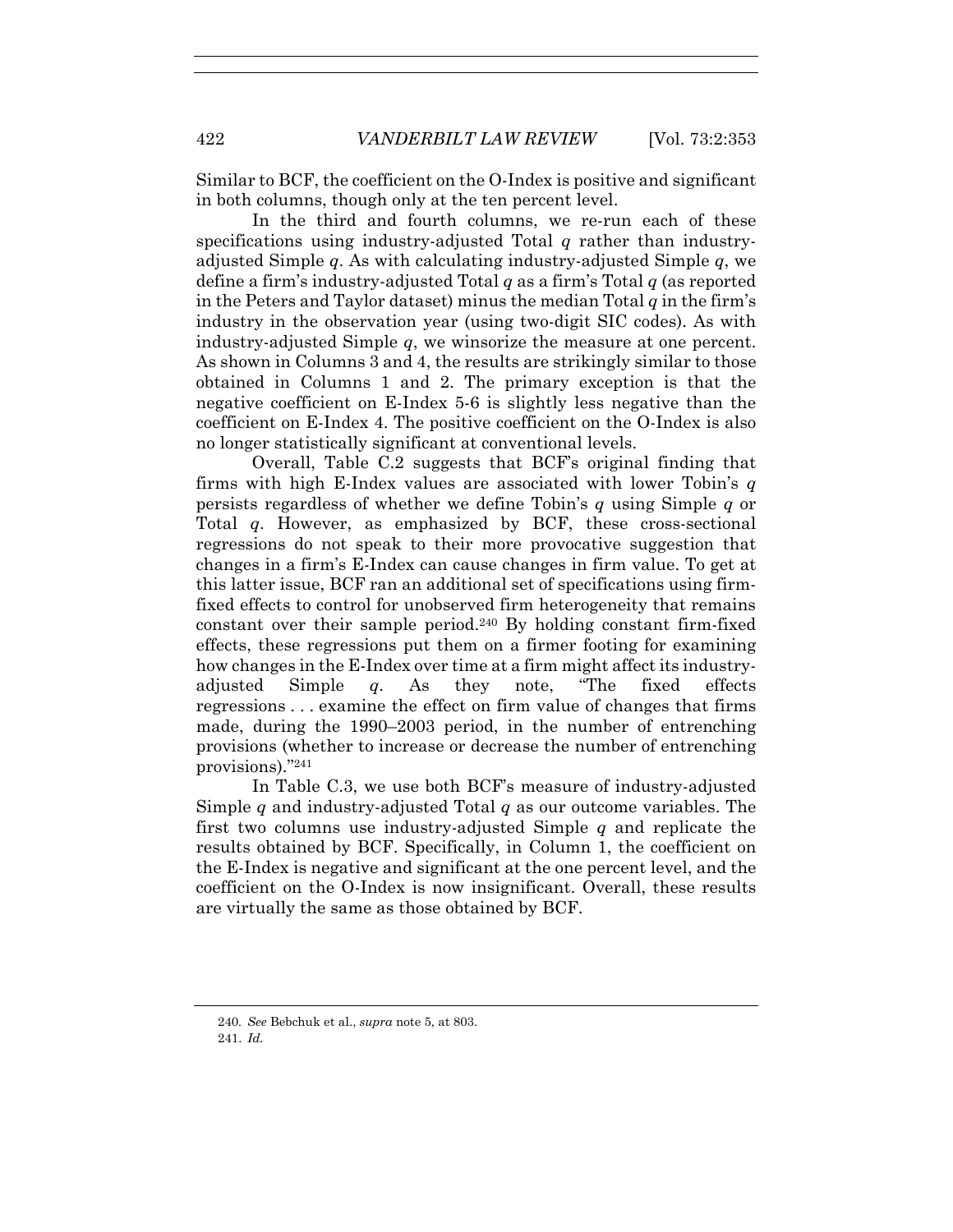Similar to BCF, the coefficient on the O-Index is positive and significant in both columns, though only at the ten percent level.

In the third and fourth columns, we re-run each of these specifications using industry-adjusted Total *q* rather than industryadjusted Simple *q*. As with calculating industry-adjusted Simple *q*, we define a firm's industry-adjusted Total *q* as a firm's Total *q* (as reported in the Peters and Taylor dataset) minus the median Total *q* in the firm's industry in the observation year (using two-digit SIC codes). As with industry-adjusted Simple *q*, we winsorize the measure at one percent. As shown in Columns 3 and 4, the results are strikingly similar to those obtained in Columns 1 and 2. The primary exception is that the negative coefficient on E-Index 5-6 is slightly less negative than the coefficient on E-Index 4. The positive coefficient on the O-Index is also no longer statistically significant at conventional levels.

Overall, Table C.2 suggests that BCF's original finding that firms with high E-Index values are associated with lower Tobin's *q* persists regardless of whether we define Tobin's *q* using Simple *q* or Total *q*. However, as emphasized by BCF, these cross-sectional regressions do not speak to their more provocative suggestion that changes in a firm's E-Index can cause changes in firm value. To get at this latter issue, BCF ran an additional set of specifications using firmfixed effects to control for unobserved firm heterogeneity that remains constant over their sample period.240 By holding constant firm-fixed effects, these regressions put them on a firmer footing for examining how changes in the E-Index over time at a firm might affect its industryadjusted Simple *q*. As they note, "The fixed effects regressions . . . examine the effect on firm value of changes that firms made, during the 1990–2003 period, in the number of entrenching provisions (whether to increase or decrease the number of entrenching provisions)."241

In Table C.3, we use both BCF's measure of industry-adjusted Simple *q* and industry-adjusted Total *q* as our outcome variables. The first two columns use industry-adjusted Simple *q* and replicate the results obtained by BCF. Specifically, in Column 1, the coefficient on the E-Index is negative and significant at the one percent level, and the coefficient on the O-Index is now insignificant. Overall, these results are virtually the same as those obtained by BCF.

<sup>240</sup>*. See* Bebchuk et al., *supra* note 5, at 803.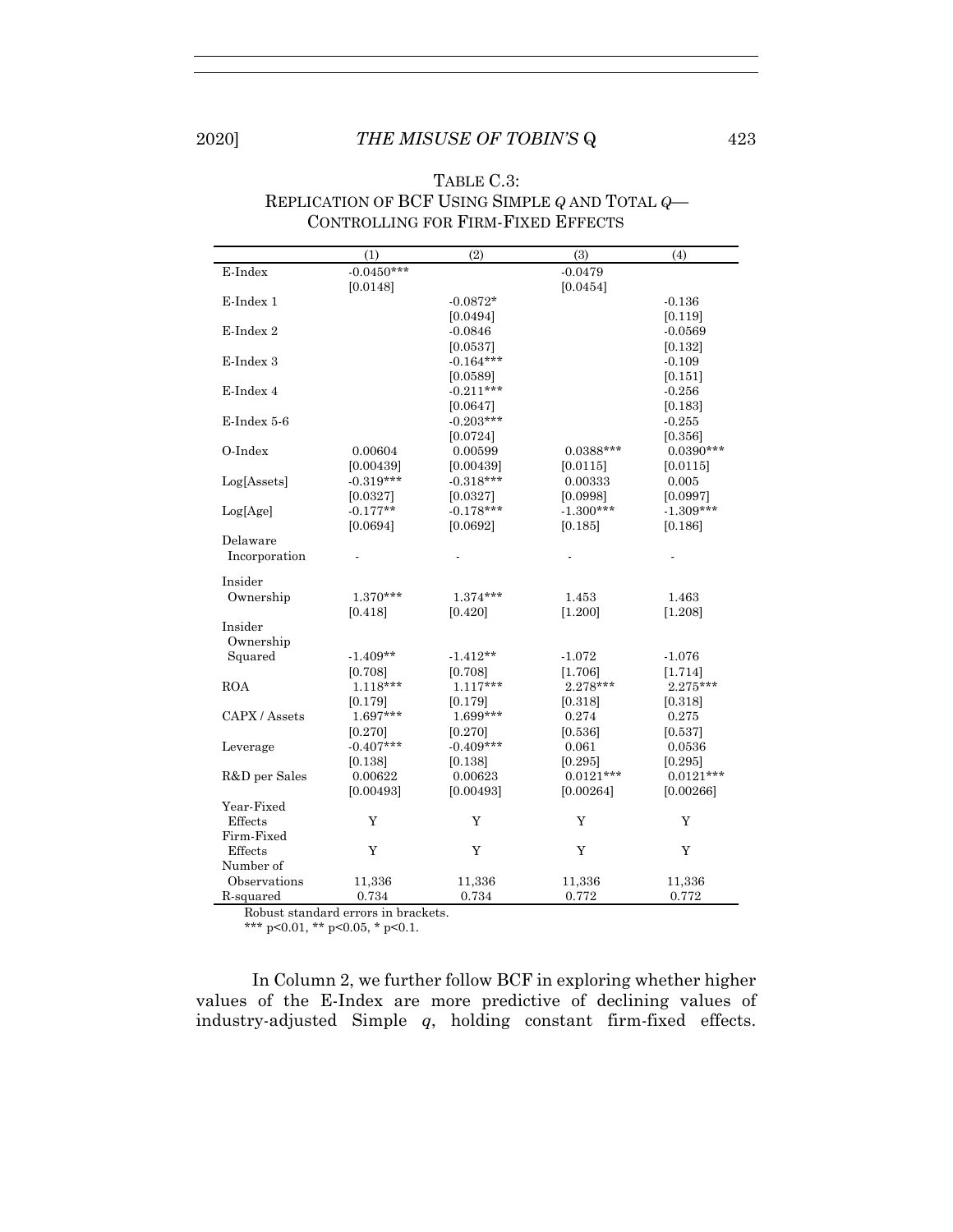|               | (1)          | (2)         | (3)         | (4)                   |
|---------------|--------------|-------------|-------------|-----------------------|
| E-Index       | $-0.0450***$ |             | $-0.0479$   |                       |
|               | [0.0148]     |             | [0.0454]    |                       |
| E-Index 1     |              | $-0.0872*$  |             | $\hbox{\text -}0.136$ |
|               |              | [0.0494]    |             | [0.119]               |
| E-Index 2     |              | $-0.0846$   |             | $-0.0569$             |
|               |              | [0.0537]    |             | [0.132]               |
| E-Index 3     |              | $-0.164***$ |             | $-0.109$              |
|               |              | [0.0589]    |             | [0.151]               |
| E-Index 4     |              | $-0.211***$ |             | $-0.256$              |
|               |              | [0.0647]    |             | [0.183]               |
| E-Index 5-6   |              | $-0.203***$ |             | $-0.255$              |
|               |              | [0.0724]    |             | [0.356]               |
| O-Index       | 0.00604      | 0.00599     | $0.0388***$ | $0.0390***$           |
|               | [0.00439]    | [0.00439]   | [0.0115]    | [0.0115]              |
| Log[Assets]   | $-0.319***$  | $-0.318***$ | 0.00333     | 0.005                 |
|               | [0.0327]     | [0.0327]    | [0.0998]    | [0.0997]              |
| Log[Age]      | $-0.177**$   | $-0.178***$ | $-1.300***$ | $-1.309***$           |
|               | [0.0694]     | [0.0692]    | [0.185]     | [0.186]               |
| Delaware      |              |             |             |                       |
| Incorporation |              |             |             |                       |
|               |              |             |             |                       |
| Insider       |              |             |             |                       |
| Ownership     | $1.370***$   | $1.374***$  | 1.453       | 1.463                 |
|               | [0.418]      | [0.420]     | [1.200]     | [1.208]               |
| Insider       |              |             |             |                       |
| Ownership     |              |             |             |                       |
| Squared       | $-1.409**$   | $-1.412**$  | $-1.072$    | $-1.076$              |
|               | [0.708]      | [0.708]     | [1.706]     | [1.714]               |
| <b>ROA</b>    | $1.118***$   | $1.117***$  | $2.278***$  | $2.275***$            |
|               | [0.179]      | [0.179]     | [0.318]     | [0.318]               |
| CAPX / Assets | 1.697***     | 1.699***    | 0.274       | 0.275                 |
|               | [0.270]      | [0.270]     | [0.536]     | [0.537]               |
| Leverage      | $-0.407***$  | $-0.409***$ | 0.061       | 0.0536                |
|               | [0.138]      | [0.138]     | [0.295]     | [0.295]               |
| R&D per Sales | 0.00622      | 0.00623     | $0.0121***$ | $0.0121***$           |
|               | [0.00493]    | [0.00493]   | [0.00264]   | [0.00266]             |
| Year-Fixed    |              |             |             |                       |
| Effects       | Y            | Y           | Y           | Y                     |
| Firm-Fixed    |              |             |             |                       |
| Effects       | Y            | Y           | Y           | Y                     |
| Number of     |              |             |             |                       |
| Observations  | 11,336       | 11,336      | 11,336      | 11,336                |
| R-squared     | 0.734        | 0.734       | 0.772       | 0.772                 |

## TABLE C.3: REPLICATION OF BCF USING SIMPLE *Q* AND TOTAL *Q*— CONTROLLING FOR FIRM-FIXED EFFECTS

Robust standard errors in brackets.

\*\*\* p<0.01, \*\* p<0.05, \* p<0.1.

In Column 2, we further follow BCF in exploring whether higher values of the E-Index are more predictive of declining values of industry-adjusted Simple *q*, holding constant firm-fixed effects.